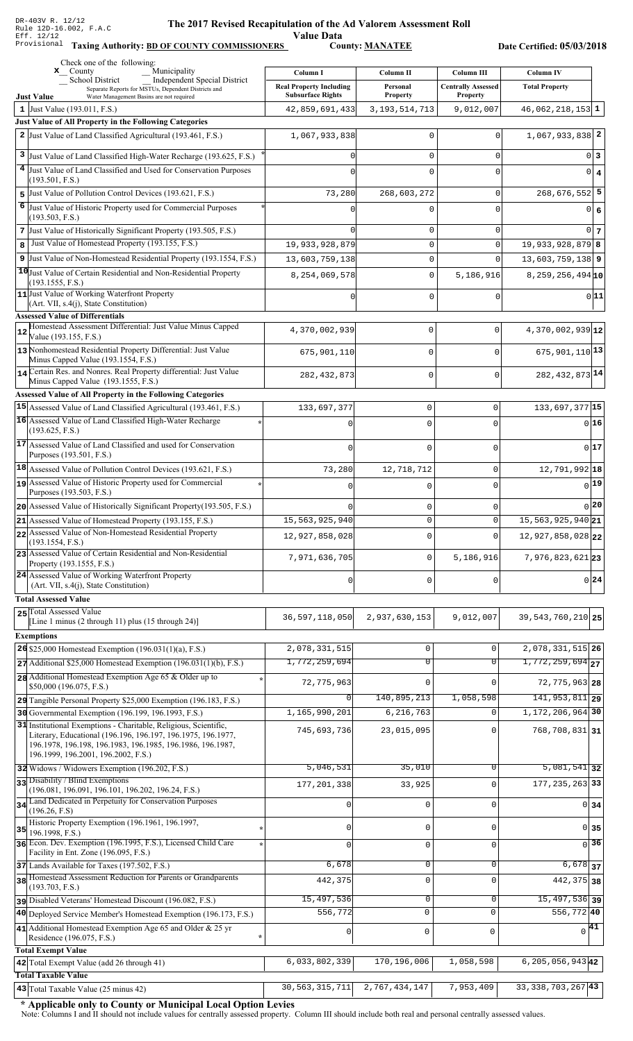Value Data<br>County: MANATEE

Taxing Authority: BD OF COUNTY COMMISSIONERS County: MANATEE

Date Certified: 05/03/2018

|                | Check one of the following:<br>Municipality<br>$\mathbf{x}$ County                                                               |                                                            |                             |                                              |                                |
|----------------|----------------------------------------------------------------------------------------------------------------------------------|------------------------------------------------------------|-----------------------------|----------------------------------------------|--------------------------------|
|                | <b>Independent Special District</b><br><b>School District</b>                                                                    | Column I                                                   | Column II                   | Column III                                   | <b>Column IV</b>               |
|                | Separate Reports for MSTUs, Dependent Districts and<br>Water Management Basins are not required<br><b>Just Value</b>             | <b>Real Property Including</b><br><b>Subsurface Rights</b> | Personal<br><b>Property</b> | <b>Centrally Assessed</b><br><b>Property</b> | <b>Total Property</b>          |
|                | 1 Just Value $(193.011, F.S.)$                                                                                                   | 42,859,691,433                                             | 3, 193, 514, 713            | 9,012,007                                    | $46,062,218,153$ 1             |
|                | Just Value of All Property in the Following Categories                                                                           |                                                            |                             |                                              |                                |
|                | 2 Just Value of Land Classified Agricultural (193.461, F.S.)                                                                     | 1,067,933,838                                              | 0                           | 0                                            | $1,067,933,838$ <sup>2</sup>   |
|                | 3 Just Value of Land Classified High-Water Recharge (193.625, F.S.)                                                              |                                                            | 0                           | 0                                            | 0 <sup>3</sup>                 |
| 4 <sup>1</sup> | Just Value of Land Classified and Used for Conservation Purposes                                                                 |                                                            |                             |                                              |                                |
|                | (193.501, F.S.)                                                                                                                  |                                                            | 0                           | 0                                            | $0 \mid 4$                     |
|                | 5 Just Value of Pollution Control Devices (193.621, F.S.)                                                                        | 73,280                                                     | 268,603,272                 | 0                                            | $268,676,552$ 5                |
| 6              | Just Value of Historic Property used for Commercial Purposes                                                                     |                                                            | U                           | 0                                            | 0 6                            |
|                | (193.503, F.S.)                                                                                                                  |                                                            |                             |                                              |                                |
|                | 7 Just Value of Historically Significant Property (193.505, F.S.)                                                                |                                                            | 0                           | 0                                            | 0 <sub>7</sub>                 |
| 8              | Just Value of Homestead Property (193.155, F.S.)                                                                                 | 19,933,928,879                                             | 0                           | 0                                            | $19,933,928,879$ 8             |
|                | 9 Just Value of Non-Homestead Residential Property (193.1554, F.S.)                                                              | 13,603,759,138                                             | 0                           | $\Omega$                                     | $13,603,759,138$ 9             |
|                | 10 Just Value of Certain Residential and Non-Residential Property                                                                | 8,254,069,578                                              | 0                           | 5,186,916                                    | 8, 259, 256, 494 10            |
|                | (193.1555, F.S.)<br>11 Just Value of Working Waterfront Property                                                                 |                                                            |                             |                                              | 0 11                           |
|                | (Art. VII, s.4(j), State Constitution)                                                                                           |                                                            | 0                           | 0                                            |                                |
|                | <b>Assessed Value of Differentials</b>                                                                                           |                                                            |                             |                                              |                                |
| 12             | Homestead Assessment Differential: Just Value Minus Capped<br>Value (193.155, F.S.)                                              | 4,370,002,939                                              | 0                           | $\mathbf 0$                                  | 4,370,002,939 12               |
|                | 13 Nonhomestead Residential Property Differential: Just Value                                                                    |                                                            |                             | $\Omega$                                     | 675, 901, 110 13               |
|                | Minus Capped Value (193.1554, F.S.)                                                                                              | 675,901,110                                                | 0                           |                                              |                                |
|                | 14 Certain Res. and Nonres. Real Property differential: Just Value                                                               | 282, 432, 873                                              | 0                           | $\Omega$                                     | 282, 432, 873 14               |
|                | Minus Capped Value (193.1555, F.S.)                                                                                              |                                                            |                             |                                              |                                |
|                | Assessed Value of All Property in the Following Categories                                                                       |                                                            |                             |                                              |                                |
|                | 15 Assessed Value of Land Classified Agricultural (193.461, F.S.)<br>16 Assessed Value of Land Classified High-Water Recharge    | 133,697,377                                                | $\mathsf 0$                 | $\mathsf 0$                                  | 133,697,377 15                 |
|                | (193.625, F.S.)                                                                                                                  |                                                            | $\Omega$                    | 0                                            | 016                            |
|                | 17 Assessed Value of Land Classified and used for Conservation                                                                   | $\cap$                                                     | $\Omega$                    | 0                                            | 017                            |
|                | Purposes (193.501, F.S.)                                                                                                         |                                                            |                             |                                              |                                |
|                | $18$ Assessed Value of Pollution Control Devices (193.621, F.S.)                                                                 | 73,280                                                     | 12,718,712                  | 0                                            | 12,791,992 18                  |
|                | assessed Value of Historic Property used for Commercial                                                                          |                                                            | 0                           | 0                                            | 0 19                           |
|                | Purposes (193.503, F.S.)                                                                                                         |                                                            |                             |                                              |                                |
|                | 20 Assessed Value of Historically Significant Property (193.505, F.S.)                                                           |                                                            | $\mathbf 0$                 | 0                                            | 0 20                           |
|                | 21 Assessed Value of Homestead Property (193.155, F.S.)                                                                          | 15,563,925,940                                             | $\mathbf 0$                 | 0                                            | $\overline{15,563,925,940}$ 21 |
|                | 22 Assessed Value of Non-Homestead Residential Property<br>(193.1554, F.S.)                                                      | 12,927,858,028                                             | $\Omega$                    | $\Omega$                                     | 12,927,858,028 22              |
|                | 23 Assessed Value of Certain Residential and Non-Residential                                                                     | 7,971,636,705                                              | $\mathbf 0$                 | 5,186,916                                    | 7,976,823,621 23               |
|                | Property (193.1555, F.S.)                                                                                                        |                                                            |                             |                                              |                                |
|                | 24 Assessed Value of Working Waterfront Property<br>(Art. VII, s.4(j), State Constitution)                                       | $\mathbf 0$                                                | $\mathbf 0$                 | 0                                            | $0\vert 24$                    |
|                | <b>Total Assessed Value</b>                                                                                                      |                                                            |                             |                                              |                                |
|                | 25 Total Assessed Value                                                                                                          |                                                            |                             |                                              |                                |
|                | [Line 1 minus (2 through 11) plus (15 through 24)]                                                                               | 36, 597, 118, 050                                          | 2,937,630,153               | 9,012,007                                    | 39, 543, 760, 210 25           |
|                | <b>Exemptions</b>                                                                                                                |                                                            |                             |                                              |                                |
|                | 26 \$25,000 Homestead Exemption $(196.031(1)(a), F.S.)$                                                                          | 2,078,331,515                                              | $\mathbf 0$                 | 0                                            | 2,078,331,515 26               |
|                | $27$ Additional \$25,000 Homestead Exemption (196.031(1)(b), F.S.)                                                               | 1,772,259,694                                              | $\overline{0}$              | $\overline{0}$                               | $1,772,259,694$ <sub>27</sub>  |
|                | 28 Additional Homestead Exemption Age 65 & Older up to                                                                           | 72, 775, 963                                               | $\mathbf 0$                 |                                              | $72, 775, 963$ 28              |
|                | \$50,000 (196.075, F.S.)                                                                                                         |                                                            |                             |                                              |                                |
|                | 29 Tangible Personal Property \$25,000 Exemption (196.183, F.S.)                                                                 | 0                                                          | 140,895,213                 | 1,058,598                                    | 141, 953, 811 29               |
|                | 30 Governmental Exemption (196.199, 196.1993, F.S.)                                                                              | 1,165,990,201                                              | 6,216,763                   | $\Omega$                                     | 1, 172, 206, 964 30            |
|                | 31 Institutional Exemptions - Charitable, Religious, Scientific,<br>Literary, Educational (196.196, 196.197, 196.1975, 196.1977, | 745,693,736                                                | 23,015,095                  | $\Omega$                                     | $768, 708, 831$ 31             |
|                | 196.1978, 196.198, 196.1983, 196.1985, 196.1986, 196.1987,                                                                       |                                                            |                             |                                              |                                |
|                | 196.1999, 196.2001, 196.2002, F.S.)                                                                                              |                                                            |                             |                                              |                                |
|                | 32 Widows / Widowers Exemption (196.202, F.S.)                                                                                   | 5,046,531                                                  | 35,010                      | $\Omega$                                     | $\overline{5,081,541}$ 32      |
|                | 33 Disability / Blind Exemptions<br>(196.081, 196.091, 196.101, 196.202, 196.24, F.S.)                                           | 177,201,338                                                | 33,925                      | $\Omega$                                     | 177, 235, 263 33               |
|                | 34 Land Dedicated in Perpetuity for Conservation Purposes                                                                        | 0                                                          | $\mathbf 0$                 | $\Omega$                                     | $0 \overline{\smash{34}}$      |
|                | (196.26, F.S)                                                                                                                    |                                                            |                             |                                              |                                |
| 35             | Historic Property Exemption (196.1961, 196.1997,<br>196.1998, F.S.)                                                              | 0                                                          | $\mathbf 0$                 | 0                                            | 0 35                           |
|                | 36 Econ. Dev. Exemption (196.1995, F.S.), Licensed Child Care                                                                    | $\Omega$                                                   | $\mathsf 0$                 | 0                                            | 36<br>$\Omega$                 |
|                | Facility in Ent. Zone (196.095, F.S.)                                                                                            |                                                            |                             |                                              |                                |
|                | 37 Lands Available for Taxes (197.502, F.S.)                                                                                     | 6,678                                                      | $\mathbf 0$                 | 0                                            | $6,678$ 37                     |
|                | 38 Homestead Assessment Reduction for Parents or Grandparents<br>(193.703, F.S.)                                                 | 442,375                                                    | $\mathbf 0$                 | $\Omega$                                     | 442, 375 38                    |
|                | pisabled Veterans' Homestead Discount (196.082, F.S.)                                                                            | 15,497,536                                                 | $\mathbf 0$                 | 0                                            | $\overline{15,497,536}$ 39     |
|                | 40 Deployed Service Member's Homestead Exemption (196.173, F.S.)                                                                 | 556,772                                                    | $\mathbf 0$                 | $\mathbf 0$                                  | $556,772$ 40                   |
|                | 41 Additional Homestead Exemption Age 65 and Older & 25 yr                                                                       | 0                                                          | $\mathsf 0$                 | $\mathbf 0$                                  | $\sqrt{41}$                    |
|                | Residence (196.075, F.S.)                                                                                                        |                                                            |                             |                                              |                                |
|                | <b>Total Exempt Value</b>                                                                                                        |                                                            |                             |                                              |                                |
|                | 42 Total Exempt Value (add 26 through 41)                                                                                        | 6,033,802,339                                              | 170,196,006                 | 1,058,598                                    | $6, 205, 056, 943$ 42          |
|                | <b>Total Taxable Value</b>                                                                                                       |                                                            |                             |                                              |                                |
|                | 43 Total Taxable Value (25 minus 42)                                                                                             | 30,563,315,711                                             | 2,767,434,147               | 7,953,409                                    | $33,338,703,267$ <sup>43</sup> |

\* Applicable only to County or Municipal Local Option Levies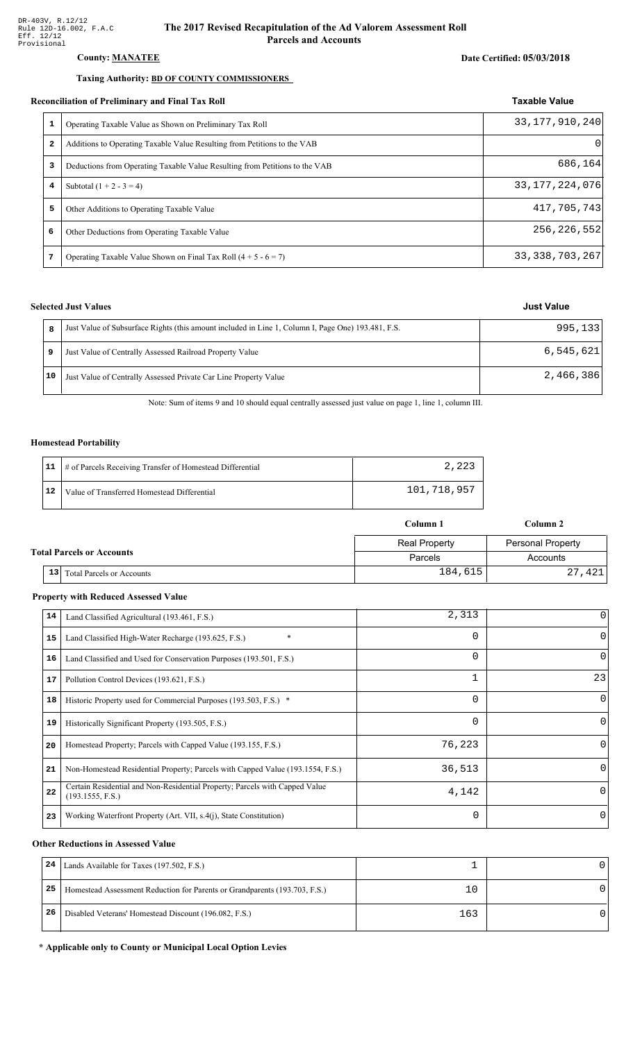#### County: **MANATEE**

#### Taxing Authority: **BD OF COUNTY COMMISSIONERS**

#### Reconciliation of Preliminary and Final Tax Roll

| conciliation of Preliminary and Final Tax Roll |                                                                             | <b>Taxable Value</b> |
|------------------------------------------------|-----------------------------------------------------------------------------|----------------------|
|                                                | Operating Taxable Value as Shown on Preliminary Tax Roll                    | 33, 177, 910, 240    |
| $\mathbf{2}$                                   | Additions to Operating Taxable Value Resulting from Petitions to the VAB    | $\Omega$             |
| 3                                              | Deductions from Operating Taxable Value Resulting from Petitions to the VAB | 686,164              |
| 4                                              | Subtotal $(1 + 2 - 3 = 4)$                                                  | 33, 177, 224, 076    |
| 5                                              | Other Additions to Operating Taxable Value                                  | 417,705,743          |
| 6                                              | Other Deductions from Operating Taxable Value                               | 256, 226, 552        |
| 7                                              | Operating Taxable Value Shown on Final Tax Roll $(4 + 5 - 6 = 7)$           | 33, 338, 703, 267    |

### **Selected Just Values**

|    | Just Value of Subsurface Rights (this amount included in Line 1, Column I, Page One) 193.481, F.S. | 995,133   |
|----|----------------------------------------------------------------------------------------------------|-----------|
|    | Just Value of Centrally Assessed Railroad Property Value                                           | 6,545,621 |
| 10 | Just Value of Centrally Assessed Private Car Line Property Value                                   | 2,466,386 |

Note: Sum of items 9 and 10 should equal centrally assessed just value on page 1, line 1, column III.

#### Homestead Portability

|    | 11   # of Parcels Receiving Transfer of Homestead Differential | 2,223       |
|----|----------------------------------------------------------------|-------------|
| 12 | Value of Transferred Homestead Differential                    | 101,718,957 |

|                                  |    |                                  | Column 1             | Column 2          |  |
|----------------------------------|----|----------------------------------|----------------------|-------------------|--|
|                                  |    |                                  | <b>Real Property</b> | Personal Property |  |
| <b>Total Parcels or Accounts</b> |    |                                  | Parcels              | Accounts          |  |
|                                  | 13 | <b>Total Parcels or Accounts</b> | 184,615              | 27,421            |  |

#### **Property with Reduced Assessed Value**

| 14 | Land Classified Agricultural (193.461, F.S.)                                                    | 2,313    |          |
|----|-------------------------------------------------------------------------------------------------|----------|----------|
| 15 | $\ast$<br>Land Classified High-Water Recharge (193.625, F.S.)                                   | 0        | 0        |
| 16 | Land Classified and Used for Conservation Purposes (193.501, F.S.)                              | $\Omega$ | 0        |
| 17 | Pollution Control Devices (193.621, F.S.)                                                       |          | 23       |
| 18 | Historic Property used for Commercial Purposes (193.503, F.S.) *                                | 0        | $\Omega$ |
| 19 | Historically Significant Property (193.505, F.S.)                                               | $\Omega$ | $\Omega$ |
| 20 | Homestead Property; Parcels with Capped Value (193.155, F.S.)                                   | 76,223   | 0        |
| 21 | Non-Homestead Residential Property; Parcels with Capped Value (193.1554, F.S.)                  | 36,513   |          |
| 22 | Certain Residential and Non-Residential Property; Parcels with Capped Value<br>(193.1555, F.S.) | 4,142    | $\Omega$ |
| 23 | Working Waterfront Property (Art. VII, s.4(j), State Constitution)                              | $\Omega$ | 0        |

#### **Other Reductions in Assessed Value**

| 24 | Lands Available for Taxes (197.502, F.S.)                                  |     |  |
|----|----------------------------------------------------------------------------|-----|--|
| 25 | Homestead Assessment Reduction for Parents or Grandparents (193.703, F.S.) | 10  |  |
| 26 | Disabled Veterans' Homestead Discount (196.082, F.S.)                      | 163 |  |

#### \* Applicable only to County or Municipal Local Option Levies

Date Certified: 05/03/2018

## **Just Value**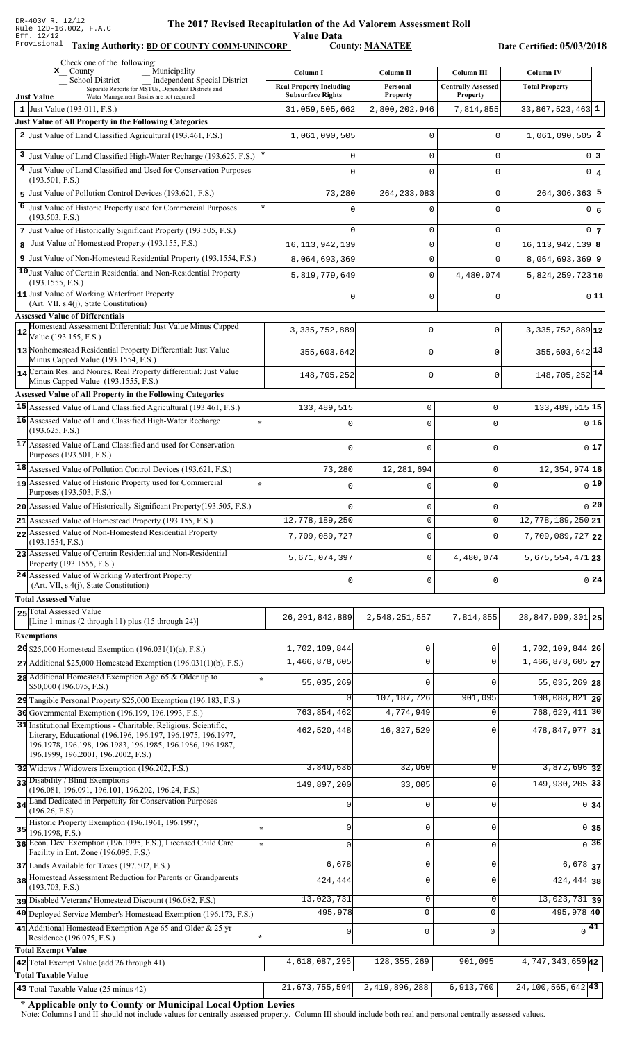Value Data<br>County: MANATEE

Taxing Authority: **BD OF COUNTY COMM-UNINCORP** County: **MANATEE** 

Date Certified: 05/03/2018

| Independent Special District<br><b>School District</b><br><b>Real Property Including</b><br><b>Centrally Assessed</b><br><b>Total Property</b><br>Personal<br>Separate Reports for MSTUs, Dependent Districts and<br><b>Subsurface Rights</b><br>Property<br><b>Property</b><br>Water Management Basins are not required<br><b>Just Value</b><br>2,800,202,946<br>7,814,855<br>$33,867,523,463$ 1<br>1 Just Value $(193.011, F.S.)$<br>31,059,505,662<br><b>Just Value of All Property in the Following Categories</b><br>2 Just Value of Land Classified Agricultural (193.461, F.S.)<br>$1,061,090,505$ <sup>2</sup><br>1,061,090,505<br>0<br>0<br>3<br>Just Value of Land Classified High-Water Recharge (193.625, F.S.)<br>0<br>0 3<br>0<br>4 Just Value of Land Classified and Used for Conservation Purposes<br>$0 \mid 4$<br>0<br>0<br>(193.501, F.S.)<br>Just Value of Pollution Control Devices (193.621, F.S.)<br>$264, 306, 363$ 5<br>73,280<br>264, 233, 083<br>0<br>5<br>6<br>Just Value of Historic Property used for Commercial Purposes<br>0<br>0 6<br>0<br>(193.503, F.S.)<br>7 Just Value of Historically Significant Property (193.505, F.S.)<br>0<br>0<br>$0\vert 7$<br>Just Value of Homestead Property (193.155, F.S.)<br>$16, 113, 942, 139$ 8<br>8<br>16, 113, 942, 139<br>0<br>$\Omega$<br>9 Just Value of Non-Homestead Residential Property (193.1554, F.S.)<br>$\mathbf 0$<br>$8,064,693,369$ 9<br>8,064,693,369<br>$\Omega$<br>10 Just Value of Certain Residential and Non-Residential Property<br>0<br>5,819,779,649<br>4,480,074<br>$5,824,259,723$ <sub>10</sub><br>(193.1555, F.S.)<br>11 Just Value of Working Waterfront Property<br>0 11<br>0<br>0<br>U<br>(Art. VII, s.4(j), State Constitution)<br><b>Assessed Value of Differentials</b><br>Homestead Assessment Differential: Just Value Minus Capped<br>$3,335,752,889$ <sup>12</sup><br>3, 335, 752, 889<br>0<br>$\mathbf 0$<br>12<br>Value (193.155, F.S.)<br>13 Nonhomestead Residential Property Differential: Just Value<br>$355,603,642$ <sup>13</sup><br>355,603,642<br>$\mathbf 0$<br>$\Omega$<br>Minus Capped Value (193.1554, F.S.)<br>14 Certain Res. and Nonres. Real Property differential: Just Value<br>148, 705, 252 14<br>$\mathbf 0$<br>$\mathbf 0$<br>148,705,252<br>Minus Capped Value (193.1555, F.S.)<br>Assessed Value of All Property in the Following Categories<br>15 Assessed Value of Land Classified Agricultural (193.461, F.S.)<br>133, 489, 515 15<br>$\mathsf 0$<br>133, 489, 515<br>0<br>16 Assessed Value of Land Classified High-Water Recharge<br>0 16<br>$\Omega$<br>(193.625, F.S.)<br>17 Assessed Value of Land Classified and used for Conservation<br>017<br>$\Omega$<br>$\Omega$<br>Purposes (193.501, F.S.)<br>$ 18 $ Assessed Value of Pollution Control Devices (193.621, F.S.)<br>12, 354, 974 18<br>$\mathbf 0$<br>73,280<br>12,281,694<br>19 Assessed Value of Historic Property used for Commercial<br>0 19 <br>$\Omega$<br>$\Omega$<br>Purposes (193.503, F.S.)<br>0 20 <br>20 Assessed Value of Historically Significant Property (193.505, F.S.)<br>$\mathbf{0}$<br>0<br>12,778,189,250 21<br>12,778,189,250<br>$\Omega$<br>$21$ Assessed Value of Homestead Property (193.155, F.S.)<br>$\cap$<br>22 Assessed Value of Non-Homestead Residential Property<br>7,709,089,727 22<br>7,709,089,727<br>$\Omega$<br>$\cap$<br>(193.1554, F.S.)<br>23 Assessed Value of Certain Residential and Non-Residential<br>4,480,074<br>$5,675,554,471$ 23<br>5,671,074,397<br>$\mathbf 0$<br>Property (193.1555, F.S.)<br>24 Assessed Value of Working Waterfront Property<br>$0\vert 24$<br>$\mathbf 0$<br>$\Omega$<br>$\Omega$<br>(Art. VII, s.4(j), State Constitution)<br><b>Total Assessed Value</b><br>25 Total Assessed Value<br>28,847,909,301 25<br>26, 291, 842, 889<br>2,548,251,557<br>7,814,855<br>[Line 1 minus (2 through 11) plus (15 through 24)]<br><b>Exemptions</b><br>1,702,109,844 26<br>26 \$25,000 Homestead Exemption $(196.031(1)(a), F.S.)$<br>1,702,109,844<br>$\mathbf 0$<br>$\mathbf 0$<br>$1,466,878,605$ <sub>27</sub><br>1,466,878,605<br>$\overline{0}$<br>$27$ Additional \$25,000 Homestead Exemption (196.031(1)(b), F.S.)<br>$\overline{0}$<br>28 Additional Homestead Exemption Age 65 & Older up to<br>55,035,269<br>$\mathbf 0$<br>55,035,269 28<br>$\Omega$<br>\$50,000 (196.075, F.S.)<br>107, 187, 726<br>$108,088,821$ 29<br>901,095<br>N<br>29 Tangible Personal Property \$25,000 Exemption (196.183, F.S.)<br>768, 629, 411 30<br>763,854,462<br>30 Governmental Exemption (196.199, 196.1993, F.S.)<br>4,774,949<br>31 Institutional Exemptions - Charitable, Religious, Scientific,<br>462,520,448<br>16, 327, 529<br>478, 847, 977 31<br>Literary, Educational (196.196, 196.197, 196.1975, 196.1977,<br>196.1978, 196.198, 196.1983, 196.1985, 196.1986, 196.1987,<br>196.1999, 196.2001, 196.2002, F.S.)<br>3,840,636<br>$3,872,696$ 32<br>32,060<br>0<br>32 Widows / Widowers Exemption (196.202, F.S.)<br>33 Disability / Blind Exemptions<br>149,930,205 33<br>149,897,200<br>33,005<br>$\cap$<br>(196.081, 196.091, 196.101, 196.202, 196.24, F.S.)<br>34 Land Dedicated in Perpetuity for Conservation Purposes<br>$\mathbf 0$<br>$0 \overline{\smash{34}}$<br>$\Omega$<br>(196.26, F.S)<br>Historic Property Exemption (196.1961, 196.1997,<br>$\mathsf 0$<br>0 35<br>U<br><sup>0</sup><br>35<br>196.1998, F.S.)<br>36 Econ. Dev. Exemption (196.1995, F.S.), Licensed Child Care<br>36<br>$\mathbf 0$<br>$\Omega$<br>$\Omega$<br>Facility in Ent. Zone (196.095, F.S.)<br>6,678<br>$\mathbf 0$<br>$6,678$ 37<br>37 Lands Available for Taxes (197.502, F.S.)<br>0<br>38 Homestead Assessment Reduction for Parents or Grandparents<br>424,444<br>$\mathbf 0$<br>$\Omega$<br>424, 444 38<br>(193.703, F.S.)<br>13,023,731<br>$\mathbf 0$<br>$\overline{13,023,731}$ 39<br>0<br>pisabled Veterans' Homestead Discount (196.082, F.S.)<br>495,978 40<br>495,978<br>$\mathbf 0$<br>$\mathbf 0$<br>40 Deployed Service Member's Homestead Exemption (196.173, F.S.)<br>41 Additional Homestead Exemption Age 65 and Older & 25 yr<br>$\sqrt{41}$<br>$\mathsf{O}\xspace$<br>$\mathbf 0$<br>0<br>Residence (196.075, F.S.)<br><b>Total Exempt Value</b><br>128, 355, 269<br>4, 747, 343, 659 42<br>4,618,087,295<br>901,095<br>42 Total Exempt Value (add 26 through 41)<br><b>Total Taxable Value</b><br>$24, 100, 565, 642$ 43<br>43 Total Taxable Value (25 minus 42)<br>21,673,755,594<br>2,419,896,288<br>6,913,760 | Check one of the following:<br>Municipality<br>$\mathbf{x}$ County | Column I | Column II | <b>Column III</b> | Column IV |
|-----------------------------------------------------------------------------------------------------------------------------------------------------------------------------------------------------------------------------------------------------------------------------------------------------------------------------------------------------------------------------------------------------------------------------------------------------------------------------------------------------------------------------------------------------------------------------------------------------------------------------------------------------------------------------------------------------------------------------------------------------------------------------------------------------------------------------------------------------------------------------------------------------------------------------------------------------------------------------------------------------------------------------------------------------------------------------------------------------------------------------------------------------------------------------------------------------------------------------------------------------------------------------------------------------------------------------------------------------------------------------------------------------------------------------------------------------------------------------------------------------------------------------------------------------------------------------------------------------------------------------------------------------------------------------------------------------------------------------------------------------------------------------------------------------------------------------------------------------------------------------------------------------------------------------------------------------------------------------------------------------------------------------------------------------------------------------------------------------------------------------------------------------------------------------------------------------------------------------------------------------------------------------------------------------------------------------------------------------------------------------------------------------------------------------------------------------------------------------------------------------------------------------------------------------------------------------------------------------------------------------------------------------------------------------------------------------------------------------------------------------------------------------------------------------------------------------------------------------------------------------------------------------------------------------------------------------------------------------------------------------------------------------------------------------------------------------------------------------------------------------------------------------------------------------------------------------------------------------------------------------------------------------------------------------------------------------------------------------------------------------------------------------------------------------------------------------------------------------------------------------------------------------------------------------------------------------------------------------------------------------------------------------------------------------------------------------------------------------------------------------------------------------------------------------------------------------------------------------------------------------------------------------------------------------------------------------------------------------------------------------------------------------------------------------------------------------------------------------------------------------------------------------------------------------------------------------------------------------------------------------------------------------------------------------------------------------------------------------------------------------------------------------------------------------------------------------------------------------------------------------------------------------------------------------------------------------------------------------------------------------------------------------------------------------------------------------------------------------------------------------------------------------------------------------------------------------------------------------------------------------------------------------------------------------------------------------------------------------------------------------------------------------------------------------------------------------------------------------------------------------------------------------------------------------------------------------------------------------------------------------------------------------------------------------------------------------------------------------------------------------------------------------------------------------------------------------------------------------------------------------------------------------------------------------------------------------------------------------------------------------------------------------------------------------------------------------------------------------------------------------------------------------------------------------------------------------------------------------------------------------------------------------------------------------------------------------------------------------------------------------------------------------------------------------------------------------------------------------------------------------------------------------------------------------------------------------------------------------------------------------------------------------------------------------------------------------------------------------------------------------------------------------------------------------------------------------------------------------------------------------------------|--------------------------------------------------------------------|----------|-----------|-------------------|-----------|
|                                                                                                                                                                                                                                                                                                                                                                                                                                                                                                                                                                                                                                                                                                                                                                                                                                                                                                                                                                                                                                                                                                                                                                                                                                                                                                                                                                                                                                                                                                                                                                                                                                                                                                                                                                                                                                                                                                                                                                                                                                                                                                                                                                                                                                                                                                                                                                                                                                                                                                                                                                                                                                                                                                                                                                                                                                                                                                                                                                                                                                                                                                                                                                                                                                                                                                                                                                                                                                                                                                                                                                                                                                                                                                                                                                                                                                                                                                                                                                                                                                                                                                                                                                                                                                                                                                                                                                                                                                                                                                                                                                                                                                                                                                                                                                                                                                                                                                                                                                                                                                                                                                                                                                                                                                                                                                                                                                                                                                                                                                                                                                                                                                                                                                                                                                                                                                                                                                                                                                                                                                                                                                                                                                                                                                                                                                                                                                                                                                                                                                                 |                                                                    |          |           |                   |           |
|                                                                                                                                                                                                                                                                                                                                                                                                                                                                                                                                                                                                                                                                                                                                                                                                                                                                                                                                                                                                                                                                                                                                                                                                                                                                                                                                                                                                                                                                                                                                                                                                                                                                                                                                                                                                                                                                                                                                                                                                                                                                                                                                                                                                                                                                                                                                                                                                                                                                                                                                                                                                                                                                                                                                                                                                                                                                                                                                                                                                                                                                                                                                                                                                                                                                                                                                                                                                                                                                                                                                                                                                                                                                                                                                                                                                                                                                                                                                                                                                                                                                                                                                                                                                                                                                                                                                                                                                                                                                                                                                                                                                                                                                                                                                                                                                                                                                                                                                                                                                                                                                                                                                                                                                                                                                                                                                                                                                                                                                                                                                                                                                                                                                                                                                                                                                                                                                                                                                                                                                                                                                                                                                                                                                                                                                                                                                                                                                                                                                                                                 |                                                                    |          |           |                   |           |
|                                                                                                                                                                                                                                                                                                                                                                                                                                                                                                                                                                                                                                                                                                                                                                                                                                                                                                                                                                                                                                                                                                                                                                                                                                                                                                                                                                                                                                                                                                                                                                                                                                                                                                                                                                                                                                                                                                                                                                                                                                                                                                                                                                                                                                                                                                                                                                                                                                                                                                                                                                                                                                                                                                                                                                                                                                                                                                                                                                                                                                                                                                                                                                                                                                                                                                                                                                                                                                                                                                                                                                                                                                                                                                                                                                                                                                                                                                                                                                                                                                                                                                                                                                                                                                                                                                                                                                                                                                                                                                                                                                                                                                                                                                                                                                                                                                                                                                                                                                                                                                                                                                                                                                                                                                                                                                                                                                                                                                                                                                                                                                                                                                                                                                                                                                                                                                                                                                                                                                                                                                                                                                                                                                                                                                                                                                                                                                                                                                                                                                                 |                                                                    |          |           |                   |           |
|                                                                                                                                                                                                                                                                                                                                                                                                                                                                                                                                                                                                                                                                                                                                                                                                                                                                                                                                                                                                                                                                                                                                                                                                                                                                                                                                                                                                                                                                                                                                                                                                                                                                                                                                                                                                                                                                                                                                                                                                                                                                                                                                                                                                                                                                                                                                                                                                                                                                                                                                                                                                                                                                                                                                                                                                                                                                                                                                                                                                                                                                                                                                                                                                                                                                                                                                                                                                                                                                                                                                                                                                                                                                                                                                                                                                                                                                                                                                                                                                                                                                                                                                                                                                                                                                                                                                                                                                                                                                                                                                                                                                                                                                                                                                                                                                                                                                                                                                                                                                                                                                                                                                                                                                                                                                                                                                                                                                                                                                                                                                                                                                                                                                                                                                                                                                                                                                                                                                                                                                                                                                                                                                                                                                                                                                                                                                                                                                                                                                                                                 |                                                                    |          |           |                   |           |
|                                                                                                                                                                                                                                                                                                                                                                                                                                                                                                                                                                                                                                                                                                                                                                                                                                                                                                                                                                                                                                                                                                                                                                                                                                                                                                                                                                                                                                                                                                                                                                                                                                                                                                                                                                                                                                                                                                                                                                                                                                                                                                                                                                                                                                                                                                                                                                                                                                                                                                                                                                                                                                                                                                                                                                                                                                                                                                                                                                                                                                                                                                                                                                                                                                                                                                                                                                                                                                                                                                                                                                                                                                                                                                                                                                                                                                                                                                                                                                                                                                                                                                                                                                                                                                                                                                                                                                                                                                                                                                                                                                                                                                                                                                                                                                                                                                                                                                                                                                                                                                                                                                                                                                                                                                                                                                                                                                                                                                                                                                                                                                                                                                                                                                                                                                                                                                                                                                                                                                                                                                                                                                                                                                                                                                                                                                                                                                                                                                                                                                                 |                                                                    |          |           |                   |           |
|                                                                                                                                                                                                                                                                                                                                                                                                                                                                                                                                                                                                                                                                                                                                                                                                                                                                                                                                                                                                                                                                                                                                                                                                                                                                                                                                                                                                                                                                                                                                                                                                                                                                                                                                                                                                                                                                                                                                                                                                                                                                                                                                                                                                                                                                                                                                                                                                                                                                                                                                                                                                                                                                                                                                                                                                                                                                                                                                                                                                                                                                                                                                                                                                                                                                                                                                                                                                                                                                                                                                                                                                                                                                                                                                                                                                                                                                                                                                                                                                                                                                                                                                                                                                                                                                                                                                                                                                                                                                                                                                                                                                                                                                                                                                                                                                                                                                                                                                                                                                                                                                                                                                                                                                                                                                                                                                                                                                                                                                                                                                                                                                                                                                                                                                                                                                                                                                                                                                                                                                                                                                                                                                                                                                                                                                                                                                                                                                                                                                                                                 |                                                                    |          |           |                   |           |
|                                                                                                                                                                                                                                                                                                                                                                                                                                                                                                                                                                                                                                                                                                                                                                                                                                                                                                                                                                                                                                                                                                                                                                                                                                                                                                                                                                                                                                                                                                                                                                                                                                                                                                                                                                                                                                                                                                                                                                                                                                                                                                                                                                                                                                                                                                                                                                                                                                                                                                                                                                                                                                                                                                                                                                                                                                                                                                                                                                                                                                                                                                                                                                                                                                                                                                                                                                                                                                                                                                                                                                                                                                                                                                                                                                                                                                                                                                                                                                                                                                                                                                                                                                                                                                                                                                                                                                                                                                                                                                                                                                                                                                                                                                                                                                                                                                                                                                                                                                                                                                                                                                                                                                                                                                                                                                                                                                                                                                                                                                                                                                                                                                                                                                                                                                                                                                                                                                                                                                                                                                                                                                                                                                                                                                                                                                                                                                                                                                                                                                                 |                                                                    |          |           |                   |           |
|                                                                                                                                                                                                                                                                                                                                                                                                                                                                                                                                                                                                                                                                                                                                                                                                                                                                                                                                                                                                                                                                                                                                                                                                                                                                                                                                                                                                                                                                                                                                                                                                                                                                                                                                                                                                                                                                                                                                                                                                                                                                                                                                                                                                                                                                                                                                                                                                                                                                                                                                                                                                                                                                                                                                                                                                                                                                                                                                                                                                                                                                                                                                                                                                                                                                                                                                                                                                                                                                                                                                                                                                                                                                                                                                                                                                                                                                                                                                                                                                                                                                                                                                                                                                                                                                                                                                                                                                                                                                                                                                                                                                                                                                                                                                                                                                                                                                                                                                                                                                                                                                                                                                                                                                                                                                                                                                                                                                                                                                                                                                                                                                                                                                                                                                                                                                                                                                                                                                                                                                                                                                                                                                                                                                                                                                                                                                                                                                                                                                                                                 |                                                                    |          |           |                   |           |
|                                                                                                                                                                                                                                                                                                                                                                                                                                                                                                                                                                                                                                                                                                                                                                                                                                                                                                                                                                                                                                                                                                                                                                                                                                                                                                                                                                                                                                                                                                                                                                                                                                                                                                                                                                                                                                                                                                                                                                                                                                                                                                                                                                                                                                                                                                                                                                                                                                                                                                                                                                                                                                                                                                                                                                                                                                                                                                                                                                                                                                                                                                                                                                                                                                                                                                                                                                                                                                                                                                                                                                                                                                                                                                                                                                                                                                                                                                                                                                                                                                                                                                                                                                                                                                                                                                                                                                                                                                                                                                                                                                                                                                                                                                                                                                                                                                                                                                                                                                                                                                                                                                                                                                                                                                                                                                                                                                                                                                                                                                                                                                                                                                                                                                                                                                                                                                                                                                                                                                                                                                                                                                                                                                                                                                                                                                                                                                                                                                                                                                                 |                                                                    |          |           |                   |           |
|                                                                                                                                                                                                                                                                                                                                                                                                                                                                                                                                                                                                                                                                                                                                                                                                                                                                                                                                                                                                                                                                                                                                                                                                                                                                                                                                                                                                                                                                                                                                                                                                                                                                                                                                                                                                                                                                                                                                                                                                                                                                                                                                                                                                                                                                                                                                                                                                                                                                                                                                                                                                                                                                                                                                                                                                                                                                                                                                                                                                                                                                                                                                                                                                                                                                                                                                                                                                                                                                                                                                                                                                                                                                                                                                                                                                                                                                                                                                                                                                                                                                                                                                                                                                                                                                                                                                                                                                                                                                                                                                                                                                                                                                                                                                                                                                                                                                                                                                                                                                                                                                                                                                                                                                                                                                                                                                                                                                                                                                                                                                                                                                                                                                                                                                                                                                                                                                                                                                                                                                                                                                                                                                                                                                                                                                                                                                                                                                                                                                                                                 |                                                                    |          |           |                   |           |
|                                                                                                                                                                                                                                                                                                                                                                                                                                                                                                                                                                                                                                                                                                                                                                                                                                                                                                                                                                                                                                                                                                                                                                                                                                                                                                                                                                                                                                                                                                                                                                                                                                                                                                                                                                                                                                                                                                                                                                                                                                                                                                                                                                                                                                                                                                                                                                                                                                                                                                                                                                                                                                                                                                                                                                                                                                                                                                                                                                                                                                                                                                                                                                                                                                                                                                                                                                                                                                                                                                                                                                                                                                                                                                                                                                                                                                                                                                                                                                                                                                                                                                                                                                                                                                                                                                                                                                                                                                                                                                                                                                                                                                                                                                                                                                                                                                                                                                                                                                                                                                                                                                                                                                                                                                                                                                                                                                                                                                                                                                                                                                                                                                                                                                                                                                                                                                                                                                                                                                                                                                                                                                                                                                                                                                                                                                                                                                                                                                                                                                                 |                                                                    |          |           |                   |           |
|                                                                                                                                                                                                                                                                                                                                                                                                                                                                                                                                                                                                                                                                                                                                                                                                                                                                                                                                                                                                                                                                                                                                                                                                                                                                                                                                                                                                                                                                                                                                                                                                                                                                                                                                                                                                                                                                                                                                                                                                                                                                                                                                                                                                                                                                                                                                                                                                                                                                                                                                                                                                                                                                                                                                                                                                                                                                                                                                                                                                                                                                                                                                                                                                                                                                                                                                                                                                                                                                                                                                                                                                                                                                                                                                                                                                                                                                                                                                                                                                                                                                                                                                                                                                                                                                                                                                                                                                                                                                                                                                                                                                                                                                                                                                                                                                                                                                                                                                                                                                                                                                                                                                                                                                                                                                                                                                                                                                                                                                                                                                                                                                                                                                                                                                                                                                                                                                                                                                                                                                                                                                                                                                                                                                                                                                                                                                                                                                                                                                                                                 |                                                                    |          |           |                   |           |
|                                                                                                                                                                                                                                                                                                                                                                                                                                                                                                                                                                                                                                                                                                                                                                                                                                                                                                                                                                                                                                                                                                                                                                                                                                                                                                                                                                                                                                                                                                                                                                                                                                                                                                                                                                                                                                                                                                                                                                                                                                                                                                                                                                                                                                                                                                                                                                                                                                                                                                                                                                                                                                                                                                                                                                                                                                                                                                                                                                                                                                                                                                                                                                                                                                                                                                                                                                                                                                                                                                                                                                                                                                                                                                                                                                                                                                                                                                                                                                                                                                                                                                                                                                                                                                                                                                                                                                                                                                                                                                                                                                                                                                                                                                                                                                                                                                                                                                                                                                                                                                                                                                                                                                                                                                                                                                                                                                                                                                                                                                                                                                                                                                                                                                                                                                                                                                                                                                                                                                                                                                                                                                                                                                                                                                                                                                                                                                                                                                                                                                                 |                                                                    |          |           |                   |           |
|                                                                                                                                                                                                                                                                                                                                                                                                                                                                                                                                                                                                                                                                                                                                                                                                                                                                                                                                                                                                                                                                                                                                                                                                                                                                                                                                                                                                                                                                                                                                                                                                                                                                                                                                                                                                                                                                                                                                                                                                                                                                                                                                                                                                                                                                                                                                                                                                                                                                                                                                                                                                                                                                                                                                                                                                                                                                                                                                                                                                                                                                                                                                                                                                                                                                                                                                                                                                                                                                                                                                                                                                                                                                                                                                                                                                                                                                                                                                                                                                                                                                                                                                                                                                                                                                                                                                                                                                                                                                                                                                                                                                                                                                                                                                                                                                                                                                                                                                                                                                                                                                                                                                                                                                                                                                                                                                                                                                                                                                                                                                                                                                                                                                                                                                                                                                                                                                                                                                                                                                                                                                                                                                                                                                                                                                                                                                                                                                                                                                                                                 |                                                                    |          |           |                   |           |
|                                                                                                                                                                                                                                                                                                                                                                                                                                                                                                                                                                                                                                                                                                                                                                                                                                                                                                                                                                                                                                                                                                                                                                                                                                                                                                                                                                                                                                                                                                                                                                                                                                                                                                                                                                                                                                                                                                                                                                                                                                                                                                                                                                                                                                                                                                                                                                                                                                                                                                                                                                                                                                                                                                                                                                                                                                                                                                                                                                                                                                                                                                                                                                                                                                                                                                                                                                                                                                                                                                                                                                                                                                                                                                                                                                                                                                                                                                                                                                                                                                                                                                                                                                                                                                                                                                                                                                                                                                                                                                                                                                                                                                                                                                                                                                                                                                                                                                                                                                                                                                                                                                                                                                                                                                                                                                                                                                                                                                                                                                                                                                                                                                                                                                                                                                                                                                                                                                                                                                                                                                                                                                                                                                                                                                                                                                                                                                                                                                                                                                                 |                                                                    |          |           |                   |           |
|                                                                                                                                                                                                                                                                                                                                                                                                                                                                                                                                                                                                                                                                                                                                                                                                                                                                                                                                                                                                                                                                                                                                                                                                                                                                                                                                                                                                                                                                                                                                                                                                                                                                                                                                                                                                                                                                                                                                                                                                                                                                                                                                                                                                                                                                                                                                                                                                                                                                                                                                                                                                                                                                                                                                                                                                                                                                                                                                                                                                                                                                                                                                                                                                                                                                                                                                                                                                                                                                                                                                                                                                                                                                                                                                                                                                                                                                                                                                                                                                                                                                                                                                                                                                                                                                                                                                                                                                                                                                                                                                                                                                                                                                                                                                                                                                                                                                                                                                                                                                                                                                                                                                                                                                                                                                                                                                                                                                                                                                                                                                                                                                                                                                                                                                                                                                                                                                                                                                                                                                                                                                                                                                                                                                                                                                                                                                                                                                                                                                                                                 |                                                                    |          |           |                   |           |
|                                                                                                                                                                                                                                                                                                                                                                                                                                                                                                                                                                                                                                                                                                                                                                                                                                                                                                                                                                                                                                                                                                                                                                                                                                                                                                                                                                                                                                                                                                                                                                                                                                                                                                                                                                                                                                                                                                                                                                                                                                                                                                                                                                                                                                                                                                                                                                                                                                                                                                                                                                                                                                                                                                                                                                                                                                                                                                                                                                                                                                                                                                                                                                                                                                                                                                                                                                                                                                                                                                                                                                                                                                                                                                                                                                                                                                                                                                                                                                                                                                                                                                                                                                                                                                                                                                                                                                                                                                                                                                                                                                                                                                                                                                                                                                                                                                                                                                                                                                                                                                                                                                                                                                                                                                                                                                                                                                                                                                                                                                                                                                                                                                                                                                                                                                                                                                                                                                                                                                                                                                                                                                                                                                                                                                                                                                                                                                                                                                                                                                                 |                                                                    |          |           |                   |           |
|                                                                                                                                                                                                                                                                                                                                                                                                                                                                                                                                                                                                                                                                                                                                                                                                                                                                                                                                                                                                                                                                                                                                                                                                                                                                                                                                                                                                                                                                                                                                                                                                                                                                                                                                                                                                                                                                                                                                                                                                                                                                                                                                                                                                                                                                                                                                                                                                                                                                                                                                                                                                                                                                                                                                                                                                                                                                                                                                                                                                                                                                                                                                                                                                                                                                                                                                                                                                                                                                                                                                                                                                                                                                                                                                                                                                                                                                                                                                                                                                                                                                                                                                                                                                                                                                                                                                                                                                                                                                                                                                                                                                                                                                                                                                                                                                                                                                                                                                                                                                                                                                                                                                                                                                                                                                                                                                                                                                                                                                                                                                                                                                                                                                                                                                                                                                                                                                                                                                                                                                                                                                                                                                                                                                                                                                                                                                                                                                                                                                                                                 |                                                                    |          |           |                   |           |
|                                                                                                                                                                                                                                                                                                                                                                                                                                                                                                                                                                                                                                                                                                                                                                                                                                                                                                                                                                                                                                                                                                                                                                                                                                                                                                                                                                                                                                                                                                                                                                                                                                                                                                                                                                                                                                                                                                                                                                                                                                                                                                                                                                                                                                                                                                                                                                                                                                                                                                                                                                                                                                                                                                                                                                                                                                                                                                                                                                                                                                                                                                                                                                                                                                                                                                                                                                                                                                                                                                                                                                                                                                                                                                                                                                                                                                                                                                                                                                                                                                                                                                                                                                                                                                                                                                                                                                                                                                                                                                                                                                                                                                                                                                                                                                                                                                                                                                                                                                                                                                                                                                                                                                                                                                                                                                                                                                                                                                                                                                                                                                                                                                                                                                                                                                                                                                                                                                                                                                                                                                                                                                                                                                                                                                                                                                                                                                                                                                                                                                                 |                                                                    |          |           |                   |           |
|                                                                                                                                                                                                                                                                                                                                                                                                                                                                                                                                                                                                                                                                                                                                                                                                                                                                                                                                                                                                                                                                                                                                                                                                                                                                                                                                                                                                                                                                                                                                                                                                                                                                                                                                                                                                                                                                                                                                                                                                                                                                                                                                                                                                                                                                                                                                                                                                                                                                                                                                                                                                                                                                                                                                                                                                                                                                                                                                                                                                                                                                                                                                                                                                                                                                                                                                                                                                                                                                                                                                                                                                                                                                                                                                                                                                                                                                                                                                                                                                                                                                                                                                                                                                                                                                                                                                                                                                                                                                                                                                                                                                                                                                                                                                                                                                                                                                                                                                                                                                                                                                                                                                                                                                                                                                                                                                                                                                                                                                                                                                                                                                                                                                                                                                                                                                                                                                                                                                                                                                                                                                                                                                                                                                                                                                                                                                                                                                                                                                                                                 |                                                                    |          |           |                   |           |
|                                                                                                                                                                                                                                                                                                                                                                                                                                                                                                                                                                                                                                                                                                                                                                                                                                                                                                                                                                                                                                                                                                                                                                                                                                                                                                                                                                                                                                                                                                                                                                                                                                                                                                                                                                                                                                                                                                                                                                                                                                                                                                                                                                                                                                                                                                                                                                                                                                                                                                                                                                                                                                                                                                                                                                                                                                                                                                                                                                                                                                                                                                                                                                                                                                                                                                                                                                                                                                                                                                                                                                                                                                                                                                                                                                                                                                                                                                                                                                                                                                                                                                                                                                                                                                                                                                                                                                                                                                                                                                                                                                                                                                                                                                                                                                                                                                                                                                                                                                                                                                                                                                                                                                                                                                                                                                                                                                                                                                                                                                                                                                                                                                                                                                                                                                                                                                                                                                                                                                                                                                                                                                                                                                                                                                                                                                                                                                                                                                                                                                                 |                                                                    |          |           |                   |           |
|                                                                                                                                                                                                                                                                                                                                                                                                                                                                                                                                                                                                                                                                                                                                                                                                                                                                                                                                                                                                                                                                                                                                                                                                                                                                                                                                                                                                                                                                                                                                                                                                                                                                                                                                                                                                                                                                                                                                                                                                                                                                                                                                                                                                                                                                                                                                                                                                                                                                                                                                                                                                                                                                                                                                                                                                                                                                                                                                                                                                                                                                                                                                                                                                                                                                                                                                                                                                                                                                                                                                                                                                                                                                                                                                                                                                                                                                                                                                                                                                                                                                                                                                                                                                                                                                                                                                                                                                                                                                                                                                                                                                                                                                                                                                                                                                                                                                                                                                                                                                                                                                                                                                                                                                                                                                                                                                                                                                                                                                                                                                                                                                                                                                                                                                                                                                                                                                                                                                                                                                                                                                                                                                                                                                                                                                                                                                                                                                                                                                                                                 |                                                                    |          |           |                   |           |
|                                                                                                                                                                                                                                                                                                                                                                                                                                                                                                                                                                                                                                                                                                                                                                                                                                                                                                                                                                                                                                                                                                                                                                                                                                                                                                                                                                                                                                                                                                                                                                                                                                                                                                                                                                                                                                                                                                                                                                                                                                                                                                                                                                                                                                                                                                                                                                                                                                                                                                                                                                                                                                                                                                                                                                                                                                                                                                                                                                                                                                                                                                                                                                                                                                                                                                                                                                                                                                                                                                                                                                                                                                                                                                                                                                                                                                                                                                                                                                                                                                                                                                                                                                                                                                                                                                                                                                                                                                                                                                                                                                                                                                                                                                                                                                                                                                                                                                                                                                                                                                                                                                                                                                                                                                                                                                                                                                                                                                                                                                                                                                                                                                                                                                                                                                                                                                                                                                                                                                                                                                                                                                                                                                                                                                                                                                                                                                                                                                                                                                                 |                                                                    |          |           |                   |           |
|                                                                                                                                                                                                                                                                                                                                                                                                                                                                                                                                                                                                                                                                                                                                                                                                                                                                                                                                                                                                                                                                                                                                                                                                                                                                                                                                                                                                                                                                                                                                                                                                                                                                                                                                                                                                                                                                                                                                                                                                                                                                                                                                                                                                                                                                                                                                                                                                                                                                                                                                                                                                                                                                                                                                                                                                                                                                                                                                                                                                                                                                                                                                                                                                                                                                                                                                                                                                                                                                                                                                                                                                                                                                                                                                                                                                                                                                                                                                                                                                                                                                                                                                                                                                                                                                                                                                                                                                                                                                                                                                                                                                                                                                                                                                                                                                                                                                                                                                                                                                                                                                                                                                                                                                                                                                                                                                                                                                                                                                                                                                                                                                                                                                                                                                                                                                                                                                                                                                                                                                                                                                                                                                                                                                                                                                                                                                                                                                                                                                                                                 |                                                                    |          |           |                   |           |
|                                                                                                                                                                                                                                                                                                                                                                                                                                                                                                                                                                                                                                                                                                                                                                                                                                                                                                                                                                                                                                                                                                                                                                                                                                                                                                                                                                                                                                                                                                                                                                                                                                                                                                                                                                                                                                                                                                                                                                                                                                                                                                                                                                                                                                                                                                                                                                                                                                                                                                                                                                                                                                                                                                                                                                                                                                                                                                                                                                                                                                                                                                                                                                                                                                                                                                                                                                                                                                                                                                                                                                                                                                                                                                                                                                                                                                                                                                                                                                                                                                                                                                                                                                                                                                                                                                                                                                                                                                                                                                                                                                                                                                                                                                                                                                                                                                                                                                                                                                                                                                                                                                                                                                                                                                                                                                                                                                                                                                                                                                                                                                                                                                                                                                                                                                                                                                                                                                                                                                                                                                                                                                                                                                                                                                                                                                                                                                                                                                                                                                                 |                                                                    |          |           |                   |           |
|                                                                                                                                                                                                                                                                                                                                                                                                                                                                                                                                                                                                                                                                                                                                                                                                                                                                                                                                                                                                                                                                                                                                                                                                                                                                                                                                                                                                                                                                                                                                                                                                                                                                                                                                                                                                                                                                                                                                                                                                                                                                                                                                                                                                                                                                                                                                                                                                                                                                                                                                                                                                                                                                                                                                                                                                                                                                                                                                                                                                                                                                                                                                                                                                                                                                                                                                                                                                                                                                                                                                                                                                                                                                                                                                                                                                                                                                                                                                                                                                                                                                                                                                                                                                                                                                                                                                                                                                                                                                                                                                                                                                                                                                                                                                                                                                                                                                                                                                                                                                                                                                                                                                                                                                                                                                                                                                                                                                                                                                                                                                                                                                                                                                                                                                                                                                                                                                                                                                                                                                                                                                                                                                                                                                                                                                                                                                                                                                                                                                                                                 |                                                                    |          |           |                   |           |
|                                                                                                                                                                                                                                                                                                                                                                                                                                                                                                                                                                                                                                                                                                                                                                                                                                                                                                                                                                                                                                                                                                                                                                                                                                                                                                                                                                                                                                                                                                                                                                                                                                                                                                                                                                                                                                                                                                                                                                                                                                                                                                                                                                                                                                                                                                                                                                                                                                                                                                                                                                                                                                                                                                                                                                                                                                                                                                                                                                                                                                                                                                                                                                                                                                                                                                                                                                                                                                                                                                                                                                                                                                                                                                                                                                                                                                                                                                                                                                                                                                                                                                                                                                                                                                                                                                                                                                                                                                                                                                                                                                                                                                                                                                                                                                                                                                                                                                                                                                                                                                                                                                                                                                                                                                                                                                                                                                                                                                                                                                                                                                                                                                                                                                                                                                                                                                                                                                                                                                                                                                                                                                                                                                                                                                                                                                                                                                                                                                                                                                                 |                                                                    |          |           |                   |           |
|                                                                                                                                                                                                                                                                                                                                                                                                                                                                                                                                                                                                                                                                                                                                                                                                                                                                                                                                                                                                                                                                                                                                                                                                                                                                                                                                                                                                                                                                                                                                                                                                                                                                                                                                                                                                                                                                                                                                                                                                                                                                                                                                                                                                                                                                                                                                                                                                                                                                                                                                                                                                                                                                                                                                                                                                                                                                                                                                                                                                                                                                                                                                                                                                                                                                                                                                                                                                                                                                                                                                                                                                                                                                                                                                                                                                                                                                                                                                                                                                                                                                                                                                                                                                                                                                                                                                                                                                                                                                                                                                                                                                                                                                                                                                                                                                                                                                                                                                                                                                                                                                                                                                                                                                                                                                                                                                                                                                                                                                                                                                                                                                                                                                                                                                                                                                                                                                                                                                                                                                                                                                                                                                                                                                                                                                                                                                                                                                                                                                                                                 |                                                                    |          |           |                   |           |
|                                                                                                                                                                                                                                                                                                                                                                                                                                                                                                                                                                                                                                                                                                                                                                                                                                                                                                                                                                                                                                                                                                                                                                                                                                                                                                                                                                                                                                                                                                                                                                                                                                                                                                                                                                                                                                                                                                                                                                                                                                                                                                                                                                                                                                                                                                                                                                                                                                                                                                                                                                                                                                                                                                                                                                                                                                                                                                                                                                                                                                                                                                                                                                                                                                                                                                                                                                                                                                                                                                                                                                                                                                                                                                                                                                                                                                                                                                                                                                                                                                                                                                                                                                                                                                                                                                                                                                                                                                                                                                                                                                                                                                                                                                                                                                                                                                                                                                                                                                                                                                                                                                                                                                                                                                                                                                                                                                                                                                                                                                                                                                                                                                                                                                                                                                                                                                                                                                                                                                                                                                                                                                                                                                                                                                                                                                                                                                                                                                                                                                                 |                                                                    |          |           |                   |           |
|                                                                                                                                                                                                                                                                                                                                                                                                                                                                                                                                                                                                                                                                                                                                                                                                                                                                                                                                                                                                                                                                                                                                                                                                                                                                                                                                                                                                                                                                                                                                                                                                                                                                                                                                                                                                                                                                                                                                                                                                                                                                                                                                                                                                                                                                                                                                                                                                                                                                                                                                                                                                                                                                                                                                                                                                                                                                                                                                                                                                                                                                                                                                                                                                                                                                                                                                                                                                                                                                                                                                                                                                                                                                                                                                                                                                                                                                                                                                                                                                                                                                                                                                                                                                                                                                                                                                                                                                                                                                                                                                                                                                                                                                                                                                                                                                                                                                                                                                                                                                                                                                                                                                                                                                                                                                                                                                                                                                                                                                                                                                                                                                                                                                                                                                                                                                                                                                                                                                                                                                                                                                                                                                                                                                                                                                                                                                                                                                                                                                                                                 |                                                                    |          |           |                   |           |
|                                                                                                                                                                                                                                                                                                                                                                                                                                                                                                                                                                                                                                                                                                                                                                                                                                                                                                                                                                                                                                                                                                                                                                                                                                                                                                                                                                                                                                                                                                                                                                                                                                                                                                                                                                                                                                                                                                                                                                                                                                                                                                                                                                                                                                                                                                                                                                                                                                                                                                                                                                                                                                                                                                                                                                                                                                                                                                                                                                                                                                                                                                                                                                                                                                                                                                                                                                                                                                                                                                                                                                                                                                                                                                                                                                                                                                                                                                                                                                                                                                                                                                                                                                                                                                                                                                                                                                                                                                                                                                                                                                                                                                                                                                                                                                                                                                                                                                                                                                                                                                                                                                                                                                                                                                                                                                                                                                                                                                                                                                                                                                                                                                                                                                                                                                                                                                                                                                                                                                                                                                                                                                                                                                                                                                                                                                                                                                                                                                                                                                                 |                                                                    |          |           |                   |           |
|                                                                                                                                                                                                                                                                                                                                                                                                                                                                                                                                                                                                                                                                                                                                                                                                                                                                                                                                                                                                                                                                                                                                                                                                                                                                                                                                                                                                                                                                                                                                                                                                                                                                                                                                                                                                                                                                                                                                                                                                                                                                                                                                                                                                                                                                                                                                                                                                                                                                                                                                                                                                                                                                                                                                                                                                                                                                                                                                                                                                                                                                                                                                                                                                                                                                                                                                                                                                                                                                                                                                                                                                                                                                                                                                                                                                                                                                                                                                                                                                                                                                                                                                                                                                                                                                                                                                                                                                                                                                                                                                                                                                                                                                                                                                                                                                                                                                                                                                                                                                                                                                                                                                                                                                                                                                                                                                                                                                                                                                                                                                                                                                                                                                                                                                                                                                                                                                                                                                                                                                                                                                                                                                                                                                                                                                                                                                                                                                                                                                                                                 |                                                                    |          |           |                   |           |
|                                                                                                                                                                                                                                                                                                                                                                                                                                                                                                                                                                                                                                                                                                                                                                                                                                                                                                                                                                                                                                                                                                                                                                                                                                                                                                                                                                                                                                                                                                                                                                                                                                                                                                                                                                                                                                                                                                                                                                                                                                                                                                                                                                                                                                                                                                                                                                                                                                                                                                                                                                                                                                                                                                                                                                                                                                                                                                                                                                                                                                                                                                                                                                                                                                                                                                                                                                                                                                                                                                                                                                                                                                                                                                                                                                                                                                                                                                                                                                                                                                                                                                                                                                                                                                                                                                                                                                                                                                                                                                                                                                                                                                                                                                                                                                                                                                                                                                                                                                                                                                                                                                                                                                                                                                                                                                                                                                                                                                                                                                                                                                                                                                                                                                                                                                                                                                                                                                                                                                                                                                                                                                                                                                                                                                                                                                                                                                                                                                                                                                                 |                                                                    |          |           |                   |           |
|                                                                                                                                                                                                                                                                                                                                                                                                                                                                                                                                                                                                                                                                                                                                                                                                                                                                                                                                                                                                                                                                                                                                                                                                                                                                                                                                                                                                                                                                                                                                                                                                                                                                                                                                                                                                                                                                                                                                                                                                                                                                                                                                                                                                                                                                                                                                                                                                                                                                                                                                                                                                                                                                                                                                                                                                                                                                                                                                                                                                                                                                                                                                                                                                                                                                                                                                                                                                                                                                                                                                                                                                                                                                                                                                                                                                                                                                                                                                                                                                                                                                                                                                                                                                                                                                                                                                                                                                                                                                                                                                                                                                                                                                                                                                                                                                                                                                                                                                                                                                                                                                                                                                                                                                                                                                                                                                                                                                                                                                                                                                                                                                                                                                                                                                                                                                                                                                                                                                                                                                                                                                                                                                                                                                                                                                                                                                                                                                                                                                                                                 |                                                                    |          |           |                   |           |
|                                                                                                                                                                                                                                                                                                                                                                                                                                                                                                                                                                                                                                                                                                                                                                                                                                                                                                                                                                                                                                                                                                                                                                                                                                                                                                                                                                                                                                                                                                                                                                                                                                                                                                                                                                                                                                                                                                                                                                                                                                                                                                                                                                                                                                                                                                                                                                                                                                                                                                                                                                                                                                                                                                                                                                                                                                                                                                                                                                                                                                                                                                                                                                                                                                                                                                                                                                                                                                                                                                                                                                                                                                                                                                                                                                                                                                                                                                                                                                                                                                                                                                                                                                                                                                                                                                                                                                                                                                                                                                                                                                                                                                                                                                                                                                                                                                                                                                                                                                                                                                                                                                                                                                                                                                                                                                                                                                                                                                                                                                                                                                                                                                                                                                                                                                                                                                                                                                                                                                                                                                                                                                                                                                                                                                                                                                                                                                                                                                                                                                                 |                                                                    |          |           |                   |           |
|                                                                                                                                                                                                                                                                                                                                                                                                                                                                                                                                                                                                                                                                                                                                                                                                                                                                                                                                                                                                                                                                                                                                                                                                                                                                                                                                                                                                                                                                                                                                                                                                                                                                                                                                                                                                                                                                                                                                                                                                                                                                                                                                                                                                                                                                                                                                                                                                                                                                                                                                                                                                                                                                                                                                                                                                                                                                                                                                                                                                                                                                                                                                                                                                                                                                                                                                                                                                                                                                                                                                                                                                                                                                                                                                                                                                                                                                                                                                                                                                                                                                                                                                                                                                                                                                                                                                                                                                                                                                                                                                                                                                                                                                                                                                                                                                                                                                                                                                                                                                                                                                                                                                                                                                                                                                                                                                                                                                                                                                                                                                                                                                                                                                                                                                                                                                                                                                                                                                                                                                                                                                                                                                                                                                                                                                                                                                                                                                                                                                                                                 |                                                                    |          |           |                   |           |
|                                                                                                                                                                                                                                                                                                                                                                                                                                                                                                                                                                                                                                                                                                                                                                                                                                                                                                                                                                                                                                                                                                                                                                                                                                                                                                                                                                                                                                                                                                                                                                                                                                                                                                                                                                                                                                                                                                                                                                                                                                                                                                                                                                                                                                                                                                                                                                                                                                                                                                                                                                                                                                                                                                                                                                                                                                                                                                                                                                                                                                                                                                                                                                                                                                                                                                                                                                                                                                                                                                                                                                                                                                                                                                                                                                                                                                                                                                                                                                                                                                                                                                                                                                                                                                                                                                                                                                                                                                                                                                                                                                                                                                                                                                                                                                                                                                                                                                                                                                                                                                                                                                                                                                                                                                                                                                                                                                                                                                                                                                                                                                                                                                                                                                                                                                                                                                                                                                                                                                                                                                                                                                                                                                                                                                                                                                                                                                                                                                                                                                                 |                                                                    |          |           |                   |           |
|                                                                                                                                                                                                                                                                                                                                                                                                                                                                                                                                                                                                                                                                                                                                                                                                                                                                                                                                                                                                                                                                                                                                                                                                                                                                                                                                                                                                                                                                                                                                                                                                                                                                                                                                                                                                                                                                                                                                                                                                                                                                                                                                                                                                                                                                                                                                                                                                                                                                                                                                                                                                                                                                                                                                                                                                                                                                                                                                                                                                                                                                                                                                                                                                                                                                                                                                                                                                                                                                                                                                                                                                                                                                                                                                                                                                                                                                                                                                                                                                                                                                                                                                                                                                                                                                                                                                                                                                                                                                                                                                                                                                                                                                                                                                                                                                                                                                                                                                                                                                                                                                                                                                                                                                                                                                                                                                                                                                                                                                                                                                                                                                                                                                                                                                                                                                                                                                                                                                                                                                                                                                                                                                                                                                                                                                                                                                                                                                                                                                                                                 |                                                                    |          |           |                   |           |
|                                                                                                                                                                                                                                                                                                                                                                                                                                                                                                                                                                                                                                                                                                                                                                                                                                                                                                                                                                                                                                                                                                                                                                                                                                                                                                                                                                                                                                                                                                                                                                                                                                                                                                                                                                                                                                                                                                                                                                                                                                                                                                                                                                                                                                                                                                                                                                                                                                                                                                                                                                                                                                                                                                                                                                                                                                                                                                                                                                                                                                                                                                                                                                                                                                                                                                                                                                                                                                                                                                                                                                                                                                                                                                                                                                                                                                                                                                                                                                                                                                                                                                                                                                                                                                                                                                                                                                                                                                                                                                                                                                                                                                                                                                                                                                                                                                                                                                                                                                                                                                                                                                                                                                                                                                                                                                                                                                                                                                                                                                                                                                                                                                                                                                                                                                                                                                                                                                                                                                                                                                                                                                                                                                                                                                                                                                                                                                                                                                                                                                                 |                                                                    |          |           |                   |           |
|                                                                                                                                                                                                                                                                                                                                                                                                                                                                                                                                                                                                                                                                                                                                                                                                                                                                                                                                                                                                                                                                                                                                                                                                                                                                                                                                                                                                                                                                                                                                                                                                                                                                                                                                                                                                                                                                                                                                                                                                                                                                                                                                                                                                                                                                                                                                                                                                                                                                                                                                                                                                                                                                                                                                                                                                                                                                                                                                                                                                                                                                                                                                                                                                                                                                                                                                                                                                                                                                                                                                                                                                                                                                                                                                                                                                                                                                                                                                                                                                                                                                                                                                                                                                                                                                                                                                                                                                                                                                                                                                                                                                                                                                                                                                                                                                                                                                                                                                                                                                                                                                                                                                                                                                                                                                                                                                                                                                                                                                                                                                                                                                                                                                                                                                                                                                                                                                                                                                                                                                                                                                                                                                                                                                                                                                                                                                                                                                                                                                                                                 |                                                                    |          |           |                   |           |
|                                                                                                                                                                                                                                                                                                                                                                                                                                                                                                                                                                                                                                                                                                                                                                                                                                                                                                                                                                                                                                                                                                                                                                                                                                                                                                                                                                                                                                                                                                                                                                                                                                                                                                                                                                                                                                                                                                                                                                                                                                                                                                                                                                                                                                                                                                                                                                                                                                                                                                                                                                                                                                                                                                                                                                                                                                                                                                                                                                                                                                                                                                                                                                                                                                                                                                                                                                                                                                                                                                                                                                                                                                                                                                                                                                                                                                                                                                                                                                                                                                                                                                                                                                                                                                                                                                                                                                                                                                                                                                                                                                                                                                                                                                                                                                                                                                                                                                                                                                                                                                                                                                                                                                                                                                                                                                                                                                                                                                                                                                                                                                                                                                                                                                                                                                                                                                                                                                                                                                                                                                                                                                                                                                                                                                                                                                                                                                                                                                                                                                                 |                                                                    |          |           |                   |           |
|                                                                                                                                                                                                                                                                                                                                                                                                                                                                                                                                                                                                                                                                                                                                                                                                                                                                                                                                                                                                                                                                                                                                                                                                                                                                                                                                                                                                                                                                                                                                                                                                                                                                                                                                                                                                                                                                                                                                                                                                                                                                                                                                                                                                                                                                                                                                                                                                                                                                                                                                                                                                                                                                                                                                                                                                                                                                                                                                                                                                                                                                                                                                                                                                                                                                                                                                                                                                                                                                                                                                                                                                                                                                                                                                                                                                                                                                                                                                                                                                                                                                                                                                                                                                                                                                                                                                                                                                                                                                                                                                                                                                                                                                                                                                                                                                                                                                                                                                                                                                                                                                                                                                                                                                                                                                                                                                                                                                                                                                                                                                                                                                                                                                                                                                                                                                                                                                                                                                                                                                                                                                                                                                                                                                                                                                                                                                                                                                                                                                                                                 |                                                                    |          |           |                   |           |
|                                                                                                                                                                                                                                                                                                                                                                                                                                                                                                                                                                                                                                                                                                                                                                                                                                                                                                                                                                                                                                                                                                                                                                                                                                                                                                                                                                                                                                                                                                                                                                                                                                                                                                                                                                                                                                                                                                                                                                                                                                                                                                                                                                                                                                                                                                                                                                                                                                                                                                                                                                                                                                                                                                                                                                                                                                                                                                                                                                                                                                                                                                                                                                                                                                                                                                                                                                                                                                                                                                                                                                                                                                                                                                                                                                                                                                                                                                                                                                                                                                                                                                                                                                                                                                                                                                                                                                                                                                                                                                                                                                                                                                                                                                                                                                                                                                                                                                                                                                                                                                                                                                                                                                                                                                                                                                                                                                                                                                                                                                                                                                                                                                                                                                                                                                                                                                                                                                                                                                                                                                                                                                                                                                                                                                                                                                                                                                                                                                                                                                                 |                                                                    |          |           |                   |           |
|                                                                                                                                                                                                                                                                                                                                                                                                                                                                                                                                                                                                                                                                                                                                                                                                                                                                                                                                                                                                                                                                                                                                                                                                                                                                                                                                                                                                                                                                                                                                                                                                                                                                                                                                                                                                                                                                                                                                                                                                                                                                                                                                                                                                                                                                                                                                                                                                                                                                                                                                                                                                                                                                                                                                                                                                                                                                                                                                                                                                                                                                                                                                                                                                                                                                                                                                                                                                                                                                                                                                                                                                                                                                                                                                                                                                                                                                                                                                                                                                                                                                                                                                                                                                                                                                                                                                                                                                                                                                                                                                                                                                                                                                                                                                                                                                                                                                                                                                                                                                                                                                                                                                                                                                                                                                                                                                                                                                                                                                                                                                                                                                                                                                                                                                                                                                                                                                                                                                                                                                                                                                                                                                                                                                                                                                                                                                                                                                                                                                                                                 |                                                                    |          |           |                   |           |
|                                                                                                                                                                                                                                                                                                                                                                                                                                                                                                                                                                                                                                                                                                                                                                                                                                                                                                                                                                                                                                                                                                                                                                                                                                                                                                                                                                                                                                                                                                                                                                                                                                                                                                                                                                                                                                                                                                                                                                                                                                                                                                                                                                                                                                                                                                                                                                                                                                                                                                                                                                                                                                                                                                                                                                                                                                                                                                                                                                                                                                                                                                                                                                                                                                                                                                                                                                                                                                                                                                                                                                                                                                                                                                                                                                                                                                                                                                                                                                                                                                                                                                                                                                                                                                                                                                                                                                                                                                                                                                                                                                                                                                                                                                                                                                                                                                                                                                                                                                                                                                                                                                                                                                                                                                                                                                                                                                                                                                                                                                                                                                                                                                                                                                                                                                                                                                                                                                                                                                                                                                                                                                                                                                                                                                                                                                                                                                                                                                                                                                                 |                                                                    |          |           |                   |           |
|                                                                                                                                                                                                                                                                                                                                                                                                                                                                                                                                                                                                                                                                                                                                                                                                                                                                                                                                                                                                                                                                                                                                                                                                                                                                                                                                                                                                                                                                                                                                                                                                                                                                                                                                                                                                                                                                                                                                                                                                                                                                                                                                                                                                                                                                                                                                                                                                                                                                                                                                                                                                                                                                                                                                                                                                                                                                                                                                                                                                                                                                                                                                                                                                                                                                                                                                                                                                                                                                                                                                                                                                                                                                                                                                                                                                                                                                                                                                                                                                                                                                                                                                                                                                                                                                                                                                                                                                                                                                                                                                                                                                                                                                                                                                                                                                                                                                                                                                                                                                                                                                                                                                                                                                                                                                                                                                                                                                                                                                                                                                                                                                                                                                                                                                                                                                                                                                                                                                                                                                                                                                                                                                                                                                                                                                                                                                                                                                                                                                                                                 |                                                                    |          |           |                   |           |
|                                                                                                                                                                                                                                                                                                                                                                                                                                                                                                                                                                                                                                                                                                                                                                                                                                                                                                                                                                                                                                                                                                                                                                                                                                                                                                                                                                                                                                                                                                                                                                                                                                                                                                                                                                                                                                                                                                                                                                                                                                                                                                                                                                                                                                                                                                                                                                                                                                                                                                                                                                                                                                                                                                                                                                                                                                                                                                                                                                                                                                                                                                                                                                                                                                                                                                                                                                                                                                                                                                                                                                                                                                                                                                                                                                                                                                                                                                                                                                                                                                                                                                                                                                                                                                                                                                                                                                                                                                                                                                                                                                                                                                                                                                                                                                                                                                                                                                                                                                                                                                                                                                                                                                                                                                                                                                                                                                                                                                                                                                                                                                                                                                                                                                                                                                                                                                                                                                                                                                                                                                                                                                                                                                                                                                                                                                                                                                                                                                                                                                                 |                                                                    |          |           |                   |           |
|                                                                                                                                                                                                                                                                                                                                                                                                                                                                                                                                                                                                                                                                                                                                                                                                                                                                                                                                                                                                                                                                                                                                                                                                                                                                                                                                                                                                                                                                                                                                                                                                                                                                                                                                                                                                                                                                                                                                                                                                                                                                                                                                                                                                                                                                                                                                                                                                                                                                                                                                                                                                                                                                                                                                                                                                                                                                                                                                                                                                                                                                                                                                                                                                                                                                                                                                                                                                                                                                                                                                                                                                                                                                                                                                                                                                                                                                                                                                                                                                                                                                                                                                                                                                                                                                                                                                                                                                                                                                                                                                                                                                                                                                                                                                                                                                                                                                                                                                                                                                                                                                                                                                                                                                                                                                                                                                                                                                                                                                                                                                                                                                                                                                                                                                                                                                                                                                                                                                                                                                                                                                                                                                                                                                                                                                                                                                                                                                                                                                                                                 |                                                                    |          |           |                   |           |
|                                                                                                                                                                                                                                                                                                                                                                                                                                                                                                                                                                                                                                                                                                                                                                                                                                                                                                                                                                                                                                                                                                                                                                                                                                                                                                                                                                                                                                                                                                                                                                                                                                                                                                                                                                                                                                                                                                                                                                                                                                                                                                                                                                                                                                                                                                                                                                                                                                                                                                                                                                                                                                                                                                                                                                                                                                                                                                                                                                                                                                                                                                                                                                                                                                                                                                                                                                                                                                                                                                                                                                                                                                                                                                                                                                                                                                                                                                                                                                                                                                                                                                                                                                                                                                                                                                                                                                                                                                                                                                                                                                                                                                                                                                                                                                                                                                                                                                                                                                                                                                                                                                                                                                                                                                                                                                                                                                                                                                                                                                                                                                                                                                                                                                                                                                                                                                                                                                                                                                                                                                                                                                                                                                                                                                                                                                                                                                                                                                                                                                                 |                                                                    |          |           |                   |           |
|                                                                                                                                                                                                                                                                                                                                                                                                                                                                                                                                                                                                                                                                                                                                                                                                                                                                                                                                                                                                                                                                                                                                                                                                                                                                                                                                                                                                                                                                                                                                                                                                                                                                                                                                                                                                                                                                                                                                                                                                                                                                                                                                                                                                                                                                                                                                                                                                                                                                                                                                                                                                                                                                                                                                                                                                                                                                                                                                                                                                                                                                                                                                                                                                                                                                                                                                                                                                                                                                                                                                                                                                                                                                                                                                                                                                                                                                                                                                                                                                                                                                                                                                                                                                                                                                                                                                                                                                                                                                                                                                                                                                                                                                                                                                                                                                                                                                                                                                                                                                                                                                                                                                                                                                                                                                                                                                                                                                                                                                                                                                                                                                                                                                                                                                                                                                                                                                                                                                                                                                                                                                                                                                                                                                                                                                                                                                                                                                                                                                                                                 |                                                                    |          |           |                   |           |
|                                                                                                                                                                                                                                                                                                                                                                                                                                                                                                                                                                                                                                                                                                                                                                                                                                                                                                                                                                                                                                                                                                                                                                                                                                                                                                                                                                                                                                                                                                                                                                                                                                                                                                                                                                                                                                                                                                                                                                                                                                                                                                                                                                                                                                                                                                                                                                                                                                                                                                                                                                                                                                                                                                                                                                                                                                                                                                                                                                                                                                                                                                                                                                                                                                                                                                                                                                                                                                                                                                                                                                                                                                                                                                                                                                                                                                                                                                                                                                                                                                                                                                                                                                                                                                                                                                                                                                                                                                                                                                                                                                                                                                                                                                                                                                                                                                                                                                                                                                                                                                                                                                                                                                                                                                                                                                                                                                                                                                                                                                                                                                                                                                                                                                                                                                                                                                                                                                                                                                                                                                                                                                                                                                                                                                                                                                                                                                                                                                                                                                                 |                                                                    |          |           |                   |           |
|                                                                                                                                                                                                                                                                                                                                                                                                                                                                                                                                                                                                                                                                                                                                                                                                                                                                                                                                                                                                                                                                                                                                                                                                                                                                                                                                                                                                                                                                                                                                                                                                                                                                                                                                                                                                                                                                                                                                                                                                                                                                                                                                                                                                                                                                                                                                                                                                                                                                                                                                                                                                                                                                                                                                                                                                                                                                                                                                                                                                                                                                                                                                                                                                                                                                                                                                                                                                                                                                                                                                                                                                                                                                                                                                                                                                                                                                                                                                                                                                                                                                                                                                                                                                                                                                                                                                                                                                                                                                                                                                                                                                                                                                                                                                                                                                                                                                                                                                                                                                                                                                                                                                                                                                                                                                                                                                                                                                                                                                                                                                                                                                                                                                                                                                                                                                                                                                                                                                                                                                                                                                                                                                                                                                                                                                                                                                                                                                                                                                                                                 |                                                                    |          |           |                   |           |
|                                                                                                                                                                                                                                                                                                                                                                                                                                                                                                                                                                                                                                                                                                                                                                                                                                                                                                                                                                                                                                                                                                                                                                                                                                                                                                                                                                                                                                                                                                                                                                                                                                                                                                                                                                                                                                                                                                                                                                                                                                                                                                                                                                                                                                                                                                                                                                                                                                                                                                                                                                                                                                                                                                                                                                                                                                                                                                                                                                                                                                                                                                                                                                                                                                                                                                                                                                                                                                                                                                                                                                                                                                                                                                                                                                                                                                                                                                                                                                                                                                                                                                                                                                                                                                                                                                                                                                                                                                                                                                                                                                                                                                                                                                                                                                                                                                                                                                                                                                                                                                                                                                                                                                                                                                                                                                                                                                                                                                                                                                                                                                                                                                                                                                                                                                                                                                                                                                                                                                                                                                                                                                                                                                                                                                                                                                                                                                                                                                                                                                                 |                                                                    |          |           |                   |           |
|                                                                                                                                                                                                                                                                                                                                                                                                                                                                                                                                                                                                                                                                                                                                                                                                                                                                                                                                                                                                                                                                                                                                                                                                                                                                                                                                                                                                                                                                                                                                                                                                                                                                                                                                                                                                                                                                                                                                                                                                                                                                                                                                                                                                                                                                                                                                                                                                                                                                                                                                                                                                                                                                                                                                                                                                                                                                                                                                                                                                                                                                                                                                                                                                                                                                                                                                                                                                                                                                                                                                                                                                                                                                                                                                                                                                                                                                                                                                                                                                                                                                                                                                                                                                                                                                                                                                                                                                                                                                                                                                                                                                                                                                                                                                                                                                                                                                                                                                                                                                                                                                                                                                                                                                                                                                                                                                                                                                                                                                                                                                                                                                                                                                                                                                                                                                                                                                                                                                                                                                                                                                                                                                                                                                                                                                                                                                                                                                                                                                                                                 |                                                                    |          |           |                   |           |
|                                                                                                                                                                                                                                                                                                                                                                                                                                                                                                                                                                                                                                                                                                                                                                                                                                                                                                                                                                                                                                                                                                                                                                                                                                                                                                                                                                                                                                                                                                                                                                                                                                                                                                                                                                                                                                                                                                                                                                                                                                                                                                                                                                                                                                                                                                                                                                                                                                                                                                                                                                                                                                                                                                                                                                                                                                                                                                                                                                                                                                                                                                                                                                                                                                                                                                                                                                                                                                                                                                                                                                                                                                                                                                                                                                                                                                                                                                                                                                                                                                                                                                                                                                                                                                                                                                                                                                                                                                                                                                                                                                                                                                                                                                                                                                                                                                                                                                                                                                                                                                                                                                                                                                                                                                                                                                                                                                                                                                                                                                                                                                                                                                                                                                                                                                                                                                                                                                                                                                                                                                                                                                                                                                                                                                                                                                                                                                                                                                                                                                                 |                                                                    |          |           |                   |           |
|                                                                                                                                                                                                                                                                                                                                                                                                                                                                                                                                                                                                                                                                                                                                                                                                                                                                                                                                                                                                                                                                                                                                                                                                                                                                                                                                                                                                                                                                                                                                                                                                                                                                                                                                                                                                                                                                                                                                                                                                                                                                                                                                                                                                                                                                                                                                                                                                                                                                                                                                                                                                                                                                                                                                                                                                                                                                                                                                                                                                                                                                                                                                                                                                                                                                                                                                                                                                                                                                                                                                                                                                                                                                                                                                                                                                                                                                                                                                                                                                                                                                                                                                                                                                                                                                                                                                                                                                                                                                                                                                                                                                                                                                                                                                                                                                                                                                                                                                                                                                                                                                                                                                                                                                                                                                                                                                                                                                                                                                                                                                                                                                                                                                                                                                                                                                                                                                                                                                                                                                                                                                                                                                                                                                                                                                                                                                                                                                                                                                                                                 |                                                                    |          |           |                   |           |
|                                                                                                                                                                                                                                                                                                                                                                                                                                                                                                                                                                                                                                                                                                                                                                                                                                                                                                                                                                                                                                                                                                                                                                                                                                                                                                                                                                                                                                                                                                                                                                                                                                                                                                                                                                                                                                                                                                                                                                                                                                                                                                                                                                                                                                                                                                                                                                                                                                                                                                                                                                                                                                                                                                                                                                                                                                                                                                                                                                                                                                                                                                                                                                                                                                                                                                                                                                                                                                                                                                                                                                                                                                                                                                                                                                                                                                                                                                                                                                                                                                                                                                                                                                                                                                                                                                                                                                                                                                                                                                                                                                                                                                                                                                                                                                                                                                                                                                                                                                                                                                                                                                                                                                                                                                                                                                                                                                                                                                                                                                                                                                                                                                                                                                                                                                                                                                                                                                                                                                                                                                                                                                                                                                                                                                                                                                                                                                                                                                                                                                                 |                                                                    |          |           |                   |           |
|                                                                                                                                                                                                                                                                                                                                                                                                                                                                                                                                                                                                                                                                                                                                                                                                                                                                                                                                                                                                                                                                                                                                                                                                                                                                                                                                                                                                                                                                                                                                                                                                                                                                                                                                                                                                                                                                                                                                                                                                                                                                                                                                                                                                                                                                                                                                                                                                                                                                                                                                                                                                                                                                                                                                                                                                                                                                                                                                                                                                                                                                                                                                                                                                                                                                                                                                                                                                                                                                                                                                                                                                                                                                                                                                                                                                                                                                                                                                                                                                                                                                                                                                                                                                                                                                                                                                                                                                                                                                                                                                                                                                                                                                                                                                                                                                                                                                                                                                                                                                                                                                                                                                                                                                                                                                                                                                                                                                                                                                                                                                                                                                                                                                                                                                                                                                                                                                                                                                                                                                                                                                                                                                                                                                                                                                                                                                                                                                                                                                                                                 |                                                                    |          |           |                   |           |
|                                                                                                                                                                                                                                                                                                                                                                                                                                                                                                                                                                                                                                                                                                                                                                                                                                                                                                                                                                                                                                                                                                                                                                                                                                                                                                                                                                                                                                                                                                                                                                                                                                                                                                                                                                                                                                                                                                                                                                                                                                                                                                                                                                                                                                                                                                                                                                                                                                                                                                                                                                                                                                                                                                                                                                                                                                                                                                                                                                                                                                                                                                                                                                                                                                                                                                                                                                                                                                                                                                                                                                                                                                                                                                                                                                                                                                                                                                                                                                                                                                                                                                                                                                                                                                                                                                                                                                                                                                                                                                                                                                                                                                                                                                                                                                                                                                                                                                                                                                                                                                                                                                                                                                                                                                                                                                                                                                                                                                                                                                                                                                                                                                                                                                                                                                                                                                                                                                                                                                                                                                                                                                                                                                                                                                                                                                                                                                                                                                                                                                                 |                                                                    |          |           |                   |           |
|                                                                                                                                                                                                                                                                                                                                                                                                                                                                                                                                                                                                                                                                                                                                                                                                                                                                                                                                                                                                                                                                                                                                                                                                                                                                                                                                                                                                                                                                                                                                                                                                                                                                                                                                                                                                                                                                                                                                                                                                                                                                                                                                                                                                                                                                                                                                                                                                                                                                                                                                                                                                                                                                                                                                                                                                                                                                                                                                                                                                                                                                                                                                                                                                                                                                                                                                                                                                                                                                                                                                                                                                                                                                                                                                                                                                                                                                                                                                                                                                                                                                                                                                                                                                                                                                                                                                                                                                                                                                                                                                                                                                                                                                                                                                                                                                                                                                                                                                                                                                                                                                                                                                                                                                                                                                                                                                                                                                                                                                                                                                                                                                                                                                                                                                                                                                                                                                                                                                                                                                                                                                                                                                                                                                                                                                                                                                                                                                                                                                                                                 |                                                                    |          |           |                   |           |

\* Applicable only to County or Municipal Local Option Levies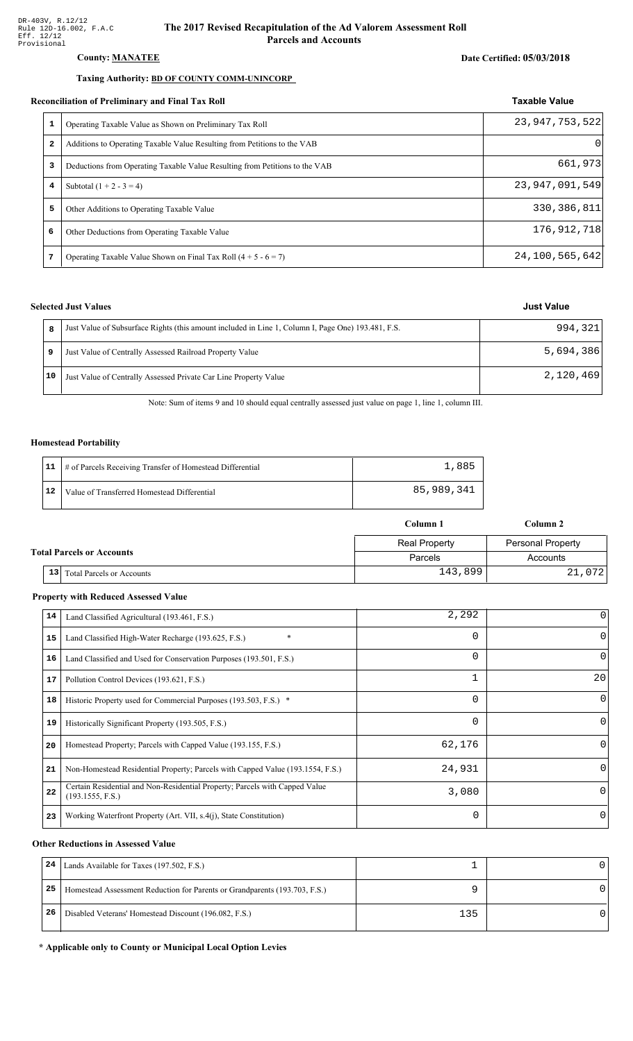#### County: **MANATEE**

#### Taxing Authority: **BD OF COUNTY COMM-UNINCORP**

#### Reconciliation of Preliminary and Final Tax Roll

|   | conciliation of Preliminary and Final Tax Roll                              | <b>Taxable Value</b> |
|---|-----------------------------------------------------------------------------|----------------------|
|   | Operating Taxable Value as Shown on Preliminary Tax Roll                    | 23, 947, 753, 522    |
| 2 | Additions to Operating Taxable Value Resulting from Petitions to the VAB    | 0                    |
| з | Deductions from Operating Taxable Value Resulting from Petitions to the VAB | 661,973              |
| 4 | Subtotal $(1 + 2 - 3 = 4)$                                                  | 23, 947, 091, 549    |
| 5 | Other Additions to Operating Taxable Value                                  | 330, 386, 811        |
| 6 | Other Deductions from Operating Taxable Value                               | 176,912,718          |
| 7 | Operating Taxable Value Shown on Final Tax Roll $(4 + 5 - 6 = 7)$           | 24, 100, 565, 642    |

### **Selected Just Values**

|    | Just Value of Subsurface Rights (this amount included in Line 1, Column I, Page One) 193.481, F.S. | 994, 321  |
|----|----------------------------------------------------------------------------------------------------|-----------|
|    | Just Value of Centrally Assessed Railroad Property Value                                           | 5,694,386 |
| 10 | Just Value of Centrally Assessed Private Car Line Property Value                                   | 2,120,469 |

Note: Sum of items 9 and 10 should equal centrally assessed just value on page 1, line 1, column III.

#### **Homestead Portability**

|    | 11   # of Parcels Receiving Transfer of Homestead Differential | 1,885      |
|----|----------------------------------------------------------------|------------|
| 12 | Value of Transferred Homestead Differential                    | 85,989,341 |

|                                  |    |                                  | Column 1             | Column 2                 |  |
|----------------------------------|----|----------------------------------|----------------------|--------------------------|--|
|                                  |    |                                  | <b>Real Property</b> | <b>Personal Property</b> |  |
| <b>Total Parcels or Accounts</b> |    |                                  | Parcels              | Accounts                 |  |
|                                  | 13 | <b>Total Parcels or Accounts</b> | 143,899              | 21,072                   |  |

#### **Property with Reduced Assessed Value**

| 14 | Land Classified Agricultural (193.461, F.S.)                                                    | 2,292    |          |
|----|-------------------------------------------------------------------------------------------------|----------|----------|
| 15 | $\ast$<br>Land Classified High-Water Recharge (193.625, F.S.)                                   | 0        | $\Omega$ |
| 16 | Land Classified and Used for Conservation Purposes (193.501, F.S.)                              | 0        | $\Omega$ |
| 17 | Pollution Control Devices (193.621, F.S.)                                                       |          | 20       |
| 18 | Historic Property used for Commercial Purposes (193.503, F.S.) *                                | 0        | $\Omega$ |
| 19 | Historically Significant Property (193.505, F.S.)                                               | 0        | $\Omega$ |
| 20 | Homestead Property; Parcels with Capped Value (193.155, F.S.)                                   | 62,176   | $\Omega$ |
| 21 | Non-Homestead Residential Property; Parcels with Capped Value (193.1554, F.S.)                  | 24,931   | $\Omega$ |
| 22 | Certain Residential and Non-Residential Property; Parcels with Capped Value<br>(193.1555, F.S.) | 3,080    | $\Omega$ |
| 23 | Working Waterfront Property (Art. VII, s.4(j), State Constitution)                              | $\Omega$ | 0        |

#### **Other Reductions in Assessed Value**

| 24 | Lands Available for Taxes (197.502, F.S.)                                  |     |  |
|----|----------------------------------------------------------------------------|-----|--|
| 25 | Homestead Assessment Reduction for Parents or Grandparents (193.703, F.S.) |     |  |
| 26 | Disabled Veterans' Homestead Discount (196.082, F.S.)                      | 135 |  |

#### \* Applicable only to County or Municipal Local Option Levies

Date Certified: 05/03/2018

### **Just Value**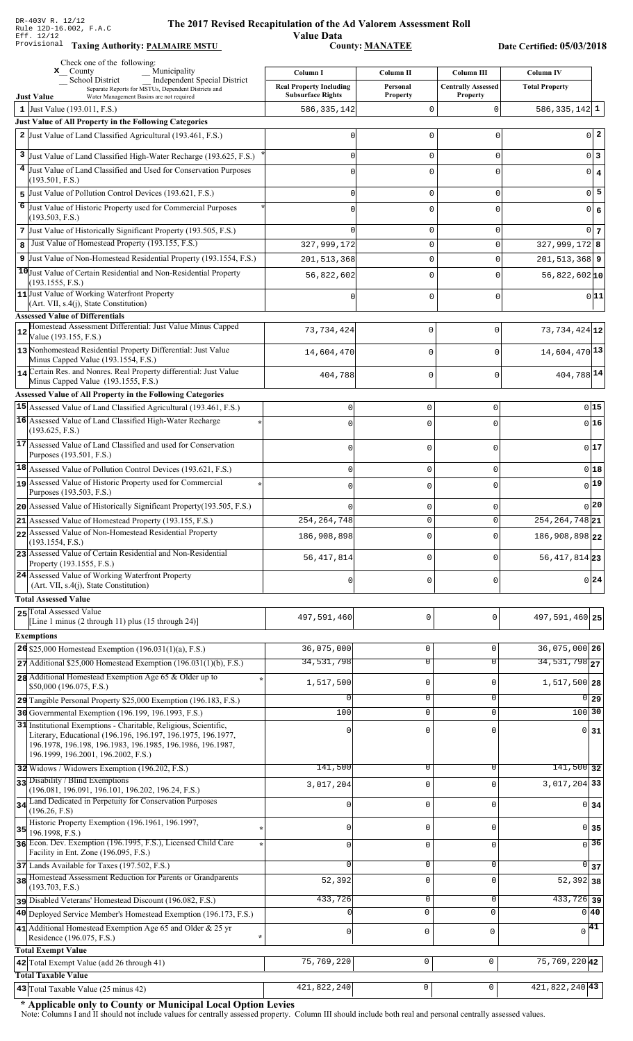**Taxing Auth** 

#### **Th** e 2017 Revised Recapitulation of the Ad Valorem Assessment Roll **Value Data**

,%\$ \*\$ 2 ",\$3\*\*

Date Certified: 05/03/2018

|    | Check one of the following:<br>Municipality<br>$\mathbf{x}$ County                                                                        | Column I                       | Column II       | <b>Column III</b>         | <b>Column IV</b>           |  |
|----|-------------------------------------------------------------------------------------------------------------------------------------------|--------------------------------|-----------------|---------------------------|----------------------------|--|
|    | <b>Independent Special District</b><br><b>School District</b><br>Separate Reports for MSTUs, Dependent Districts and                      | <b>Real Property Including</b> | Personal        | <b>Centrally Assessed</b> | <b>Total Property</b>      |  |
|    | Water Management Basins are not required<br><b>Just Value</b>                                                                             | <b>Subsurface Rights</b>       | <b>Property</b> | <b>Property</b>           |                            |  |
|    | 1 Just Value (193.011, F.S.)<br>Just Value of All Property in the Following Categories                                                    | 586, 335, 142                  | $\mathbf 0$     | O                         | 586, 335, 142 $1$          |  |
|    | 2 Just Value of Land Classified Agricultural (193.461, F.S.)                                                                              | 0                              | 0               | 0                         | $0\vert 2$                 |  |
|    |                                                                                                                                           |                                |                 |                           |                            |  |
|    | 3 Just Value of Land Classified High-Water Recharge (193.625, F.S.)<br>4 Just Value of Land Classified and Used for Conservation Purposes | O                              | $\mathsf 0$     | 0                         | $0\vert 3$                 |  |
|    | (193.501, F.S.)                                                                                                                           |                                | $\mathbf 0$     | 0                         | $0 \mid 4$                 |  |
|    | 5 Just Value of Pollution Control Devices (193.621, F.S.)                                                                                 | O                              | $\mathbf 0$     | 0                         | $0\overline{5}$            |  |
|    | 6 Just Value of Historic Property used for Commercial Purposes                                                                            |                                | $\mathbf 0$     | $\mathbf 0$               | 0 6                        |  |
|    | (193.503, F.S.)<br>7 Just Value of Historically Significant Property (193.505, F.S.)                                                      |                                | 0               | 0                         | 0 <sub>7</sub>             |  |
| 8  | Just Value of Homestead Property (193.155, F.S.)                                                                                          | 327,999,172                    | $\mathsf 0$     | $\mathbf 0$               | $327,999,172$ 8            |  |
|    | 9 Just Value of Non-Homestead Residential Property (193.1554, F.S.)                                                                       | 201, 513, 368                  | $\mathsf 0$     | $\mathbf 0$               | $201, 513, 368$ 9          |  |
|    | 10 Just Value of Certain Residential and Non-Residential Property                                                                         | 56,822,602                     | $\mathbf 0$     | 0                         | $56,822,602$ <sub>10</sub> |  |
|    | (193.1555, F.S.)                                                                                                                          |                                |                 |                           |                            |  |
|    | 11 Just Value of Working Waterfront Property<br>$(Art. VII, s.4(j), State Constitution)$                                                  | U                              | $\mathbf 0$     | 0                         | 0 11                       |  |
|    | <b>Assessed Value of Differentials</b>                                                                                                    |                                |                 |                           |                            |  |
| 12 | Homestead Assessment Differential: Just Value Minus Capped<br>Value (193.155, F.S.)                                                       | 73, 734, 424                   | 0               | $\Omega$                  | 73, 734, 424 12            |  |
|    | 13 Nonhomestead Residential Property Differential: Just Value                                                                             | 14,604,470                     |                 | $\Omega$                  | 14,604,470 13              |  |
|    | Minus Capped Value (193.1554, F.S.)                                                                                                       |                                | 0               |                           |                            |  |
|    | 14 Certain Res. and Nonres. Real Property differential: Just Value<br>Minus Capped Value (193.1555, F.S.)                                 | 404,788                        | 0               | $\mathbf 0$               | 404,788 14                 |  |
|    | <b>Assessed Value of All Property in the Following Categories</b>                                                                         |                                |                 |                           |                            |  |
|    | 15 Assessed Value of Land Classified Agricultural (193.461, F.S.)                                                                         | $\mathbf 0$                    | $\mathbf 0$     | 0                         | 015                        |  |
|    | 16 Assessed Value of Land Classified High-Water Recharge                                                                                  | $\cap$                         | $\Omega$        | $\Omega$                  | $0$ 16                     |  |
|    | (193.625, F.S.)                                                                                                                           |                                |                 |                           |                            |  |
|    | 17 Assessed Value of Land Classified and used for Conservation<br>Purposes (193.501, F.S.)                                                | $\Omega$                       | $\mathbf 0$     | 0                         | 017                        |  |
|    | 18 Assessed Value of Pollution Control Devices (193.621, F.S.)                                                                            | $\mathbf 0$                    | $\mathbf 0$     | 0                         | $0$ 18                     |  |
|    | 19 Assessed Value of Historic Property used for Commercial                                                                                | 0                              | $\mathbf 0$     | 0                         | 19                         |  |
|    | Purposes (193.503, F.S.)                                                                                                                  |                                |                 |                           |                            |  |
|    | 20 Assessed Value of Historically Significant Property (193.505, F.S.)                                                                    |                                | $\mathbf 0$     | 0                         | $0$  20                    |  |
|    | 21 Assessed Value of Homestead Property (193.155, F.S.)                                                                                   | 254, 264, 748                  | $\mathbf 0$     | 0                         | $254, 264, 748$ 21         |  |
|    | 22 Assessed Value of Non-Homestead Residential Property<br>(193.1554, F.S.)                                                               | 186,908,898                    | $\mathbf 0$     | 0                         | 186,908,898 22             |  |
|    | 23 Assessed Value of Certain Residential and Non-Residential<br>Property (193.1555, F.S.)                                                 | 56, 417, 814                   | $\mathbf 0$     | O                         | 56, 417, 814 23            |  |
|    | 24 Assessed Value of Working Waterfront Property<br>(Art. VII, s.4(j), State Constitution)                                                | 0                              | $\mathbf 0$     | 0                         | $0\,$ 24                   |  |
|    | <b>Total Assessed Value</b>                                                                                                               |                                |                 |                           |                            |  |
|    | 25 Total Assessed Value                                                                                                                   | 497,591,460                    | 0               | $\mathbf 0$               | 497,591,460 25             |  |
|    | [Line 1 minus (2 through 11) plus (15 through 24)]                                                                                        |                                |                 |                           |                            |  |
|    | <b>Exemptions</b><br>26 \$25,000 Homestead Exemption (196.031(1)(a), F.S.)                                                                | 36,075,000                     | $\mathsf 0$     | 0                         | 36,075,000 26              |  |
|    | $27$ Additional \$25,000 Homestead Exemption (196.031(1)(b), F.S.)                                                                        | 34,531,798                     | $\overline{0}$  | $\overline{0}$            | 34, 531, 798 27            |  |
|    | 28 Additional Homestead Exemption Age 65 & Older up to                                                                                    |                                |                 |                           |                            |  |
|    | \$50,000 (196.075, F.S.)                                                                                                                  | 1,517,500                      | $\mathsf 0$     | 0                         | 1,517,500 28               |  |
|    | 29 Tangible Personal Property \$25,000 Exemption (196.183, F.S.)                                                                          |                                | $\mathbf 0$     | 0                         | $\overline{0 29}$          |  |
|    | 30 Governmental Exemption (196.199, 196.1993, F.S.)<br>31 Institutional Exemptions - Charitable, Religious, Scientific,                   | 100                            | $\mathbf 0$     | $\mathbf 0$               | 100 30                     |  |
|    | Literary, Educational (196.196, 196.197, 196.1975, 196.1977,                                                                              |                                | $\mathbf 0$     | O                         | $0\overline{31}$           |  |
|    | 196.1978, 196.198, 196.1983, 196.1985, 196.1986, 196.1987,<br>196.1999, 196.2001, 196.2002, F.S.)                                         |                                |                 |                           |                            |  |
|    | 32 Widows / Widowers Exemption (196.202, F.S.)                                                                                            | 141,500                        | 0               | $\Omega$                  | $141,500$ 32               |  |
|    | 33 Disability / Blind Exemptions                                                                                                          |                                | $\mathbf 0$     | 0                         | $3,017,204$ 33             |  |
|    | (196.081, 196.091, 196.101, 196.202, 196.24, F.S.)                                                                                        | 3,017,204                      |                 |                           |                            |  |
|    | 34 Land Dedicated in Perpetuity for Conservation Purposes<br>(196.26, F.S)                                                                | 0                              | $\mathsf 0$     | 0                         | $0 \overline{\smash{34}}$  |  |
|    | Historic Property Exemption (196.1961, 196.1997,                                                                                          | $\mathbf 0$                    | $\mathbf 0$     | 0                         | 0 35                       |  |
| 35 | 196.1998, F.S.)<br>36 Econ. Dev. Exemption (196.1995, F.S.), Licensed Child Care                                                          |                                |                 |                           | $\overline{0}$ 36          |  |
|    | Facility in Ent. Zone (196.095, F.S.)                                                                                                     | $\mathbf{0}$                   | $\mathsf 0$     | 0                         |                            |  |
|    | 37 Lands Available for Taxes (197.502, F.S.)                                                                                              | $\Omega$                       | $\mathbf 0$     | 0                         | $\overline{0}$<br>37       |  |
|    | 38 Homestead Assessment Reduction for Parents or Grandparents<br>(193.703, F.S.)                                                          | 52,392                         | $\mathsf 0$     | 0                         | $52,392$ 38                |  |
|    | pisabled Veterans' Homestead Discount (196.082, F.S.)                                                                                     | 433,726                        | $\overline{0}$  | 0                         | $433,726$ 39               |  |
|    | 40 Deployed Service Member's Homestead Exemption (196.173, F.S.)                                                                          | $\cap$                         | $\mathbf{0}$    | $\mathbf 0$               | $0\vert 40$                |  |
|    | 41 Additional Homestead Exemption Age 65 and Older & 25 yr                                                                                | $\mathsf 0$                    | 0               | $\mathbf 0$               | $\sqrt{41}$                |  |
|    | Residence (196.075, F.S.)                                                                                                                 |                                |                 |                           |                            |  |
|    | <b>Total Exempt Value</b><br>42 Total Exempt Value (add 26 through 41)                                                                    | 75,769,220                     | $\mathsf 0$     | $\mathsf 0$               | 75, 769, 220 42            |  |
|    | <b>Total Taxable Value</b>                                                                                                                |                                |                 |                           |                            |  |
|    | 43 Total Taxable Value (25 minus 42)                                                                                                      | 421,822,240                    | $\mathbf 0$     | 0                         | $421,822,240$ 43           |  |

\* Applicable only to County or Municipal Local Option Levies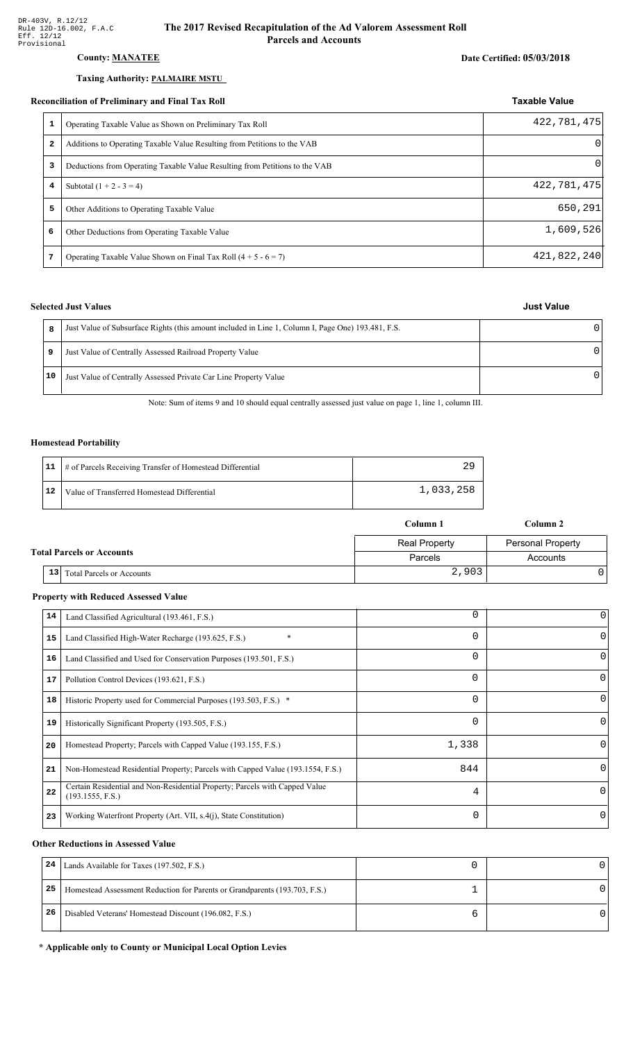### **County: MANATEE**

#### Taxing Authority: PALMAIRE MSTU

#### **Reconciliation of Preliminary and Final Tax Roll**

|              | опениион от гтенинин у ини т пин тил теон                                   |             |  |
|--------------|-----------------------------------------------------------------------------|-------------|--|
| 1            | Operating Taxable Value as Shown on Preliminary Tax Roll                    | 422,781,475 |  |
| $\mathbf{2}$ | Additions to Operating Taxable Value Resulting from Petitions to the VAB    |             |  |
| 3            | Deductions from Operating Taxable Value Resulting from Petitions to the VAB |             |  |
| 4            | Subtotal $(1 + 2 - 3 = 4)$                                                  | 422,781,475 |  |
| 5            | Other Additions to Operating Taxable Value                                  | 650,291     |  |
| 6            | Other Deductions from Operating Taxable Value                               | 1,609,526   |  |
| 7            | Operating Taxable Value Shown on Final Tax Roll $(4 + 5 - 6 = 7)$           | 421,822,240 |  |

#### **Selected Just Values**

|    | Just Value of Subsurface Rights (this amount included in Line 1, Column I, Page One) 193.481, F.S. |   |
|----|----------------------------------------------------------------------------------------------------|---|
| 9  | Just Value of Centrally Assessed Railroad Property Value                                           | ∩ |
| 10 | Just Value of Centrally Assessed Private Car Line Property Value                                   | n |

Note: Sum of items 9 and 10 should equal centrally assessed just value on page 1, line 1, column III.

#### **Homestead Portability**

|    | 11   # of Parcels Receiving Transfer of Homestead Differential |           |
|----|----------------------------------------------------------------|-----------|
| 12 | Value of Transferred Homestead Differential                    | 1,033,258 |

|                                        | Column 1             | Column 2                 |
|----------------------------------------|----------------------|--------------------------|
|                                        | <b>Real Property</b> | <b>Personal Property</b> |
| <b>Total Parcels or Accounts</b>       | Parcels              | Accounts                 |
| 13<br><b>Total Parcels or Accounts</b> | 2,903                |                          |

#### **Property with Reduced Assessed Value**

| 14 | Land Classified Agricultural (193.461, F.S.)                                                    | 0        | 0        |
|----|-------------------------------------------------------------------------------------------------|----------|----------|
| 15 | $\ast$<br>Land Classified High-Water Recharge (193.625, F.S.)                                   | $\Omega$ |          |
| 16 | Land Classified and Used for Conservation Purposes (193.501, F.S.)                              | $\Omega$ |          |
| 17 | Pollution Control Devices (193.621, F.S.)                                                       | 0        | 0        |
| 18 | Historic Property used for Commercial Purposes (193.503, F.S.) *                                | $\Omega$ | O        |
| 19 | Historically Significant Property (193.505, F.S.)                                               | $\Omega$ | $\Omega$ |
| 20 | Homestead Property; Parcels with Capped Value (193.155, F.S.)                                   | 1,338    | 0        |
| 21 | Non-Homestead Residential Property; Parcels with Capped Value (193.1554, F.S.)                  | 844      | 0        |
| 22 | Certain Residential and Non-Residential Property; Parcels with Capped Value<br>(193.1555, F.S.) | 4        | $\Omega$ |
| 23 | Working Waterfront Property (Art. VII, s.4(j), State Constitution)                              | $\Omega$ | 0        |

#### **Other Reductions in Assessed Value**

| 24 | Lands Available for Taxes (197.502, F.S.)                                  |  |
|----|----------------------------------------------------------------------------|--|
| 25 | Homestead Assessment Reduction for Parents or Grandparents (193.703, F.S.) |  |
| 26 | Disabled Veterans' Homestead Discount (196.082, F.S.)                      |  |

#### \* Applicable only to County or Municipal Local Option Levies

## **Just Value**

**Taxable Value**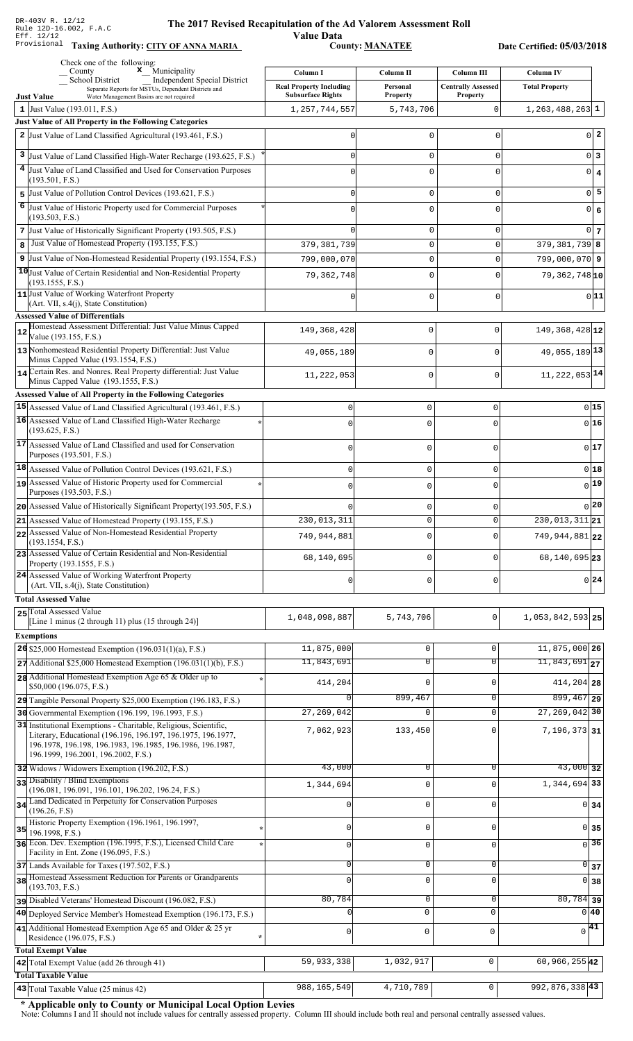Value Data<br>County: <u>MANATEE</u> Taxing Authority: CITY OF ANNA MARIA County: MANATEE

Date Certified: 05/03/2018

|    | Check one of the following:<br>$\mathbf x$ Municipality<br>County                                                                                                                              | Column I                       | Column II           | Column III                    | <b>Column IV</b>                            |
|----|------------------------------------------------------------------------------------------------------------------------------------------------------------------------------------------------|--------------------------------|---------------------|-------------------------------|---------------------------------------------|
|    | School District<br><b>Independent Special District</b><br>Separate Reports for MSTUs, Dependent Districts and                                                                                  | <b>Real Property Including</b> | Personal            | <b>Centrally Assessed</b>     | <b>Total Property</b>                       |
|    | <b>Just Value</b><br>Water Management Basins are not required                                                                                                                                  | <b>Subsurface Rights</b>       | <b>Property</b>     | <b>Property</b>               |                                             |
|    | 1 Just Value (193.011, F.S.)<br>Just Value of All Property in the Following Categories                                                                                                         | 1, 257, 744, 557               | 5,743,706           | 0                             | $1,263,488,263$ 1                           |
|    | 2 Just Value of Land Classified Agricultural (193.461, F.S.)                                                                                                                                   |                                | 0                   | $\mathbf 0$                   | $0\vert 2$                                  |
|    |                                                                                                                                                                                                |                                |                     |                               | 0 3                                         |
|    | 3 Just Value of Land Classified High-Water Recharge (193.625, F.S.)<br>4 Just Value of Land Classified and Used for Conservation Purposes                                                      |                                | 0<br>0              | $\mathbf 0$<br>0              |                                             |
|    | (193.501, F.S.)                                                                                                                                                                                |                                |                     |                               | $0 \mid 4$                                  |
| 5  | Just Value of Pollution Control Devices (193.621, F.S.)                                                                                                                                        |                                | 0                   | $\mathbf 0$                   | $\overline{0}$ 5                            |
| 6  | Just Value of Historic Property used for Commercial Purposes<br>(193.503, F.S.)                                                                                                                |                                | 0                   | $\Omega$                      | 0 6                                         |
|    | 7 Just Value of Historically Significant Property (193.505, F.S.)                                                                                                                              |                                | 0                   | $\mathbf 0$                   | $0\vert 7$                                  |
| 8  | Just Value of Homestead Property (193.155, F.S.)                                                                                                                                               | 379, 381, 739                  | 0                   | $\mathbf 0$                   | $379, 381, 739$ 8                           |
|    | 9 Just Value of Non-Homestead Residential Property (193.1554, F.S.)                                                                                                                            | 799,000,070                    | 0                   | $\Omega$                      | $799,000,070$  9                            |
|    | 10 Just Value of Certain Residential and Non-Residential Property<br>(193.1555, F.S.)                                                                                                          | 79,362,748                     | 0                   | $\mathbf 0$                   | $79,362,748$ <sub>10</sub>                  |
|    | 11 Just Value of Working Waterfront Property                                                                                                                                                   |                                | 0                   | $\mathbf 0$                   | 0 11                                        |
|    | $(Art. VII, s.4(i), State Constitution)$<br><b>Assessed Value of Differentials</b>                                                                                                             |                                |                     |                               |                                             |
|    | Homestead Assessment Differential: Just Value Minus Capped                                                                                                                                     | 149, 368, 428                  | 0                   | 0                             | $149,368,428$ <sub>12</sub>                 |
| 12 | Value (193.155, F.S.)                                                                                                                                                                          |                                |                     |                               |                                             |
|    | 13 Nonhomestead Residential Property Differential: Just Value<br>Minus Capped Value (193.1554, F.S.)                                                                                           | 49,055,189                     | $\mathbf 0$         | $\Omega$                      | 49,055,189 13                               |
|    | 14 Certain Res. and Nonres. Real Property differential: Just Value                                                                                                                             | 11,222,053                     | $\mathbf 0$         | 0                             | 11, 222, 053 14                             |
|    | Minus Capped Value (193.1555, F.S.)                                                                                                                                                            |                                |                     |                               |                                             |
|    | <b>Assessed Value of All Property in the Following Categories</b><br>15 Assessed Value of Land Classified Agricultural (193.461, F.S.)                                                         | 0                              | 0                   | 0                             | 0 15                                        |
|    | 16 Assessed Value of Land Classified High-Water Recharge                                                                                                                                       | $\cap$                         | $\Omega$            |                               | $0$ 16                                      |
|    | (193.625, F.S.)                                                                                                                                                                                |                                |                     |                               |                                             |
|    | 17 Assessed Value of Land Classified and used for Conservation<br>Purposes (193.501, F.S.)                                                                                                     | $\Omega$                       | $\mathbf 0$         | O                             | 0 17                                        |
|    | 18 Assessed Value of Pollution Control Devices (193.621, F.S.)                                                                                                                                 | 0                              | $\mathsf{O}\xspace$ | 0                             | 0 18                                        |
|    | 19 Assessed Value of Historic Property used for Commercial                                                                                                                                     | $\cap$                         | $\mathbf 0$         | 0                             | 0 19                                        |
|    | Purposes (193.503, F.S.)                                                                                                                                                                       |                                |                     |                               |                                             |
|    | 20 Assessed Value of Historically Significant Property (193.505, F.S.)                                                                                                                         | 230,013,311                    | 0<br>$\mathbf 0$    | $\Omega$<br>0                 | 0 20<br>$\overline{230,013,311}$ 21         |
|    | 21 Assessed Value of Homestead Property (193.155, F.S.)<br>22 Assessed Value of Non-Homestead Residential Property                                                                             |                                |                     |                               |                                             |
|    | (193.1554, F.S.)                                                                                                                                                                               | 749,944,881                    | $\mathbf 0$         | $\Omega$                      | 749, 944, 881 22                            |
|    | 23 Assessed Value of Certain Residential and Non-Residential<br>Property (193.1555, F.S.)                                                                                                      | 68,140,695                     | 0                   | $\Omega$                      | 68, 140, 695 23                             |
|    | 24 Assessed Value of Working Waterfront Property                                                                                                                                               | $\Omega$                       | $\mathbf 0$         | $\Omega$                      | 0 24                                        |
|    | (Art. VII, s.4(j), State Constitution)<br><b>Total Assessed Value</b>                                                                                                                          |                                |                     |                               |                                             |
|    | 25 Total Assessed Value                                                                                                                                                                        |                                |                     |                               |                                             |
|    | [Line 1 minus $(2 \text{ through } 11)$ plus $(15 \text{ through } 24)$ ]                                                                                                                      | 1,048,098,887                  | 5,743,706           | 0                             | 1,053,842,593 25                            |
|    | <b>Exemptions</b>                                                                                                                                                                              |                                |                     |                               |                                             |
|    | $26$ \$25,000 Homestead Exemption (196.031(1)(a), F.S.)                                                                                                                                        | 11,875,000<br>11,843,691       | 0<br>$\overline{0}$ | $\mathbf 0$<br>$\overline{0}$ | 11,875,000 26<br>$11,843,691$ <sub>27</sub> |
|    | $27$ Additional \$25,000 Homestead Exemption (196.031(1)(b), F.S.)<br>28 Additional Homestead Exemption Age 65 & Older up to                                                                   |                                |                     |                               |                                             |
|    | \$50,000 (196.075, F.S.)                                                                                                                                                                       | 414,204                        | 0                   | $\mathbf 0$                   | 414, 204 28                                 |
|    | 29 Tangible Personal Property \$25,000 Exemption (196.183, F.S.)                                                                                                                               | $\Omega$                       | 899,467             | 0                             | $899,467$ 29                                |
|    | 30 Governmental Exemption (196.199, 196.1993, F.S.)                                                                                                                                            | 27,269,042                     | 0                   | $\mathbf 0$                   | $27, 269, 042$ 30                           |
|    | 31 Institutional Exemptions - Charitable, Religious, Scientific,<br>Literary, Educational (196.196, 196.197, 196.1975, 196.1977,<br>196.1978, 196.198, 196.1983, 196.1985, 196.1986, 196.1987, | 7,062,923                      | 133,450             | $\mathbf 0$                   | $7,196,373$ 31                              |
|    | 196.1999, 196.2001, 196.2002, F.S.)                                                                                                                                                            |                                |                     |                               |                                             |
|    | 32 Widows / Widowers Exemption (196.202, F.S.)                                                                                                                                                 | 43,000                         | 0                   | 0                             | $43,000$ 32                                 |
|    | 33 Disability / Blind Exemptions<br>(196.081, 196.091, 196.101, 196.202, 196.24, F.S.)                                                                                                         | 1,344,694                      | 0                   | $\mathbf 0$                   | 1,344,694 33                                |
|    | 34 Land Dedicated in Perpetuity for Conservation Purposes<br>(196.26, F.S)                                                                                                                     | <sup>0</sup>                   | 0                   | $\mathbf 0$                   | $0 \overline{\smash{34}}$                   |
|    | Historic Property Exemption (196.1961, 196.1997,                                                                                                                                               | $\Omega$                       | 0                   | $\mathbf 0$                   |                                             |
| 35 | 196.1998, F.S.)<br>36 Econ. Dev. Exemption (196.1995, F.S.), Licensed Child Care                                                                                                               |                                |                     |                               | $0$ 35<br>$\sqrt{36}$                       |
|    | Facility in Ent. Zone (196.095, F.S.)                                                                                                                                                          | $\Omega$                       | 0                   | $\mathbf 0$                   |                                             |
|    | 37 Lands Available for Taxes (197.502, F.S.)                                                                                                                                                   | $\Omega$                       | 0                   | $\mathbf 0$                   | $\overline{0}$ 37                           |
|    | 38 Homestead Assessment Reduction for Parents or Grandparents<br>(193.703, F.S.)                                                                                                               | $\Omega$                       | 0                   | $\mathbf 0$                   | $0 \overline{\smash{\big)}\ 38}$            |
|    | pisabled Veterans' Homestead Discount (196.082, F.S.)                                                                                                                                          | 80,784                         | 0                   | $\mathbf 0$                   | $\overline{80,784}$ 39                      |
|    | 40 Deployed Service Member's Homestead Exemption (196.173, F.S.)                                                                                                                               |                                | $\mathbf 0$         | $\Omega$                      | 0 40                                        |
|    | 41 Additional Homestead Exemption Age 65 and Older & 25 yr<br>Residence (196.075, F.S.)                                                                                                        | 0                              | 0                   | 0                             | $\sqrt{41}$                                 |
|    | <b>Total Exempt Value</b>                                                                                                                                                                      |                                |                     |                               |                                             |
|    | 42 Total Exempt Value (add 26 through 41)                                                                                                                                                      | 59,933,338                     | 1,032,917           | 0                             | $60,966,255$ <sup>42</sup>                  |
|    | <b>Total Taxable Value</b>                                                                                                                                                                     |                                |                     |                               |                                             |
|    | $\overline{43}$ Total Taxable Value (25 minus 42)                                                                                                                                              | 988,165,549                    | 4,710,789           | U                             | 992, 876, 338 43                            |

\* Applicable only to County or Municipal Local Option Levies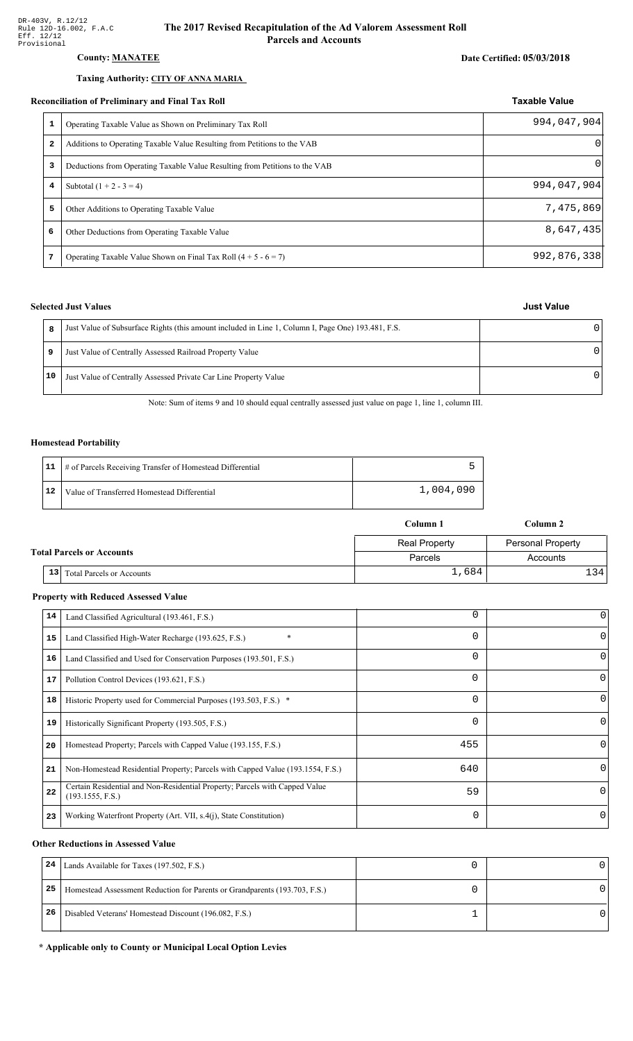### **County: MANATEE**

#### Taxing Authority: CITY OF ANNA MARIA

#### Reconciliation of Preliminary and Final Tax Roll

|   | conciliation of Preliminary and Final Tax Roll                              | <b>Taxable Value</b> |
|---|-----------------------------------------------------------------------------|----------------------|
| 1 | Operating Taxable Value as Shown on Preliminary Tax Roll                    | 994,047,904          |
| 2 | Additions to Operating Taxable Value Resulting from Petitions to the VAB    | $\Omega$             |
| 3 | Deductions from Operating Taxable Value Resulting from Petitions to the VAB | $\Omega$             |
| 4 | Subtotal $(1 + 2 - 3 = 4)$                                                  | 994,047,904          |
| 5 | Other Additions to Operating Taxable Value                                  | 7,475,869            |
| 6 | Other Deductions from Operating Taxable Value                               | 8,647,435            |
| 7 | Operating Taxable Value Shown on Final Tax Roll $(4 + 5 - 6 = 7)$           | 992,876,338          |

### **Selected Just Values**

| 8  | Just Value of Subsurface Rights (this amount included in Line 1, Column I, Page One) 193.481, F.S. |   |
|----|----------------------------------------------------------------------------------------------------|---|
|    | Just Value of Centrally Assessed Railroad Property Value                                           | n |
| 10 | Just Value of Centrally Assessed Private Car Line Property Value                                   | n |

Note: Sum of items 9 and 10 should equal centrally assessed just value on page 1, line 1, column III.

#### **Homestead Portability**

|    | 11   # of Parcels Receiving Transfer of Homestead Differential |           |
|----|----------------------------------------------------------------|-----------|
| 12 | Value of Transferred Homestead Differential                    | 1,004,090 |

|                                  |                                        | Column 1             | Column 2                 |
|----------------------------------|----------------------------------------|----------------------|--------------------------|
|                                  |                                        | <b>Real Property</b> | <b>Personal Property</b> |
| <b>Total Parcels or Accounts</b> |                                        | Parcels              | Accounts                 |
|                                  | 13<br><b>Total Parcels or Accounts</b> | 1,684                | 1341                     |

#### **Property with Reduced Assessed Value**

|    |                                                                                                 | 0        | 0        |
|----|-------------------------------------------------------------------------------------------------|----------|----------|
| 14 | Land Classified Agricultural (193.461, F.S.)                                                    |          |          |
| 15 | Land Classified High-Water Recharge (193.625, F.S.)                                             | $\Omega$ | $\Omega$ |
| 16 | Land Classified and Used for Conservation Purposes (193.501, F.S.)                              | 0        |          |
| 17 | Pollution Control Devices (193.621, F.S.)                                                       | 0        | 0        |
| 18 | Historic Property used for Commercial Purposes (193.503, F.S.) *                                | 0        |          |
| 19 | Historically Significant Property (193.505, F.S.)                                               | $\Omega$ | 0        |
| 20 | Homestead Property; Parcels with Capped Value (193.155, F.S.)                                   | 455      | 0        |
| 21 | Non-Homestead Residential Property; Parcels with Capped Value (193.1554, F.S.)                  | 640      | 0        |
| 22 | Certain Residential and Non-Residential Property; Parcels with Capped Value<br>(193.1555, F.S.) | 59       | $\Omega$ |
| 23 | Working Waterfront Property (Art. VII, s.4(j), State Constitution)                              | $\Omega$ | 0        |

#### **Other Reductions in Assessed Value**

| 24 | Lands Available for Taxes (197.502, F.S.)                                  |  |
|----|----------------------------------------------------------------------------|--|
| 25 | Homestead Assessment Reduction for Parents or Grandparents (193.703, F.S.) |  |
| 26 | Disabled Veterans' Homestead Discount (196.082, F.S.)                      |  |

#### \* Applicable only to County or Municipal Local Option Levies

### **Just Value**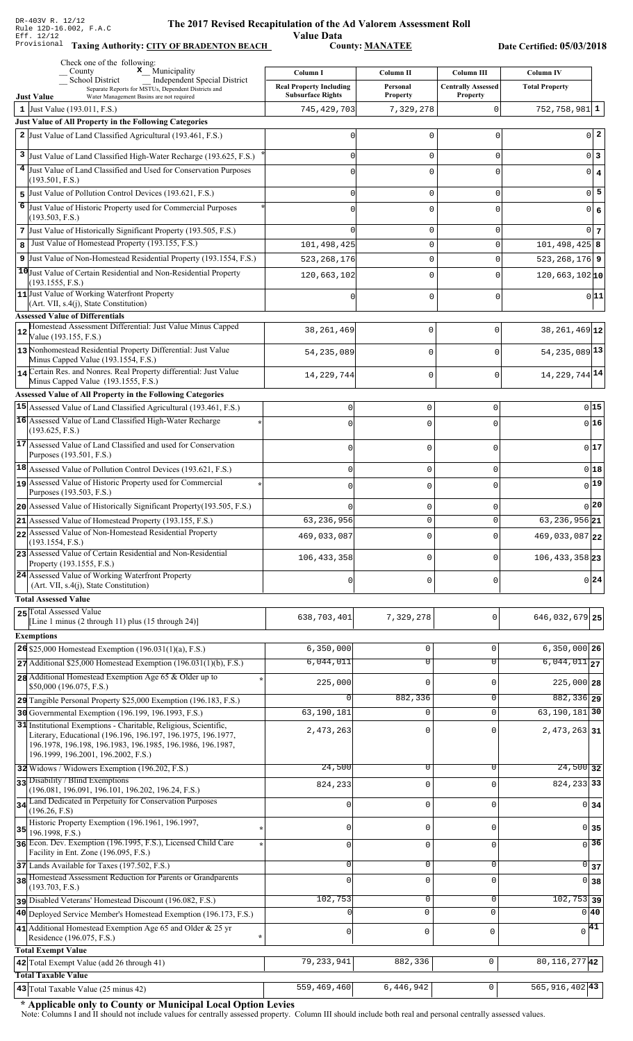**Value Data**<br>County: **MANATEE** Taxing Authority: CITY OF BRADENTON BEACH County: MANATEE

Date Certified: 05/03/2018

| Check one of the following:<br>$\boldsymbol{x}$ Municipality<br>County                                                                    | Column I                       | Column II           | Column III                | <b>Column IV</b>            |  |
|-------------------------------------------------------------------------------------------------------------------------------------------|--------------------------------|---------------------|---------------------------|-----------------------------|--|
| <b>School District</b><br>Independent Special District<br>Separate Reports for MSTUs, Dependent Districts and                             | <b>Real Property Including</b> | Personal            | <b>Centrally Assessed</b> | <b>Total Property</b>       |  |
| <b>Just Value</b><br>Water Management Basins are not required                                                                             | <b>Subsurface Rights</b>       | <b>Property</b>     | <b>Property</b>           |                             |  |
| 1 Just Value $(193.011, F.S.)$<br><b>Just Value of All Property in the Following Categories</b>                                           | 745, 429, 703                  | 7,329,278           | 0                         | $752, 758, 981$   1         |  |
| 2 Just Value of Land Classified Agricultural (193.461, F.S.)                                                                              | <sup>0</sup>                   | $\Omega$            | 0                         | $0\vert 2$                  |  |
|                                                                                                                                           |                                |                     |                           |                             |  |
| 3 Just Value of Land Classified High-Water Recharge (193.625, F.S.)<br>4 Just Value of Land Classified and Used for Conservation Purposes | $\Omega$                       | $\mathbf 0$         | 0                         | 0 3                         |  |
| (193.501, F.S.)                                                                                                                           | $\Omega$                       | $\Omega$            | $\Omega$                  | $0 \mid 4$                  |  |
| Just Value of Pollution Control Devices (193.621, F.S.)<br>5                                                                              | $\Omega$                       | $\mathbf 0$         | 0                         | $0\overline{5}$             |  |
| 6 Just Value of Historic Property used for Commercial Purposes                                                                            |                                | $\Omega$            | $\Omega$                  | 0 6                         |  |
| (193.503, F.S.)<br>7 Just Value of Historically Significant Property (193.505, F.S.)                                                      | ∩                              | $\mathbf 0$         | 0                         | $0\vert 7$                  |  |
| Just Value of Homestead Property (193.155, F.S.)<br>8                                                                                     | 101,498,425                    | $\mathbf 0$         | 0                         | $101, 498, 425$ 8           |  |
| 9 Just Value of Non-Homestead Residential Property (193.1554, F.S.)                                                                       | 523, 268, 176                  | 0                   | $\Omega$                  | $523, 268, 176$ 9           |  |
| 10 Just Value of Certain Residential and Non-Residential Property                                                                         | 120,663,102                    | 0                   | $\Omega$                  | $120,663,102$ <sub>10</sub> |  |
| (193.1555, F.S.)<br>11 Just Value of Working Waterfront Property                                                                          |                                |                     |                           | 0 11                        |  |
| (Art. VII, s.4(j), State Constitution)                                                                                                    |                                | 0                   | $\Omega$                  |                             |  |
| <b>Assessed Value of Differentials</b>                                                                                                    |                                |                     |                           |                             |  |
| Homestead Assessment Differential: Just Value Minus Capped<br>Value (193.155, F.S.)                                                       | 38, 261, 469                   | $\mathsf 0$         | $\mathbf 0$               | 38, 261, 469 12             |  |
| 13 Nonhomestead Residential Property Differential: Just Value                                                                             | 54, 235, 089                   | $\mathbf 0$         | $\mathbf{0}$              | 54, 235, 089 13             |  |
| Minus Capped Value (193.1554, F.S.)<br>14 Certain Res. and Nonres. Real Property differential: Just Value                                 |                                |                     |                           |                             |  |
| Minus Capped Value (193.1555, F.S.)                                                                                                       | 14, 229, 744                   | $\mathbf 0$         | $\mathbf{0}$              | 14, 229, 744 14             |  |
| <b>Assessed Value of All Property in the Following Categories</b>                                                                         |                                |                     |                           |                             |  |
| 15 Assessed Value of Land Classified Agricultural (193.461, F.S.)                                                                         | $\mathbf 0$                    | $\mathbf 0$         | 0                         | 0 15                        |  |
| 16 Assessed Value of Land Classified High-Water Recharge<br>(193.625, F.S.)                                                               | $\Omega$                       | $\mathbf 0$         | O                         | 0 16                        |  |
| 17 Assessed Value of Land Classified and used for Conservation                                                                            | 0                              | $\Omega$            |                           | 0 17                        |  |
| Purposes (193.501, F.S.)                                                                                                                  |                                |                     |                           |                             |  |
| $ 18 $ Assessed Value of Pollution Control Devices (193.621, F.S.)                                                                        | $\mathbf 0$                    | $\mathbf 0$         | 0                         | 0 18                        |  |
| 19 Assessed Value of Historic Property used for Commercial<br>Purposes (193.503, F.S.)                                                    | $\mathbf 0$                    | $\mathbf 0$         | O                         | $_{0} 19 $                  |  |
| 20 Assessed Value of Historically Significant Property (193.505, F.S.)                                                                    | $\Omega$                       | $\mathbf 0$         |                           | $_0$  20                    |  |
| 21 Assessed Value of Homestead Property (193.155, F.S.)                                                                                   | 63,236,956                     | U                   |                           | $63, 236, 956$ 21           |  |
| 22 Assessed Value of Non-Homestead Residential Property                                                                                   | 469,033,087                    | $\Omega$            | 0                         | 469,033,087 22              |  |
| (193.1554, F.S.)<br>23 Assessed Value of Certain Residential and Non-Residential                                                          |                                |                     |                           |                             |  |
| Property (193.1555, F.S.)                                                                                                                 | 106, 433, 358                  | 0                   | 0                         | $106, 433, 358$ 23          |  |
| 24 Assessed Value of Working Waterfront Property<br>(Art. VII, s.4(j), State Constitution)                                                | 0                              | $\mathbf 0$         | 0                         | 0 24                        |  |
| <b>Total Assessed Value</b>                                                                                                               |                                |                     |                           |                             |  |
| 25 Total Assessed Value                                                                                                                   | 638,703,401                    | 7,329,278           | 0                         | 646, 032, 679 25            |  |
| [Line 1 minus $(2 \text{ through } 11)$ plus $(15 \text{ through } 24)$ ]                                                                 |                                |                     |                           |                             |  |
| <b>Exemptions</b><br><b>26</b> \$25,000 Homestead Exemption $(196.031(1)(a), F.S.)$                                                       | 6, 350, 000                    | $\mathsf{O}\xspace$ | 0                         | $6,350,000$ 26              |  |
| $27$ Additional \$25,000 Homestead Exemption (196.031(1)(b), F.S.)                                                                        | 6,044,011                      | $\overline{0}$      | $\overline{0}$            | $6,044,011$ 27              |  |
| 28 Additional Homestead Exemption Age 65 & Older up to                                                                                    |                                |                     |                           |                             |  |
| \$50,000 (196.075, F.S.)                                                                                                                  | 225,000                        | $\mathbf 0$         | 0                         | $225,000$ 28                |  |
| 29 Tangible Personal Property \$25,000 Exemption (196.183, F.S.)                                                                          | $\Omega$                       | 882,336             | 0                         | $882, 336$ 29               |  |
| 30 Governmental Exemption (196.199, 196.1993, F.S.)<br>31 Institutional Exemptions - Charitable, Religious, Scientific,                   | 63,190,181                     | $\mathbf 0$         | $\mathbf 0$               | $63, 190, 181$ 30           |  |
| Literary, Educational (196.196, 196.197, 196.1975, 196.1977,                                                                              | 2,473,263                      | 0                   | $\Omega$                  | $2,473,263$ 31              |  |
| 196.1978, 196.198, 196.1983, 196.1985, 196.1986, 196.1987,<br>196.1999, 196.2001, 196.2002, F.S.)                                         |                                |                     |                           |                             |  |
| 32 Widows / Widowers Exemption (196.202, F.S.)                                                                                            | 24,500                         | 0                   | 0                         | $24,500$ 32                 |  |
| 33 Disability / Blind Exemptions                                                                                                          | 824,233                        | $\mathsf 0$         | $\Omega$                  | 824, 233 33                 |  |
| (196.081, 196.091, 196.101, 196.202, 196.24, F.S.)<br>34 Land Dedicated in Perpetuity for Conservation Purposes                           |                                |                     |                           |                             |  |
| (196.26, F.S)                                                                                                                             | $\mathsf 0$                    | $\mathsf 0$         | $\mathbf 0$               | 0 <sub>34</sub>             |  |
| Historic Property Exemption (196.1961, 196.1997,<br>$35$ 196.1998, F.S.)                                                                  | $\mathsf 0$                    | $\mathbf 0$         | $\Omega$                  | $0\overline{35}$            |  |
| 36 Econ. Dev. Exemption (196.1995, F.S.), Licensed Child Care                                                                             | $\mathbf{0}$                   | $\mathbf 0$         | $\Omega$                  | $\sqrt{36}$                 |  |
| Facility in Ent. Zone (196.095, F.S.)                                                                                                     |                                |                     |                           |                             |  |
| 37 Lands Available for Taxes (197.502, F.S.)<br>38 Homestead Assessment Reduction for Parents or Grandparents                             | $\mathbf{0}$                   | $\mathbf 0$         | $\mathbf 0$               | $\overline{0}$ 37           |  |
| (193.703, F.S.)                                                                                                                           | $\Omega$                       | $\mathbf 0$         | $\Omega$                  | 0 38                        |  |
| Disabled Veterans' Homestead Discount (196.082, F.S.)                                                                                     | 102,753                        | 0                   | 0                         | $\overline{102, 753}$ 39    |  |
| 40 Deployed Service Member's Homestead Exemption (196.173, F.S.)                                                                          | $\Omega$                       | $\mathbf 0$         | $\mathbf 0$               | $0\,40$                     |  |
| 41 Additional Homestead Exemption Age 65 and Older $& 25$ yr<br>Residence (196.075, F.S.)                                                 | $\mathsf{O}\xspace$            | $\mathsf{O}\xspace$ | 0                         | $\sqrt{41}$                 |  |
| <b>Total Exempt Value</b>                                                                                                                 |                                |                     |                           |                             |  |
| 42 Total Exempt Value (add 26 through 41)                                                                                                 | 79, 233, 941                   | 882,336             | 0                         | 80, 116, 277 42             |  |
| <b>Total Taxable Value</b>                                                                                                                |                                |                     |                           |                             |  |
| 43 Total Taxable Value (25 minus 42)                                                                                                      | 559,469,460                    | 6,446,942           | 0                         | 565, 916, 402 43            |  |

\* Applicable only to County or Municipal Local Option Levies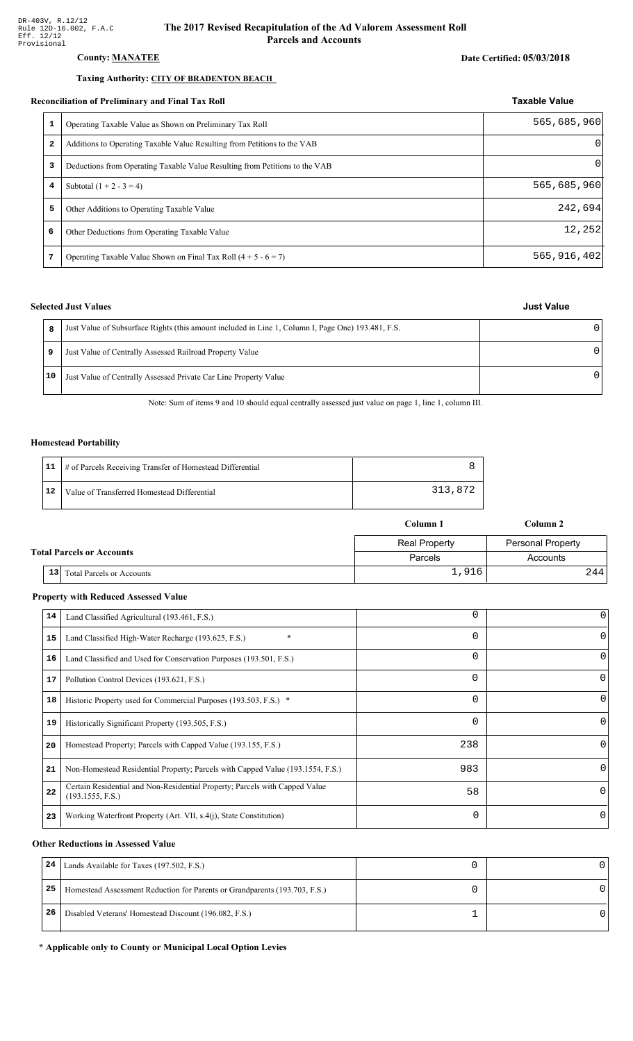#### **County: MANATEE**

### Taxing Authority: CITY OF BRADENTON BEACH

#### Reconciliation of Preliminary and Final Tax Roll

| conciliation of Preliminary and Final Tax Roll |                                                                             | <b>Taxable Value</b> |
|------------------------------------------------|-----------------------------------------------------------------------------|----------------------|
|                                                | Operating Taxable Value as Shown on Preliminary Tax Roll                    | 565,685,960          |
| 2                                              | Additions to Operating Taxable Value Resulting from Petitions to the VAB    | $\Omega$             |
| 3                                              | Deductions from Operating Taxable Value Resulting from Petitions to the VAB | $\Omega$             |
| 4                                              | Subtotal $(1 + 2 - 3 = 4)$                                                  | 565,685,960          |
| 5                                              | Other Additions to Operating Taxable Value                                  | 242,694              |
| 6                                              | Other Deductions from Operating Taxable Value                               | 12,252               |
|                                                | Operating Taxable Value Shown on Final Tax Roll $(4 + 5 - 6 = 7)$           | 565, 916, 402        |

#### **Selected Just Values**

|    | Just Value of Subsurface Rights (this amount included in Line 1, Column I, Page One) 193.481, F.S. |   |
|----|----------------------------------------------------------------------------------------------------|---|
| 9  | Just Value of Centrally Assessed Railroad Property Value                                           | U |
| 10 | Just Value of Centrally Assessed Private Car Line Property Value                                   | U |

Note: Sum of items 9 and 10 should equal centrally assessed just value on page 1, line 1, column III.

#### **Homestead Portability**

|    | 11   # of Parcels Receiving Transfer of Homestead Differential |         |
|----|----------------------------------------------------------------|---------|
| 12 | Value of Transferred Homestead Differential                    | 313,872 |

|                                  |                 |                                  | Column 1             | Column 2          |
|----------------------------------|-----------------|----------------------------------|----------------------|-------------------|
|                                  |                 |                                  | <b>Real Property</b> | Personal Property |
| <b>Total Parcels or Accounts</b> |                 | Parcels                          | Accounts             |                   |
|                                  | 13 <sup>1</sup> | <b>Total Parcels or Accounts</b> | 1,916                | 244               |

#### **Property with Reduced Assessed Value**

| 14 | Land Classified Agricultural (193.461, F.S.)                                                    | 0   | 0        |
|----|-------------------------------------------------------------------------------------------------|-----|----------|
| 15 | Land Classified High-Water Recharge (193.625, F.S.)                                             | 0   | $\Omega$ |
| 16 | Land Classified and Used for Conservation Purposes (193.501, F.S.)                              | 0   |          |
| 17 | Pollution Control Devices (193.621, F.S.)                                                       | 0   | 0        |
| 18 | Historic Property used for Commercial Purposes (193.503, F.S.) *                                | 0   | 0        |
| 19 | Historically Significant Property (193.505, F.S.)                                               | 0   | $\Omega$ |
| 20 | Homestead Property; Parcels with Capped Value (193.155, F.S.)                                   | 238 | 0        |
| 21 | Non-Homestead Residential Property; Parcels with Capped Value (193.1554, F.S.)                  | 983 | 0        |
| 22 | Certain Residential and Non-Residential Property; Parcels with Capped Value<br>(193.1555, F.S.) | 58  | $\Omega$ |
| 23 | Working Waterfront Property (Art. VII, s.4(j), State Constitution)                              | 0   | 0        |

#### **Other Reductions in Assessed Value**

| 24 | Lands Available for Taxes (197.502, F.S.)                                  |  |
|----|----------------------------------------------------------------------------|--|
| 25 | Homestead Assessment Reduction for Parents or Grandparents (193.703, F.S.) |  |
| 26 | Disabled Veterans' Homestead Discount (196.082, F.S.)                      |  |

#### \* Applicable only to County or Municipal Local Option Levies

| <b>Just Value</b> |
|-------------------|
|                   |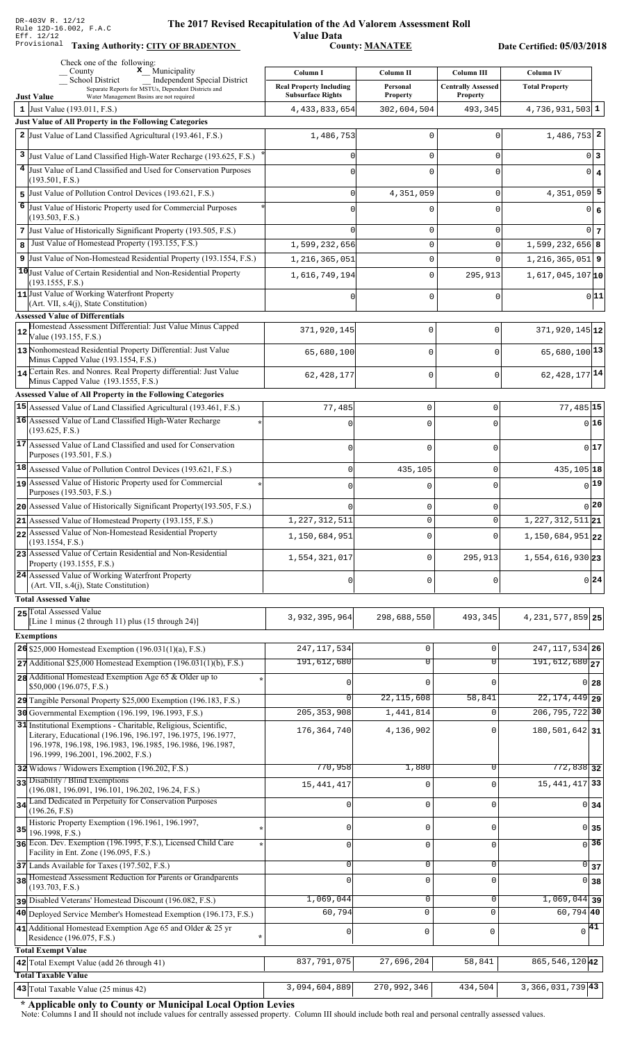**Taxing Auth** 

#### **The 2017 Rev** ised Recapitulation of the Ad Valorem Assessment Roll

**Value Data** ority: <u>CITY OF BRADENTON</u> County: <u>MANATEE</u>

Date Certified: 05/03/2018

|    | Check one of the following:<br>$\mathbf{x}$ Municipality<br>County                                                                                                                                                                    | Column I                                                   | Column II                   | Column III                                   | <b>Column IV</b>              |  |
|----|---------------------------------------------------------------------------------------------------------------------------------------------------------------------------------------------------------------------------------------|------------------------------------------------------------|-----------------------------|----------------------------------------------|-------------------------------|--|
|    | <b>School District</b><br><b>Independent Special District</b><br>Separate Reports for MSTUs, Dependent Districts and                                                                                                                  | <b>Real Property Including</b><br><b>Subsurface Rights</b> | Personal<br><b>Property</b> | <b>Centrally Assessed</b><br><b>Property</b> | <b>Total Property</b>         |  |
|    | <b>Just Value</b><br>Water Management Basins are not required<br>1 Just Value (193.011, F.S.)                                                                                                                                         | 4, 433, 833, 654                                           | 302,604,504                 | 493,345                                      | $4,736,931,503$ 1             |  |
|    | Just Value of All Property in the Following Categories                                                                                                                                                                                |                                                            |                             |                                              |                               |  |
|    | 2 Just Value of Land Classified Agricultural (193.461, F.S.)                                                                                                                                                                          | 1,486,753                                                  | 0                           | $\Omega$                                     | $1,486,753$ 2                 |  |
|    | 3 Just Value of Land Classified High-Water Recharge (193.625, F.S.)                                                                                                                                                                   |                                                            | $\Omega$                    | $\Omega$                                     | 0 3                           |  |
|    | 4 Just Value of Land Classified and Used for Conservation Purposes                                                                                                                                                                    |                                                            | $\Omega$                    | $\Omega$                                     | $0 \mid 4$                    |  |
|    | (193.501, F.S.)                                                                                                                                                                                                                       |                                                            |                             |                                              |                               |  |
| 6  | 5 Just Value of Pollution Control Devices (193.621, F.S.)<br>Just Value of Historic Property used for Commercial Purposes                                                                                                             |                                                            | 4,351,059                   | $\mathbf 0$                                  | $4,351,059$ 5                 |  |
|    | (193.503, F.S.)                                                                                                                                                                                                                       |                                                            | U                           | $\Omega$                                     | $\overline{0}$<br>6           |  |
|    | 7 Just Value of Historically Significant Property (193.505, F.S.)                                                                                                                                                                     |                                                            | $\mathbf 0$                 | $\mathbf 0$                                  | 0 <sub>7</sub>                |  |
| 8  | Just Value of Homestead Property (193.155, F.S.)                                                                                                                                                                                      | 1,599,232,656                                              | $\mathbf 0$                 | $\mathbf 0$                                  | $1,599,232,656$ 8             |  |
|    | 9 Just Value of Non-Homestead Residential Property (193.1554, F.S.)<br>10 Just Value of Certain Residential and Non-Residential Property                                                                                              | 1,216,365,051                                              | $\mathbf 0$                 | O                                            | $1,216,365,051$ 9             |  |
|    | (193.1555, F.S.)                                                                                                                                                                                                                      | 1,616,749,194                                              | $\mathbf 0$                 | 295,913                                      | $1,617,045,107$ <sup>10</sup> |  |
|    | 11 Just Value of Working Waterfront Property<br>$(Art. VII, s.4(j), State Constitution)$                                                                                                                                              |                                                            | $\Omega$                    | $\mathbf 0$                                  | 0 11                          |  |
|    | <b>Assessed Value of Differentials</b>                                                                                                                                                                                                |                                                            |                             |                                              |                               |  |
| 12 | Homestead Assessment Differential: Just Value Minus Capped<br>Value (193.155, F.S.)                                                                                                                                                   | 371,920,145                                                | $\mathbf 0$                 | 0                                            | $371,920,145$ <sub>12</sub>   |  |
|    | 13 Nonhomestead Residential Property Differential: Just Value<br>Minus Capped Value (193.1554, F.S.)                                                                                                                                  | 65,680,100                                                 | $\mathbf 0$                 | $\Omega$                                     | $65,680,100$ <sup>13</sup>    |  |
|    | 14 Certain Res. and Nonres. Real Property differential: Just Value<br>Minus Capped Value (193.1555, F.S.)                                                                                                                             | 62,428,177                                                 | $\mathbf 0$                 | $\Omega$                                     | $62,428,177$ <sup>14</sup>    |  |
|    | <b>Assessed Value of All Property in the Following Categories</b>                                                                                                                                                                     |                                                            |                             |                                              |                               |  |
|    | 15 Assessed Value of Land Classified Agricultural (193.461, F.S.)                                                                                                                                                                     | 77,485                                                     | 0                           | 0                                            | $77,485$ 15                   |  |
|    | 16 Assessed Value of Land Classified High-Water Recharge<br>(193.625, F.S.)                                                                                                                                                           |                                                            | $\Omega$                    | $\Omega$                                     | 0 16                          |  |
|    | 17 Assessed Value of Land Classified and used for Conservation<br>Purposes (193.501, F.S.)                                                                                                                                            | $\Omega$                                                   | $\mathbf 0$                 | ∩                                            | 0 17                          |  |
|    | 18 Assessed Value of Pollution Control Devices (193.621, F.S.)                                                                                                                                                                        | $\mathbf 0$                                                | 435,105                     | 0                                            | 435,105 18                    |  |
|    | 19 Assessed Value of Historic Property used for Commercial                                                                                                                                                                            | $\Omega$                                                   | $\Omega$                    | $\Omega$                                     | 0 19                          |  |
|    | Purposes (193.503, F.S.)                                                                                                                                                                                                              |                                                            |                             |                                              | 0 20                          |  |
|    | $20$ Assessed Value of Historically Significant Property (193.505, F.S.)<br>21 Assessed Value of Homestead Property (193.155, F.S.)                                                                                                   | 1, 227, 312, 511                                           | 0<br>0                      | 0<br>$\mathbf 0$                             | $1,227,312,511$ 21            |  |
|    | 22 Assessed Value of Non-Homestead Residential Property                                                                                                                                                                               | 1,150,684,951                                              | $\mathbf 0$                 | $\Omega$                                     | $1,150,684,951$  22           |  |
|    | (193.1554, F.S.)<br>23 Assessed Value of Certain Residential and Non-Residential                                                                                                                                                      |                                                            |                             |                                              |                               |  |
|    | Property (193.1555, F.S.)                                                                                                                                                                                                             | 1,554,321,017                                              | $\mathbf 0$                 | 295,913                                      | 1,554,616,930 23              |  |
|    | 24 Assessed Value of Working Waterfront Property<br>(Art. VII, s.4(j), State Constitution)                                                                                                                                            | 0                                                          | $\mathbf 0$                 | $\Omega$                                     | 0 24                          |  |
|    | <b>Total Assessed Value</b><br>25 Total Assessed Value                                                                                                                                                                                |                                                            |                             |                                              |                               |  |
|    | [Line 1 minus (2 through 11) plus (15 through 24)]                                                                                                                                                                                    | 3,932,395,964                                              | 298,688,550                 | 493,345                                      | 4, 231, 577, 859 25           |  |
|    | <b>Exemptions</b>                                                                                                                                                                                                                     |                                                            |                             |                                              |                               |  |
|    | 26 \$25,000 Homestead Exemption $(196.031(1)(a), F.S.)$                                                                                                                                                                               | 247, 117, 534                                              | 0                           | $\mathbf 0$                                  | 247, 117, 534 26              |  |
|    | $27$ Additional \$25,000 Homestead Exemption (196.031(1)(b), F.S.)                                                                                                                                                                    | 191,612,680                                                | $\overline{0}$              | $\overline{0}$                               | $191,612,680$ <sub>27</sub>   |  |
|    | 28 Additional Homestead Exemption Age 65 & Older up to<br>\$50,000 (196.075, F.S.)                                                                                                                                                    |                                                            | $\mathbf 0$                 | $\Omega$                                     | 0 28                          |  |
|    | 29 Tangible Personal Property \$25,000 Exemption (196.183, F.S.)                                                                                                                                                                      | $\overline{0}$                                             | 22, 115, 608                | 58,841                                       | $22, 174, 449$ 29             |  |
|    | 30 Governmental Exemption (196.199, 196.1993, F.S.)                                                                                                                                                                                   | 205, 353, 908                                              | 1,441,814                   | $\mathbf 0$                                  | 206, 795, 722 30              |  |
|    | 31 Institutional Exemptions - Charitable, Religious, Scientific,<br>Literary, Educational (196.196, 196.197, 196.1975, 196.1977,<br>196.1978, 196.198, 196.1983, 196.1985, 196.1986, 196.1987,<br>196.1999, 196.2001, 196.2002, F.S.) | 176, 364, 740                                              | 4,136,902                   | $\Omega$                                     | 180, 501, 642 31              |  |
|    | 32 Widows / Widowers Exemption (196.202, F.S.)                                                                                                                                                                                        | 770,958                                                    | 1,880                       | $\mathbf 0$                                  | 772,838 32                    |  |
|    | 33 Disability / Blind Exemptions<br>(196.081, 196.091, 196.101, 196.202, 196.24, F.S.)                                                                                                                                                | 15, 441, 417                                               | $\mathsf 0$                 | $\mathbf 0$                                  | 15, 441, 417 33               |  |
|    | 34 Land Dedicated in Perpetuity for Conservation Purposes                                                                                                                                                                             |                                                            | $\mathsf 0$                 | $\mathbf 0$                                  | 0 34                          |  |
|    | (196.26, F.S)<br>Historic Property Exemption (196.1961, 196.1997,                                                                                                                                                                     |                                                            |                             |                                              |                               |  |
| 35 | 196.1998, F.S.)<br>36 Econ. Dev. Exemption (196.1995, F.S.), Licensed Child Care                                                                                                                                                      | <sup>0</sup>                                               | $\mathsf 0$                 | $\mathbf 0$                                  | $0 \mid 35$                   |  |
|    | Facility in Ent. Zone (196.095, F.S.)                                                                                                                                                                                                 | $\Omega$                                                   | $\mathsf 0$                 | $\mathbf 0$                                  | 36<br>$\Omega$                |  |
|    | 37 Lands Available for Taxes (197.502, F.S.)                                                                                                                                                                                          | $\mathbf{0}$                                               | 0                           | $\mathbf 0$                                  | $\overline{0}$ 37             |  |
|    | 38 Homestead Assessment Reduction for Parents or Grandparents<br>(193.703, F.S.)                                                                                                                                                      |                                                            | $\mathsf 0$                 | $\mathbf 0$                                  | 0 38                          |  |
|    | pisabled Veterans' Homestead Discount (196.082, F.S.)                                                                                                                                                                                 | 1,069,044                                                  | 0                           | 0                                            | $\overline{1,069,044}$ 39     |  |
|    | 40 Deployed Service Member's Homestead Exemption (196.173, F.S.)                                                                                                                                                                      | 60,794                                                     | $\mathbf 0$                 | $\mathbf 0$                                  | $60,794$ 40                   |  |
|    | 41 Additional Homestead Exemption Age 65 and Older & 25 yr<br>Residence (196.075, F.S.)                                                                                                                                               | 0                                                          | $\mathsf{O}\xspace$         | $\mathsf 0$                                  | $\sqrt{41}$                   |  |
|    | <b>Total Exempt Value</b>                                                                                                                                                                                                             |                                                            |                             |                                              |                               |  |
|    | 42 Total Exempt Value (add 26 through 41)                                                                                                                                                                                             | 837,791,075                                                | 27,696,204                  | 58,841                                       | 865, 546, 120 42              |  |
|    | <b>Total Taxable Value</b><br>$\vert$ 43 Total Taxable Value (25 minus 42)                                                                                                                                                            | 3,094,604,889                                              | 270,992,346                 | 434,504                                      | $3,366,031,739$ <sup>43</sup> |  |

\* Applicable only to County or Municipal Local Option Levies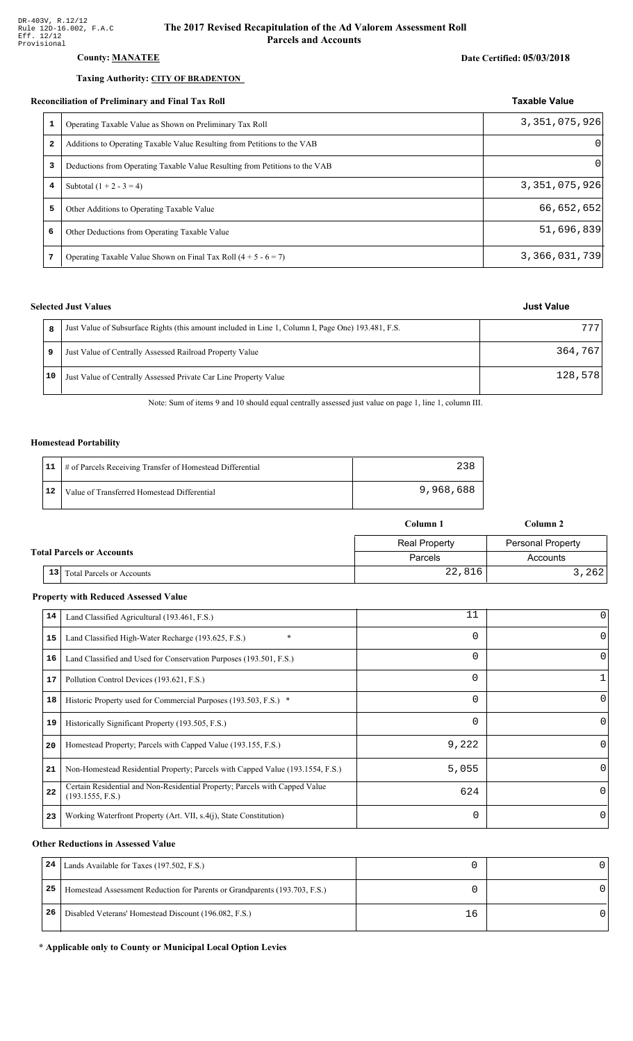### County: **MANATEE**

#### Taxing Authority: CITY OF BRADENTON

#### Reconciliation of Preliminary and Final Tax Roll

| 1            | Operating Taxable Value as Shown on Preliminary Tax Roll                    | 3,351,075,926 |
|--------------|-----------------------------------------------------------------------------|---------------|
| $\mathbf{2}$ | Additions to Operating Taxable Value Resulting from Petitions to the VAB    | $\Omega$      |
| 3            | Deductions from Operating Taxable Value Resulting from Petitions to the VAB | 0             |
| 4            | Subtotal $(1 + 2 - 3 = 4)$                                                  | 3,351,075,926 |
| 5.           | Other Additions to Operating Taxable Value                                  | 66,652,652    |
| 6            | Other Deductions from Operating Taxable Value                               | 51,696,839    |
|              | Operating Taxable Value Shown on Final Tax Roll $(4 + 5 - 6 = 7)$           | 3,366,031,739 |

#### **Selected Just Values**

|    | Just Value of Subsurface Rights (this amount included in Line 1, Column I, Page One) 193.481, F.S. | 777     |
|----|----------------------------------------------------------------------------------------------------|---------|
| 9  | Just Value of Centrally Assessed Railroad Property Value                                           | 364,767 |
| 10 | Just Value of Centrally Assessed Private Car Line Property Value                                   | 128,578 |

Note: Sum of items 9 and 10 should equal centrally assessed just value on page 1, line 1, column III.

#### **Homestead Portability**

|    | 11   # of Parcels Receiving Transfer of Homestead Differential | 238       |
|----|----------------------------------------------------------------|-----------|
| 12 | Value of Transferred Homestead Differential                    | 9,968,688 |

|                                  | Column 1 |                                  |                      | Column 2                 |  |
|----------------------------------|----------|----------------------------------|----------------------|--------------------------|--|
| <b>Total Parcels or Accounts</b> |          |                                  | <b>Real Property</b> | <b>Personal Property</b> |  |
|                                  |          |                                  | Parcels              | Accounts                 |  |
|                                  | 13       | <b>Total Parcels or Accounts</b> | 22,816               | 3,262                    |  |

#### **Property with Reduced Assessed Value**

| 14 | Land Classified Agricultural (193.461, F.S.)                                                    | 11       | 0        |
|----|-------------------------------------------------------------------------------------------------|----------|----------|
| 15 | $\ast$<br>Land Classified High-Water Recharge (193.625, F.S.)                                   | $\Omega$ |          |
| 16 | Land Classified and Used for Conservation Purposes (193.501, F.S.)                              | 0        | O        |
| 17 | Pollution Control Devices (193.621, F.S.)                                                       | 0        |          |
| 18 | Historic Property used for Commercial Purposes (193.503, F.S.) *                                | $\Omega$ | O        |
| 19 | Historically Significant Property (193.505, F.S.)                                               | $\Omega$ | $\Omega$ |
| 20 | Homestead Property; Parcels with Capped Value (193.155, F.S.)                                   | 9,222    | 0        |
| 21 | Non-Homestead Residential Property; Parcels with Capped Value (193.1554, F.S.)                  | 5,055    | 0        |
| 22 | Certain Residential and Non-Residential Property; Parcels with Capped Value<br>(193.1555, F.S.) | 624      | $\Omega$ |
| 23 | Working Waterfront Property (Art. VII, s.4(j), State Constitution)                              | $\Omega$ | 0        |

#### **Other Reductions in Assessed Value**

| 24 | Lands Available for Taxes (197.502, F.S.)                                  |    |  |
|----|----------------------------------------------------------------------------|----|--|
| 25 | Homestead Assessment Reduction for Parents or Grandparents (193.703, F.S.) |    |  |
| 26 | Disabled Veterans' Homestead Discount (196.082, F.S.)                      | 16 |  |

#### \* Applicable only to County or Municipal Local Option Levies

# Date Certified: 05/03/2018

Taxable Value

| <b>Just Value</b> |
|-------------------|
|-------------------|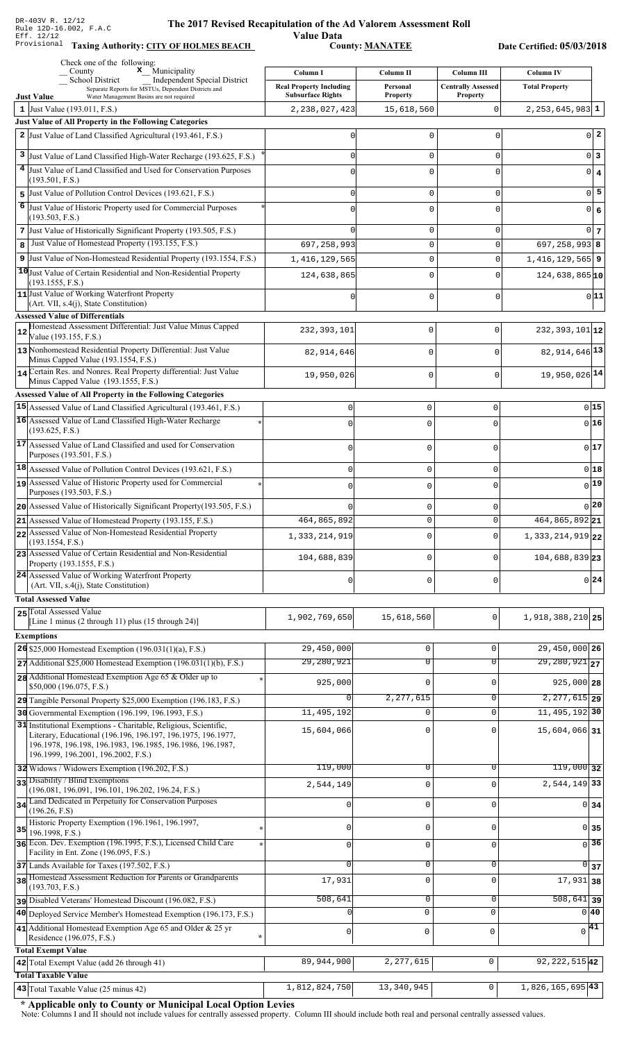Value Data<br>County: <u>MANATEE</u> Taxing Authority: CITY OF HOLMES BEACH County: MANATEE

Date Certified: 05/03/2018

|              | Check one of the following:<br>$\mathbf{x}$ Municipality<br>County                                                                     | Column I                       | Column II                     |                                                | <b>Column IV</b>                            |
|--------------|----------------------------------------------------------------------------------------------------------------------------------------|--------------------------------|-------------------------------|------------------------------------------------|---------------------------------------------|
|              | School District<br><b>Independent Special District</b><br>Separate Reports for MSTUs, Dependent Districts and                          | <b>Real Property Including</b> | Personal                      | <b>Column III</b><br><b>Centrally Assessed</b> | <b>Total Property</b>                       |
|              | <b>Just Value</b><br>Water Management Basins are not required                                                                          | <b>Subsurface Rights</b>       | <b>Property</b>               | <b>Property</b>                                |                                             |
| $\mathbf{1}$ | Just Value (193.011, F.S.)                                                                                                             | 2, 238, 027, 423               | 15,618,560                    | 0                                              | $2, 253, 645, 983$ 1                        |
|              | Just Value of All Property in the Following Categories<br>2 Just Value of Land Classified Agricultural (193.461, F.S.)                 |                                | $\mathbf 0$                   | $\Omega$                                       | $0\vert 2$                                  |
|              |                                                                                                                                        |                                |                               |                                                |                                             |
| 3<br>4       | Just Value of Land Classified High-Water Recharge (193.625, F.S.)<br>Just Value of Land Classified and Used for Conservation Purposes  |                                | $\mathsf 0$                   | $\mathbf 0$                                    | 0 3                                         |
|              | (193.501, F.S.)                                                                                                                        |                                | $\mathbf 0$                   | $\Omega$                                       | $0 \mid 4$                                  |
| 5            | Just Value of Pollution Control Devices (193.621, F.S.)                                                                                |                                | $\mathsf 0$                   | $\mathbf 0$                                    | $\overline{0}$ 5                            |
| 6            | Just Value of Historic Property used for Commercial Purposes<br>(193.503, F.S.)                                                        |                                | $\mathbf 0$                   | $\Omega$                                       | 0 6                                         |
|              | 7 Just Value of Historically Significant Property (193.505, F.S.)                                                                      |                                | 0                             | 0                                              | $0\vert 7$                                  |
| 8            | Just Value of Homestead Property (193.155, F.S.)                                                                                       | 697, 258, 993                  | $\mathbf 0$                   | $\Omega$                                       | $697, 258, 993$ 8                           |
|              | 9 Just Value of Non-Homestead Residential Property (193.1554, F.S.)                                                                    | 1, 416, 129, 565               | $\mathbf 0$                   | 0                                              | $1,416,129,565$ 9                           |
|              | 10 Just Value of Certain Residential and Non-Residential Property                                                                      | 124,638,865                    | $\mathbf 0$                   | $\Omega$                                       | $124,638,865$ <sup>10</sup>                 |
|              | (193.1555, F.S.)<br>11 Just Value of Working Waterfront Property                                                                       |                                | $\mathbf 0$                   | $\Omega$                                       | 0 11                                        |
|              | (Art. VII, s.4(j), State Constitution)                                                                                                 |                                |                               |                                                |                                             |
|              | <b>Assessed Value of Differentials</b><br>Homestead Assessment Differential: Just Value Minus Capped                                   |                                |                               |                                                |                                             |
|              | Value (193.155, F.S.)                                                                                                                  | 232, 393, 101                  | 0                             | 0                                              | $232, 393, 101$ 12                          |
|              | 13 Nonhomestead Residential Property Differential: Just Value<br>Minus Capped Value (193.1554, F.S.)                                   | 82, 914, 646                   | 0                             | $\mathbf 0$                                    | 82, 914, 646 13                             |
|              | 14 Certain Res. and Nonres. Real Property differential: Just Value                                                                     | 19,950,026                     | 0                             | $\mathbf 0$                                    | 19,950,026 14                               |
|              | Minus Capped Value (193.1555, F.S.)                                                                                                    |                                |                               |                                                |                                             |
|              | <b>Assessed Value of All Property in the Following Categories</b><br>15 Assessed Value of Land Classified Agricultural (193.461, F.S.) | $\Omega$                       | $\mathbf 0$                   | $\Omega$                                       | $0$ 15                                      |
|              | 16 Assessed Value of Land Classified High-Water Recharge                                                                               | $\sqrt{ }$                     | $\Omega$                      | Λ                                              | 0 16                                        |
|              | (193.625, F.S.)                                                                                                                        |                                |                               |                                                |                                             |
|              | 17 Assessed Value of Land Classified and used for Conservation<br>Purposes (193.501, F.S.)                                             | $\Omega$                       | $\mathbf 0$                   | U                                              | 017                                         |
|              | $ 18 $ Assessed Value of Pollution Control Devices (193.621, F.S.)                                                                     | $\mathbf 0$                    | $\mathbf 0$                   | $\Omega$                                       | 0 18                                        |
|              | 19 Assessed Value of Historic Property used for Commercial                                                                             | $\Omega$                       | $\mathbf 0$                   | O                                              | $0$ <sup>19</sup>                           |
|              | Purposes (193.503, F.S.)                                                                                                               |                                |                               |                                                |                                             |
|              | 20 Assessed Value of Historically Significant Property (193.505, F.S.)                                                                 | 464,865,892                    | $\mathbf 0$<br>0              | 0                                              | 0 20 <br>464, 865, 892 21                   |
|              | $21$ Assessed Value of Homestead Property (193.155, F.S.)<br>22 Assessed Value of Non-Homestead Residential Property                   |                                |                               |                                                |                                             |
|              | (193.1554, F.S.)                                                                                                                       | 1,333,214,919                  | $\mathbf 0$                   | $\Omega$                                       | $1,333,214,919$ 22                          |
|              | 23 Assessed Value of Certain Residential and Non-Residential<br>Property (193.1555, F.S.)                                              | 104,688,839                    | $\mathbf 0$                   | O                                              | 104,688,839 23                              |
|              | 24 Assessed Value of Working Waterfront Property                                                                                       | $\Omega$                       | $\mathbf 0$                   | 0                                              | $0$  24                                     |
|              | (Art. VII, s.4(j), State Constitution)<br><b>Total Assessed Value</b>                                                                  |                                |                               |                                                |                                             |
|              | 25 Total Assessed Value                                                                                                                |                                |                               |                                                |                                             |
|              | [Line 1 minus (2 through 11) plus (15 through 24)]                                                                                     | 1,902,769,650                  | 15,618,560                    | $\mathbf 0$                                    | 1,918,388,210 25                            |
|              | <b>Exemptions</b>                                                                                                                      |                                |                               |                                                |                                             |
|              | 26 \$25,000 Homestead Exemption $(196.031(1)(a), F.S.)$<br>$27$ Additional \$25,000 Homestead Exemption (196.031(1)(b), F.S.)          | 29,450,000<br>29,280,921       | $\mathbf 0$<br>$\overline{0}$ | 0<br>$\overline{0}$                            | 29,450,000 26<br>$\overline{29,280,921}$ 27 |
|              | 28 Additional Homestead Exemption Age 65 & Older up to                                                                                 |                                |                               |                                                |                                             |
|              | \$50,000 (196.075, F.S.)                                                                                                               | 925,000                        | $\mathbf 0$                   | $\mathbf 0$                                    | $925,000$ 28                                |
|              | 29 Tangible Personal Property \$25,000 Exemption (196.183, F.S.)                                                                       | <sup>0</sup>                   | 2,277,615                     | $\overline{0}$                                 | $2, 277, 615$ 29                            |
|              | 30 Governmental Exemption (196.199, 196.1993, F.S.)<br>31 Institutional Exemptions - Charitable, Religious, Scientific,                | 11,495,192                     | $\Omega$                      | $\mathbf 0$                                    | 11, 495, 192 30                             |
|              | Literary, Educational (196.196, 196.197, 196.1975, 196.1977,                                                                           | 15,604,066                     | $\mathbf 0$                   | 0                                              | 15,604,066 31                               |
|              | 196.1978, 196.198, 196.1983, 196.1985, 196.1986, 196.1987,<br>196.1999, 196.2001, 196.2002, F.S.)                                      |                                |                               |                                                |                                             |
|              | 32 Widows / Widowers Exemption (196.202, F.S.)                                                                                         | 119,000                        | 0                             | 0                                              | $119,000$ 32                                |
|              | 33 Disability / Blind Exemptions                                                                                                       | 2,544,149                      | $\mathsf 0$                   | $\mathbf 0$                                    | 2,544,149 33                                |
|              | (196.081, 196.091, 196.101, 196.202, 196.24, F.S.)<br>34 Land Dedicated in Perpetuity for Conservation Purposes                        | 0                              | $\mathbf 0$                   | $\mathbf 0$                                    | 0 <sub>34</sub>                             |
|              | (196.26, F.S)                                                                                                                          |                                |                               |                                                |                                             |
| 35           | Historic Property Exemption (196.1961, 196.1997,<br>196.1998, F.S.)                                                                    | 0                              | $\mathbf 0$                   | 0                                              | $0 \vert 35$                                |
|              | 36 Econ. Dev. Exemption (196.1995, F.S.), Licensed Child Care<br>Facility in Ent. Zone (196.095, F.S.)                                 | $\Omega$                       | $\mathsf 0$                   | $\mathbf 0$                                    | $\overline{0}$ 36                           |
|              | 37 Lands Available for Taxes (197.502, F.S.)                                                                                           | $\Omega$                       | $\mathbf 0$                   | 0                                              | $\overline{0}$ 37                           |
|              | 38 Homestead Assessment Reduction for Parents or Grandparents                                                                          | 17,931                         | $\mathsf 0$                   | $\mathbf 0$                                    | $17,931$ 38                                 |
|              | (193.703, F.S.)<br>pisabled Veterans' Homestead Discount (196.082, F.S.)                                                               | 508,641                        | $\mathbf 0$                   | 0                                              | $\overline{508,641}$ 39                     |
|              | 40 Deployed Service Member's Homestead Exemption (196.173, F.S.)                                                                       |                                | $\mathbf{0}$                  | $\mathbf 0$                                    | 0 40                                        |
|              | 41 Additional Homestead Exemption Age 65 and Older & 25 yr                                                                             | 0                              | 0                             | $\mathbf 0$                                    | 41<br>0                                     |
|              | Residence (196.075, F.S.)                                                                                                              |                                |                               |                                                |                                             |
|              | <b>Total Exempt Value</b><br>42 Total Exempt Value (add 26 through 41)                                                                 | 89,944,900                     | 2, 277, 615                   | $\mathbf 0$                                    | 92, 222, 515 42                             |
|              | <b>Total Taxable Value</b>                                                                                                             |                                |                               |                                                |                                             |
|              | 43 Total Taxable Value (25 minus 42)                                                                                                   | 1,812,824,750                  | 13,340,945                    | 0                                              | 1,826,165,695 43                            |

\* Applicable only to County or Municipal Local Option Levies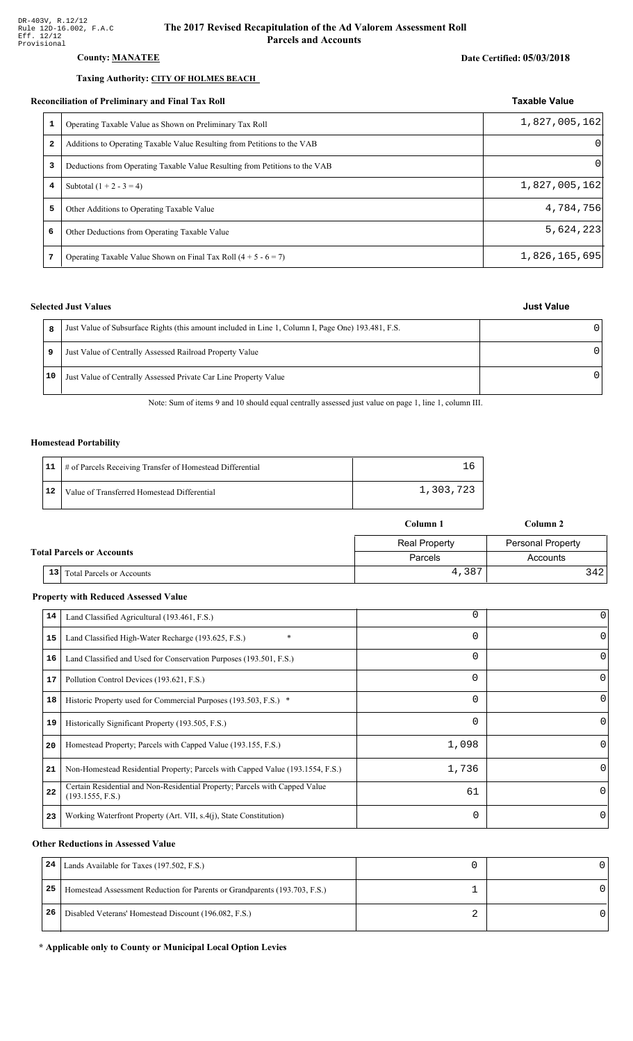### **County: MANATEE**

#### Taxing Authority: CITY OF HOLMES BEACH

#### Reconciliation of Preliminary and Final Tax Roll

|   | conciliation of Preliminary and Final Tax Roll                              | <b>Taxable Value</b> |
|---|-----------------------------------------------------------------------------|----------------------|
| 1 | Operating Taxable Value as Shown on Preliminary Tax Roll                    | 1,827,005,162        |
| 2 | Additions to Operating Taxable Value Resulting from Petitions to the VAB    | $\Omega$             |
| 3 | Deductions from Operating Taxable Value Resulting from Petitions to the VAB | $\Omega$             |
| 4 | Subtotal $(1 + 2 - 3 = 4)$                                                  | 1,827,005,162        |
| 5 | Other Additions to Operating Taxable Value                                  | 4,784,756            |
| 6 | Other Deductions from Operating Taxable Value                               | 5,624,223            |
| 7 | Operating Taxable Value Shown on Final Tax Roll $(4 + 5 - 6 = 7)$           | 1,826,165,695        |

#### **Selected Just Values**

|    | Just Value of Subsurface Rights (this amount included in Line 1, Column I, Page One) 193.481, F.S. |  |
|----|----------------------------------------------------------------------------------------------------|--|
| 9  | Just Value of Centrally Assessed Railroad Property Value                                           |  |
| 10 | Just Value of Centrally Assessed Private Car Line Property Value                                   |  |

Note: Sum of items 9 and 10 should equal centrally assessed just value on page 1, line 1, column III.

#### **Homestead Portability**

|    | 11   # of Parcels Receiving Transfer of Homestead Differential |           |
|----|----------------------------------------------------------------|-----------|
| 12 | Value of Transferred Homestead Differential                    | 1,303,723 |

|                                  |                                                     | Column 1             | Column 2                 |
|----------------------------------|-----------------------------------------------------|----------------------|--------------------------|
|                                  |                                                     | <b>Real Property</b> | <b>Personal Property</b> |
| <b>Total Parcels or Accounts</b> |                                                     | Parcels              | Accounts                 |
|                                  | 13 <sup>1</sup><br><b>Total Parcels or Accounts</b> | 4,387                | 3421                     |

#### **Property with Reduced Assessed Value**

| 0<br>$\Omega$<br>0 |
|--------------------|
|                    |
|                    |
|                    |
|                    |
|                    |
| 0                  |
| $\left( \right)$   |
| 0                  |
| $\Omega$           |
| 0                  |
|                    |

#### **Other Reductions in Assessed Value**

| 24 | Lands Available for Taxes (197.502, F.S.)                                  |  |
|----|----------------------------------------------------------------------------|--|
| 25 | Homestead Assessment Reduction for Parents or Grandparents (193.703, F.S.) |  |
| 26 | Disabled Veterans' Homestead Discount (196.082, F.S.)                      |  |

\* Applicable only to County or Municipal Local Option Levies

# **Just Value**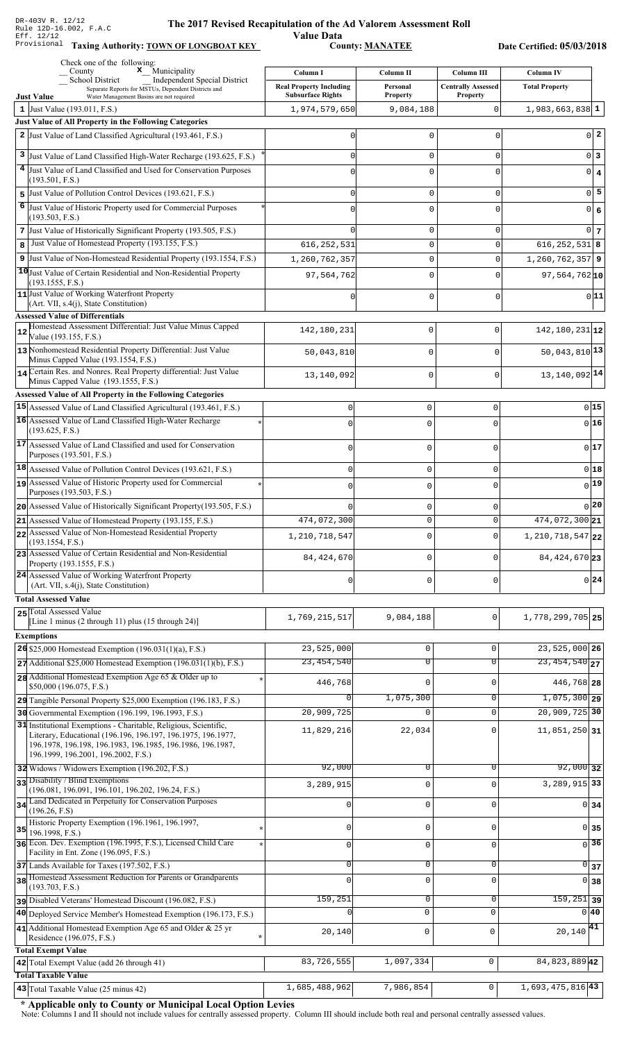Value Data<br>
County: <u>MANATEE</u>

Taxing Authority: **TOWN OF LONGBOAT KEY** County: **MANATEE** 

Date Certified: 05/03/2018

|    | Check one of the following:<br>$\boldsymbol{x}$ Municipality<br>County                                                                   |                                            |                       |                                         |                                           |
|----|------------------------------------------------------------------------------------------------------------------------------------------|--------------------------------------------|-----------------------|-----------------------------------------|-------------------------------------------|
|    | School District<br>Independent Special District                                                                                          | Column I<br><b>Real Property Including</b> | Column II<br>Personal | Column III<br><b>Centrally Assessed</b> | <b>Column IV</b><br><b>Total Property</b> |
|    | Separate Reports for MSTUs, Dependent Districts and<br><b>Just Value</b><br>Water Management Basins are not required                     | <b>Subsurface Rights</b>                   | <b>Property</b>       | <b>Property</b>                         |                                           |
|    | 1 Just Value $(193.011, F.S.)$                                                                                                           | 1,974,579,650                              | 9,084,188             | $\mathbf 0$                             | $1,983,663,838$ 1                         |
|    | Just Value of All Property in the Following Categories                                                                                   |                                            |                       |                                         |                                           |
|    | 2 Just Value of Land Classified Agricultural (193.461, F.S.)                                                                             |                                            | 0                     | 0                                       | $0$   2                                   |
| 3  | Just Value of Land Classified High-Water Recharge (193.625, F.S.)                                                                        |                                            | $\mathbf 0$           | 0                                       | 0 3                                       |
|    | 4 Just Value of Land Classified and Used for Conservation Purposes                                                                       |                                            | 0                     | 0                                       | $0 \mid 4$                                |
| 5  | (193.501, F.S.)<br>Just Value of Pollution Control Devices (193.621, F.S.)                                                               |                                            | $\mathbf 0$           | 0                                       | $\overline{0}$ 5                          |
| 6  | Just Value of Historic Property used for Commercial Purposes                                                                             |                                            | 0                     | 0                                       | 0 6                                       |
|    | (193.503, F.S.)                                                                                                                          |                                            |                       |                                         |                                           |
|    | 7 Just Value of Historically Significant Property (193.505, F.S.)                                                                        |                                            | 0                     | 0                                       | 0 <sub>7</sub>                            |
| 8  | Just Value of Homestead Property (193.155, F.S.)                                                                                         | 616, 252, 531                              | $\mathsf 0$           | 0                                       | $616, 252, 531$ 8                         |
|    | 9 Just Value of Non-Homestead Residential Property (193.1554, F.S.)<br>10 Just Value of Certain Residential and Non-Residential Property | 1,260,762,357                              | 0                     | 0                                       | $1,260,762,357$ 9                         |
|    | (193.1555, F.S.)                                                                                                                         | 97,564,762                                 | 0                     | 0                                       | $97,564,762$ <sup>10</sup>                |
|    | 11 Just Value of Working Waterfront Property                                                                                             |                                            | 0                     | 0                                       | 0 11                                      |
|    | (Art. VII, s.4(j), State Constitution)<br><b>Assessed Value of Differentials</b>                                                         |                                            |                       |                                         |                                           |
|    | Homestead Assessment Differential: Just Value Minus Capped                                                                               | 142,180,231                                | 0                     | $\mathbf 0$                             | $142, 180, 231$ 12                        |
|    | Value (193.155, F.S.)                                                                                                                    |                                            |                       |                                         |                                           |
|    | 13 Nonhomestead Residential Property Differential: Just Value<br>Minus Capped Value (193.1554, F.S.)                                     | 50,043,810                                 | $\mathsf 0$           | $\mathbf 0$                             | $50,043,810$ <sup>13</sup>                |
|    | 14 Certain Res. and Nonres. Real Property differential: Just Value                                                                       | 13,140,092                                 | 0                     | $\Omega$                                | 13, 140, 092 14                           |
|    | Minus Capped Value (193.1555, F.S.)<br><b>Assessed Value of All Property in the Following Categories</b>                                 |                                            |                       |                                         |                                           |
|    | 15 Assessed Value of Land Classified Agricultural (193.461, F.S.)                                                                        | 0                                          | $\mathbf 0$           | 0                                       | 0 15                                      |
|    | 16 Assessed Value of Land Classified High-Water Recharge                                                                                 | $\Omega$                                   | $\mathbf 0$           | $\Omega$                                | 0 16                                      |
|    | (193.625, F.S.)                                                                                                                          |                                            |                       |                                         |                                           |
|    | 17 Assessed Value of Land Classified and used for Conservation<br>Purposes (193.501, F.S.)                                               | $\Omega$                                   | $\mathbf 0$           | 0                                       | 0 17                                      |
|    | $ 18 $ Assessed Value of Pollution Control Devices (193.621, F.S.)                                                                       | 0                                          | $\mathbf 0$           | $\Omega$                                | $0$ 18                                    |
|    | 19 Assessed Value of Historic Property used for Commercial                                                                               | $\Omega$                                   | $\mathbf 0$           | $\Omega$                                | 0 19                                      |
|    | Purposes (193.503, F.S.)                                                                                                                 |                                            |                       |                                         |                                           |
|    | 20 Assessed Value of Historically Significant Property (193.505, F.S.)                                                                   |                                            | 0                     | O                                       | 0 20                                      |
|    | 21 Assessed Value of Homestead Property (193.155, F.S.)<br>22 Assessed Value of Non-Homestead Residential Property                       | 474,072,300                                | U                     | U                                       | 474,072,300 21                            |
|    | (193.1554, F.S.)                                                                                                                         | 1,210,718,547                              | $\Omega$              | $\Omega$                                | $1,210,718,547$ 22                        |
|    | 23 Assessed Value of Certain Residential and Non-Residential<br>Property (193.1555, F.S.)                                                | 84, 424, 670                               | $\mathbf 0$           | 0                                       | 84, 424, 670 23                           |
|    | 24 Assessed Value of Working Waterfront Property                                                                                         |                                            |                       |                                         |                                           |
|    | (Art. VII, s.4(j), State Constitution)                                                                                                   | $\mathbf 0$                                | $\mathbf 0$           | 0                                       | $0\,$ 24                                  |
|    | <b>Total Assessed Value</b>                                                                                                              |                                            |                       |                                         |                                           |
|    | 25 Total Assessed Value<br>[Line 1 minus (2 through 11) plus (15 through 24)]                                                            | 1,769,215,517                              | 9,084,188             | 0                                       | 1,778,299,705 25                          |
|    | <b>Exemptions</b>                                                                                                                        |                                            |                       |                                         |                                           |
|    | 26 \$25,000 Homestead Exemption $(196.031(1)(a), F.S.)$                                                                                  | 23,525,000                                 | $\mathsf 0$           | 0                                       | $23,525,000$ 26                           |
|    | $27$ Additional \$25,000 Homestead Exemption (196.031(1)(b), F.S.)                                                                       | 23,454,540                                 | $\overline{0}$        | $\overline{0}$                          | $\overline{23,454,540}$ 27                |
|    | 28 Additional Homestead Exemption Age 65 & Older up to<br>\$50,000 (196.075, F.S.)                                                       | 446,768                                    | 0                     | $\Omega$                                | 446,768 28                                |
|    | 29 Tangible Personal Property \$25,000 Exemption (196.183, F.S.)                                                                         |                                            | 1,075,300             | 0                                       | $1,075,300$ 29                            |
|    | 30 Governmental Exemption (196.199, 196.1993, F.S.)                                                                                      | 20,909,725                                 | $\Omega$              | $\mathbf 0$                             | 20,909,725 30                             |
|    | 31 Institutional Exemptions - Charitable, Religious, Scientific,                                                                         | 11,829,216                                 | 22,034                | 0                                       | $11,851,250$ 31                           |
|    | Literary, Educational (196.196, 196.197, 196.1975, 196.1977,<br>196.1978, 196.198, 196.1983, 196.1985, 196.1986, 196.1987,               |                                            |                       |                                         |                                           |
|    | 196.1999, 196.2001, 196.2002, F.S.)                                                                                                      |                                            |                       |                                         |                                           |
|    | 32 Widows / Widowers Exemption (196.202, F.S.)                                                                                           | 92,000                                     | 0                     | 0                                       | $92,000$ 32                               |
|    | 33 Disability / Blind Exemptions<br>(196.081, 196.091, 196.101, 196.202, 196.24, F.S.)                                                   | 3,289,915                                  | $\mathbf 0$           | $\Omega$                                | 3, 289, 915 33                            |
|    | 34 Land Dedicated in Perpetuity for Conservation Purposes                                                                                | 0                                          | $\mathsf 0$           | 0                                       | 0 <sub>34</sub>                           |
|    | (196.26, F.S)<br>Historic Property Exemption (196.1961, 196.1997,                                                                        |                                            |                       |                                         |                                           |
| 35 | 196.1998, F.S.)                                                                                                                          | 0                                          | $\mathbf 0$           | 0                                       | $0 \overline{\smash{\big)}\ 35}$          |
|    | 36 Econ. Dev. Exemption (196.1995, F.S.), Licensed Child Care<br>Facility in Ent. Zone (196.095, F.S.)                                   | $\mathbf 0$                                | $\mathbf 0$           | $\Omega$                                | $\sqrt{36}$                               |
|    | 37 Lands Available for Taxes (197.502, F.S.)                                                                                             | 0                                          | $\mathsf 0$           | 0                                       | $\Omega$<br>37                            |
|    | 38 Homestead Assessment Reduction for Parents or Grandparents                                                                            | $\Omega$                                   | $\mathbf 0$           | $\Omega$                                | 38<br>$\Omega$                            |
|    | (193.703, F.S.)<br>pisabled Veterans' Homestead Discount (196.082, F.S.)                                                                 | 159,251                                    | $\mathbf 0$           | 0                                       | $\overline{159,251}$ 39                   |
|    | 40 Deployed Service Member's Homestead Exemption (196.173, F.S.)                                                                         |                                            | $\mathbf 0$           | $\Omega$                                | 0 40                                      |
|    | 41 Additional Homestead Exemption Age 65 and Older & 25 yr                                                                               | 20,140                                     | $\mathsf 0$           | $\mathbf 0$                             | $20,140$ <sup>41</sup>                    |
|    | Residence (196.075, F.S.)                                                                                                                |                                            |                       |                                         |                                           |
|    | <b>Total Exempt Value</b><br>42 Total Exempt Value (add 26 through 41)                                                                   | 83,726,555                                 | 1,097,334             | $\mathsf 0$                             | 84, 823, 889 42                           |
|    | <b>Total Taxable Value</b>                                                                                                               |                                            |                       |                                         |                                           |
|    | 43 Total Taxable Value (25 minus 42)                                                                                                     | 1,685,488,962                              | 7,986,854             | 0                                       | $1,693,475,816$ <sup>43</sup>             |

\* Applicable only to County or Municipal Local Option Levies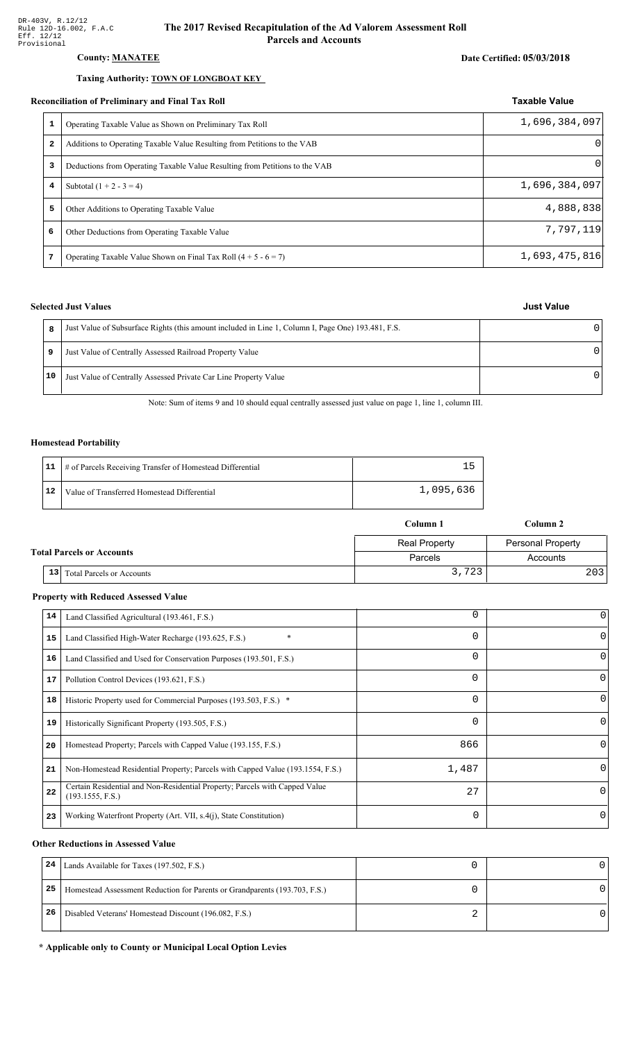#### **County: MANATEE**

#### Taxing Authority: TOWN OF LONGBOAT KEY

#### **Reconciliation of Preliminary and Final Tax Roll**

| 1<br>Operating Taxable Value as Shown on Preliminary Tax Roll<br>2<br>Additions to Operating Taxable Value Resulting from Petitions to the VAB<br>3<br>Deductions from Operating Taxable Value Resulting from Petitions to the VAB<br>Subtotal $(1 + 2 - 3 = 4)$<br>4<br>5<br>Other Additions to Operating Taxable Value<br>6<br>Other Deductions from Operating Taxable Value<br>Operating Taxable Value Shown on Final Tax Roll $(4 + 5 - 6 = 7)$<br>7 |  |               |
|----------------------------------------------------------------------------------------------------------------------------------------------------------------------------------------------------------------------------------------------------------------------------------------------------------------------------------------------------------------------------------------------------------------------------------------------------------|--|---------------|
|                                                                                                                                                                                                                                                                                                                                                                                                                                                          |  | 1,696,384,097 |
|                                                                                                                                                                                                                                                                                                                                                                                                                                                          |  | $\Omega$      |
|                                                                                                                                                                                                                                                                                                                                                                                                                                                          |  | $\Omega$      |
|                                                                                                                                                                                                                                                                                                                                                                                                                                                          |  | 1,696,384,097 |
|                                                                                                                                                                                                                                                                                                                                                                                                                                                          |  | 4,888,838     |
|                                                                                                                                                                                                                                                                                                                                                                                                                                                          |  | 7,797,119     |
|                                                                                                                                                                                                                                                                                                                                                                                                                                                          |  | 1,693,475,816 |

### **Selected Just Values**

|    | Just Value of Subsurface Rights (this amount included in Line 1, Column I, Page One) 193.481, F.S. |   |
|----|----------------------------------------------------------------------------------------------------|---|
| 9  | Just Value of Centrally Assessed Railroad Property Value                                           | ∩ |
| 10 | Just Value of Centrally Assessed Private Car Line Property Value                                   | n |

Note: Sum of items 9 and 10 should equal centrally assessed just value on page 1, line 1, column III.

#### **Homestead Portability**

|    | 11   # of Parcels Receiving Transfer of Homestead Differential |           |
|----|----------------------------------------------------------------|-----------|
| 12 | Value of Transferred Homestead Differential                    | 1,095,636 |

|                                  |                                                     | Column 1             | Column 2                 |
|----------------------------------|-----------------------------------------------------|----------------------|--------------------------|
|                                  |                                                     | <b>Real Property</b> | <b>Personal Property</b> |
| <b>Total Parcels or Accounts</b> |                                                     | Parcels              | Accounts                 |
|                                  | 13 <sup>1</sup><br><b>Total Parcels or Accounts</b> | 3,723                | 2031                     |

#### **Property with Reduced Assessed Value**

| 0        | 0        | Land Classified Agricultural (193.461, F.S.)                                                    | 14 |
|----------|----------|-------------------------------------------------------------------------------------------------|----|
| $\Omega$ | 0        | Land Classified High-Water Recharge (193.625, F.S.)<br>$\ast$                                   | 15 |
|          | 0        | Land Classified and Used for Conservation Purposes (193.501, F.S.)                              | 16 |
| 0        | 0        | Pollution Control Devices (193.621, F.S.)                                                       | 17 |
|          | 0        | Historic Property used for Commercial Purposes (193.503, F.S.) *                                | 18 |
| 0        | 0        | Historically Significant Property (193.505, F.S.)                                               | 19 |
| 0        | 866      | Homestead Property; Parcels with Capped Value (193.155, F.S.)                                   | 20 |
| 0        | 1,487    | Non-Homestead Residential Property; Parcels with Capped Value (193.1554, F.S.)                  | 21 |
| $\Omega$ | 27       | Certain Residential and Non-Residential Property; Parcels with Capped Value<br>(193.1555, F.S.) | 22 |
| 0        | $\Omega$ | Working Waterfront Property (Art. VII, s.4(j), State Constitution)                              | 23 |
|          |          |                                                                                                 |    |

#### **Other Reductions in Assessed Value**

| 24 | Lands Available for Taxes (197.502, F.S.)                                  |  |
|----|----------------------------------------------------------------------------|--|
| 25 | Homestead Assessment Reduction for Parents or Grandparents (193.703, F.S.) |  |
| 26 | Disabled Veterans' Homestead Discount (196.082, F.S.)                      |  |

#### \* Applicable only to County or Municipal Local Option Levies

**Just Value** 

**Taxable Value**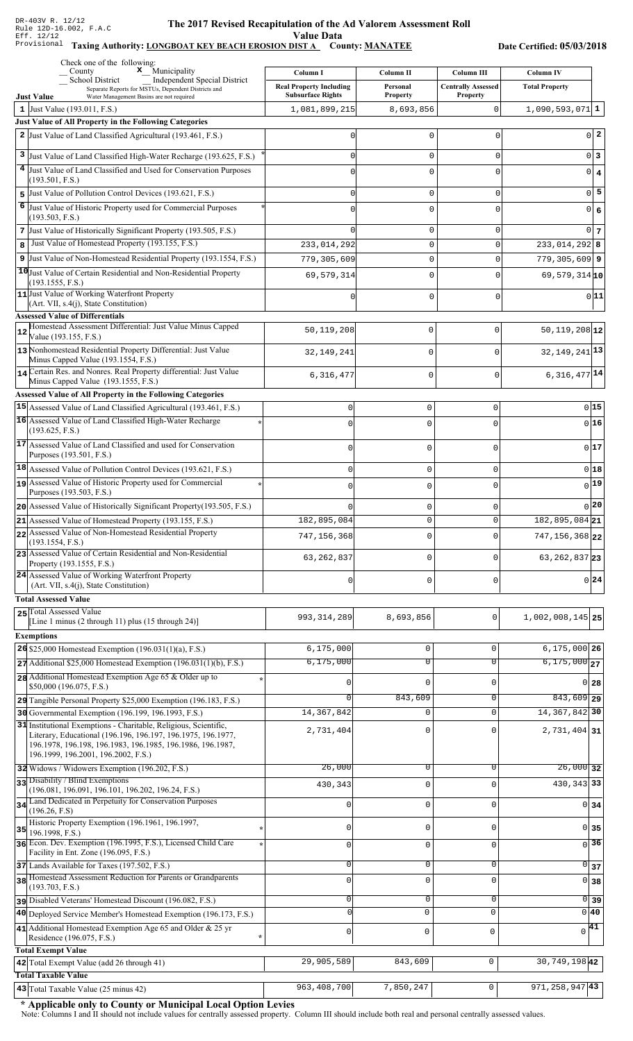#### The 2017 Revised Recapitulation of th The 2017 Revised Recapitulation of the Ad Valorem Assessment Roll **Value Data**

#### Taxing Authority: LONGBOAT KEY BEACH EROSION DIST A County: MANATEE

Date Certified: 05/03/2018

|    | Check one of the following:<br>$\boldsymbol{\mathsf{x}}$ Municipality<br>County                                                  | Column I                       | Column II      | Column III                | <b>Column IV</b>                   |
|----|----------------------------------------------------------------------------------------------------------------------------------|--------------------------------|----------------|---------------------------|------------------------------------|
|    | School District<br>Independent Special District<br>Separate Reports for MSTUs, Dependent Districts and                           | <b>Real Property Including</b> | Personal       | <b>Centrally Assessed</b> | <b>Total Property</b>              |
|    | Water Management Basins are not required<br><b>Just Value</b>                                                                    | <b>Subsurface Rights</b>       | Property       | <b>Property</b>           |                                    |
|    | 1 Just Value $(193.011, F.S.)$<br>Just Value of All Property in the Following Categories                                         | 1,081,899,215                  | 8,693,856      | 0                         | $1,090,593,071$ 1                  |
|    | 2 Just Value of Land Classified Agricultural (193.461, F.S.)                                                                     | 0                              | 0              | 0                         | $0\vert 2$                         |
|    |                                                                                                                                  |                                |                |                           |                                    |
|    | 3 Just Value of Land Classified High-Water Recharge (193.625, F.S.)                                                              | U                              | 0              | 0                         | $0\vert 3$                         |
|    | 4 Just Value of Land Classified and Used for Conservation Purposes<br>(193.501, F.S.)                                            |                                | 0              | 0                         | $0 \mid 4$                         |
| 5  | Just Value of Pollution Control Devices (193.621, F.S.)                                                                          | U                              | 0              | 0                         | $0\overline{5}$                    |
| 6  | Just Value of Historic Property used for Commercial Purposes                                                                     |                                | 0              | 0                         | 0 6                                |
|    | (193.503, F.S.)                                                                                                                  |                                |                |                           |                                    |
|    | 7 Just Value of Historically Significant Property (193.505, F.S.)<br>Just Value of Homestead Property (193.155, F.S.)            | U                              | 0<br>0         | 0<br>0                    | 0 <sub>7</sub>                     |
| 8  | 9 Just Value of Non-Homestead Residential Property (193.1554, F.S.)                                                              | 233,014,292                    | 0              | 0                         | $233,014,292$ 8<br>$779,305,609$ 9 |
|    | 10 Just Value of Certain Residential and Non-Residential Property                                                                | 779,305,609                    |                |                           |                                    |
|    | (193.1555, F.S.)                                                                                                                 | 69,579,314                     | 0              | 0                         | 69,579,314 10                      |
|    | 11 Just Value of Working Waterfront Property<br>(Art. VII, s.4(j), State Constitution)                                           |                                | 0              | 0                         | 0 11                               |
|    | <b>Assessed Value of Differentials</b>                                                                                           |                                |                |                           |                                    |
| 12 | Homestead Assessment Differential: Just Value Minus Capped                                                                       | 50,119,208                     | $\mathbf 0$    | $\Omega$                  | $50, 119, 208$ <sup>12</sup>       |
|    | Value (193.155, F.S.)                                                                                                            |                                |                |                           |                                    |
|    | 13 Nonhomestead Residential Property Differential: Just Value<br>Minus Capped Value (193.1554, F.S.)                             | 32,149,241                     | 0              | $\Omega$                  | 32, 149, 241 13                    |
|    | 14 Certain Res. and Nonres. Real Property differential: Just Value<br>Minus Capped Value (193.1555, F.S.)                        | 6, 316, 477                    | 0              | $\mathbf 0$               | $6,316,477$ <sup>14</sup>          |
|    | Assessed Value of All Property in the Following Categories                                                                       |                                |                |                           |                                    |
|    | 15 Assessed Value of Land Classified Agricultural (193.461, F.S.)                                                                | 0                              | $\mathbf 0$    | $\mathsf{O}\xspace$       | 015                                |
|    | 16 Assessed Value of Land Classified High-Water Recharge                                                                         | $\cap$                         | $\Omega$       | 0                         | $0$ 16                             |
|    | (193.625, F.S.)                                                                                                                  |                                |                |                           |                                    |
|    | 17 Assessed Value of Land Classified and used for Conservation<br>Purposes (193.501, F.S.)                                       | $\Omega$                       | $\mathbf 0$    | 0                         | 017                                |
|    | $ 18 $ Assessed Value of Pollution Control Devices (193.621, F.S.)                                                               | $\mathbf 0$                    | $\mathbf 0$    | $\mathsf 0$               | $0$ 18                             |
|    | 19 Assessed Value of Historic Property used for Commercial                                                                       |                                |                | 0                         | $_{0} 19$                          |
|    | Purposes (193.503, F.S.)                                                                                                         | $\Omega$                       | $\mathbf 0$    |                           |                                    |
|    | 20 Assessed Value of Historically Significant Property (193.505, F.S.)                                                           |                                | $\mathbf 0$    | 0                         | 0 20                               |
|    | 21 Assessed Value of Homestead Property (193.155, F.S.)                                                                          | 182,895,084                    | $\Omega$       | $\mathbf 0$               | 182,895,084 21                     |
|    | 22 Assessed Value of Non-Homestead Residential Property<br>(193.1554, F.S.)                                                      | 747, 156, 368                  | $\mathbf 0$    | $\Omega$                  | 747, 156, 368 22                   |
|    | 23 Assessed Value of Certain Residential and Non-Residential<br>Property (193.1555, F.S.)                                        | 63, 262, 837                   | $\mathbf 0$    | O                         | 63, 262, 837 23                    |
|    | 24 Assessed Value of Working Waterfront Property<br>(Art. VII, s.4(j), State Constitution)                                       | $\mathbf 0$                    | $\mathbf 0$    | $\mathbf 0$               | $0\vert 24$                        |
|    | <b>Total Assessed Value</b>                                                                                                      |                                |                |                           |                                    |
|    | 25 Total Assessed Value                                                                                                          |                                |                |                           |                                    |
|    | [Line 1 minus (2 through 11) plus $(15 \text{ through } 24)$ ]                                                                   | 993, 314, 289                  | 8,693,856      | $\mathbf 0$               | $1,002,008,145$ 25                 |
|    | <b>Exemptions</b>                                                                                                                |                                |                |                           |                                    |
|    | 26 \$25,000 Homestead Exemption $(196.031(1)(a), F.S.)$                                                                          | 6, 175, 000                    | $\mathbf 0$    | 0                         | $6, 175, 000$ 26                   |
|    | $27$ Additional \$25,000 Homestead Exemption (196.031(1)(b), F.S.)                                                               | 6, 175, 000                    | $\overline{0}$ | 0                         | $6,175,000$ <sub>27</sub>          |
|    | 28 Additional Homestead Exemption Age 65 & Older up to<br>\$50,000 (196.075, F.S.)                                               |                                | $\Omega$       | O                         | $0$ 28                             |
|    | 29 Tangible Personal Property \$25,000 Exemption (196.183, F.S.)                                                                 |                                | 843,609        | 0                         | $843,609$ 29                       |
|    | 30 Governmental Exemption (196.199, 196.1993, F.S.)                                                                              | 14, 367, 842                   | 0              | $\Omega$                  | 14, 367, 842 30                    |
|    | 31 Institutional Exemptions - Charitable, Religious, Scientific,<br>Literary, Educational (196.196, 196.197, 196.1975, 196.1977, | 2,731,404                      | 0              |                           | 2,731,404 31                       |
|    | 196.1978, 196.198, 196.1983, 196.1985, 196.1986, 196.1987,                                                                       |                                |                |                           |                                    |
|    | 196.1999, 196.2001, 196.2002, F.S.)                                                                                              |                                |                |                           |                                    |
|    | 32 Widows / Widowers Exemption (196.202, F.S.)<br>33 Disability / Blind Exemptions                                               | 26,000                         | $\overline{0}$ | 0                         | $26,000$ 32                        |
|    | (196.081, 196.091, 196.101, 196.202, 196.24, F.S.)                                                                               | 430,343                        | $\mathbf 0$    | $\Omega$                  | 430, 343 33                        |
| 34 | Land Dedicated in Perpetuity for Conservation Purposes<br>(196.26, F.S)                                                          | 0                              | $\mathbf 0$    | O                         | $0 \overline{\smash{34}}$          |
|    | Historic Property Exemption (196.1961, 196.1997,                                                                                 |                                |                |                           |                                    |
| 35 | 196.1998, F.S.)<br>36 Econ. Dev. Exemption (196.1995, F.S.), Licensed Child Care                                                 | 0                              | $\mathbf 0$    | 0                         | 0 35                               |
|    | Facility in Ent. Zone (196.095, F.S.)                                                                                            | 0                              | $\mathsf 0$    | 0                         | $\overline{0}$ 36                  |
|    | 37 Lands Available for Taxes (197.502, F.S.)                                                                                     | 0                              | $\mathbf 0$    | 0                         | 0 <br>37                           |
|    | 38 Homestead Assessment Reduction for Parents or Grandparents<br>(193.703, F.S.)                                                 | $\mathbf 0$                    | $\mathbf 0$    | $\Omega$                  | $\overline{0}$<br>38               |
|    | pisabled Veterans' Homestead Discount (196.082, F.S.)                                                                            | 0                              | $\overline{0}$ | 0                         | $\overline{0}$ 39                  |
|    | 40 Deployed Service Member's Homestead Exemption (196.173, F.S.)                                                                 | $\Omega$                       | $\mathbf 0$    | $\mathbf 0$               | 0 40                               |
|    | 41 Additional Homestead Exemption Age 65 and Older & 25 yr                                                                       | $\mathsf 0$                    | $\mathsf 0$    | $\mathbf 0$               | $\sqrt{41}$                        |
|    | Residence (196.075, F.S.)<br>$\star$                                                                                             |                                |                |                           |                                    |
|    | <b>Total Exempt Value</b><br>42 Total Exempt Value (add 26 through 41)                                                           | 29,905,589                     | 843,609        | $\mathsf 0$               | 30, 749, 19842                     |
|    | <b>Total Taxable Value</b>                                                                                                       |                                |                |                           |                                    |
|    | 43 Total Taxable Value (25 minus 42)                                                                                             | 963,408,700                    | 7,850,247      | 0                         | $971, 258, 947$ 43                 |

\* Applicable only to County or Municipal Local Option Levies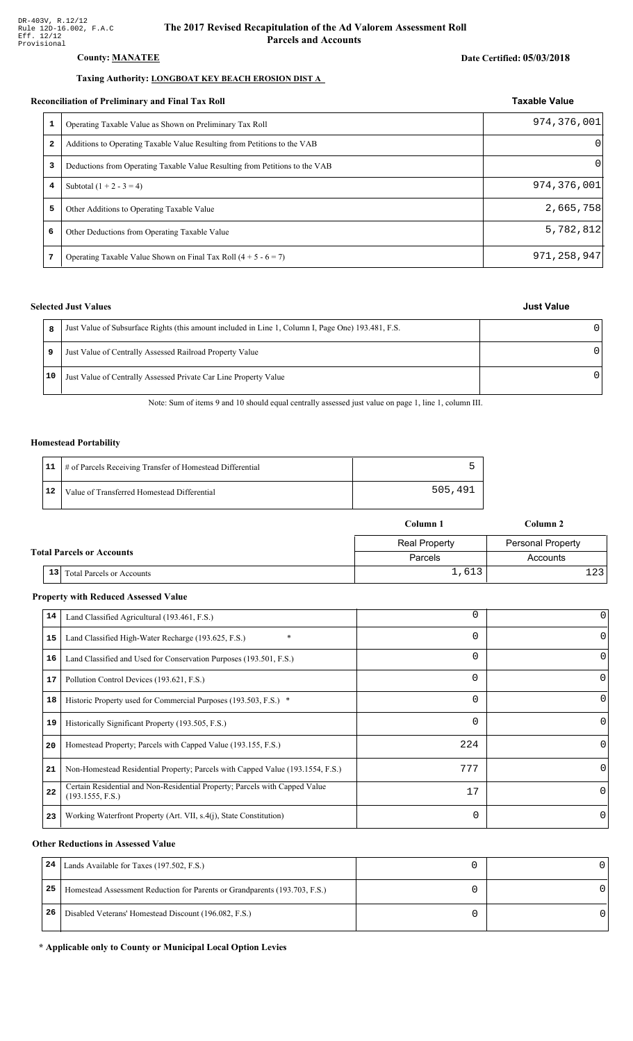#### **County: MANATEE**

#### Taxing Authority: LONGBOAT KEY BEACH EROSION DIST A

#### Reconciliation of Preliminary and Final Tax Roll

|              | Operating Taxable Value as Shown on Preliminary Tax Roll                    | 974, 376, 001 |
|--------------|-----------------------------------------------------------------------------|---------------|
| $\mathbf{z}$ | Additions to Operating Taxable Value Resulting from Petitions to the VAB    |               |
| 3            | Deductions from Operating Taxable Value Resulting from Petitions to the VAB | $\Omega$      |
| 4            | Subtotal $(1 + 2 - 3 = 4)$                                                  | 974, 376, 001 |
| 5            | Other Additions to Operating Taxable Value                                  | 2,665,758     |
| 6            | Other Deductions from Operating Taxable Value                               | 5,782,812     |
| 7            | Operating Taxable Value Shown on Final Tax Roll $(4 + 5 - 6 = 7)$           | 971, 258, 947 |

### **Selected Just Values**

| 8  | Just Value of Subsurface Rights (this amount included in Line 1, Column I, Page One) 193.481, F.S. |  |
|----|----------------------------------------------------------------------------------------------------|--|
| 9  | Just Value of Centrally Assessed Railroad Property Value                                           |  |
| 10 | Just Value of Centrally Assessed Private Car Line Property Value                                   |  |

Note: Sum of items 9 and 10 should equal centrally assessed just value on page 1, line 1, column III.

#### **Homestead Portability**

|    | 11   # of Parcels Receiving Transfer of Homestead Differential |         |
|----|----------------------------------------------------------------|---------|
| 12 | Value of Transferred Homestead Differential                    | 505,491 |

|  |                                                     | Column 1             | Column 2                 |
|--|-----------------------------------------------------|----------------------|--------------------------|
|  |                                                     | <b>Real Property</b> | <b>Personal Property</b> |
|  | <b>Total Parcels or Accounts</b>                    | Parcels              | Accounts                 |
|  | 13 <sup>1</sup><br><b>Total Parcels or Accounts</b> | 1,613                |                          |

#### **Property with Reduced Assessed Value**

| 14 | Land Classified Agricultural (193.461, F.S.)                                                    | 0        | 0        |
|----|-------------------------------------------------------------------------------------------------|----------|----------|
| 15 | Land Classified High-Water Recharge (193.625, F.S.)                                             | $\Omega$ | $\Omega$ |
| 16 | Land Classified and Used for Conservation Purposes (193.501, F.S.)                              | 0        |          |
| 17 | Pollution Control Devices (193.621, F.S.)                                                       | 0        | 0        |
| 18 | Historic Property used for Commercial Purposes (193.503, F.S.) *                                | 0        |          |
| 19 | Historically Significant Property (193.505, F.S.)                                               | $\Omega$ | 0        |
| 20 | Homestead Property; Parcels with Capped Value (193.155, F.S.)                                   | 224      | 0        |
| 21 | Non-Homestead Residential Property; Parcels with Capped Value (193.1554, F.S.)                  | 777      | 0        |
| 22 | Certain Residential and Non-Residential Property; Parcels with Capped Value<br>(193.1555, F.S.) | 17       | $\Omega$ |
| 23 | Working Waterfront Property (Art. VII, s.4(j), State Constitution)                              | $\Omega$ | 0        |

#### **Other Reductions in Assessed Value**

| 24 | Lands Available for Taxes (197.502, F.S.)                                  |  |
|----|----------------------------------------------------------------------------|--|
| 25 | Homestead Assessment Reduction for Parents or Grandparents (193.703, F.S.) |  |
| 26 | Disabled Veterans' Homestead Discount (196.082, F.S.)                      |  |

#### \* Applicable only to County or Municipal Local Option Levies

#### **Taxable Value**

## **Just Value**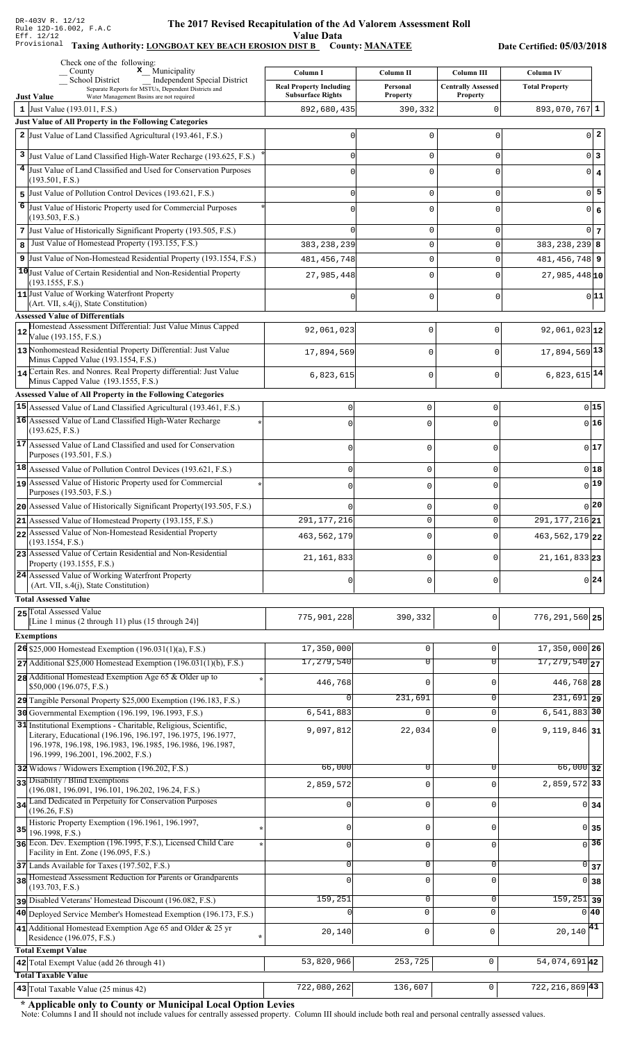#### The 2017 Revised Recapitulation of th The 2017 Revised Recapitulation of the Ad Valorem Assessment Roll **Value Data**

#### Taxing Authority: LONGBOAT KEY BEACH EROSION DIST B County: MANATEE

Date Certified: 05/03/2018

|    | Check one of the following:<br>x_Municipality<br>County                                                                 | Column I                       | Column II       | <b>Column III</b>         | <b>Column IV</b>                          |                 |
|----|-------------------------------------------------------------------------------------------------------------------------|--------------------------------|-----------------|---------------------------|-------------------------------------------|-----------------|
|    | School District<br><b>Independent Special District</b><br>Separate Reports for MSTUs, Dependent Districts and           | <b>Real Property Including</b> | Personal        | <b>Centrally Assessed</b> | <b>Total Property</b>                     |                 |
|    | Water Management Basins are not required<br><b>Just Value</b>                                                           | <b>Subsurface Rights</b>       | <b>Property</b> | <b>Property</b>           |                                           |                 |
|    | 1 Just Value (193.011, F.S.)                                                                                            | 892,680,435                    | 390,332         | $\Omega$                  | $893,070,767$ 1                           |                 |
|    | Just Value of All Property in the Following Categories<br>2 Just Value of Land Classified Agricultural (193.461, F.S.)  | ი                              | 0               | 0                         |                                           | $0\vert 2$      |
|    |                                                                                                                         |                                |                 |                           |                                           |                 |
| 3  | Just Value of Land Classified High-Water Recharge (193.625, F.S.)                                                       | U                              | $\mathsf 0$     | 0                         |                                           | 0 3             |
|    | 4 Just Value of Land Classified and Used for Conservation Purposes<br>(193.501, F.S.)                                   |                                | $\mathbf 0$     | $\Omega$                  |                                           | $0 \mid 4$      |
|    | $\overline{5}$ Just Value of Pollution Control Devices (193.621, F.S.)                                                  | U                              | $\mathsf 0$     | $\mathbf 0$               |                                           | $0\overline{5}$ |
| 6  | Just Value of Historic Property used for Commercial Purposes                                                            |                                | $\mathbf 0$     | $\Omega$                  | $\circ$                                   | $\epsilon$      |
|    | (193.503, F.S.)                                                                                                         |                                |                 |                           |                                           |                 |
|    | 7 Just Value of Historically Significant Property (193.505, F.S.)                                                       |                                | 0               | 0                         |                                           | $0\vert 7$      |
| 8  | Just Value of Homestead Property (193.155, F.S.)                                                                        | 383, 238, 239                  | $\mathsf 0$     | $\mathbf 0$               | $383, 238, 239$ 8                         |                 |
|    | 9 Just Value of Non-Homestead Residential Property (193.1554, F.S.)                                                     | 481, 456, 748                  | $\mathsf 0$     | $\mathbf 0$               | $481, 456, 748$ 9                         |                 |
|    | 10 Just Value of Certain Residential and Non-Residential Property<br>(193.1555, F.S.)                                   | 27,985,448                     | $\mathsf 0$     | $\Omega$                  | $27,985,448$ <sub>10</sub>                |                 |
|    | 11 Just Value of Working Waterfront Property                                                                            |                                | 0               | 0                         |                                           | 0 11            |
|    | $(Art. VII, s.4(i), State Constitution)$<br><b>Assessed Value of Differentials</b>                                      |                                |                 |                           |                                           |                 |
|    | Homestead Assessment Differential: Just Value Minus Capped                                                              | 92,061,023                     | 0               | $\mathbf 0$               | $92,061,023$ <sub>12</sub>                |                 |
| 12 | Value (193.155, F.S.)                                                                                                   |                                |                 |                           |                                           |                 |
|    | 13 Nonhomestead Residential Property Differential: Just Value<br>Minus Capped Value (193.1554, F.S.)                    | 17,894,569                     | 0               | $\mathbf 0$               | 17,894,569 13                             |                 |
|    | 14 Certain Res. and Nonres. Real Property differential: Just Value                                                      |                                |                 |                           | $6,823,615$ <sup>14</sup>                 |                 |
|    | Minus Capped Value (193.1555, F.S.)                                                                                     | 6,823,615                      | 0               | $\mathbf 0$               |                                           |                 |
|    | Assessed Value of All Property in the Following Categories                                                              |                                |                 |                           |                                           |                 |
|    | 15 Assessed Value of Land Classified Agricultural (193.461, F.S.)                                                       | $\mathbf 0$                    | $\mathbf 0$     | 0                         | $0$ 15                                    |                 |
|    | 16 Assessed Value of Land Classified High-Water Recharge<br>(193.625, F.S.)                                             | $\Omega$                       | $\mathbf 0$     | $\Omega$                  | $0$ 16                                    |                 |
|    | 17 Assessed Value of Land Classified and used for Conservation                                                          | $\Omega$                       | $\mathbf 0$     | 0                         | 0 17                                      |                 |
|    | Purposes (193.501, F.S.)                                                                                                |                                |                 |                           |                                           |                 |
|    | 18 Assessed Value of Pollution Control Devices (193.621, F.S.)                                                          | $\mathbf 0$                    | $\mathbf 0$     | 0                         | 0 18                                      |                 |
|    | 19 Assessed Value of Historic Property used for Commercial                                                              | $\mathbf 0$                    | $\mathbf 0$     | 0                         | $_{0} $ 19                                |                 |
|    | Purposes (193.503, F.S.)<br>20 Assessed Value of Historically Significant Property (193.505, F.S.)                      |                                | $\mathbf 0$     |                           | 20                                        |                 |
|    | 21 Assessed Value of Homestead Property (193.155, F.S.)                                                                 | 291, 177, 216                  | $\mathbf 0$     | 0<br>0                    | $291, 177, 216$ <sub>21</sub>             |                 |
|    | 22 Assessed Value of Non-Homestead Residential Property                                                                 |                                | $\mathbf 0$     | 0                         | 463, 562, 179 22                          |                 |
|    | (193.1554, F.S.)                                                                                                        | 463, 562, 179                  |                 |                           |                                           |                 |
|    | 23 Assessed Value of Certain Residential and Non-Residential<br>Property (193.1555, F.S.)                               | 21, 161, 833                   | $\mathbf 0$     | U                         | $21, 161, 833$ 23                         |                 |
|    | 24 Assessed Value of Working Waterfront Property                                                                        |                                |                 |                           | 0 24                                      |                 |
|    | (Art. VII, s.4(j), State Constitution)                                                                                  | $\mathbf 0$                    | $\mathbf 0$     | 0                         |                                           |                 |
|    | <b>Total Assessed Value</b>                                                                                             |                                |                 |                           |                                           |                 |
|    | 25 Total Assessed Value<br>[Line 1 minus (2 through 11) plus (15 through 24)]                                           | 775,901,228                    | 390,332         | $\mathbf 0$               | $776, 291, 560$ 25                        |                 |
|    | <b>Exemptions</b>                                                                                                       |                                |                 |                           |                                           |                 |
|    | $26$ \$25,000 Homestead Exemption (196.031(1)(a), F.S.)                                                                 | 17,350,000                     | $\mathbf 0$     | 0                         | 17,350,000 26                             |                 |
|    | $27$ Additional \$25,000 Homestead Exemption (196.031(1)(b), F.S.)                                                      | 17,279,540                     | $\overline{0}$  | 0                         | $\overline{17,279,540}_{27}$              |                 |
|    | 28 Additional Homestead Exemption Age 65 & Older up to                                                                  | 446,768                        | $\mathbf 0$     | $\mathbf 0$               | 446,768 28                                |                 |
|    | \$50,000 (196.075, F.S.)                                                                                                |                                |                 |                           |                                           |                 |
|    | 29 Tangible Personal Property \$25,000 Exemption (196.183, F.S.)                                                        |                                | 231,691<br>0    | 0<br>$\mathbf 0$          | $\overline{231,691}$ 29<br>$6,541,883$ 30 |                 |
|    | 30 Governmental Exemption (196.199, 196.1993, F.S.)<br>31 Institutional Exemptions - Charitable, Religious, Scientific, | 6,541,883                      |                 |                           |                                           |                 |
|    | Literary, Educational (196.196, 196.197, 196.1975, 196.1977,                                                            | 9,097,812                      | 22,034          | $\Omega$                  | $9,119,846$ 31                            |                 |
|    | 196.1978, 196.198, 196.1983, 196.1985, 196.1986, 196.1987,<br>196.1999, 196.2001, 196.2002, F.S.)                       |                                |                 |                           |                                           |                 |
|    | 32 Widows / Widowers Exemption (196.202, F.S.)                                                                          | 66,000                         | 0               | $\Omega$                  | $66,000$ 32                               |                 |
|    | 33 Disability / Blind Exemptions                                                                                        | 2,859,572                      | $\mathsf 0$     | $\Omega$                  | 2,859,572 33                              |                 |
|    | (196.081, 196.091, 196.101, 196.202, 196.24, F.S.)                                                                      |                                |                 |                           |                                           |                 |
|    | 34 Land Dedicated in Perpetuity for Conservation Purposes<br>(196.26, F.S)                                              |                                | $\mathsf 0$     | 0                         | $0 \overline{\smash{34}}$                 |                 |
|    | Historic Property Exemption (196.1961, 196.1997,                                                                        | 0                              | $\mathbf 0$     | 0                         | 0 35                                      |                 |
|    | $35$ 196.1998, F.S.)<br>36 Econ. Dev. Exemption (196.1995, F.S.), Licensed Child Care                                   |                                |                 |                           | $\overline{0}$ 36                         |                 |
|    | Facility in Ent. Zone (196.095, F.S.)                                                                                   | 0                              | $\mathsf 0$     | $\mathbf 0$               |                                           |                 |
|    | 37 Lands Available for Taxes (197.502, F.S.)                                                                            | 0                              | $\mathbf 0$     | $\mathsf 0$               | $\overline{0}$ 37                         |                 |
|    | 38 Homestead Assessment Reduction for Parents or Grandparents<br>(193.703, F.S.)                                        | $\Omega$                       | $\mathbf 0$     | $\Omega$                  | $0 \overline{\smash{\big)}\ 38}$          |                 |
|    | pisabled Veterans' Homestead Discount (196.082, F.S.)                                                                   | 159,251                        | $\overline{0}$  | $\mathsf 0$               | $159, 251$ 39                             |                 |
|    | 40 Deployed Service Member's Homestead Exemption (196.173, F.S.)                                                        |                                | 0               | $\mathbf 0$               | 0 40                                      |                 |
|    | 41 Additional Homestead Exemption Age 65 and Older & 25 yr                                                              | 20,140                         | 0               | $\mathbf 0$               | $20,140$ <sup>41</sup>                    |                 |
|    | Residence (196.075, F.S.)                                                                                               |                                |                 |                           |                                           |                 |
|    | <b>Total Exempt Value</b>                                                                                               |                                |                 |                           | 54,074,69142                              |                 |
|    | 42 Total Exempt Value (add 26 through 41)<br><b>Total Taxable Value</b>                                                 | 53,820,966                     | 253,725         | $\mathsf 0$               |                                           |                 |
|    | 43 Total Taxable Value (25 minus 42)                                                                                    | 722,080,262                    | 136,607         | 0                         | $722, 216, 869$ 43                        |                 |
|    |                                                                                                                         |                                |                 |                           |                                           |                 |

\* Applicable only to County or Municipal Local Option Levies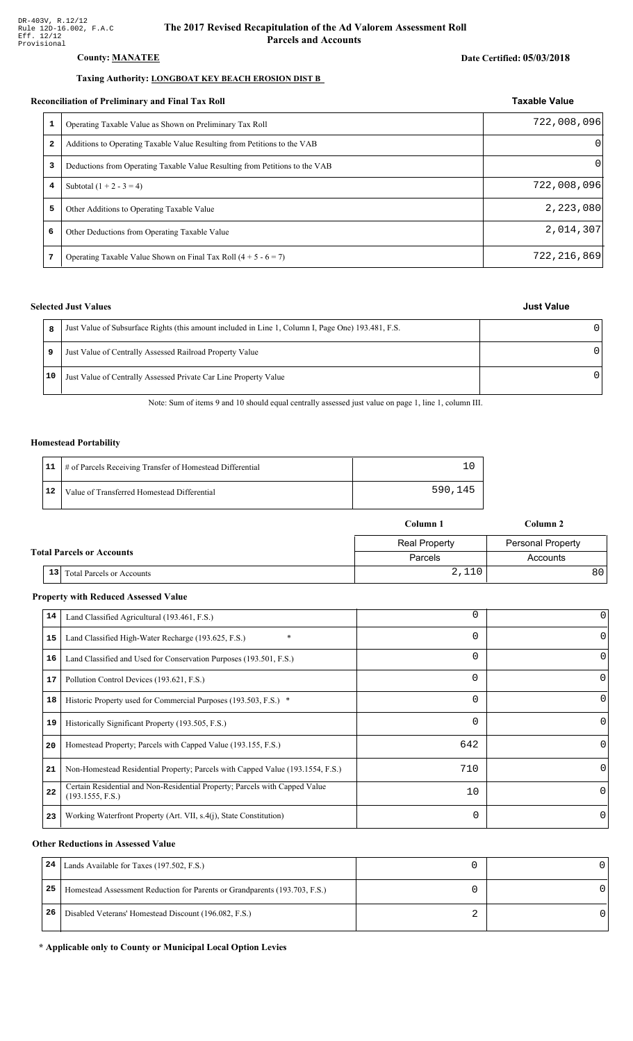#### **County: MANATEE**

#### Taxing Authority: LONGBOAT KEY BEACH EROSION DIST B

#### Reconciliation of Preliminary and Final Tax Roll

| conciliation of Preliminary and Final Tax Roll |                                                                             | <b>Taxable Value</b> |  |
|------------------------------------------------|-----------------------------------------------------------------------------|----------------------|--|
| 1                                              | Operating Taxable Value as Shown on Preliminary Tax Roll                    | 722,008,096          |  |
| 2                                              | Additions to Operating Taxable Value Resulting from Petitions to the VAB    | $\Omega$             |  |
| 3                                              | Deductions from Operating Taxable Value Resulting from Petitions to the VAB | $\Omega$             |  |
| 4                                              | Subtotal $(1 + 2 - 3 = 4)$                                                  | 722,008,096          |  |
| 5                                              | Other Additions to Operating Taxable Value                                  | 2,223,080            |  |
| 6                                              | Other Deductions from Operating Taxable Value                               | 2,014,307            |  |
| 7                                              | Operating Taxable Value Shown on Final Tax Roll $(4 + 5 - 6 = 7)$           | 722, 216, 869        |  |

#### **Selected Just Values**

| 8  | Just Value of Subsurface Rights (this amount included in Line 1, Column I, Page One) 193.481, F.S. |  |
|----|----------------------------------------------------------------------------------------------------|--|
|    | Just Value of Centrally Assessed Railroad Property Value                                           |  |
| 10 | Just Value of Centrally Assessed Private Car Line Property Value                                   |  |

Note: Sum of items 9 and 10 should equal centrally assessed just value on page 1, line 1, column III.

#### **Homestead Portability**

|    | 11   # of Parcels Receiving Transfer of Homestead Differential |         |
|----|----------------------------------------------------------------|---------|
| 12 | Value of Transferred Homestead Differential                    | 590,145 |

|                                  |                                  | Column 1             | Column 2                 |
|----------------------------------|----------------------------------|----------------------|--------------------------|
|                                  |                                  | <b>Real Property</b> | <b>Personal Property</b> |
| <b>Total Parcels or Accounts</b> |                                  | Parcels              | Accounts                 |
| 13                               | <b>Total Parcels or Accounts</b> | 2,110                | 80                       |

#### **Property with Reduced Assessed Value**

| 14 | Land Classified Agricultural (193.461, F.S.)                                                    | 0        | 0        |
|----|-------------------------------------------------------------------------------------------------|----------|----------|
|    |                                                                                                 |          |          |
| 15 | Land Classified High-Water Recharge (193.625, F.S.)                                             | $\Omega$ | $\Omega$ |
| 16 | Land Classified and Used for Conservation Purposes (193.501, F.S.)                              | 0        |          |
| 17 | Pollution Control Devices (193.621, F.S.)                                                       | 0        | 0        |
| 18 | Historic Property used for Commercial Purposes (193.503, F.S.) *                                | 0        |          |
| 19 | Historically Significant Property (193.505, F.S.)                                               | $\Omega$ | 0        |
| 20 | Homestead Property; Parcels with Capped Value (193.155, F.S.)                                   | 642      | 0        |
| 21 | Non-Homestead Residential Property; Parcels with Capped Value (193.1554, F.S.)                  | 710      | 0        |
| 22 | Certain Residential and Non-Residential Property; Parcels with Capped Value<br>(193.1555, F.S.) | 10       | $\Omega$ |
| 23 | Working Waterfront Property (Art. VII, s.4(j), State Constitution)                              | $\Omega$ | 0        |

#### **Other Reductions in Assessed Value**

| 24 | Lands Available for Taxes (197.502, F.S.)                                  |  |
|----|----------------------------------------------------------------------------|--|
| 25 | Homestead Assessment Reduction for Parents or Grandparents (193.703, F.S.) |  |
| 26 | Disabled Veterans' Homestead Discount (196.082, F.S.)                      |  |

#### \* Applicable only to County or Municipal Local Option Levies

# Date Certified: 05/03/2018

**Just Value**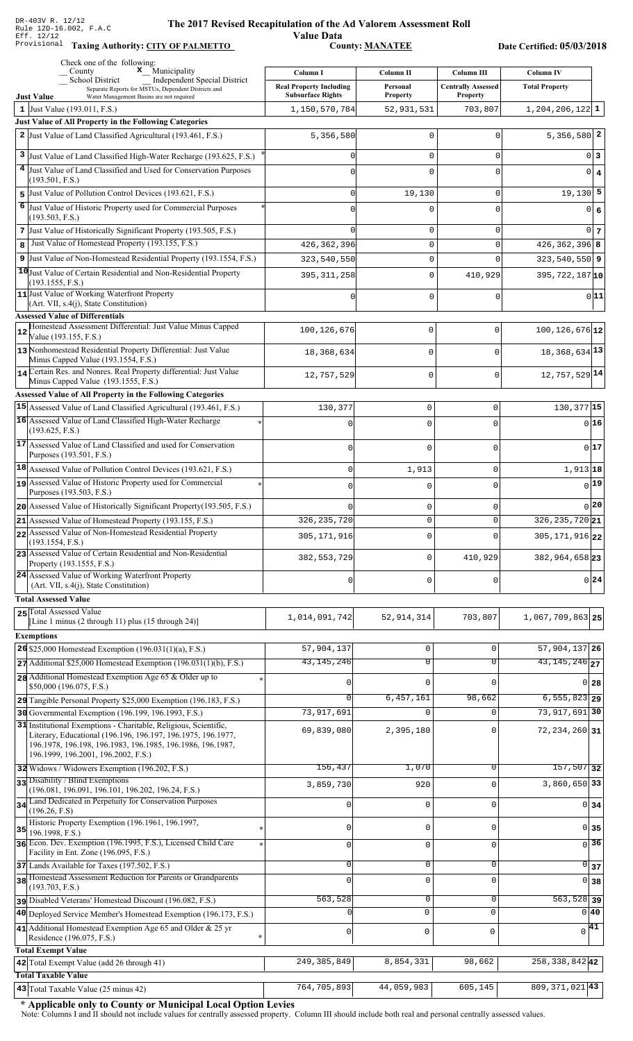**Taxing Auth** 

#### **The 2017 Rev** ised Recapitulation of the Ad Valorem Assessment Roll

**Value Data** ority: <u>CITY OF PALMETTO</u> County: <u>MANATEE</u>

Date Certified: 05/03/2018

| Check one of the following:<br>$\mathbf x$ Municipality<br>County                                                          | Column I                                                   | Column II                   | Column III                                   | <b>Column IV</b>              |
|----------------------------------------------------------------------------------------------------------------------------|------------------------------------------------------------|-----------------------------|----------------------------------------------|-------------------------------|
| School District<br><b>Independent Special District</b><br>Separate Reports for MSTUs, Dependent Districts and              | <b>Real Property Including</b><br><b>Subsurface Rights</b> | Personal<br><b>Property</b> | <b>Centrally Assessed</b><br><b>Property</b> | <b>Total Property</b>         |
| <b>Just Value</b><br>Water Management Basins are not required<br>1 Just Value (193.011, F.S.)                              | 1,150,570,784                                              | 52,931,531                  | 703,807                                      | $1, 204, 206, 122$ 1          |
| Just Value of All Property in the Following Categories                                                                     |                                                            |                             |                                              |                               |
| 2 Just Value of Land Classified Agricultural (193.461, F.S.)                                                               | 5,356,580                                                  | $\mathbf 0$                 | $\Omega$                                     | $5,356,580$ 2                 |
| 3<br>Just Value of Land Classified High-Water Recharge (193.625, F.S.)                                                     |                                                            | $\mathbf 0$                 | $\mathbf 0$                                  | 0 3                           |
| 4 Just Value of Land Classified and Used for Conservation Purposes                                                         |                                                            | $\mathbf 0$                 | $\Omega$                                     | $0 \mid 4$                    |
| (193.501, F.S.)                                                                                                            |                                                            |                             |                                              |                               |
| 5 Just Value of Pollution Control Devices (193.621, F.S.)                                                                  |                                                            | 19,130                      | 0                                            | $19,130$ 5                    |
| 6 Just Value of Historic Property used for Commercial Purposes<br>(193.503, F.S.)                                          |                                                            | $\mathbf 0$                 | $\Omega$                                     | 0 6                           |
| 7 Just Value of Historically Significant Property (193.505, F.S.)                                                          |                                                            | 0                           | $\mathbf 0$                                  | $0\vert 7$                    |
| Just Value of Homestead Property (193.155, F.S.)<br>8                                                                      | 426, 362, 396                                              | $\mathsf 0$                 | 0                                            | $426, 362, 396$ 8             |
| 9 Just Value of Non-Homestead Residential Property (193.1554, F.S.)                                                        | 323,540,550                                                | $\mathsf 0$                 | $\Omega$                                     | $323,540,550$ 9               |
| 10 Just Value of Certain Residential and Non-Residential Property<br>(193.1555, F.S.)                                      | 395, 311, 258                                              | $\mathsf 0$                 | 410,929                                      | 395, 722, 187 10              |
| 11 Just Value of Working Waterfront Property                                                                               |                                                            | $\mathbf 0$                 | 0                                            | 0 11                          |
| (Art. VII, s.4(j), State Constitution)                                                                                     |                                                            |                             |                                              |                               |
| <b>Assessed Value of Differentials</b><br>Homestead Assessment Differential: Just Value Minus Capped                       | 100, 126, 676                                              | 0                           | $\mathbf 0$                                  | $100, 126, 676$ <sup>12</sup> |
| 12<br>Value (193.155, F.S.)                                                                                                |                                                            |                             |                                              |                               |
| 13 Nonhomestead Residential Property Differential: Just Value<br>Minus Capped Value (193.1554, F.S.)                       | 18,368,634                                                 | 0                           | $\mathbf 0$                                  | 18, 368, 634 13               |
| 14 Certain Res. and Nonres. Real Property differential: Just Value<br>Minus Capped Value (193.1555, F.S.)                  | 12,757,529                                                 | 0                           | $\mathbf 0$                                  | 12,757,529 14                 |
| Assessed Value of All Property in the Following Categories                                                                 |                                                            |                             |                                              |                               |
| 15 Assessed Value of Land Classified Agricultural (193.461, F.S.)                                                          | 130,377                                                    | $\mathbf 0$                 | 0                                            | $130, 377$ 15                 |
| 16 Assessed Value of Land Classified High-Water Recharge                                                                   |                                                            | $\Omega$                    | U                                            | $0$ 16                        |
| (193.625, F.S.)<br>17 Assessed Value of Land Classified and used for Conservation                                          |                                                            |                             |                                              |                               |
| Purposes (193.501, F.S.)                                                                                                   | $\mathbf 0$                                                | $\mathbf 0$                 | 0                                            | 0 17                          |
| 18 Assessed Value of Pollution Control Devices (193.621, F.S.)                                                             | $\mathbf 0$                                                | 1,913                       | 0                                            | 1,913 18                      |
| 19 Assessed Value of Historic Property used for Commercial                                                                 | $\cap$                                                     | $\Omega$                    | 0                                            | $0$ <sup>19</sup>             |
| Purposes (193.503, F.S.)<br>20 Assessed Value of Historically Significant Property (193.505, F.S.)                         | O                                                          | $\mathbf 0$                 | 0                                            | $_0$  20                      |
| 21 Assessed Value of Homestead Property (193.155, F.S.)                                                                    | 326, 235, 720                                              | $\Omega$                    | $\Omega$                                     | $\overline{326,235,720}$ 21   |
| 22 Assessed Value of Non-Homestead Residential Property                                                                    | 305, 171, 916                                              | 0                           |                                              | 305, 171, 916 22              |
| (193.1554, F.S.)<br>23 Assessed Value of Certain Residential and Non-Residential                                           |                                                            |                             |                                              |                               |
| Property (193.1555, F.S.)                                                                                                  | 382, 553, 729                                              | $\mathsf 0$                 | 410,929                                      | 382, 964, 658 23              |
| 24 Assessed Value of Working Waterfront Property<br>(Art. VII, s.4(j), State Constitution)                                 | $\Omega$                                                   | $\mathbf 0$                 | U                                            | 0 24                          |
| <b>Total Assessed Value</b>                                                                                                |                                                            |                             |                                              |                               |
| 25 Total Assessed Value<br>[Line 1 minus (2 through 11) plus (15 through 24)]                                              | 1,014,091,742                                              | 52, 914, 314                | 703,807                                      | 1,067,709,863 25              |
| <b>Exemptions</b>                                                                                                          |                                                            |                             |                                              |                               |
| 26 \$25,000 Homestead Exemption (196.031(1)(a), F.S.)                                                                      | 57,904,137                                                 | $\mathbf 0$                 | $\mathbf 0$                                  | 57, 904, 137 26               |
| $27$ Additional \$25,000 Homestead Exemption (196.031(1)(b), F.S.)                                                         | 43, 145, 246                                               | $\overline{0}$              | $\overline{0}$                               | $\overline{43,145,246}$ 27    |
| 28 Additional Homestead Exemption Age 65 & Older up to                                                                     |                                                            | $\mathbf 0$                 | $\mathbf 0$                                  | 0 <sub>28</sub>               |
| \$50,000 (196.075, F.S.)                                                                                                   | $\cap$                                                     | 6,457,161                   | 98,662                                       | $6, 555, 823$ 29              |
| 29 Tangible Personal Property \$25,000 Exemption (196.183, F.S.)<br>30 Governmental Exemption (196.199, 196.1993, F.S.)    | 73,917,691                                                 | $\Omega$                    |                                              | 73, 917, 691 30               |
| 31 Institutional Exemptions - Charitable, Religious, Scientific,                                                           | 69,839,080                                                 | 2,395,180                   | 0                                            | 72, 234, 260 31               |
| Literary, Educational (196.196, 196.197, 196.1975, 196.1977,<br>196.1978, 196.198, 196.1983, 196.1985, 196.1986, 196.1987, |                                                            |                             |                                              |                               |
| 196.1999, 196.2001, 196.2002, F.S.)<br>32 Widows / Widowers Exemption (196.202, F.S.)                                      | 156,437                                                    | 1,070                       | 0                                            | $157,507$ 32                  |
| 33 Disability / Blind Exemptions                                                                                           | 3,859,730                                                  | 920                         | $\Omega$                                     | 3,860,650 33                  |
| (196.081, 196.091, 196.101, 196.202, 196.24, F.S.)<br>Land Dedicated in Perpetuity for Conservation Purposes               |                                                            |                             |                                              |                               |
| 34<br>(196.26, F.S)                                                                                                        | U                                                          | $\mathbf 0$                 | $\mathbf 0$                                  | 0 <sub>34</sub>               |
| Historic Property Exemption (196.1961, 196.1997,<br>35<br>196.1998, F.S.)                                                  | U                                                          | 0                           | 0                                            | 0 35                          |
| 36 Econ. Dev. Exemption (196.1995, F.S.), Licensed Child Care                                                              | 0                                                          | $\mathbf 0$                 | 0                                            | $\overline{0}$ 36             |
| Facility in Ent. Zone (196.095, F.S.)                                                                                      |                                                            |                             |                                              |                               |
| 37 Lands Available for Taxes (197.502, F.S.)<br>38 Homestead Assessment Reduction for Parents or Grandparents              | 0                                                          | $\mathbf 0$                 | 0                                            | $\overline{0}$ 37             |
| (193.703, F.S.)                                                                                                            | $\Omega$                                                   | $\mathbf 0$                 | $\mathbf 0$                                  | $0 \vert 38$                  |
| pisabled Veterans' Homestead Discount (196.082, F.S.)                                                                      | 563,528                                                    | $\mathbf 0$                 | $\mathsf 0$                                  | $\overline{563,528}$ 39       |
| 40 Deployed Service Member's Homestead Exemption (196.173, F.S.)                                                           |                                                            | $\mathbf{0}$                | $\mathbf 0$                                  | 0 40                          |
| 41 Additional Homestead Exemption Age 65 and Older & 25 yr<br>Residence (196.075, F.S.)                                    | 0                                                          | 0                           | $\mathbf 0$                                  | $\sqrt{41}$                   |
| <b>Total Exempt Value</b>                                                                                                  |                                                            |                             |                                              |                               |
| 42 Total Exempt Value (add 26 through 41)<br><b>Total Taxable Value</b>                                                    | 249, 385, 849                                              | 8,854,331                   | 98,662                                       | $258, 338, 842$ 42            |
| 43 Total Taxable Value (25 minus 42)                                                                                       | 764,705,893                                                | 44,059,983                  | 605,145                                      | 809, 371, 021 43              |

\* Applicable only to County or Municipal Local Option Levies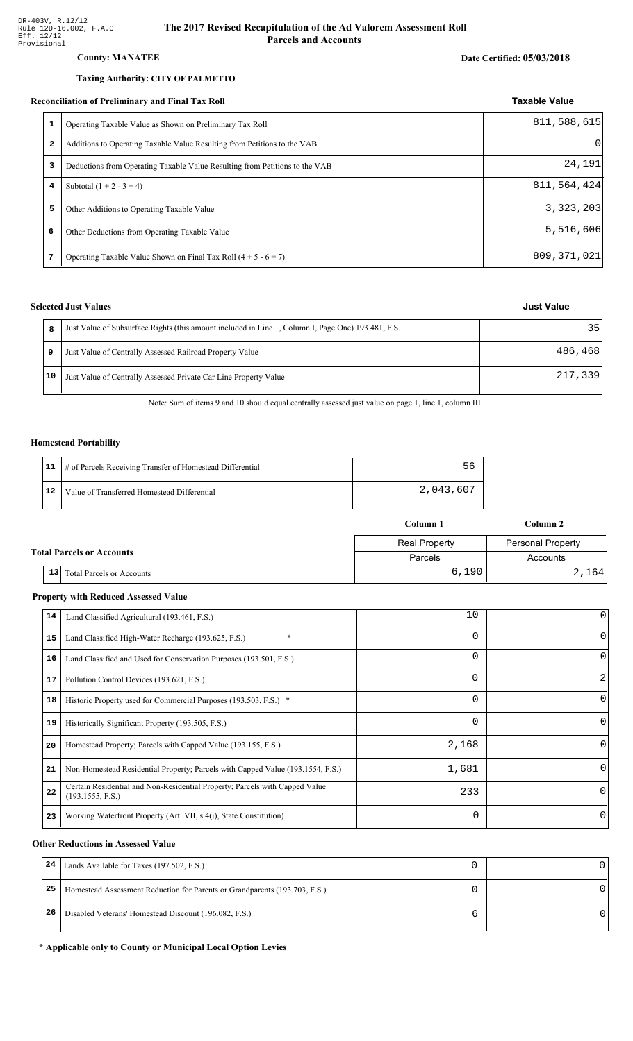### County: **MANATEE**

#### Taxing Authority: CITY OF PALMETTO

#### Reconciliation of Preliminary and Final Tax Roll

| 1              | Operating Taxable Value as Shown on Preliminary Tax Roll                    | 811,588,615 |
|----------------|-----------------------------------------------------------------------------|-------------|
| $\mathbf{2}$   | Additions to Operating Taxable Value Resulting from Petitions to the VAB    | $\Omega$    |
| 3              | Deductions from Operating Taxable Value Resulting from Petitions to the VAB | 24,191      |
| $\overline{4}$ | Subtotal $(1 + 2 - 3 = 4)$                                                  | 811,564,424 |
| 5              | Other Additions to Operating Taxable Value                                  | 3,323,203   |
| 6              | Other Deductions from Operating Taxable Value                               | 5,516,606   |
|                | Operating Taxable Value Shown on Final Tax Roll $(4 + 5 - 6 = 7)$           | 809,371,021 |

#### **Selected Just Values**

|    | Just Value of Subsurface Rights (this amount included in Line 1, Column I, Page One) 193.481, F.S. | 35      |
|----|----------------------------------------------------------------------------------------------------|---------|
| 9  | Just Value of Centrally Assessed Railroad Property Value                                           | 486,468 |
| 10 | Just Value of Centrally Assessed Private Car Line Property Value                                   | 217,339 |

Note: Sum of items 9 and 10 should equal centrally assessed just value on page 1, line 1, column III.

#### **Homestead Portability**

|    | 11   # of Parcels Receiving Transfer of Homestead Differential | 56        |
|----|----------------------------------------------------------------|-----------|
| 12 | Value of Transferred Homestead Differential                    | 2,043,607 |

|                                  |    |                                  | Column 1             | Column 2                 |  |
|----------------------------------|----|----------------------------------|----------------------|--------------------------|--|
|                                  |    |                                  | <b>Real Property</b> | <b>Personal Property</b> |  |
| <b>Total Parcels or Accounts</b> |    |                                  | Parcels              | Accounts                 |  |
|                                  | 13 | <b>Total Parcels or Accounts</b> | 6,190                | 2,164                    |  |

#### **Property with Reduced Assessed Value**

| 14 | Land Classified Agricultural (193.461, F.S.)                                                    | 10       | 0        |
|----|-------------------------------------------------------------------------------------------------|----------|----------|
| 15 | $\ast$<br>Land Classified High-Water Recharge (193.625, F.S.)                                   | $\Omega$ |          |
| 16 | Land Classified and Used for Conservation Purposes (193.501, F.S.)                              | 0        | O        |
| 17 | Pollution Control Devices (193.621, F.S.)                                                       | 0        | 2        |
| 18 | Historic Property used for Commercial Purposes (193.503, F.S.) *                                | $\Omega$ | $\Omega$ |
| 19 | Historically Significant Property (193.505, F.S.)                                               | $\Omega$ | $\Omega$ |
| 20 | Homestead Property; Parcels with Capped Value (193.155, F.S.)                                   | 2,168    | 0        |
| 21 | Non-Homestead Residential Property; Parcels with Capped Value (193.1554, F.S.)                  | 1,681    | 0        |
| 22 | Certain Residential and Non-Residential Property; Parcels with Capped Value<br>(193.1555, F.S.) | 233      | $\Omega$ |
| 23 | Working Waterfront Property (Art. VII, s.4(j), State Constitution)                              | $\Omega$ | 0        |

#### **Other Reductions in Assessed Value**

| 24 | Lands Available for Taxes (197.502, F.S.)                                  |  |
|----|----------------------------------------------------------------------------|--|
| 25 | Homestead Assessment Reduction for Parents or Grandparents (193.703, F.S.) |  |
| 26 | Disabled Veterans' Homestead Discount (196.082, F.S.)                      |  |

\* Applicable only to County or Municipal Local Option Levies

### Date Certified: 05/03/2018

Taxable Value

**Just Value**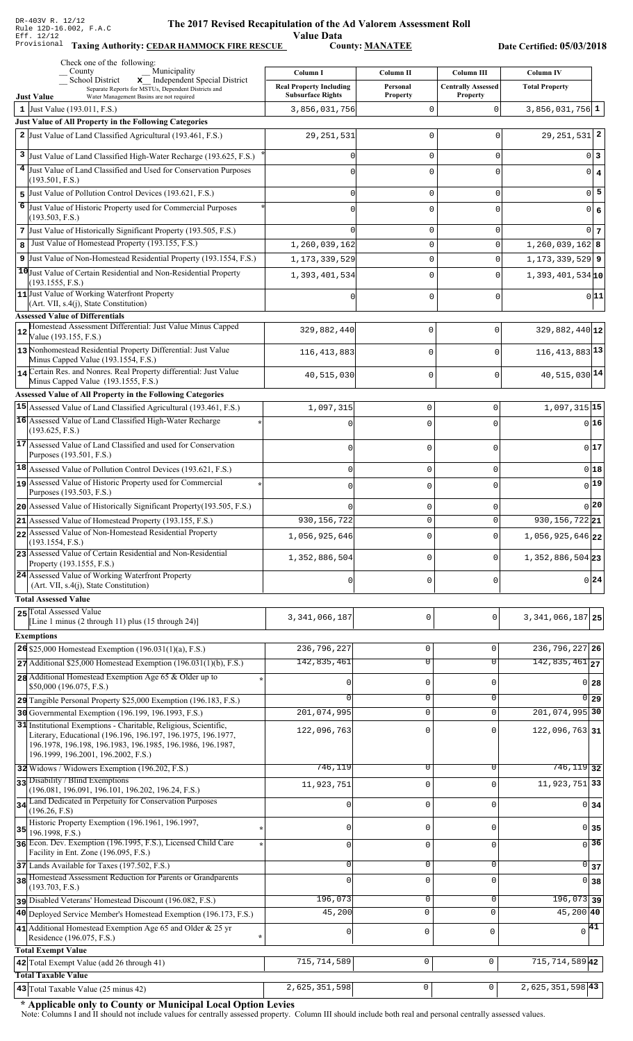Value Data<br>County: MANATEE

Taxing Authority: CEDAR HAMMOCK FIRE RESCUE County: MANATEE

Date Certified: 05/03/2018

|    | Check one of the following:<br>Municipality<br>County                                                                                                                                                                                 | Column I                       | Column II           | <b>Column III</b>         | <b>Column IV</b>                       |                   |
|----|---------------------------------------------------------------------------------------------------------------------------------------------------------------------------------------------------------------------------------------|--------------------------------|---------------------|---------------------------|----------------------------------------|-------------------|
|    | x Independent Special District<br>School District<br>Separate Reports for MSTUs, Dependent Districts and                                                                                                                              | <b>Real Property Including</b> | Personal            | <b>Centrally Assessed</b> | <b>Total Property</b>                  |                   |
|    | <b>Just Value</b><br>Water Management Basins are not required                                                                                                                                                                         | <b>Subsurface Rights</b>       | <b>Property</b>     | <b>Property</b>           |                                        |                   |
|    | 1 Just Value $(193.011, F.S.)$<br>Just Value of All Property in the Following Categories                                                                                                                                              | 3,856,031,756                  | $\mathbf 0$         | $\mathbf 0$               | $3,856,031,756$ 1                      |                   |
|    | 2 Just Value of Land Classified Agricultural (193.461, F.S.)                                                                                                                                                                          | 29,251,531                     | $\mathbf 0$         | 0                         | $29, 251, 531$ 2                       |                   |
|    | 3 Just Value of Land Classified High-Water Recharge (193.625, F.S.)                                                                                                                                                                   |                                | $\mathbf 0$         | $\mathbf 0$               |                                        | 0 3               |
|    | 4 Just Value of Land Classified and Used for Conservation Purposes                                                                                                                                                                    |                                | $\Omega$            | 0                         |                                        |                   |
|    | (193.501, F.S.)                                                                                                                                                                                                                       |                                |                     |                           |                                        | $0 \mid 4$        |
|    | 5 Just Value of Pollution Control Devices (193.621, F.S.)                                                                                                                                                                             | O                              | $\mathbf 0$         | $\mathbf 0$               |                                        | $0$ 5             |
| 6  | Just Value of Historic Property used for Commercial Purposes                                                                                                                                                                          |                                | $\mathbf 0$         | 0                         | $\overline{0}$                         | $\boldsymbol{6}$  |
|    | (193.503, F.S.)<br>7 Just Value of Historically Significant Property (193.505, F.S.)                                                                                                                                                  |                                | $\mathbf 0$         | $\mathbf 0$               |                                        | $0\vert 7$        |
| 8  | Just Value of Homestead Property (193.155, F.S.)                                                                                                                                                                                      | 1,260,039,162                  | $\mathsf 0$         | $\mathbf 0$               | $1,260,039,162$ 8                      |                   |
|    | 9 Just Value of Non-Homestead Residential Property (193.1554, F.S.)                                                                                                                                                                   | 1, 173, 339, 529               | $\mathsf 0$         | $\mathbf 0$               | $1, 173, 339, 529$ 9                   |                   |
|    | 10 Just Value of Certain Residential and Non-Residential Property                                                                                                                                                                     | 1,393,401,534                  | $\mathbf 0$         | $\Omega$                  | $1,393,401,534$ <sup>10</sup>          |                   |
|    | (193.1555, F.S.)<br>11 Just Value of Working Waterfront Property                                                                                                                                                                      |                                |                     |                           |                                        |                   |
|    | (Art. VII, s.4(j), State Constitution)                                                                                                                                                                                                |                                | $\Omega$            | $\mathbf 0$               |                                        | 0 11              |
|    | <b>Assessed Value of Differentials</b>                                                                                                                                                                                                |                                |                     |                           |                                        |                   |
| 12 | Homestead Assessment Differential: Just Value Minus Capped<br>Value (193.155, F.S.)                                                                                                                                                   | 329,882,440                    | 0                   | 0                         | $329,882,440$ 12                       |                   |
|    | 13 Nonhomestead Residential Property Differential: Just Value<br>Minus Capped Value (193.1554, F.S.)                                                                                                                                  | 116, 413, 883                  | 0                   | 0                         | $116, 413, 883$ <sup>13</sup>          |                   |
|    | 14 Certain Res. and Nonres. Real Property differential: Just Value                                                                                                                                                                    | 40,515,030                     | 0                   | $\mathbf 0$               | 40, 515, 030 14                        |                   |
|    | Minus Capped Value (193.1555, F.S.)                                                                                                                                                                                                   |                                |                     |                           |                                        |                   |
|    | Assessed Value of All Property in the Following Categories<br>15 Assessed Value of Land Classified Agricultural (193.461, F.S.)                                                                                                       | 1,097,315                      | $\mathbf 0$         | 0                         | $1,097,315$ <sup>15</sup>              |                   |
|    | 16 Assessed Value of Land Classified High-Water Recharge                                                                                                                                                                              | $\mathsf{C}$                   | $\mathbf 0$         | $\Omega$                  |                                        | $0$ 16            |
|    | (193.625, F.S.)                                                                                                                                                                                                                       |                                |                     |                           |                                        |                   |
|    | 17 Assessed Value of Land Classified and used for Conservation<br>Purposes (193.501, F.S.)                                                                                                                                            | 0                              | $\mathbf 0$         | 0                         |                                        | 017               |
|    | 18 Assessed Value of Pollution Control Devices (193.621, F.S.)                                                                                                                                                                        | $\mathbf 0$                    | $\mathbf 0$         | 0                         |                                        | $0$ 18            |
|    | 19 Assessed Value of Historic Property used for Commercial                                                                                                                                                                            | $\mathbf 0$                    | $\mathbf 0$         | $\Omega$                  |                                        | $0$ <sup>19</sup> |
|    | Purposes (193.503, F.S.)                                                                                                                                                                                                              |                                |                     |                           |                                        |                   |
|    | 20 Assessed Value of Historically Significant Property (193.505, F.S.)                                                                                                                                                                |                                | $\mathbf 0$         | 0                         |                                        | $0$  20           |
|    | 21 Assessed Value of Homestead Property (193.155, F.S.)                                                                                                                                                                               | 930, 156, 722                  | $\mathbf 0$         | 0                         | 930, 156, 722 21                       |                   |
|    | 22 Assessed Value of Non-Homestead Residential Property<br>(193.1554, F.S.)                                                                                                                                                           | 1,056,925,646                  | 0                   | 0                         | 1,056,925,646 22                       |                   |
|    | 23 Assessed Value of Certain Residential and Non-Residential<br>Property (193.1555, F.S.)                                                                                                                                             | 1,352,886,504                  | $\mathbf 0$         | 0                         | 1,352,886,504 23                       |                   |
|    | 24 Assessed Value of Working Waterfront Property<br>(Art. VII, s.4(j), State Constitution)                                                                                                                                            | 0                              | $\mathbf 0$         | 0                         |                                        | 0 24              |
|    | <b>Total Assessed Value</b>                                                                                                                                                                                                           |                                |                     |                           |                                        |                   |
|    | 25 Total Assessed Value                                                                                                                                                                                                               |                                |                     |                           |                                        |                   |
|    | [Line 1 minus (2 through 11) plus (15 through 24)]                                                                                                                                                                                    | 3, 341, 066, 187               | 0                   | $\mathbf 0$               | 3, 341, 066, 187 25                    |                   |
|    | <b>Exemptions</b>                                                                                                                                                                                                                     |                                |                     |                           |                                        |                   |
|    | 26 \$25,000 Homestead Exemption $(196.031(1)(a), F.S.)$                                                                                                                                                                               | 236,796,227                    | $\mathsf 0$         | 0                         | 236, 796, 227 26                       |                   |
|    | $27$ Additional \$25,000 Homestead Exemption (196.031(1)(b), F.S.)                                                                                                                                                                    | 142,835,461                    | $\overline{0}$      | $\overline{0}$            | $142,835,461$ <sub>27</sub>            |                   |
|    | 28 Additional Homestead Exemption Age 65 & Older up to<br>\$50,000 (196.075, F.S.)                                                                                                                                                    |                                | $\mathsf 0$         | 0                         |                                        | 0 28              |
|    | 29 Tangible Personal Property \$25,000 Exemption (196.183, F.S.)                                                                                                                                                                      |                                | $\overline{0}$      | 0                         |                                        | $0$ 29            |
|    | 30 Governmental Exemption (196.199, 196.1993, F.S.)                                                                                                                                                                                   | 201,074,995                    | $\mathsf{O}\xspace$ | $\mathbf 0$               | 201,074,995 30                         |                   |
|    | 31 Institutional Exemptions - Charitable, Religious, Scientific,<br>Literary, Educational (196.196, 196.197, 196.1975, 196.1977,<br>196.1978, 196.198, 196.1983, 196.1985, 196.1986, 196.1987,<br>196.1999, 196.2001, 196.2002, F.S.) | 122,096,763                    | $\mathbf 0$         | U                         | $122,096,763$ 31                       |                   |
|    | 32 Widows / Widowers Exemption (196.202, F.S.)                                                                                                                                                                                        | 746,119                        | 0                   | $\Omega$                  | $746, 119$ 32                          |                   |
|    | 33 Disability / Blind Exemptions<br>(196.081, 196.091, 196.101, 196.202, 196.24, F.S.)                                                                                                                                                | 11,923,751                     | $\mathsf 0$         | $\Omega$                  | 11, 923, 751 33                        |                   |
|    | 34 Land Dedicated in Perpetuity for Conservation Purposes                                                                                                                                                                             |                                | $\mathbf 0$         | $\Omega$                  |                                        | 0 34              |
|    | (196.26, F.S)                                                                                                                                                                                                                         |                                |                     |                           |                                        |                   |
| 35 | Historic Property Exemption (196.1961, 196.1997,<br>196.1998, F.S.)                                                                                                                                                                   | 0                              | $\mathbf 0$         | 0                         |                                        | 0 35              |
|    | 36 Econ. Dev. Exemption (196.1995, F.S.), Licensed Child Care                                                                                                                                                                         | $\mathbf{0}$                   | $\mathbf 0$         | $\mathbf 0$               |                                        | $\overline{0}$ 36 |
|    | Facility in Ent. Zone (196.095, F.S.)<br>37 Lands Available for Taxes (197.502, F.S.)                                                                                                                                                 | $\mathbf{0}$                   | $\mathbf 0$         | 0                         |                                        | $\overline{0}$ 37 |
|    | 38 Homestead Assessment Reduction for Parents or Grandparents                                                                                                                                                                         |                                | $\mathbf 0$         | $\Omega$                  |                                        | $0 \vert 38$      |
|    | (193.703, F.S.)                                                                                                                                                                                                                       |                                |                     |                           |                                        |                   |
|    | pisabled Veterans' Homestead Discount (196.082, F.S.)                                                                                                                                                                                 | 196,073                        | $\mathsf 0$<br>0    | 0<br>$\mathbf 0$          | $\overline{196,073}$ 39<br>$45,200$ 40 |                   |
|    | 40 Deployed Service Member's Homestead Exemption (196.173, F.S.)                                                                                                                                                                      | 45,200                         |                     |                           |                                        |                   |
|    | 41 Additional Homestead Exemption Age 65 and Older & 25 yr<br>Residence (196.075, F.S.)                                                                                                                                               | $\mathbf{0}$                   | 0                   | $\mathbf 0$               | $\sqrt{41}$                            |                   |
|    | <b>Total Exempt Value</b>                                                                                                                                                                                                             |                                |                     |                           |                                        |                   |
|    | 42 Total Exempt Value (add 26 through 41)                                                                                                                                                                                             | 715, 714, 589                  | 0                   | $\mathsf 0$               | $715, 714, 589$ 42                     |                   |
|    | <b>Total Taxable Value</b><br>$\vert$ 43 Total Taxable Value (25 minus 42)                                                                                                                                                            | 2,625,351,598                  | 0                   | 0                         | $\overline{2,625,351,598}$ 43          |                   |

\* Applicable only to County or Municipal Local Option Levies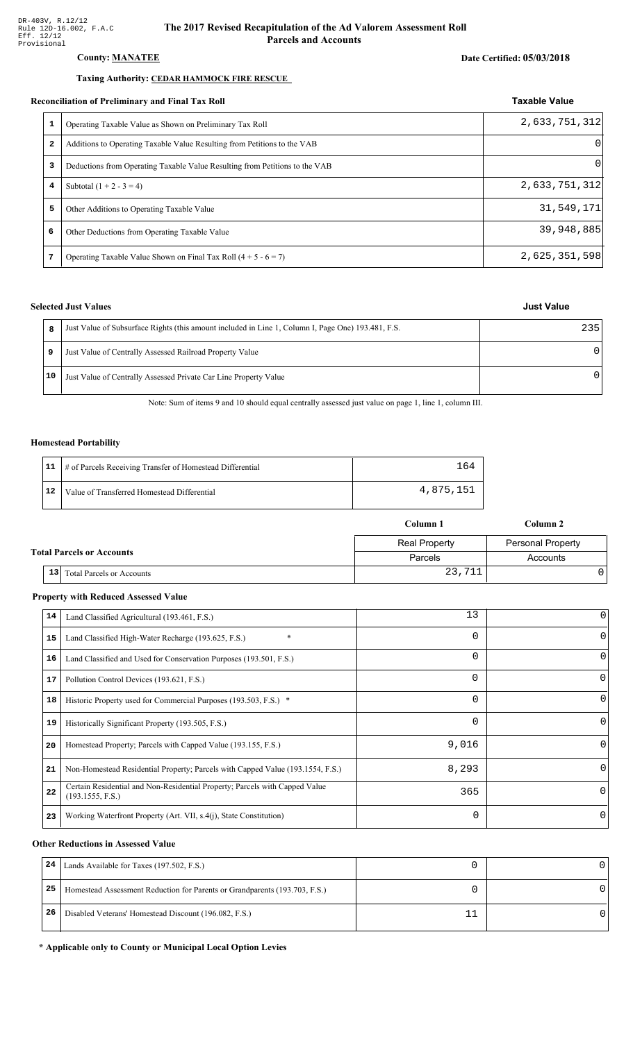#### **County: MANATEE**

### Taxing Authority: CEDAR HAMMOCK FIRE RESCUE

#### Reconciliation of Preliminary and Final Tax Roll

|   | conciliation of Preliminary and Final Tax Roll                              | <b>Taxable Value</b> |
|---|-----------------------------------------------------------------------------|----------------------|
|   | Operating Taxable Value as Shown on Preliminary Tax Roll                    | 2,633,751,312        |
| 2 | Additions to Operating Taxable Value Resulting from Petitions to the VAB    | 01                   |
| 3 | Deductions from Operating Taxable Value Resulting from Petitions to the VAB | 0                    |
| 4 | Subtotal $(1 + 2 - 3 = 4)$                                                  | 2,633,751,312        |
| 5 | Other Additions to Operating Taxable Value                                  | 31,549,171           |
| 6 | Other Deductions from Operating Taxable Value                               | 39,948,885           |
| 7 | Operating Taxable Value Shown on Final Tax Roll $(4 + 5 - 6 = 7)$           | 2,625,351,598        |

### **Selected Just Values**

|    | Just Value of Subsurface Rights (this amount included in Line 1, Column I, Page One) 193.481, F.S. | 235 |
|----|----------------------------------------------------------------------------------------------------|-----|
| 9  | Just Value of Centrally Assessed Railroad Property Value                                           |     |
| 10 | Just Value of Centrally Assessed Private Car Line Property Value                                   |     |

Note: Sum of items 9 and 10 should equal centrally assessed just value on page 1, line 1, column III.

#### **Homestead Portability**

|    | 11   # of Parcels Receiving Transfer of Homestead Differential |           |
|----|----------------------------------------------------------------|-----------|
| 12 | Value of Transferred Homestead Differential                    | 4,875,151 |

|                                  |                                        | Column 1             | Column 2                 |
|----------------------------------|----------------------------------------|----------------------|--------------------------|
|                                  |                                        | <b>Real Property</b> | <b>Personal Property</b> |
| <b>Total Parcels or Accounts</b> |                                        | Parcels              | Accounts                 |
|                                  | 13<br><b>Total Parcels or Accounts</b> | 23,711               |                          |

#### **Property with Reduced Assessed Value**

| 14 | Land Classified Agricultural (193.461, F.S.)                                                    | 13       | 0        |
|----|-------------------------------------------------------------------------------------------------|----------|----------|
| 15 | $\ast$<br>Land Classified High-Water Recharge (193.625, F.S.)                                   | $\Omega$ | 0        |
| 16 | Land Classified and Used for Conservation Purposes (193.501, F.S.)                              | 0        | O        |
| 17 | Pollution Control Devices (193.621, F.S.)                                                       | 0        | $\Omega$ |
| 18 | Historic Property used for Commercial Purposes (193.503, F.S.) *                                | $\Omega$ | O        |
| 19 | Historically Significant Property (193.505, F.S.)                                               | $\Omega$ | $\Omega$ |
| 20 | Homestead Property; Parcels with Capped Value (193.155, F.S.)                                   | 9,016    | 0        |
| 21 | Non-Homestead Residential Property; Parcels with Capped Value (193.1554, F.S.)                  | 8,293    | 0        |
| 22 | Certain Residential and Non-Residential Property; Parcels with Capped Value<br>(193.1555, F.S.) | 365      | $\Omega$ |
| 23 | Working Waterfront Property (Art. VII, s.4(j), State Constitution)                              | $\Omega$ | 0        |

#### **Other Reductions in Assessed Value**

| 24 | Lands Available for Taxes (197.502, F.S.)                                  |  |
|----|----------------------------------------------------------------------------|--|
| 25 | Homestead Assessment Reduction for Parents or Grandparents (193.703, F.S.) |  |
| 26 | Disabled Veterans' Homestead Discount (196.082, F.S.)                      |  |

#### \* Applicable only to County or Municipal Local Option Levies

## Date Certified: 05/03/2018

**Just Value**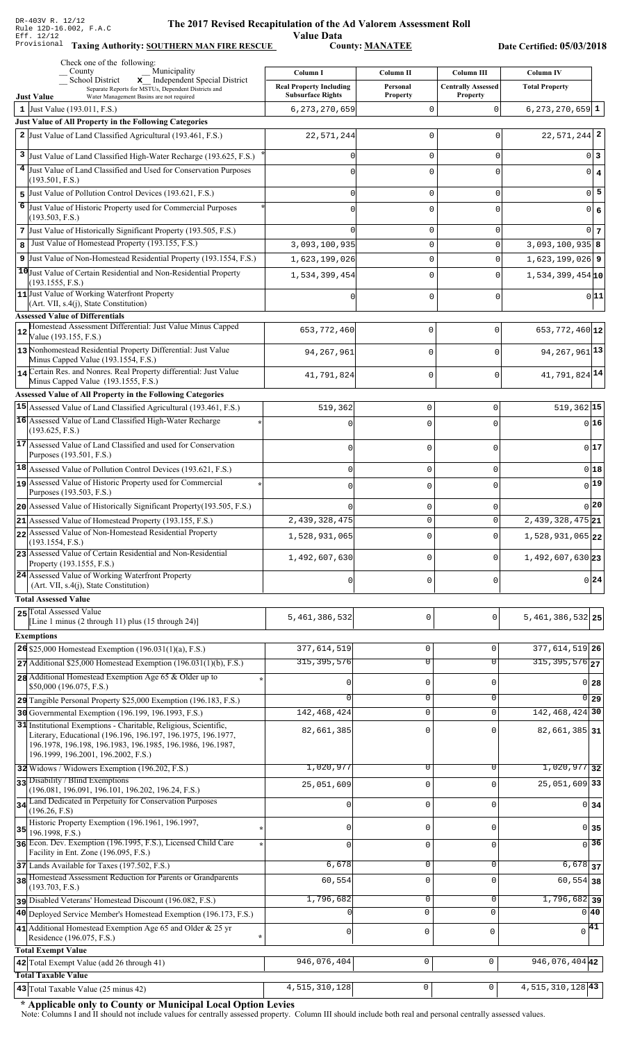### **The 2017 Rev** ised Recapitulation of the Ad Valorem Assessment Roll ALION OF COLLECT VALUE Data<br>County: <u>MANATEE</u>

Taxing Authority: SOUTHERN MAN FIRE RESCUE County: MANATEE

Date Certified: 05/03/2018

| Check one of the following:<br>Municipality<br>County                                                                                                             | Column I                                     | Column II                      | Column III                 | Column IV                                         |                  |
|-------------------------------------------------------------------------------------------------------------------------------------------------------------------|----------------------------------------------|--------------------------------|----------------------------|---------------------------------------------------|------------------|
| School District<br>x Independent Special District<br>Separate Reports for MSTUs, Dependent Districts and                                                          | <b>Real Property Including</b>               | Personal                       | <b>Centrally Assessed</b>  | <b>Total Property</b>                             |                  |
| <b>Just Value</b><br>Water Management Basins are not required<br>1 Just Value (193.011, F.S.)                                                                     | <b>Subsurface Rights</b><br>6, 273, 270, 659 | <b>Property</b><br>$\mathbf 0$ | <b>Property</b><br>0       | $6, 273, 270, 659$ 1                              |                  |
| <b>Just Value of All Property in the Following Categories</b>                                                                                                     |                                              |                                |                            |                                                   |                  |
| 2 Just Value of Land Classified Agricultural (193.461, F.S.)                                                                                                      | 22,571,244                                   | 0                              | $\Omega$                   | $22,571,244$ 2                                    |                  |
| 3 Just Value of Land Classified High-Water Recharge (193.625, F.S.)                                                                                               | U                                            | $\mathbf 0$                    | $\mathbf 0$                |                                                   | 0 3              |
| 4 Just Value of Land Classified and Used for Conservation Purposes                                                                                                | $\Omega$                                     | 0                              | $\Omega$                   |                                                   | $0 \mid 4$       |
| (193.501, F.S.)<br>5 Just Value of Pollution Control Devices (193.621, F.S.)                                                                                      |                                              |                                |                            |                                                   | $\overline{0}$ 5 |
| 6<br>Just Value of Historic Property used for Commercial Purposes                                                                                                 | $\Omega$                                     | $\mathbf 0$<br>$\Omega$        | $\mathbf 0$                |                                                   |                  |
| (193.503, F.S.)                                                                                                                                                   | $\Omega$                                     |                                | $\Omega$                   |                                                   | $0 \big  6$      |
| 7 Just Value of Historically Significant Property (193.505, F.S.)                                                                                                 |                                              | $\mathbf 0$                    | $\mathbf 0$                |                                                   | $0\vert 7$       |
| Just Value of Homestead Property (193.155, F.S.)<br>8                                                                                                             | 3,093,100,935                                | 0                              | $\Omega$                   | $3,093,100,935$ 8                                 |                  |
| 9 Just Value of Non-Homestead Residential Property (193.1554, F.S.)                                                                                               | 1,623,199,026                                | 0                              | 0                          | $1,623,199,026$ 9                                 |                  |
| 10 Just Value of Certain Residential and Non-Residential Property<br>(193.1555, F.S.)                                                                             | 1,534,399,454                                | $\mathsf 0$                    | 0                          | $1,534,399,454$ 10                                |                  |
| 11 Just Value of Working Waterfront Property                                                                                                                      | $\Omega$                                     | $\Omega$                       | 0                          |                                                   | 0 11             |
| (Art. VII, s.4(j), State Constitution)<br><b>Assessed Value of Differentials</b>                                                                                  |                                              |                                |                            |                                                   |                  |
| Homestead Assessment Differential: Just Value Minus Capped                                                                                                        | 653, 772, 460                                | 0                              | $\mathbf 0$                | 653, 772, 460 12                                  |                  |
| Value (193.155, F.S.)<br>13 Nonhomestead Residential Property Differential: Just Value                                                                            | 94, 267, 961                                 | 0                              | $\mathbf 0$                | 94, 267, 961 13                                   |                  |
| Minus Capped Value (193.1554, F.S.)                                                                                                                               |                                              |                                |                            |                                                   |                  |
| 14 Certain Res. and Nonres. Real Property differential: Just Value<br>Minus Capped Value (193.1555, F.S.)                                                         | 41,791,824                                   | 0                              | $\mathbf 0$                | 41,791,824 14                                     |                  |
| Assessed Value of All Property in the Following Categories                                                                                                        |                                              |                                |                            |                                                   |                  |
| 15 Assessed Value of Land Classified Agricultural (193.461, F.S.)                                                                                                 | 519,362                                      | 0                              | $\Omega$                   | $519,362$ 15                                      |                  |
| 16 Assessed Value of Land Classified High-Water Recharge<br>(193.625, F.S.)                                                                                       |                                              | $\cap$                         |                            |                                                   | $0$ 16           |
| 17 Assessed Value of Land Classified and used for Conservation                                                                                                    | $\cap$                                       | $\Omega$                       | O                          |                                                   | 017              |
| Purposes (193.501, F.S.)<br>$ 18 $ Assessed Value of Pollution Control Devices (193.621, F.S.)                                                                    |                                              |                                |                            |                                                   |                  |
| Assessed Value of Historic Property used for Commercial                                                                                                           | $\Omega$                                     | $\mathbf 0$                    | 0                          | 0 18<br>$0$ <sup>19</sup>                         |                  |
| Purposes (193.503, F.S.)                                                                                                                                          |                                              | $\Omega$                       | O                          |                                                   |                  |
| 20 Assessed Value of Historically Significant Property (193.505, F.S.)                                                                                            |                                              | 0                              | 0                          | $_0$  20                                          |                  |
| $21$ Assessed Value of Homestead Property (193.155, F.S.)                                                                                                         | 2,439,328,475                                |                                | 0                          | $2,439,328,475$ 21                                |                  |
| 22 Assessed Value of Non-Homestead Residential Property<br>(193.1554, F.S.)                                                                                       | 1,528,931,065                                | $\Omega$                       | $\Omega$                   | $1,528,931,065$ <sub>22</sub>                     |                  |
| 23 Assessed Value of Certain Residential and Non-Residential<br>Property (193.1555, F.S.)                                                                         | 1,492,607,630                                | $\mathbf 0$                    | 0                          | $1,492,607,630$ 23                                |                  |
| 24 Assessed Value of Working Waterfront Property<br>(Art. VII, s.4(j), State Constitution)                                                                        |                                              | $\mathbf 0$                    | 0                          | 0 24                                              |                  |
| <b>Total Assessed Value</b>                                                                                                                                       |                                              |                                |                            |                                                   |                  |
| 25 Total Assessed Value                                                                                                                                           |                                              |                                |                            |                                                   |                  |
| [Line 1 minus $(2 \t{through } 11)$ plus $(15 \t{through } 24)$ ]                                                                                                 | 5,461,386,532                                | $\mathsf 0$                    | 0                          | $5,461,386,532$ 25                                |                  |
| <b>Exemptions</b>                                                                                                                                                 |                                              |                                |                            |                                                   |                  |
| 26 \$25,000 Homestead Exemption $(196.031(1)(a), F.S.)$<br>$27$ Additional \$25,000 Homestead Exemption (196.031(1)(b), F.S.)                                     | 377,614,519<br>315, 395, 576                 | $\mathsf 0$<br>$\overline{0}$  | $\Omega$<br>$\overline{0}$ | 377, 614, 519 26<br>$315, 395, 576$ <sub>27</sub> |                  |
| 28 Additional Homestead Exemption Age 65 & Older up to                                                                                                            |                                              |                                |                            |                                                   |                  |
| \$50,000 (196.075, F.S.)                                                                                                                                          | O                                            | $\mathbf 0$                    | 0                          | $0$ 28                                            |                  |
| 29 Tangible Personal Property \$25,000 Exemption (196.183, F.S.)                                                                                                  |                                              | $\overline{0}$                 | 0                          | $0\vert$ 29                                       |                  |
| 30 Governmental Exemption (196.199, 196.1993, F.S.)<br>31 Institutional Exemptions - Charitable, Religious, Scientific,                                           | 142, 468, 424                                | $\mathbf 0$                    | $\mathbf 0$                | 142, 468, 424 30                                  |                  |
| Literary, Educational (196.196, 196.197, 196.1975, 196.1977,<br>196.1978, 196.198, 196.1983, 196.1985, 196.1986, 196.1987,<br>196.1999, 196.2001, 196.2002, F.S.) | 82,661,385                                   | $\mathbf 0$                    |                            | 82,661,385 31                                     |                  |
| 32 Widows / Widowers Exemption (196.202, F.S.)                                                                                                                    | 1,020,977                                    | 0                              | 0                          | $1,020,977$ 32                                    |                  |
| 33 Disability / Blind Exemptions<br>(196.081, 196.091, 196.101, 196.202, 196.24, F.S.)                                                                            | 25,051,609                                   | $\mathbf 0$                    | $\Omega$                   | 25,051,609 33                                     |                  |
| 34 Land Dedicated in Perpetuity for Conservation Purposes                                                                                                         | 0                                            | $\mathsf 0$                    | $\Omega$                   | $0\overline{34}$                                  |                  |
| (196.26, F.S)<br>Historic Property Exemption (196.1961, 196.1997,                                                                                                 | O                                            | $\mathbf 0$                    | U                          | $0 \vert 35$                                      |                  |
| $35$ 196.1998, F.S.)<br>36 Econ. Dev. Exemption (196.1995, F.S.), Licensed Child Care                                                                             | $\Omega$                                     | $\mathbf 0$                    | $\Omega$                   | $\overline{0}$ 36                                 |                  |
| Facility in Ent. Zone (196.095, F.S.)                                                                                                                             |                                              |                                |                            |                                                   |                  |
| 37 Lands Available for Taxes (197.502, F.S.)<br>38 Homestead Assessment Reduction for Parents or Grandparents                                                     | 6,678                                        | $\mathbf 0$                    | $\mathbf 0$                | $6,678$ 37                                        |                  |
| (193.703, F.S.)                                                                                                                                                   | 60,554                                       | $\mathbf 0$                    | $\Omega$                   | $60, 554$ 38                                      |                  |
| Disabled Veterans' Homestead Discount (196.082, F.S.)                                                                                                             | 1,796,682                                    | 0                              | 0                          | $1,796,682$ 39                                    |                  |
| 40 Deployed Service Member's Homestead Exemption (196.173, F.S.)                                                                                                  |                                              | $\mathbf 0$                    | $\mathbf 0$                | $0\vert 40$                                       |                  |
| 41 Additional Homestead Exemption Age 65 and Older & 25 yr<br>Residence (196.075, F.S.)                                                                           | $\mathbf{0}$                                 | 0                              | $\mathbf 0$                | $\Omega$                                          | 41               |
| <b>Total Exempt Value</b>                                                                                                                                         |                                              |                                |                            |                                                   |                  |
| 42 Total Exempt Value (add 26 through 41)<br><b>Total Taxable Value</b>                                                                                           | 946,076,404                                  | $\mathsf 0$                    | 0                          | 946,076,404 42                                    |                  |
| 43 Total Taxable Value (25 minus 42)                                                                                                                              | 4, 515, 310, 128                             | 0                              | 0                          | 4, 515, 310, 128 43                               |                  |

\* Applicable only to County or Municipal Local Option Levies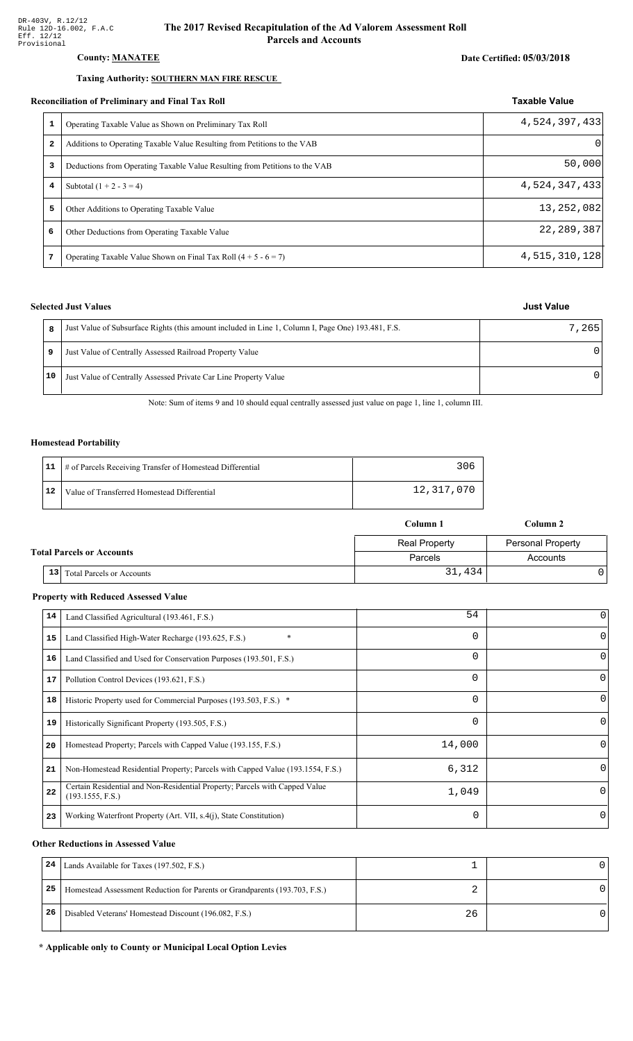### County: **MANATEE**

#### Taxing Authority: **SOUTHERN MAN FIRE RESCUE**

#### Reconciliation of Preliminary and Final Tax Roll

|   | conciliation of Preliminary and Final Tax Roll                              | <b>Taxable Value</b> |
|---|-----------------------------------------------------------------------------|----------------------|
| 1 | Operating Taxable Value as Shown on Preliminary Tax Roll                    | 4,524,397,433        |
| 2 | Additions to Operating Taxable Value Resulting from Petitions to the VAB    | $\Omega$             |
| 3 | Deductions from Operating Taxable Value Resulting from Petitions to the VAB | 50,000               |
| 4 | Subtotal $(1 + 2 - 3 = 4)$                                                  | 4,524,347,433        |
| 5 | Other Additions to Operating Taxable Value                                  | 13, 252, 082         |
| 6 | Other Deductions from Operating Taxable Value                               | 22, 289, 387         |
| 7 | Operating Taxable Value Shown on Final Tax Roll $(4 + 5 - 6 = 7)$           | 4,515,310,128        |

### **Selected Just Values**

| 8  | Just Value of Subsurface Rights (this amount included in Line 1, Column I, Page One) 193.481, F.S. | 7,265 |
|----|----------------------------------------------------------------------------------------------------|-------|
|    | Just Value of Centrally Assessed Railroad Property Value                                           |       |
| 10 | Just Value of Centrally Assessed Private Car Line Property Value                                   |       |

Note: Sum of items 9 and 10 should equal centrally assessed just value on page 1, line 1, column III.

#### Homestead Portability

|    | 11   # of Parcels Receiving Transfer of Homestead Differential |            |
|----|----------------------------------------------------------------|------------|
| 12 | Value of Transferred Homestead Differential                    | 12,317,070 |

|                                                     | Column 1             | Column 2                 |  |
|-----------------------------------------------------|----------------------|--------------------------|--|
|                                                     | <b>Real Property</b> | <b>Personal Property</b> |  |
| <b>Total Parcels or Accounts</b>                    | Parcels              | Accounts                 |  |
| 13 <sup>1</sup><br><b>Total Parcels or Accounts</b> | 31,434               |                          |  |

#### **Property with Reduced Assessed Value**

| 14 | Land Classified Agricultural (193.461, F.S.)                                                    | 54       |          |
|----|-------------------------------------------------------------------------------------------------|----------|----------|
| 15 | $\ast$<br>Land Classified High-Water Recharge (193.625, F.S.)                                   | 0        | 0        |
| 16 | Land Classified and Used for Conservation Purposes (193.501, F.S.)                              | $\Omega$ | $\Omega$ |
| 17 | Pollution Control Devices (193.621, F.S.)                                                       | 0        | 0        |
| 18 | Historic Property used for Commercial Purposes (193.503, F.S.) *                                | 0        | $\Omega$ |
| 19 | Historically Significant Property (193.505, F.S.)                                               | $\Omega$ | 0        |
| 20 | Homestead Property; Parcels with Capped Value (193.155, F.S.)                                   | 14,000   | $\Omega$ |
| 21 | Non-Homestead Residential Property; Parcels with Capped Value (193.1554, F.S.)                  | 6,312    | $\Omega$ |
| 22 | Certain Residential and Non-Residential Property; Parcels with Capped Value<br>(193.1555, F.S.) | 1,049    | $\Omega$ |
| 23 | Working Waterfront Property (Art. VII, s.4(j), State Constitution)                              | $\Omega$ | 0        |

#### **Other Reductions in Assessed Value**

| 24 | Lands Available for Taxes (197.502, F.S.)                                  |    |  |
|----|----------------------------------------------------------------------------|----|--|
| 25 | Homestead Assessment Reduction for Parents or Grandparents (193.703, F.S.) |    |  |
| 26 | Disabled Veterans' Homestead Discount (196.082, F.S.)                      | 26 |  |

#### \* Applicable only to County or Municipal Local Option Levies

| Just Value |
|------------|
|            |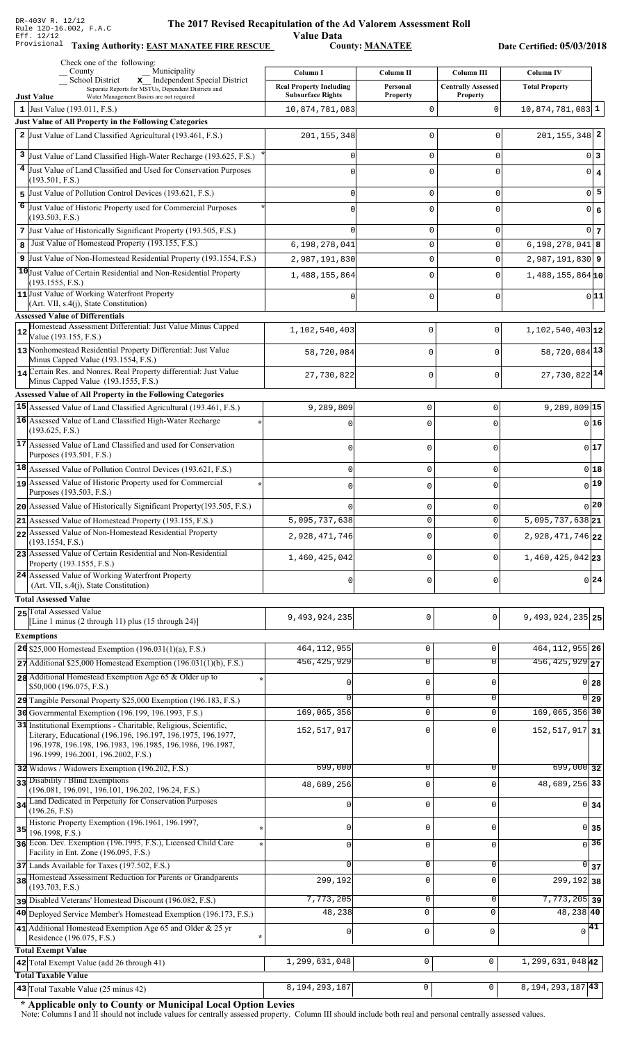### **The 2017 Rev** ised Recapitulation of the Ad Valorem Assessment Roll Value Data<br>
County: <u>MANATEE</u>

Taxing Authority: **EAST MANATEE FIRE RESCUE** County: **MANATEE** 

Date Certified: 05/03/2018

| Check one of the following:<br>Municipality<br>County                                                                                                                                                                                 |                                            |                       |                                                |                                           |
|---------------------------------------------------------------------------------------------------------------------------------------------------------------------------------------------------------------------------------------|--------------------------------------------|-----------------------|------------------------------------------------|-------------------------------------------|
| _ School District<br>x Independent Special District                                                                                                                                                                                   | Column I<br><b>Real Property Including</b> | Column II<br>Personal | <b>Column III</b><br><b>Centrally Assessed</b> | <b>Column IV</b><br><b>Total Property</b> |
| Separate Reports for MSTUs, Dependent Districts and<br><b>Just Value</b><br>Water Management Basins are not required                                                                                                                  | <b>Subsurface Rights</b>                   | <b>Property</b>       | <b>Property</b>                                |                                           |
| 1 Just Value $(193.011, F.S.)$                                                                                                                                                                                                        | 10,874,781,083                             | 0                     | $\mathbf 0$                                    | $10,874,781,083$ 1                        |
| Just Value of All Property in the Following Categories                                                                                                                                                                                |                                            |                       |                                                |                                           |
| 2 Just Value of Land Classified Agricultural (193.461, F.S.)                                                                                                                                                                          | 201, 155, 348                              | 0                     | $\Omega$                                       | $201, 155, 348$ 2                         |
| 3 Just Value of Land Classified High-Water Recharge (193.625, F.S.)                                                                                                                                                                   | 0                                          | 0                     | 0                                              | 0 3                                       |
| 4 Just Value of Land Classified and Used for Conservation Purposes                                                                                                                                                                    |                                            | 0                     | 0                                              | $0 \mid 4$                                |
| (193.501, F.S.)                                                                                                                                                                                                                       |                                            |                       |                                                |                                           |
| $\overline{5}$ Just Value of Pollution Control Devices (193.621, F.S.)                                                                                                                                                                | O                                          | 0                     | 0                                              | $\overline{0}$ 5                          |
| 6 Just Value of Historic Property used for Commercial Purposes<br>(193.503, F.S.)                                                                                                                                                     | O                                          | 0                     | 0                                              | 0 6                                       |
| 7 Just Value of Historically Significant Property (193.505, F.S.)                                                                                                                                                                     | U                                          | 0                     | 0                                              | $0\vert$ 7                                |
| Just Value of Homestead Property (193.155, F.S.)<br>8                                                                                                                                                                                 | 6,198,278,041                              | $\mathsf 0$           | 0                                              | $6, 198, 278, 041$ 8                      |
| 9 Just Value of Non-Homestead Residential Property (193.1554, F.S.)                                                                                                                                                                   | 2,987,191,830                              | $\mathsf 0$           | 0                                              | $2,987,191,830$ 9                         |
| 10 Just Value of Certain Residential and Non-Residential Property                                                                                                                                                                     | 1,488,155,864                              | $\mathbf 0$           | 0                                              | $1,488,155,864$ 10                        |
| (193.1555, F.S.)<br>11 Just Value of Working Waterfront Property<br>(Art. VII, s.4(j), State Constitution)                                                                                                                            |                                            | 0                     | 0                                              | 0 11                                      |
| <b>Assessed Value of Differentials</b>                                                                                                                                                                                                |                                            |                       |                                                |                                           |
| Homestead Assessment Differential: Just Value Minus Capped<br>12                                                                                                                                                                      | 1,102,540,403                              | $\mathbf 0$           | $\mathbf 0$                                    | $1,102,540,403$ <sub>12</sub>             |
| Value (193.155, F.S.)<br>13 Nonhomestead Residential Property Differential: Just Value                                                                                                                                                |                                            | $\mathbf 0$           | $\Omega$                                       | 58,720,084 13                             |
| Minus Capped Value (193.1554, F.S.)                                                                                                                                                                                                   | 58,720,084                                 |                       |                                                |                                           |
| 14 Certain Res. and Nonres. Real Property differential: Just Value                                                                                                                                                                    | 27,730,822                                 | 0                     | $\mathbf{0}$                                   | 27,730,822 14                             |
| Minus Capped Value (193.1555, F.S.)<br>Assessed Value of All Property in the Following Categories                                                                                                                                     |                                            |                       |                                                |                                           |
| 15 Assessed Value of Land Classified Agricultural (193.461, F.S.)                                                                                                                                                                     | 9,289,809                                  | $\mathbf 0$           | $\mathbf 0$                                    | $9,289,809$ <sup>15</sup>                 |
| 16 Assessed Value of Land Classified High-Water Recharge                                                                                                                                                                              |                                            |                       |                                                | 0 16                                      |
| (193.625, F.S.)                                                                                                                                                                                                                       |                                            | $\mathbf 0$           | $\Omega$                                       |                                           |
| 17 Assessed Value of Land Classified and used for Conservation                                                                                                                                                                        | $\Omega$                                   | $\mathbf 0$           | 0                                              | 0 17                                      |
| Purposes (193.501, F.S.)                                                                                                                                                                                                              |                                            |                       |                                                |                                           |
| $ 18 $ Assessed Value of Pollution Control Devices (193.621, F.S.)                                                                                                                                                                    | $\mathbf 0$                                | $\mathbf 0$           | 0                                              | $0$ 18                                    |
| 19 Assessed Value of Historic Property used for Commercial<br>Purposes (193.503, F.S.)                                                                                                                                                | $\Omega$                                   | $\mathbf 0$           | $\Omega$                                       | 0 19                                      |
| 20 Assessed Value of Historically Significant Property (193.505, F.S.)                                                                                                                                                                | $\Omega$                                   | $\mathbf 0$           | 0                                              | $0$  20                                   |
| <b>21</b> Assessed Value of Homestead Property (193.155, F.S.)                                                                                                                                                                        | 5,095,737,638                              | 0                     | 0                                              | 5,095,737,638 $21$                        |
| 22 Assessed Value of Non-Homestead Residential Property                                                                                                                                                                               | 2,928,471,746                              | $\mathbf 0$           | $\Omega$                                       | 2,928,471,746 22                          |
| (193.1554, F.S.)                                                                                                                                                                                                                      |                                            |                       |                                                |                                           |
| 23 Assessed Value of Certain Residential and Non-Residential<br>Property (193.1555, F.S.)                                                                                                                                             | 1,460,425,042                              | $\mathbf 0$           | $\Omega$                                       | $1,460,425,042$ 23                        |
| 24 Assessed Value of Working Waterfront Property                                                                                                                                                                                      | 0                                          | $\mathbf 0$           | 0                                              | $0\vert 24$                               |
| (Art. VII, s.4(j), State Constitution)                                                                                                                                                                                                |                                            |                       |                                                |                                           |
| <b>Total Assessed Value</b>                                                                                                                                                                                                           |                                            |                       |                                                |                                           |
| 25 Total Assessed Value<br>[Line 1 minus $(2 \text{ through } 11)$ plus $(15 \text{ through } 24)$ ]                                                                                                                                  | 9,493,924,235                              | 0                     | 0                                              | 9, 493, 924, 235 25                       |
| <b>Exemptions</b>                                                                                                                                                                                                                     |                                            |                       |                                                |                                           |
| 26 \$25,000 Homestead Exemption (196.031(1)(a), F.S.)                                                                                                                                                                                 | 464, 112, 955                              | $\mathsf 0$           | 0                                              | 464, 112, 955 26                          |
| $27$ Additional \$25,000 Homestead Exemption (196.031(1)(b), F.S.)                                                                                                                                                                    | 456, 425, 929                              | $\overline{0}$        | $\overline{0}$                                 | $\overline{456, 425, 929}$ 27             |
| 28 Additional Homestead Exemption Age 65 & Older up to                                                                                                                                                                                |                                            |                       |                                                |                                           |
| \$50,000 (196.075, F.S.)                                                                                                                                                                                                              |                                            | $\mathbf 0$           | <sup>0</sup>                                   | $0$ 28                                    |
| 29 Tangible Personal Property \$25,000 Exemption (196.183, F.S.)                                                                                                                                                                      |                                            | $\overline{0}$        | 0                                              | $\overline{0}$ 29                         |
| 30 Governmental Exemption (196.199, 196.1993, F.S.)                                                                                                                                                                                   | 169,065,356                                | $\mathbf 0$           | 0                                              | 169,065,356 30                            |
| 31 Institutional Exemptions - Charitable, Religious, Scientific,<br>Literary, Educational (196.196, 196.197, 196.1975, 196.1977,<br>196.1978, 196.198, 196.1983, 196.1985, 196.1986, 196.1987,<br>196.1999, 196.2001, 196.2002, F.S.) | 152,517,917                                | $\mathbf 0$           | $\Omega$                                       | 152, 517, 917 31                          |
| 32 Widows / Widowers Exemption (196.202, F.S.)                                                                                                                                                                                        | 699,000                                    | 0                     | 0                                              | $699,000$ 32                              |
| 33 Disability / Blind Exemptions                                                                                                                                                                                                      | 48,689,256                                 | $\mathbf 0$           | $\Omega$                                       | 48,689,256 33                             |
| (196.081, 196.091, 196.101, 196.202, 196.24, F.S.)                                                                                                                                                                                    |                                            |                       |                                                |                                           |
| 34 Land Dedicated in Perpetuity for Conservation Purposes<br>(196.26, F.S)                                                                                                                                                            |                                            | $\mathbf 0$           | $\Omega$                                       | $0\overline{\smash{34}}$                  |
| Historic Property Exemption (196.1961, 196.1997,                                                                                                                                                                                      | 0                                          | $\mathbf 0$           | 0                                              | 0 35                                      |
| 35<br>196.1998, F.S.)<br>36 Econ. Dev. Exemption (196.1995, F.S.), Licensed Child Care                                                                                                                                                |                                            |                       |                                                | $\sqrt{36}$                               |
| Facility in Ent. Zone (196.095, F.S.)                                                                                                                                                                                                 | O                                          | $\mathbf 0$           | $\Omega$                                       |                                           |
| 37 Lands Available for Taxes (197.502, F.S.)                                                                                                                                                                                          | U                                          | $\mathbf 0$           | 0                                              | $\overline{0}$<br>37                      |
| 38 Homestead Assessment Reduction for Parents or Grandparents                                                                                                                                                                         | 299,192                                    | $\mathsf 0$           | $\Omega$                                       | 299, 192 38                               |
| (193.703, F.S.)<br>pisabled Veterans' Homestead Discount (196.082, F.S.)                                                                                                                                                              | 7,773,205                                  | $\mathsf{O}\xspace$   | 0                                              | $7,773,205$ 39                            |
| 40 Deployed Service Member's Homestead Exemption (196.173, F.S.)                                                                                                                                                                      | 48,238                                     | $\mathsf{O}\xspace$   | $\mathbf 0$                                    | 48,238 40                                 |
| 41 Additional Homestead Exemption Age 65 and Older & 25 yr                                                                                                                                                                            |                                            |                       |                                                | $\sqrt{41}$                               |
| Residence (196.075, F.S.)                                                                                                                                                                                                             | 0                                          | $\mathsf{O}\xspace$   | $\mathbf{0}$                                   |                                           |
| <b>Total Exempt Value</b>                                                                                                                                                                                                             |                                            |                       |                                                |                                           |
| 42 Total Exempt Value (add 26 through 41)                                                                                                                                                                                             | 1,299,631,048                              | 0                     | 0                                              | 1,299,631,048 42                          |
| <b>Total Taxable Value</b>                                                                                                                                                                                                            | 8, 194, 293, 187                           | $\mathsf 0$           | 0                                              | $8, 194, 293, 187$ 43                     |
| 43 Total Taxable Value (25 minus 42)                                                                                                                                                                                                  |                                            |                       |                                                |                                           |

\* Applicable only to County or Municipal Local Option Levies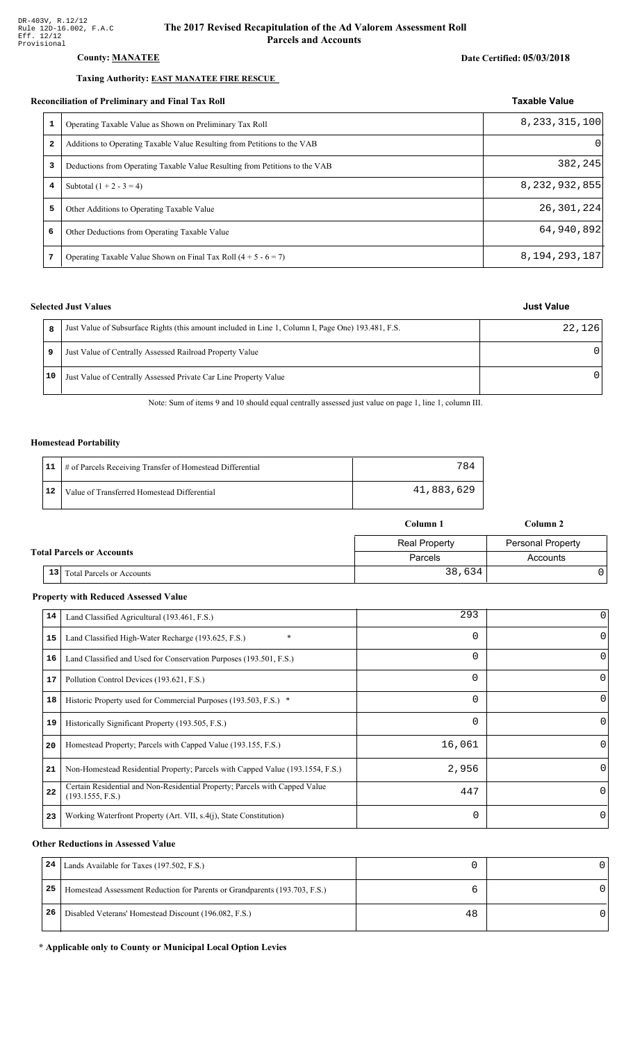### County: **MANATEE**

#### Taxing Authority: **EAST MANATEE FIRE RESCUE**

#### Reconciliation of Preliminary and Final Tax Roll

| 1            | Operating Taxable Value as Shown on Preliminary Tax Roll                    | 8, 233, 315, 100 |  |
|--------------|-----------------------------------------------------------------------------|------------------|--|
| $\mathbf{z}$ | Additions to Operating Taxable Value Resulting from Petitions to the VAB    | $\Omega$         |  |
| 3            | Deductions from Operating Taxable Value Resulting from Petitions to the VAB | 382,245          |  |
| 4            | Subtotal $(1 + 2 - 3 = 4)$                                                  | 8, 232, 932, 855 |  |
| 5            | Other Additions to Operating Taxable Value                                  | 26,301,224       |  |
| 6            | Other Deductions from Operating Taxable Value                               | 64,940,892       |  |
| 7            | Operating Taxable Value Shown on Final Tax Roll $(4 + 5 - 6 = 7)$           | 8, 194, 293, 187 |  |

### **Selected Just Values**

|    | Just Value of Subsurface Rights (this amount included in Line 1, Column I, Page One) 193.481, F.S. | 22,126 |
|----|----------------------------------------------------------------------------------------------------|--------|
| 9  | Just Value of Centrally Assessed Railroad Property Value                                           | U      |
| 10 | Just Value of Centrally Assessed Private Car Line Property Value                                   | n      |

Note: Sum of items 9 and 10 should equal centrally assessed just value on page 1, line 1, column III.

#### **Homestead Portability**

|    | 11   # of Parcels Receiving Transfer of Homestead Differential | 784        |
|----|----------------------------------------------------------------|------------|
| 12 | Value of Transferred Homestead Differential                    | 41,883,629 |

|                                                     | Column 1             | Column 2                 |
|-----------------------------------------------------|----------------------|--------------------------|
|                                                     | <b>Real Property</b> | <b>Personal Property</b> |
| <b>Total Parcels or Accounts</b>                    | Parcels              | Accounts                 |
| 13 <sup>1</sup><br><b>Total Parcels or Accounts</b> | 38,634               |                          |

#### **Property with Reduced Assessed Value**

| 14 | Land Classified Agricultural (193.461, F.S.)                                                    | 293      |          |
|----|-------------------------------------------------------------------------------------------------|----------|----------|
| 15 | $\ast$<br>Land Classified High-Water Recharge (193.625, F.S.)                                   | 0        |          |
| 16 | Land Classified and Used for Conservation Purposes (193.501, F.S.)                              | $\Omega$ | 0        |
| 17 | Pollution Control Devices (193.621, F.S.)                                                       | 0        | 0        |
| 18 | Historic Property used for Commercial Purposes (193.503, F.S.) *                                | 0        | O        |
| 19 | Historically Significant Property (193.505, F.S.)                                               | $\Omega$ | $\Omega$ |
| 20 | Homestead Property; Parcels with Capped Value (193.155, F.S.)                                   | 16,061   |          |
| 21 | Non-Homestead Residential Property; Parcels with Capped Value (193.1554, F.S.)                  | 2,956    |          |
| 22 | Certain Residential and Non-Residential Property; Parcels with Capped Value<br>(193.1555, F.S.) | 447      | $\Omega$ |
| 23 | Working Waterfront Property (Art. VII, s.4(j), State Constitution)                              | $\Omega$ | 0        |

#### **Other Reductions in Assessed Value**

| 24 | Lands Available for Taxes (197.502, F.S.)                                  |    |  |
|----|----------------------------------------------------------------------------|----|--|
| 25 | Homestead Assessment Reduction for Parents or Grandparents (193.703, F.S.) |    |  |
| 26 | Disabled Veterans' Homestead Discount (196.082, F.S.)                      | 48 |  |

#### \* Applicable only to County or Municipal Local Option Levies

## Taxable Value

| Just Value |
|------------|
|            |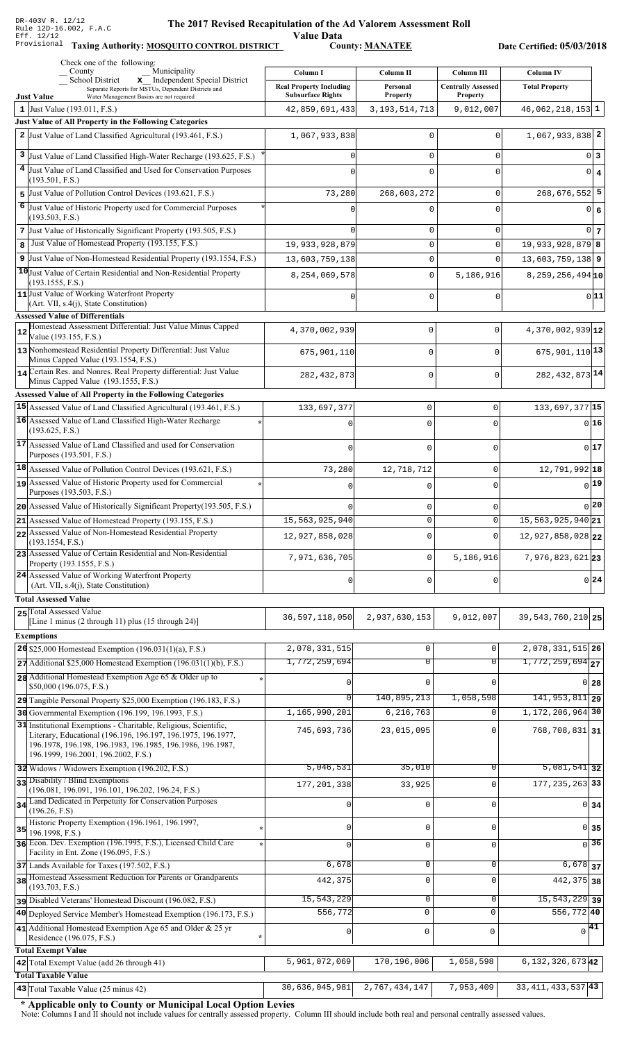Value Data<br>County: MANATEE Taxing Authority: **MOSQUITO CONTROL DISTRICT** County: **MANATEE** 

Date Certified: 05/03/2018

|    | Check one of the following:<br>Municipality<br>County                                                                      | Column I                                   | Column II                           | <b>Column III</b>            | <b>Column IV</b>              |                   |
|----|----------------------------------------------------------------------------------------------------------------------------|--------------------------------------------|-------------------------------------|------------------------------|-------------------------------|-------------------|
|    | School District<br>x Independent Special District<br>Separate Reports for MSTUs, Dependent Districts and                   | <b>Real Property Including</b>             | Personal                            | <b>Centrally Assessed</b>    | <b>Total Property</b>         |                   |
|    | <b>Just Value</b><br>Water Management Basins are not required<br>1 Just Value $(193.011, F.S.)$                            | <b>Subsurface Rights</b><br>42,859,691,433 | <b>Property</b><br>3, 193, 514, 713 | <b>Property</b><br>9,012,007 | $46,062,218,153$ 1            |                   |
|    | Just Value of All Property in the Following Categories                                                                     |                                            |                                     |                              |                               |                   |
|    | 2 Just Value of Land Classified Agricultural (193.461, F.S.)                                                               | 1,067,933,838                              | $\Omega$                            | 0                            | $1,067,933,838$ <sup>2</sup>  |                   |
| 3  | Just Value of Land Classified High-Water Recharge (193.625, F.S.)                                                          |                                            | $\mathbf 0$                         | 0                            |                               | 0 3               |
|    | 4 Just Value of Land Classified and Used for Conservation Purposes                                                         |                                            | $\Omega$                            | 0                            |                               | $0 \mid 4$        |
|    | (193.501, F.S.)                                                                                                            |                                            |                                     |                              |                               |                   |
|    | 5 Just Value of Pollution Control Devices (193.621, F.S.)                                                                  | 73,280                                     | 268,603,272                         | 0                            | $268,676,552$ 5               |                   |
| 6  | Just Value of Historic Property used for Commercial Purposes<br>(193.503, F.S.)                                            |                                            | $\Omega$                            | O                            |                               | 0 6               |
|    | 7 Just Value of Historically Significant Property (193.505, F.S.)                                                          |                                            | $\mathbf 0$                         | $\mathbf 0$                  |                               | 0 <sub>7</sub>    |
| 8  | Just Value of Homestead Property (193.155, F.S.)                                                                           | 19,933,928,879                             | $\mathsf 0$                         | $\Omega$                     | $19,933,928,879$ 8            |                   |
|    | 9 Just Value of Non-Homestead Residential Property (193.1554, F.S.)                                                        | 13,603,759,138                             | $\mathsf 0$                         | $\Omega$                     | $13,603,759,138$ 9            |                   |
|    | 10 Just Value of Certain Residential and Non-Residential Property                                                          | 8,254,069,578                              | $\mathbf 0$                         | 5,186,916                    | $8,259,256,494$ <sub>10</sub> |                   |
|    | (193.1555, F.S.)<br>11 Just Value of Working Waterfront Property                                                           |                                            |                                     |                              |                               |                   |
|    | $(Art. VII, s.4(j), State Constitution)$                                                                                   |                                            | $\Omega$                            | $\Omega$                     |                               | 0 11              |
|    | <b>Assessed Value of Differentials</b>                                                                                     |                                            |                                     |                              |                               |                   |
| 12 | Homestead Assessment Differential: Just Value Minus Capped<br>Value (193.155, F.S.)                                        | 4,370,002,939                              | 0                                   | $\mathbf 0$                  | 4,370,002,939 12              |                   |
|    | 13 Nonhomestead Residential Property Differential: Just Value                                                              | 675,901,110                                | 0                                   | $\mathbf 0$                  | $675,901,110$ <sup>13</sup>   |                   |
|    | Minus Capped Value (193.1554, F.S.)<br>14 Certain Res. and Nonres. Real Property differential: Just Value                  |                                            |                                     |                              |                               |                   |
|    | Minus Capped Value (193.1555, F.S.)                                                                                        | 282, 432, 873                              | 0                                   | $\mathbf 0$                  | 282, 432, 873 14              |                   |
|    | Assessed Value of All Property in the Following Categories                                                                 |                                            |                                     |                              |                               |                   |
|    | 15 Assessed Value of Land Classified Agricultural (193.461, F.S.)                                                          | 133,697,377                                | $\mathbf 0$                         | 0                            | 133, 697, 377 15              |                   |
|    | 16 Assessed Value of Land Classified High-Water Recharge                                                                   |                                            | $\Omega$                            | $\Omega$                     |                               | $0$ 16            |
|    | (193.625, F.S.)<br>17 Assessed Value of Land Classified and used for Conservation                                          |                                            |                                     |                              |                               |                   |
|    | Purposes (193.501, F.S.)                                                                                                   | $\mathbf 0$                                | $\mathbf 0$                         | U                            |                               | 0 17              |
|    | 18 Assessed Value of Pollution Control Devices (193.621, F.S.)                                                             | 73,280                                     | 12,718,712                          | 0                            | $12,791,992$ 18               |                   |
|    | 19 Assessed Value of Historic Property used for Commercial                                                                 |                                            | $\Omega$                            | 0                            |                               | 19                |
|    | Purposes (193.503, F.S.)                                                                                                   |                                            |                                     |                              |                               |                   |
|    | 20 Assessed Value of Historically Significant Property (193.505, F.S.)                                                     | <sup>0</sup>                               | $\mathbf 0$                         | 0                            |                               | $0$  20           |
|    | 21 Assessed Value of Homestead Property (193.155, F.S.)<br>22 Assessed Value of Non-Homestead Residential Property         | 15,563,925,940                             | $\Omega$                            | $\Omega$                     | $15,563,925,940$ 21           |                   |
|    | (193.1554, F.S.)                                                                                                           | 12,927,858,028                             | 0                                   | $\Omega$                     | 12,927,858,028 22             |                   |
|    | 23 Assessed Value of Certain Residential and Non-Residential<br>Property (193.1555, F.S.)                                  | 7,971,636,705                              | $\mathsf 0$                         | 5,186,916                    | 7,976,823,62123               |                   |
|    | 24 Assessed Value of Working Waterfront Property                                                                           | 0                                          | $\mathbf 0$                         | U                            |                               | 0 24              |
|    | (Art. VII, s.4(j), State Constitution)<br><b>Total Assessed Value</b>                                                      |                                            |                                     |                              |                               |                   |
|    | 25 Total Assessed Value                                                                                                    |                                            |                                     |                              |                               |                   |
|    | [Line 1 minus (2 through 11) plus (15 through 24)]                                                                         | 36, 597, 118, 050                          | 2,937,630,153                       | 9,012,007                    | 39, 543, 760, 210 25          |                   |
|    | <b>Exemptions</b>                                                                                                          |                                            |                                     |                              |                               |                   |
|    | 26 \$25,000 Homestead Exemption $(196.031(1)(a), F.S.)$                                                                    | 2,078,331,515                              | $\mathsf 0$                         | $\mathbf 0$                  | 2,078,331,515 26              |                   |
|    | $27$ Additional \$25,000 Homestead Exemption (196.031(1)(b), F.S.)                                                         | 1,772,259,694                              | $\overline{0}$                      | $\overline{0}$               | $1,772,259,694$ <sub>27</sub> |                   |
|    | 28 Additional Homestead Exemption Age 65 & Older up to<br>\$50,000 (196.075, F.S.)                                         |                                            | $\mathbf 0$                         |                              |                               | 0 <sub>28</sub>   |
|    | 29 Tangible Personal Property \$25,000 Exemption (196.183, F.S.)                                                           |                                            | 140,895,213                         | 1,058,598                    | $141,953,811$ 29              |                   |
|    | 30 Governmental Exemption (196.199, 196.1993, F.S.)                                                                        | 1,165,990,201                              | 6,216,763                           | $\Omega$                     | 1, 172, 206, 964 30           |                   |
|    | 31 Institutional Exemptions - Charitable, Religious, Scientific,                                                           | 745,693,736                                | 23,015,095                          | 0                            | 768,708,831 31                |                   |
|    | Literary, Educational (196.196, 196.197, 196.1975, 196.1977,<br>196.1978, 196.198, 196.1983, 196.1985, 196.1986, 196.1987, |                                            |                                     |                              |                               |                   |
|    | 196.1999, 196.2001, 196.2002, F.S.)                                                                                        |                                            |                                     |                              |                               |                   |
|    | 32 Widows / Widowers Exemption (196.202, F.S.)                                                                             | 5,046,531                                  | 35,010                              | 0                            | $\overline{5,081,541}$ 32     |                   |
|    | 33 Disability / Blind Exemptions<br>(196.081, 196.091, 196.101, 196.202, 196.24, F.S.)                                     | 177, 201, 338                              | 33,925                              | $\Omega$                     | 177, 235, 263 33              |                   |
|    | 34 Land Dedicated in Perpetuity for Conservation Purposes                                                                  | $\Omega$                                   | $\mathbf 0$                         | $\Omega$                     |                               | 0 <sub>34</sub>   |
|    | (196.26, F.S)<br>Historic Property Exemption (196.1961, 196.1997,                                                          |                                            |                                     |                              |                               |                   |
| 35 | 196.1998, F.S.)                                                                                                            |                                            | 0                                   | $\Omega$                     |                               | 0 35              |
|    | 36 Econ. Dev. Exemption (196.1995, F.S.), Licensed Child Care                                                              |                                            | $\mathbf 0$                         | $\Omega$                     |                               | $\overline{0}$ 36 |
|    | Facility in Ent. Zone (196.095, F.S.)<br>37 Lands Available for Taxes (197.502, F.S.)                                      | 6,678                                      | $\mathbf 0$                         | $\Omega$                     | $6,678$ 37                    |                   |
|    | 38 Homestead Assessment Reduction for Parents or Grandparents                                                              | 442,375                                    | $\mathbf 0$                         | $\Omega$                     | 442, 375 38                   |                   |
|    | (193.703, F.S.)                                                                                                            |                                            |                                     |                              |                               |                   |
|    | pisabled Veterans' Homestead Discount (196.082, F.S.)                                                                      | 15, 543, 229                               | $\mathbf 0$                         | 0                            | $\overline{15,543,229}$ 39    |                   |
|    | 40 Deployed Service Member's Homestead Exemption (196.173, F.S.)                                                           | 556,772                                    | 0                                   | $\mathbf 0$                  | 556,772 40                    |                   |
|    | 41 Additional Homestead Exemption Age 65 and Older & 25 yr<br>Residence (196.075, F.S.)                                    | 0                                          | 0                                   | $\mathbf 0$                  | $\sqrt{41}$                   |                   |
|    | <b>Total Exempt Value</b>                                                                                                  |                                            |                                     |                              |                               |                   |
|    | 42 Total Exempt Value (add 26 through 41)                                                                                  | $\overline{5,961,072,069}$                 | 170,196,006                         | 1,058,598                    | $6, 132, 326, 673$ 42         |                   |
|    | <b>Total Taxable Value</b>                                                                                                 |                                            |                                     |                              |                               |                   |
|    | 43 Total Taxable Value (25 minus 42)                                                                                       | 30,636,045,981                             | 2,767,434,147                       | 7,953,409                    | 33,411,433,537 43             |                   |

\* Applicable only to County or Municipal Local Option Levies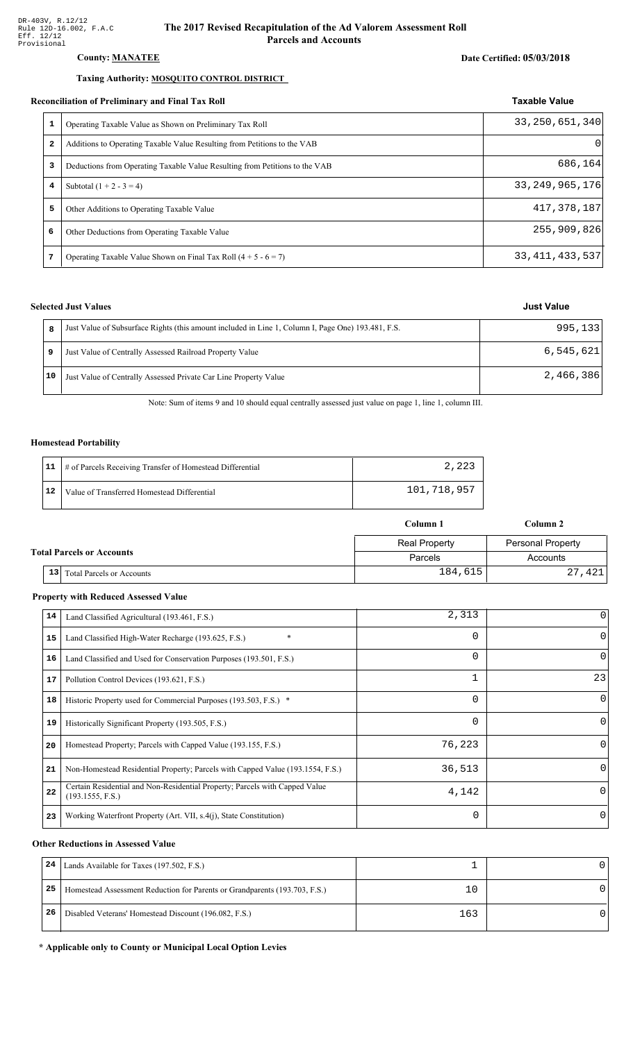#### County: **MANATEE**

#### Taxing Authority: **MOSQUITO CONTROL DISTRICT**

#### Reconciliation of Preliminary and Final Tax Roll

|              | Operating Taxable Value as Shown on Preliminary Tax Roll                    | 33, 250, 651, 340 |
|--------------|-----------------------------------------------------------------------------|-------------------|
| $\mathbf{2}$ | Additions to Operating Taxable Value Resulting from Petitions to the VAB    | $\Omega$          |
| 3            | Deductions from Operating Taxable Value Resulting from Petitions to the VAB | 686,164           |
| 4            | Subtotal $(1 + 2 - 3 = 4)$                                                  | 33, 249, 965, 176 |
| 5            | Other Additions to Operating Taxable Value                                  | 417,378,187       |
| 6            | Other Deductions from Operating Taxable Value                               | 255,909,826       |
| 7            | Operating Taxable Value Shown on Final Tax Roll $(4 + 5 - 6 = 7)$           | 33, 411, 433, 537 |

#### **Selected Just Values**

|    | Just Value of Subsurface Rights (this amount included in Line 1, Column I, Page One) 193.481, F.S. | 995,133   |
|----|----------------------------------------------------------------------------------------------------|-----------|
|    | Just Value of Centrally Assessed Railroad Property Value                                           | 6,545,621 |
| 10 | Just Value of Centrally Assessed Private Car Line Property Value                                   | 2,466,386 |

Note: Sum of items 9 and 10 should equal centrally assessed just value on page 1, line 1, column III.

#### **Homestead Portability**

|    | 11   # of Parcels Receiving Transfer of Homestead Differential | 2,223       |
|----|----------------------------------------------------------------|-------------|
| 12 | Value of Transferred Homestead Differential                    | 101,718,957 |

|                                  |    |                                  | Column 1             | Column 2          |  |  |
|----------------------------------|----|----------------------------------|----------------------|-------------------|--|--|
| <b>Total Parcels or Accounts</b> |    |                                  | <b>Real Property</b> | Personal Property |  |  |
|                                  |    |                                  | Parcels              | Accounts          |  |  |
|                                  | 13 | <b>Total Parcels or Accounts</b> | 184,615              | 27,421            |  |  |

#### **Property with Reduced Assessed Value**

| 14 | Land Classified Agricultural (193.461, F.S.)                                                    | 2,313    |          |
|----|-------------------------------------------------------------------------------------------------|----------|----------|
| 15 | $\ast$<br>Land Classified High-Water Recharge (193.625, F.S.)                                   | 0        | $\Omega$ |
| 16 | Land Classified and Used for Conservation Purposes (193.501, F.S.)                              | $\Omega$ | 0        |
| 17 | Pollution Control Devices (193.621, F.S.)                                                       |          | 23       |
| 18 | Historic Property used for Commercial Purposes (193.503, F.S.) *                                | 0        | $\Omega$ |
| 19 | Historically Significant Property (193.505, F.S.)                                               | $\Omega$ | $\Omega$ |
| 20 | Homestead Property; Parcels with Capped Value (193.155, F.S.)                                   | 76,223   | $\Omega$ |
| 21 | Non-Homestead Residential Property; Parcels with Capped Value (193.1554, F.S.)                  | 36,513   | $\Omega$ |
| 22 | Certain Residential and Non-Residential Property; Parcels with Capped Value<br>(193.1555, F.S.) | 4,142    | 0        |
| 23 | Working Waterfront Property (Art. VII, s.4(j), State Constitution)                              | $\Omega$ | 0        |

#### **Other Reductions in Assessed Value**

| 24 | Lands Available for Taxes (197.502, F.S.)                                  |     |  |
|----|----------------------------------------------------------------------------|-----|--|
| 25 | Homestead Assessment Reduction for Parents or Grandparents (193.703, F.S.) |     |  |
| 26 | Disabled Veterans' Homestead Discount (196.082, F.S.)                      | 163 |  |

#### \* Applicable only to County or Municipal Local Option Levies

# Date Certified: 05/03/2018

Taxable Value

### **Just Value**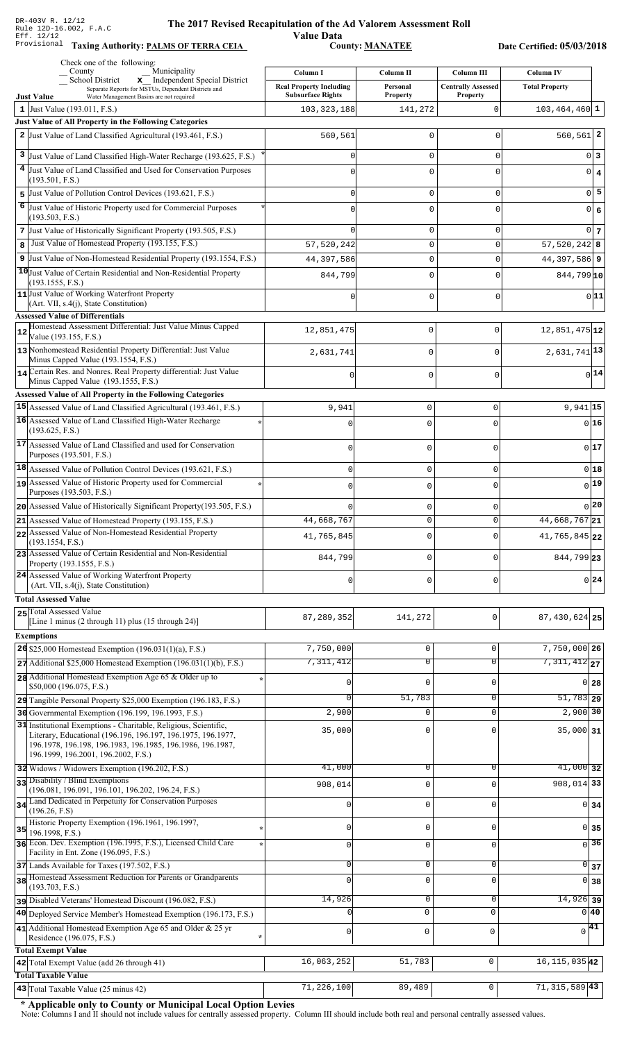### **The 2017 Rev** ised Recapitulation of the Ad Valorem Assessment Roll ALION OF CHERA<br>Value Data<br>County: <u>MANATEE</u>

Taxing Authority: PALMS OF TERRA CEIA COUNTY: MANATEE

Date Certified: 05/03/2018

| Check one of the following:<br>Municipality<br>County                                                                   | Column I                       | Column II       | Column III                | <b>Column IV</b>             |
|-------------------------------------------------------------------------------------------------------------------------|--------------------------------|-----------------|---------------------------|------------------------------|
| School District<br>x Independent Special District                                                                       | <b>Real Property Including</b> | Personal        | <b>Centrally Assessed</b> | <b>Total Property</b>        |
| Separate Reports for MSTUs, Dependent Districts and<br><b>Just Value</b><br>Water Management Basins are not required    | <b>Subsurface Rights</b>       | <b>Property</b> | <b>Property</b>           |                              |
| 1 Just Value $(193.011, F.S.)$                                                                                          | 103, 323, 188                  | 141,272         | 0                         | $103, 464, 460$ 1            |
| Just Value of All Property in the Following Categories                                                                  |                                |                 |                           |                              |
| 2 Just Value of Land Classified Agricultural (193.461, F.S.)                                                            | 560,561                        | $\Omega$        | C                         | $560, 561$ 2                 |
| 3<br>Just Value of Land Classified High-Water Recharge (193.625, F.S.)                                                  |                                | 0               | 0                         | $0\vert 3$                   |
| 4<br>Just Value of Land Classified and Used for Conservation Purposes                                                   | C                              | 0               | $\bigcap$                 | $\overline{0}$<br>$\vert$ 4  |
| (193.501, F.S.)                                                                                                         |                                |                 |                           | $0\overline{5}$              |
| Just Value of Pollution Control Devices (193.621, F.S.)<br>5<br>6                                                       | O                              | 0               | $\mathbf 0$               |                              |
| Just Value of Historic Property used for Commercial Purposes<br>(193.503, F.S.)                                         | O                              | 0               | $\mathbf 0$               | $\overline{0}$<br>$\epsilon$ |
| 7 Just Value of Historically Significant Property (193.505, F.S.)                                                       |                                | 0               | 0                         | $0\vert$ 7                   |
| Just Value of Homestead Property (193.155, F.S.)<br>8                                                                   | 57,520,242                     | 0               | $\mathbf 0$               | $57,520,242$ 8               |
| 9 Just Value of Non-Homestead Residential Property (193.1554, F.S.)                                                     | 44,397,586                     | 0               | $\Omega$                  | 44, 397, 586 9               |
| 10 Just Value of Certain Residential and Non-Residential Property                                                       | 844,799                        | 0               | $\Omega$                  | $844,799$ <sub>10</sub>      |
| (193.1555, F.S.)<br>11 Just Value of Working Waterfront Property                                                        |                                |                 |                           | 0 11                         |
| (Art. VII, s.4(j), State Constitution)                                                                                  |                                | 0               | $\Omega$                  |                              |
| <b>Assessed Value of Differentials</b><br>Homestead Assessment Differential: Just Value Minus Capped                    |                                |                 |                           |                              |
| 12<br>Value (193.155, F.S.)                                                                                             | 12,851,475                     | $\mathbf 0$     | $\mathbf 0$               | $12,851,475$ 12              |
| 13 Nonhomestead Residential Property Differential: Just Value                                                           | 2,631,741                      | $\mathbf 0$     | $\Omega$                  | $2,631,741$ <sup>13</sup>    |
| Minus Capped Value (193.1554, F.S.)<br>14 Certain Res. and Nonres. Real Property differential: Just Value               |                                |                 |                           |                              |
| Minus Capped Value (193.1555, F.S.)                                                                                     | $\Omega$                       | $\mathbf 0$     | $\Omega$                  | $0$ 14                       |
| Assessed Value of All Property in the Following Categories                                                              |                                |                 |                           |                              |
| 15 Assessed Value of Land Classified Agricultural (193.461, F.S.)                                                       | 9,941                          | 0               | $\mathbf 0$               | $9,941$ 15                   |
| 16 Assessed Value of Land Classified High-Water Recharge                                                                |                                | 0               |                           | 016                          |
| (193.625, F.S.)<br>17 Assessed Value of Land Classified and used for Conservation                                       |                                |                 |                           |                              |
| Purposes (193.501, F.S.)                                                                                                | 0                              | 0               | $\Omega$                  | $0$ 17                       |
| 18 Assessed Value of Pollution Control Devices (193.621, F.S.)                                                          | 0                              | 0               | 0                         | 018                          |
| 19 Assessed Value of Historic Property used for Commercial                                                              |                                | 0               | <sup>0</sup>              | $0$ 19                       |
| Purposes (193.503, F.S.)                                                                                                |                                |                 |                           | 0 20                         |
| 20 Assessed Value of Historically Significant Property (193.505, F.S.)                                                  | U<br>44,668,767                | 0<br>$\Omega$   | $\Omega$<br>$\Omega$      | 44,668,767 21                |
| $21$ Assessed Value of Homestead Property (193.155, F.S.)<br>22 Assessed Value of Non-Homestead Residential Property    |                                |                 |                           |                              |
| (193.1554, F.S.)                                                                                                        | 41,765,845                     | 0               |                           | 41,765,845 22                |
| 23 Assessed Value of Certain Residential and Non-Residential<br>Property (193.1555, F.S.)                               | 844,799                        | 0               | $\Omega$                  | 844,799 23                   |
| 24 Assessed Value of Working Waterfront Property                                                                        |                                |                 |                           |                              |
| $(Art. VII, s.4(i), State Constitution)$                                                                                | 0                              | 0               | $\Omega$                  | 0 24                         |
| <b>Total Assessed Value</b>                                                                                             |                                |                 |                           |                              |
| 25 Total Assessed Value<br>[Line 1 minus (2 through 11) plus (15 through 24)]                                           | 87, 289, 352                   | 141,272         | 0                         | 87, 430, 624 25              |
| <b>Exemptions</b>                                                                                                       |                                |                 |                           |                              |
| 26 \$25,000 Homestead Exemption (196.031(1)(a), F.S.)                                                                   | 7,750,000                      | 0               | $\mathbf 0$               | 7,750,000 26                 |
| $27$ Additional \$25,000 Homestead Exemption (196.031(1)(b), F.S.)                                                      | 7,311,412                      | $\overline{0}$  | $\overline{0}$            | $7,311,412$ <sub>27</sub>    |
| 28 Additional Homestead Exemption Age 65 & Older up to                                                                  |                                | 0               | $\mathbf 0$               | $0$ 28                       |
| \$50,000 (196.075, F.S.)                                                                                                |                                |                 |                           |                              |
| 29 Tangible Personal Property \$25,000 Exemption (196.183, F.S.)<br>30 Governmental Exemption (196.199, 196.1993, F.S.) | $\Omega$<br>2,900              | 51,783<br>0     | 0<br>$\mathbf 0$          | $51,783$ 29<br>$2,900$ 30    |
| 31 Institutional Exemptions - Charitable, Religious, Scientific,                                                        |                                |                 |                           |                              |
| Literary, Educational (196.196, 196.197, 196.1975, 196.1977,                                                            | 35,000                         | 0               | $\Omega$                  | $35,000$ 31                  |
| 196.1978, 196.198, 196.1983, 196.1985, 196.1986, 196.1987,<br>196.1999, 196.2001, 196.2002, F.S.)                       |                                |                 |                           |                              |
| 32 Widows / Widowers Exemption (196.202, F.S.)                                                                          | 41,000                         | 0               | 0                         | $41,000$ 32                  |
| 33 Disability / Blind Exemptions                                                                                        | 908,014                        | 0               | $\Omega$                  | $908,014$ 33                 |
| (196.081, 196.091, 196.101, 196.202, 196.24, F.S.)                                                                      |                                |                 |                           |                              |
| 34 Land Dedicated in Perpetuity for Conservation Purposes<br>(196.26, F.S)                                              |                                | 0               | $\mathbf 0$               | $0 \overline{\smash)34}$     |
| Historic Property Exemption (196.1961, 196.1997,<br>35                                                                  | O                              | 0               | $\mathbf 0$               | $\overline{0}$<br>35         |
| 196.1998, F.S.)<br>36 Econ. Dev. Exemption (196.1995, F.S.), Licensed Child Care                                        | 0                              | $\mathbf 0$     | $\mathbf 0$               | 36<br>$\Omega$               |
| Facility in Ent. Zone (196.095, F.S.)                                                                                   |                                |                 |                           |                              |
| 37 Lands Available for Taxes (197.502, F.S.)                                                                            | $\Omega$                       | 0               | $\mathbf 0$               | $\overline{0}$ 37            |
| 38 Homestead Assessment Reduction for Parents or Grandparents<br>(193.703, F.S.)                                        |                                | 0               | $\mathbf 0$               | 0 38                         |
| pisabled Veterans' Homestead Discount (196.082, F.S.)                                                                   | 14,926                         | 0               | 0                         | $14,926$ 39                  |
| 40 Deployed Service Member's Homestead Exemption (196.173, F.S.)                                                        |                                | $\mathbf 0$     | $\mathsf 0$               | $0\vert 40$                  |
| 41 Additional Homestead Exemption Age 65 and Older & 25 yr                                                              | $\mathbf 0$                    | $\mathsf 0$     | $\mathbf 0$               | $\sqrt{41}$                  |
| Residence (196.075, F.S.)                                                                                               |                                |                 |                           |                              |
| <b>Total Exempt Value</b><br>42 Total Exempt Value (add 26 through 41)                                                  | 16,063,252                     | 51,783          | 0                         | 16, 115, 035 42              |
| <b>Total Taxable Value</b>                                                                                              |                                |                 |                           |                              |
| 43 Total Taxable Value (25 minus 42)                                                                                    | 71,226,100                     | 89,489          | 0                         | $71, 315, 589$ <sup>43</sup> |

\* Applicable only to County or Municipal Local Option Levies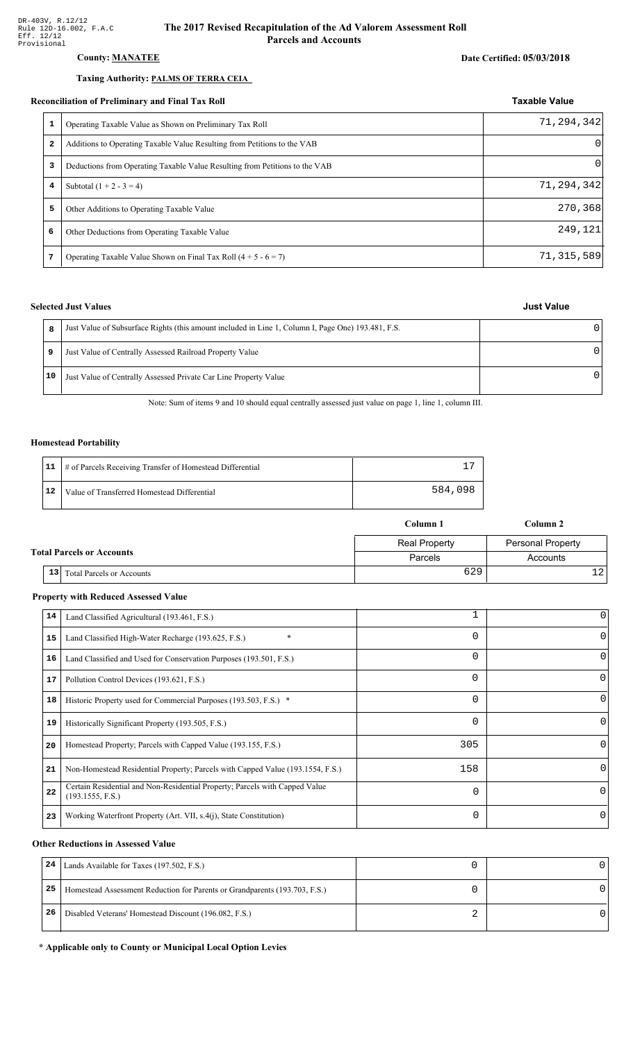### **County: MANATEE**

#### Taxing Authority: PALMS OF TERRA CEIA

#### Reconciliation of Preliminary and Final Tax Roll

| 1            | Operating Taxable Value as Shown on Preliminary Tax Roll                    | 71,294,342 |
|--------------|-----------------------------------------------------------------------------|------------|
| $\mathbf{z}$ | Additions to Operating Taxable Value Resulting from Petitions to the VAB    | $\Omega$   |
| 3            | Deductions from Operating Taxable Value Resulting from Petitions to the VAB | $\Omega$   |
| 4            | Subtotal $(1 + 2 - 3 = 4)$                                                  | 71,294,342 |
| 5            | Other Additions to Operating Taxable Value                                  | 270,368    |
| 6            | Other Deductions from Operating Taxable Value                               | 249,121    |
| 7            | Operating Taxable Value Shown on Final Tax Roll $(4 + 5 - 6 = 7)$           | 71,315,589 |

#### **Selected Just Values**

|    | Just Value of Subsurface Rights (this amount included in Line 1, Column I, Page One) 193.481, F.S. |   |
|----|----------------------------------------------------------------------------------------------------|---|
| 9  | Just Value of Centrally Assessed Railroad Property Value                                           | U |
| 10 | Just Value of Centrally Assessed Private Car Line Property Value                                   | n |

Note: Sum of items 9 and 10 should equal centrally assessed just value on page 1, line 1, column III.

#### **Homestead Portability**

|      | 11   # of Parcels Receiving Transfer of Homestead Differential |         |
|------|----------------------------------------------------------------|---------|
| i 12 | Value of Transferred Homestead Differential                    | 584,098 |

| Column 1                                            |                      | Column 2                 |  |
|-----------------------------------------------------|----------------------|--------------------------|--|
|                                                     | <b>Real Property</b> | <b>Personal Property</b> |  |
| <b>Total Parcels or Accounts</b>                    | Parcels              | Accounts                 |  |
| 13 <sup>1</sup><br><b>Total Parcels or Accounts</b> | 629                  | 121                      |  |

#### **Property with Reduced Assessed Value**

| 14 | Land Classified Agricultural (193.461, F.S.)                                                    |          | 0        |
|----|-------------------------------------------------------------------------------------------------|----------|----------|
| 15 | Land Classified High-Water Recharge (193.625, F.S.)                                             | $\Omega$ | $\Omega$ |
| 16 | Land Classified and Used for Conservation Purposes (193.501, F.S.)                              | 0        |          |
| 17 | Pollution Control Devices (193.621, F.S.)                                                       | 0        | 0        |
| 18 | Historic Property used for Commercial Purposes (193.503, F.S.) *                                | 0        |          |
| 19 | Historically Significant Property (193.505, F.S.)                                               | $\Omega$ | 0        |
| 20 | Homestead Property; Parcels with Capped Value (193.155, F.S.)                                   | 305      | O        |
| 21 | Non-Homestead Residential Property; Parcels with Capped Value (193.1554, F.S.)                  | 158      | 0        |
| 22 | Certain Residential and Non-Residential Property; Parcels with Capped Value<br>(193.1555, F.S.) | $\Omega$ | $\Omega$ |
| 23 | Working Waterfront Property (Art. VII, s.4(j), State Constitution)                              | $\Omega$ | 0        |

#### **Other Reductions in Assessed Value**

| 24 | Lands Available for Taxes (197.502, F.S.)                                  |  |
|----|----------------------------------------------------------------------------|--|
| 25 | Homestead Assessment Reduction for Parents or Grandparents (193.703, F.S.) |  |
| 26 | Disabled Veterans' Homestead Discount (196.082, F.S.)                      |  |

#### \* Applicable only to County or Municipal Local Option Levies

## **Just Value**

**Taxable Value**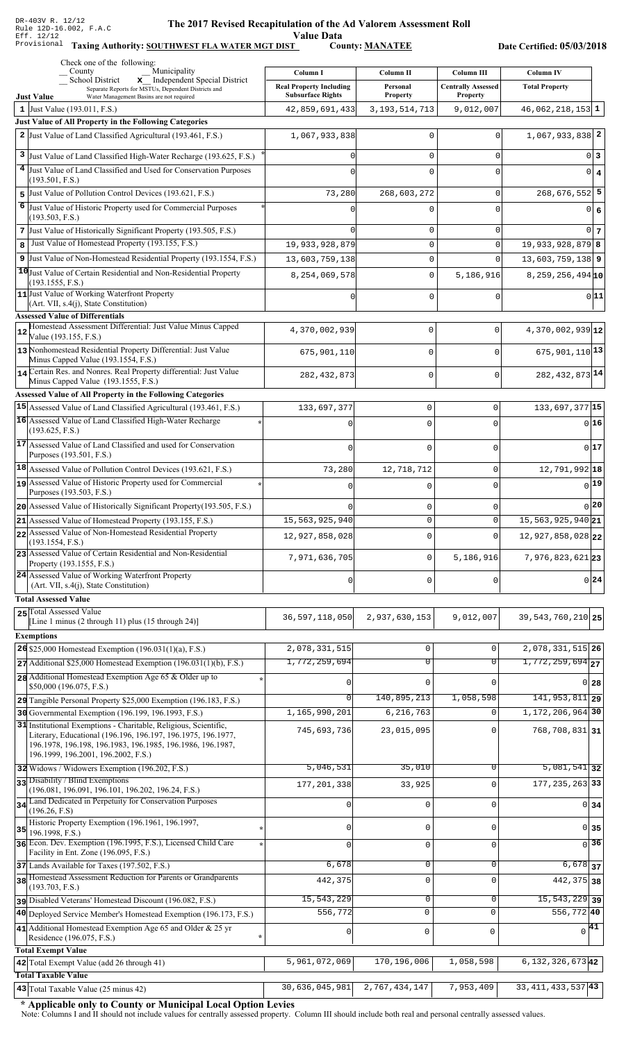**ALIVE STATE:**<br>Value Data<br>F County: <u>MANATEE</u>

Taxing Authority: SOUTHWEST FLA WATER MGT DIST County: MANATEE

Date Certified: 05/03/2018

|    | Check one of the following:<br>Municipality<br>County                                                                                                                            | Column I                                                   | Column II                          | Column III                                   | <b>Column IV</b>               |             |
|----|----------------------------------------------------------------------------------------------------------------------------------------------------------------------------------|------------------------------------------------------------|------------------------------------|----------------------------------------------|--------------------------------|-------------|
|    | x Independent Special District<br><b>School District</b><br>Separate Reports for MSTUs, Dependent Districts and<br><b>Just Value</b><br>Water Management Basins are not required | <b>Real Property Including</b><br><b>Subsurface Rights</b> | Personal<br><b>Property</b>        | <b>Centrally Assessed</b><br><b>Property</b> | <b>Total Property</b>          |             |
|    | 1 Just Value (193.011, F.S.)                                                                                                                                                     | 42,859,691,433                                             | 3, 193, 514, 713                   | 9,012,007                                    | $46,062,218,153$ 1             |             |
|    | Just Value of All Property in the Following Categories                                                                                                                           |                                                            |                                    |                                              |                                |             |
|    | 2 Just Value of Land Classified Agricultural (193.461, F.S.)                                                                                                                     | 1,067,933,838                                              | 0                                  | 0                                            | $1,067,933,838$ 2              |             |
|    | 3 Just Value of Land Classified High-Water Recharge (193.625, F.S.)                                                                                                              |                                                            | $\mathbf 0$                        | 0                                            |                                | 0 3         |
|    | 4 Just Value of Land Classified and Used for Conservation Purposes                                                                                                               |                                                            | 0                                  | $\Omega$                                     |                                | $0 \mid 4$  |
|    | (193.501, F.S.)                                                                                                                                                                  |                                                            |                                    |                                              |                                |             |
| 6  | 5 Just Value of Pollution Control Devices (193.621, F.S.)                                                                                                                        | 73,280                                                     | 268,603,272                        | $\mathbf 0$                                  | $268,676,552$ 5                |             |
|    | Just Value of Historic Property used for Commercial Purposes<br>(193.503, F.S.)                                                                                                  |                                                            | 0                                  | $\Omega$                                     | $\overline{0}$                 | 6           |
|    | 7 Just Value of Historically Significant Property (193.505, F.S.)                                                                                                                |                                                            | $\mathsf 0$                        | 0                                            |                                | $0\vert 7$  |
| 8  | Just Value of Homestead Property (193.155, F.S.)                                                                                                                                 | 19,933,928,879                                             | $\mathsf 0$                        | 0                                            | $19,933,928,879$ 8             |             |
|    | 9 Just Value of Non-Homestead Residential Property (193.1554, F.S.)                                                                                                              | 13,603,759,138                                             | $\mathsf 0$                        | $\mathbf 0$                                  | $13,603,759,138$ 9             |             |
|    | 10 Just Value of Certain Residential and Non-Residential Property<br>(193.1555, F.S.)                                                                                            | 8,254,069,578                                              | $\mathsf 0$                        | 5,186,916                                    | $8, 259, 256, 494$ 10          |             |
|    | 11 Just Value of Working Waterfront Property                                                                                                                                     |                                                            | 0                                  | $\mathbf 0$                                  |                                | 0 11        |
|    | (Art. VII, s.4(j), State Constitution)<br><b>Assessed Value of Differentials</b>                                                                                                 |                                                            |                                    |                                              |                                |             |
|    | Homestead Assessment Differential: Just Value Minus Capped                                                                                                                       | 4,370,002,939                                              | $\mathsf 0$                        | $\mathbf 0$                                  | $4,370,002,939$ <sub>12</sub>  |             |
| 12 | Value (193.155, F.S.)                                                                                                                                                            |                                                            |                                    |                                              |                                |             |
|    | 13 Nonhomestead Residential Property Differential: Just Value<br>Minus Capped Value (193.1554, F.S.)                                                                             | 675,901,110                                                | 0                                  | $\Omega$                                     | $675,901,110$ <sup>13</sup>    |             |
|    | 14 Certain Res. and Nonres. Real Property differential: Just Value<br>Minus Capped Value (193.1555, F.S.)                                                                        | 282, 432, 873                                              | $\mathbf 0$                        | $\mathbf 0$                                  | 282, 432, 873 14               |             |
|    | Assessed Value of All Property in the Following Categories                                                                                                                       |                                                            |                                    |                                              |                                |             |
|    | 15 Assessed Value of Land Classified Agricultural (193.461, F.S.)                                                                                                                | 133,697,377                                                | $\mathbf 0$                        | 0                                            | 133,697,377 15                 |             |
|    | 16 Assessed Value of Land Classified High-Water Recharge                                                                                                                         |                                                            | $\Omega$                           | U                                            |                                | 0 16        |
|    | (193.625, F.S.)                                                                                                                                                                  |                                                            |                                    |                                              |                                |             |
|    | 17 Assessed Value of Land Classified and used for Conservation<br>Purposes (193.501, F.S.)                                                                                       | $\Omega$                                                   | $\mathbf 0$                        | $\Omega$                                     |                                | 0 17        |
|    | 18 Assessed Value of Pollution Control Devices (193.621, F.S.)                                                                                                                   | 73,280                                                     | 12,718,712                         | 0                                            | 12,791,992 18                  |             |
|    | 19 Assessed Value of Historic Property used for Commercial                                                                                                                       |                                                            | $\Omega$                           | $\Omega$                                     |                                | 0 19        |
|    | Purposes (193.503, F.S.)<br>20 Assessed Value of Historically Significant Property (193.505, F.S.)                                                                               |                                                            |                                    |                                              |                                | 20          |
|    | 21 Assessed Value of Homestead Property (193.155, F.S.)                                                                                                                          | 15,563,925,940                                             | $\mathbf 0$<br>$\Omega$            | 0<br>0                                       | $15,563,925,940$ <sub>21</sub> |             |
|    | 22 Assessed Value of Non-Homestead Residential Property                                                                                                                          | 12,927,858,028                                             | $\mathbf 0$                        | 0                                            | $12,927,858,028$ <sub>22</sub> |             |
|    | (193.1554, F.S.)<br>23 Assessed Value of Certain Residential and Non-Residential                                                                                                 |                                                            |                                    |                                              |                                |             |
|    | Property (193.1555, F.S.)                                                                                                                                                        | 7,971,636,705                                              | $\mathbf 0$                        | 5,186,916                                    | $7,976,823,621$ 23             |             |
|    | 24 Assessed Value of Working Waterfront Property<br>(Art. VII, s.4(j), State Constitution)                                                                                       | $\Omega$                                                   | $\mathbf 0$                        | U                                            |                                | 0 24        |
|    | <b>Total Assessed Value</b>                                                                                                                                                      |                                                            |                                    |                                              |                                |             |
|    | 25 Total Assessed Value<br>[Line 1 minus (2 through 11) plus (15 through 24)]                                                                                                    | 36,597,118,050                                             | 2,937,630,153                      | 9,012,007                                    | 39, 543, 760, 210 25           |             |
|    | <b>Exemptions</b>                                                                                                                                                                |                                                            |                                    |                                              |                                |             |
|    | 26 \$25,000 Homestead Exemption (196.031(1)(a), F.S.)                                                                                                                            | 2,078,331,515                                              | $\mathsf{O}\xspace$                | $\mathbf 0$                                  | 2,078,331,515 26               |             |
|    | $27$ Additional \$25,000 Homestead Exemption (196.031(1)(b), F.S.)                                                                                                               | 1,772,259,694                                              | $\overline{0}$                     | $\overline{0}$                               | $1,772,259,694$ <sub>27</sub>  |             |
|    | 28 Additional Homestead Exemption Age 65 & Older up to                                                                                                                           |                                                            | $\Omega$                           | $\Omega$                                     | $0$ 28                         |             |
|    | \$50,000 (196.075, F.S.)<br>29 Tangible Personal Property \$25,000 Exemption (196.183, F.S.)                                                                                     | 0                                                          | 140,895,213                        | 1,058,598                                    | $141,953,811$ 29               |             |
|    | 30 Governmental Exemption (196.199, 196.1993, F.S.)                                                                                                                              | 1,165,990,201                                              | 6,216,763                          | 0                                            | 1, 172, 206, 964 30            |             |
|    | 31 Institutional Exemptions - Charitable, Religious, Scientific,                                                                                                                 | 745,693,736                                                | 23,015,095                         | $\Omega$                                     | 768,708,831 31                 |             |
|    | Literary, Educational (196.196, 196.197, 196.1975, 196.1977,<br>196.1978, 196.198, 196.1983, 196.1985, 196.1986, 196.1987,<br>196.1999, 196.2001, 196.2002, F.S.)                |                                                            |                                    |                                              |                                |             |
|    | 32 Widows / Widowers Exemption (196.202, F.S.)                                                                                                                                   | 5,046,531                                                  | 35,010                             | 0                                            | $5,081,541$ 32                 |             |
|    | 33 Disability / Blind Exemptions<br>(196.081, 196.091, 196.101, 196.202, 196.24, F.S.)                                                                                           | 177, 201, 338                                              | 33,925                             | 0                                            | 177, 235, 263 33               |             |
|    | 34 Land Dedicated in Perpetuity for Conservation Purposes                                                                                                                        |                                                            | 0                                  | $\Omega$                                     | $0 \overline{\smash{34}}$      |             |
|    | (196.26, F.S)<br>Historic Property Exemption (196.1961, 196.1997,                                                                                                                |                                                            |                                    |                                              |                                |             |
| 35 | 196.1998, F.S.)<br>36 Econ. Dev. Exemption (196.1995, F.S.), Licensed Child Care                                                                                                 | N                                                          | $\mathbf 0$                        | $\mathsf 0$                                  | $0$ 35                         |             |
|    | Facility in Ent. Zone (196.095, F.S.)                                                                                                                                            |                                                            | $\mathsf 0$                        | 0                                            |                                | $\sqrt{36}$ |
|    | 37 Lands Available for Taxes (197.502, F.S.)<br>38 Homestead Assessment Reduction for Parents or Grandparents                                                                    | 6,678                                                      | $\mathbf 0$                        | 0                                            | $6,678$ 37                     |             |
|    | (193.703, F.S.)                                                                                                                                                                  | 442,375                                                    | $\mathbf 0$                        | $\mathbf 0$                                  | 442, 375 38                    |             |
|    | pisabled Veterans' Homestead Discount (196.082, F.S.)                                                                                                                            | 15,543,229                                                 | $\mathbf 0$                        | 0                                            | $15,543,229$ 39                |             |
|    | 40 Deployed Service Member's Homestead Exemption (196.173, F.S.)                                                                                                                 | 556,772                                                    | $\mathsf 0$                        | $\mathbf 0$                                  | 556,772 40                     |             |
|    | 41 Additional Homestead Exemption Age 65 and Older & 25 yr<br>Residence (196.075, F.S.)                                                                                          | 0                                                          | $\mathsf 0$                        | $\mathsf 0$                                  | $\sqrt{41}$                    |             |
|    | <b>Total Exempt Value</b>                                                                                                                                                        |                                                            |                                    |                                              |                                |             |
|    | 42 Total Exempt Value (add 26 through 41)                                                                                                                                        | 5,961,072,069                                              | 170,196,006                        | 1,058,598                                    | $6, 132, 326, 673$ 42          |             |
|    | <b>Total Taxable Value</b>                                                                                                                                                       |                                                            |                                    |                                              |                                |             |
|    | $\vert$ 43 Total Taxable Value (25 minus 42)                                                                                                                                     |                                                            | 30, 636, 045, 981 2, 767, 434, 147 | 7,953,409                                    | 33, 411, 433, 537 43           |             |

\* Applicable only to County or Municipal Local Option Levies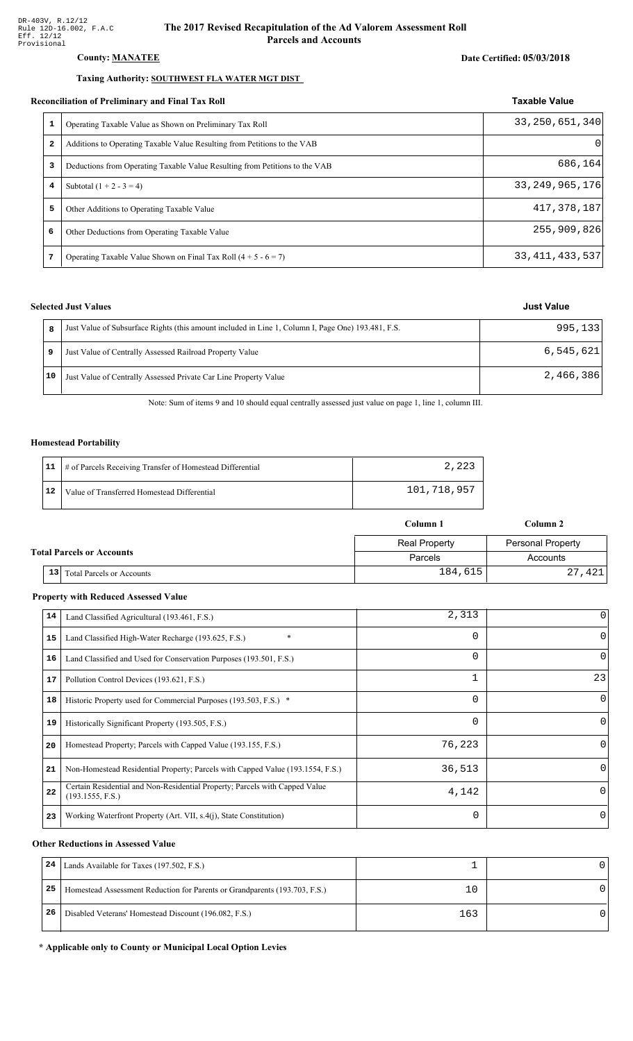#### County: **MANATEE**

#### Taxing Authority: SOUTHWEST FLA WATER MGT DIST

#### Reconciliation of Preliminary and Final Tax Roll

| 1 | Operating Taxable Value as Shown on Preliminary Tax Roll                    | 33, 250, 651, 340 |
|---|-----------------------------------------------------------------------------|-------------------|
| 2 | Additions to Operating Taxable Value Resulting from Petitions to the VAB    |                   |
| 3 | Deductions from Operating Taxable Value Resulting from Petitions to the VAB | 686,164           |
| 4 | Subtotal $(1 + 2 - 3 = 4)$                                                  | 33, 249, 965, 176 |
| 5 | Other Additions to Operating Taxable Value                                  | 417, 378, 187     |
| 6 | Other Deductions from Operating Taxable Value                               | 255,909,826       |
| 7 | Operating Taxable Value Shown on Final Tax Roll $(4 + 5 - 6 = 7)$           | 33, 411, 433, 537 |

### **Selected Just Values**

|    | Just Value of Subsurface Rights (this amount included in Line 1, Column I, Page One) 193.481, F.S. | 995, 133  |
|----|----------------------------------------------------------------------------------------------------|-----------|
|    | Just Value of Centrally Assessed Railroad Property Value                                           | 6,545,621 |
| 10 | Just Value of Centrally Assessed Private Car Line Property Value                                   | 2,466,386 |

Note: Sum of items 9 and 10 should equal centrally assessed just value on page 1, line 1, column III.

#### **Homestead Portability**

|    | 11   # of Parcels Receiving Transfer of Homestead Differential | 2,223       |
|----|----------------------------------------------------------------|-------------|
| 12 | Value of Transferred Homestead Differential                    | 101,718,957 |

|                                  |    |                                  | Column 1             | Column 2          |  |
|----------------------------------|----|----------------------------------|----------------------|-------------------|--|
|                                  |    |                                  | <b>Real Property</b> | Personal Property |  |
| <b>Total Parcels or Accounts</b> |    |                                  | Parcels              | Accounts          |  |
|                                  | 13 | <b>Total Parcels or Accounts</b> | 184,615              | 27,421            |  |

#### **Property with Reduced Assessed Value**

| 14 | Land Classified Agricultural (193.461, F.S.)                                                    | 2,313    | 0            |
|----|-------------------------------------------------------------------------------------------------|----------|--------------|
| 15 | $\ast$<br>Land Classified High-Water Recharge (193.625, F.S.)                                   | 0        | $\Omega$     |
| 16 | Land Classified and Used for Conservation Purposes (193.501, F.S.)                              | 0        | $\Omega$     |
| 17 | Pollution Control Devices (193.621, F.S.)                                                       |          | 23           |
| 18 | Historic Property used for Commercial Purposes (193.503, F.S.) *                                | 0        | $\Omega$     |
| 19 | Historically Significant Property (193.505, F.S.)                                               | 0        | $\Omega$     |
| 20 | Homestead Property; Parcels with Capped Value (193.155, F.S.)                                   | 76,223   | $\Omega$     |
| 21 | Non-Homestead Residential Property; Parcels with Capped Value (193.1554, F.S.)                  | 36,513   | $\Omega$     |
| 22 | Certain Residential and Non-Residential Property; Parcels with Capped Value<br>(193.1555, F.S.) | 4,142    | $\Omega$     |
| 23 | Working Waterfront Property (Art. VII, s.4(j), State Constitution)                              | $\Omega$ | $\mathbf{0}$ |

#### **Other Reductions in Assessed Value**

| 24 | Lands Available for Taxes (197.502, F.S.)                                  |         |  |
|----|----------------------------------------------------------------------------|---------|--|
| 25 | Homestead Assessment Reduction for Parents or Grandparents (193.703, F.S.) | $\pm 0$ |  |
| 26 | Disabled Veterans' Homestead Discount (196.082, F.S.)                      | 163     |  |

#### \* Applicable only to County or Municipal Local Option Levies

# Date Certified: 05/03/2018

Taxable Value

**Just Value**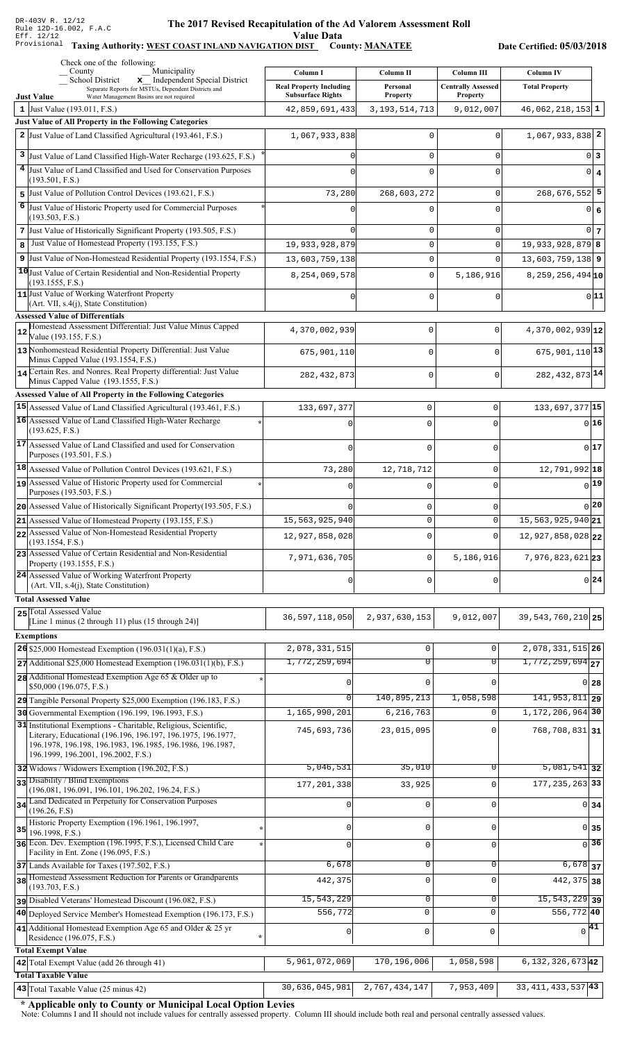#### The 2017 Revised Recapitulation of th The 2017 Revised Recapitulation of the Ad Valorem Assessment Roll **Value Data**

#### Taxing Authority: WEST COAST INLAND NAVIGATION DIST County: MANATEE

Date Certified: 05/03/2018

|         | Check one of the following:<br>Municipality<br>County                                                                                                                                                                                 | Column I                                                   | Column II            | Column III                                   | <b>Column IV</b>               |
|---------|---------------------------------------------------------------------------------------------------------------------------------------------------------------------------------------------------------------------------------------|------------------------------------------------------------|----------------------|----------------------------------------------|--------------------------------|
|         | x Independent Special District<br>School District<br>Separate Reports for MSTUs, Dependent Districts and<br>Water Management Basins are not required<br><b>Just Value</b>                                                             | <b>Real Property Including</b><br><b>Subsurface Rights</b> | Personal<br>Property | <b>Centrally Assessed</b><br><b>Property</b> | <b>Total Property</b>          |
|         | 1 Just Value (193.011, F.S.)                                                                                                                                                                                                          | 42,859,691,433                                             | 3, 193, 514, 713     | 9,012,007                                    | $46,062,218,153$ 1             |
|         | Just Value of All Property in the Following Categories                                                                                                                                                                                |                                                            |                      |                                              |                                |
|         | 2 Just Value of Land Classified Agricultural (193.461, F.S.)                                                                                                                                                                          | 1,067,933,838                                              | 0                    | 0                                            | $1,067,933,838$ <sup>2</sup>   |
| 3       | Just Value of Land Classified High-Water Recharge (193.625, F.S.)                                                                                                                                                                     |                                                            | 0                    | 0                                            | 0 3                            |
|         | 4 Just Value of Land Classified and Used for Conservation Purposes                                                                                                                                                                    |                                                            | 0                    | 0                                            | $0 \mid 4$                     |
|         | (193.501, F.S.)                                                                                                                                                                                                                       |                                                            |                      |                                              |                                |
| 5.<br>6 | Just Value of Pollution Control Devices (193.621, F.S.)                                                                                                                                                                               | 73,280                                                     | 268,603,272          | 0                                            | $268,676,552$ 5                |
|         | Just Value of Historic Property used for Commercial Purposes<br>(193.503, F.S.)                                                                                                                                                       |                                                            | 0                    | $\Omega$                                     | 0 6                            |
|         | 7 Just Value of Historically Significant Property (193.505, F.S.)                                                                                                                                                                     | U                                                          | 0                    | 0                                            | 0 <sub>7</sub>                 |
| 8       | Just Value of Homestead Property (193.155, F.S.)                                                                                                                                                                                      | 19,933,928,879                                             | 0                    | 0                                            | $19,933,928,879$ 8             |
|         | 9 Just Value of Non-Homestead Residential Property (193.1554, F.S.)                                                                                                                                                                   | 13,603,759,138                                             | 0                    | $\Omega$                                     | $13,603,759,138$ 9             |
|         | 10 Just Value of Certain Residential and Non-Residential Property<br>(193.1555, F.S.)                                                                                                                                                 | 8,254,069,578                                              | $\mathbf 0$          | 5,186,916                                    | $8,259,256,494$ 10             |
|         | 11 Just Value of Working Waterfront Property                                                                                                                                                                                          |                                                            | 0                    | 0                                            | 0 11                           |
|         | (Art. VII, s.4(j), State Constitution)<br><b>Assessed Value of Differentials</b>                                                                                                                                                      |                                                            |                      |                                              |                                |
|         | Homestead Assessment Differential: Just Value Minus Capped                                                                                                                                                                            | 4,370,002,939                                              | $\mathbf 0$          | $\Omega$                                     | $4,370,002,939$ <sup>12</sup>  |
| 12      | Value (193.155, F.S.)                                                                                                                                                                                                                 |                                                            |                      |                                              |                                |
|         | 13 Nonhomestead Residential Property Differential: Just Value<br>Minus Capped Value (193.1554, F.S.)                                                                                                                                  | 675,901,110                                                | 0                    | $\Omega$                                     | 675, 901, 110 13               |
|         | 14 Certain Res. and Nonres. Real Property differential: Just Value<br>Minus Capped Value (193.1555, F.S.)                                                                                                                             | 282, 432, 873                                              | $\mathbf 0$          | $\Omega$                                     | 282, 432, 873 14               |
|         | Assessed Value of All Property in the Following Categories                                                                                                                                                                            |                                                            |                      |                                              |                                |
|         | 15 Assessed Value of Land Classified Agricultural (193.461, F.S.)                                                                                                                                                                     | 133,697,377                                                | $\mathsf 0$          | $\mathsf 0$                                  | 133,697,377 15                 |
|         | 16 Assessed Value of Land Classified High-Water Recharge                                                                                                                                                                              |                                                            | $\Omega$             | $\Omega$                                     | 016                            |
|         | (193.625, F.S.)<br>17 Assessed Value of Land Classified and used for Conservation                                                                                                                                                     |                                                            |                      |                                              |                                |
|         | Purposes (193.501, F.S.)                                                                                                                                                                                                              | $\cap$                                                     | $\Omega$             | $\Omega$                                     | 017                            |
|         | $18$ Assessed Value of Pollution Control Devices (193.621, F.S.)                                                                                                                                                                      | 73,280                                                     | 12,718,712           | $\mathsf 0$                                  | 12,791,992 18                  |
|         | 19 Assessed Value of Historic Property used for Commercial                                                                                                                                                                            |                                                            | $\Omega$             | $\Omega$                                     | 0 19                           |
|         | Purposes (193.503, F.S.)<br>20 Assessed Value of Historically Significant Property (193.505, F.S.)                                                                                                                                    |                                                            |                      |                                              | $0$  20                        |
|         | 21 Assessed Value of Homestead Property (193.155, F.S.)                                                                                                                                                                               | 15,563,925,940                                             | 0<br>0               | 0<br>$\mathbf 0$                             | 15, 563, 925, 940 21           |
|         | 22 Assessed Value of Non-Homestead Residential Property                                                                                                                                                                               | 12,927,858,028                                             | $\mathbf{0}$         | $\Omega$                                     | $12,927,858,028$ <sub>22</sub> |
|         | (193.1554, F.S.)<br>23 Assessed Value of Certain Residential and Non-Residential                                                                                                                                                      | 7,971,636,705                                              | $\mathbf 0$          | 5,186,916                                    | 7,976,823,621 23               |
|         | Property (193.1555, F.S.)<br>24 Assessed Value of Working Waterfront Property                                                                                                                                                         | $\Omega$                                                   | $\mathbf 0$          | 0                                            | $0\vert 24$                    |
|         | (Art. VII, s.4(j), State Constitution)                                                                                                                                                                                                |                                                            |                      |                                              |                                |
|         | <b>Total Assessed Value</b><br>25 Total Assessed Value                                                                                                                                                                                |                                                            |                      |                                              |                                |
|         | [Line 1 minus (2 through 11) plus $(15 \text{ through } 24)$ ]                                                                                                                                                                        | 36, 597, 118, 050                                          | 2,937,630,153        | 9,012,007                                    | 39, 543, 760, 210 25           |
|         | <b>Exemptions</b>                                                                                                                                                                                                                     |                                                            |                      |                                              |                                |
|         | 26 \$25,000 Homestead Exemption (196.031(1)(a), F.S.)                                                                                                                                                                                 | 2,078,331,515                                              | $\mathbf 0$          | 0                                            | 2,078,331,515 26               |
|         | $27$ Additional \$25,000 Homestead Exemption (196.031(1)(b), F.S.)                                                                                                                                                                    | 1,772,259,694                                              | $\overline{0}$       | $\overline{0}$                               | $\overline{1,772,259,694}$ 27  |
|         | 28 Additional Homestead Exemption Age 65 & Older up to<br>\$50,000 (196.075, F.S.)                                                                                                                                                    |                                                            | $\Omega$             |                                              | $0$ 28                         |
|         | 29 Tangible Personal Property \$25,000 Exemption (196.183, F.S.)                                                                                                                                                                      |                                                            | 140,895,213          | 1,058,598                                    | $141,953,811$ 29               |
|         | 30 Governmental Exemption (196.199, 196.1993, F.S.)                                                                                                                                                                                   | 1,165,990,201                                              | 6,216,763            | $\Omega$                                     | 1, 172, 206, 964 30            |
|         | 31 Institutional Exemptions - Charitable, Religious, Scientific,<br>Literary, Educational (196.196, 196.197, 196.1975, 196.1977,<br>196.1978, 196.198, 196.1983, 196.1985, 196.1986, 196.1987,<br>196.1999, 196.2001, 196.2002, F.S.) | 745,693,736                                                | 23,015,095           |                                              | 768,708,831 31                 |
|         | 32 Widows / Widowers Exemption (196.202, F.S.)                                                                                                                                                                                        | 5,046,531                                                  | 35,010               | $\Omega$                                     | $\overline{5,081,541}$ 32      |
|         | 33 Disability / Blind Exemptions<br>(196.081, 196.091, 196.101, 196.202, 196.24, F.S.)                                                                                                                                                | 177, 201, 338                                              | 33,925               | $\Omega$                                     | 177, 235, 263 33               |
|         | 34 Land Dedicated in Perpetuity for Conservation Purposes                                                                                                                                                                             |                                                            | 0                    | $\Omega$                                     | $0 \overline{\smash{34}}$      |
|         | (196.26, F.S)<br>Historic Property Exemption (196.1961, 196.1997,                                                                                                                                                                     |                                                            |                      |                                              |                                |
|         | $35$ 196.1998, F.S.)                                                                                                                                                                                                                  | N                                                          | $\mathbf 0$          | $\Omega$                                     | 0 35                           |
|         | 36 Econ. Dev. Exemption (196.1995, F.S.), Licensed Child Care<br>Facility in Ent. Zone (196.095, F.S.)                                                                                                                                |                                                            | $\mathbf 0$          | $\Omega$                                     | $\overline{0}$ 36              |
|         | 37 Lands Available for Taxes (197.502, F.S.)                                                                                                                                                                                          | 6,678                                                      | $\mathbf 0$          | $\mathbf 0$                                  | $6,678$ 37                     |
|         | 38 Homestead Assessment Reduction for Parents or Grandparents                                                                                                                                                                         | 442,375                                                    | $\mathbf 0$          | $\Omega$                                     | 442, 375 38                    |
|         | (193.703, F.S.)<br>pisabled Veterans' Homestead Discount (196.082, F.S.)                                                                                                                                                              | 15, 543, 229                                               | $\overline{0}$       | $\mathbf 0$                                  | 15, 543, 229 39                |
|         | 40 Deployed Service Member's Homestead Exemption (196.173, F.S.)                                                                                                                                                                      | 556,772                                                    | $\mathbf 0$          | $\mathbf 0$                                  | 556,772 40                     |
|         | 41 Additional Homestead Exemption Age 65 and Older & 25 yr                                                                                                                                                                            | 0                                                          | $\mathsf{O}\xspace$  | $\mathsf 0$                                  | $\sqrt{41}$                    |
|         | Residence (196.075, F.S.)                                                                                                                                                                                                             |                                                            |                      |                                              |                                |
|         | <b>Total Exempt Value</b><br>42 Total Exempt Value (add 26 through 41)                                                                                                                                                                | 5,961,072,069                                              | 170,196,006          | 1,058,598                                    | $6, 132, 326, 673$ 42          |
|         | <b>Total Taxable Value</b>                                                                                                                                                                                                            |                                                            |                      |                                              |                                |
|         | 43 Total Taxable Value (25 minus 42)                                                                                                                                                                                                  | 30,636,045,981                                             | 2,767,434,147        | 7,953,409                                    | $33,411,433,537$ 43            |

\* Applicable only to County or Municipal Local Option Levies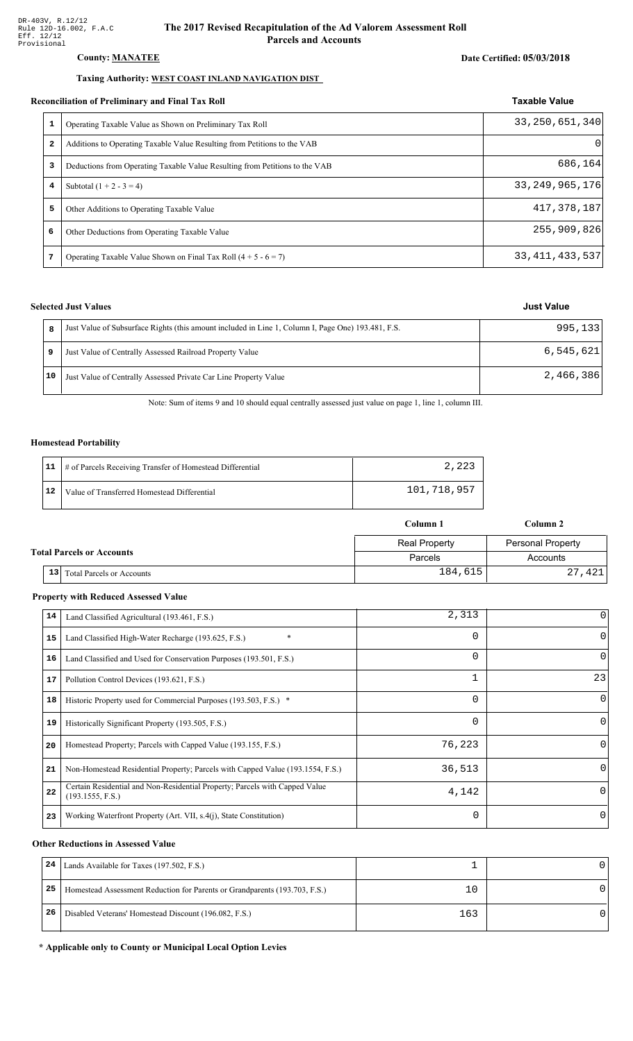#### County: **MANATEE**

#### Taxing Authority: WEST COAST INLAND NAVIGATION DIST

#### Reconciliation of Preliminary and Final Tax Roll

|                         | conciliation of Preliminary and Final Tax Roll                              | <b>Taxable Value</b> |
|-------------------------|-----------------------------------------------------------------------------|----------------------|
| 1                       | Operating Taxable Value as Shown on Preliminary Tax Roll                    | 33, 250, 651, 340    |
| $\overline{\mathbf{2}}$ | Additions to Operating Taxable Value Resulting from Petitions to the VAB    | 0                    |
| 3                       | Deductions from Operating Taxable Value Resulting from Petitions to the VAB | 686,164              |
| 4                       | Subtotal $(1 + 2 - 3 = 4)$                                                  | 33, 249, 965, 176    |
| 5                       | Other Additions to Operating Taxable Value                                  | 417, 378, 187        |
| 6                       | Other Deductions from Operating Taxable Value                               | 255,909,826          |
| 7                       | Operating Taxable Value Shown on Final Tax Roll $(4 + 5 - 6 = 7)$           | 33, 411, 433, 537    |

#### **Selected Just Values**

|    | Just Value of Subsurface Rights (this amount included in Line 1, Column I, Page One) 193.481, F.S. | 995,133   |
|----|----------------------------------------------------------------------------------------------------|-----------|
|    | Just Value of Centrally Assessed Railroad Property Value                                           | 6,545,621 |
| 10 | Just Value of Centrally Assessed Private Car Line Property Value                                   | 2,466,386 |

Note: Sum of items 9 and 10 should equal centrally assessed just value on page 1, line 1, column III.

#### Homestead Portability

|    | 11   # of Parcels Receiving Transfer of Homestead Differential |             |
|----|----------------------------------------------------------------|-------------|
| 12 | Value of Transferred Homestead Differential                    | 101,718,957 |

|                                  |                                 | Column 1             | Column 2                 |  |
|----------------------------------|---------------------------------|----------------------|--------------------------|--|
|                                  |                                 | <b>Real Property</b> | <b>Personal Property</b> |  |
| <b>Total Parcels or Accounts</b> |                                 | Parcels              | Accounts                 |  |
|                                  | 13<br>Total Parcels or Accounts | 184,615              | 27,421                   |  |

#### **Property with Reduced Assessed Value**

| 14 | Land Classified Agricultural (193.461, F.S.)                                                    | 2,313    | 0            |
|----|-------------------------------------------------------------------------------------------------|----------|--------------|
| 15 | $\ast$<br>Land Classified High-Water Recharge (193.625, F.S.)                                   | 0        | $\Omega$     |
| 16 | Land Classified and Used for Conservation Purposes (193.501, F.S.)                              | 0        | $\Omega$     |
| 17 | Pollution Control Devices (193.621, F.S.)                                                       |          | 23           |
| 18 | Historic Property used for Commercial Purposes (193.503, F.S.) *                                | 0        | $\Omega$     |
| 19 | Historically Significant Property (193.505, F.S.)                                               | 0        | $\Omega$     |
| 20 | Homestead Property; Parcels with Capped Value (193.155, F.S.)                                   | 76,223   | $\Omega$     |
| 21 | Non-Homestead Residential Property; Parcels with Capped Value (193.1554, F.S.)                  | 36,513   | $\Omega$     |
| 22 | Certain Residential and Non-Residential Property; Parcels with Capped Value<br>(193.1555, F.S.) | 4,142    | $\Omega$     |
| 23 | Working Waterfront Property (Art. VII, s.4(j), State Constitution)                              | $\Omega$ | $\mathbf{0}$ |

#### **Other Reductions in Assessed Value**

| 24 | Lands Available for Taxes (197.502, F.S.)                                  |     |  |
|----|----------------------------------------------------------------------------|-----|--|
| 25 | Homestead Assessment Reduction for Parents or Grandparents (193.703, F.S.) |     |  |
| 26 | Disabled Veterans' Homestead Discount (196.082, F.S.)                      | 163 |  |

#### \* Applicable only to County or Municipal Local Option Levies

| Just Value |  |
|------------|--|
|            |  |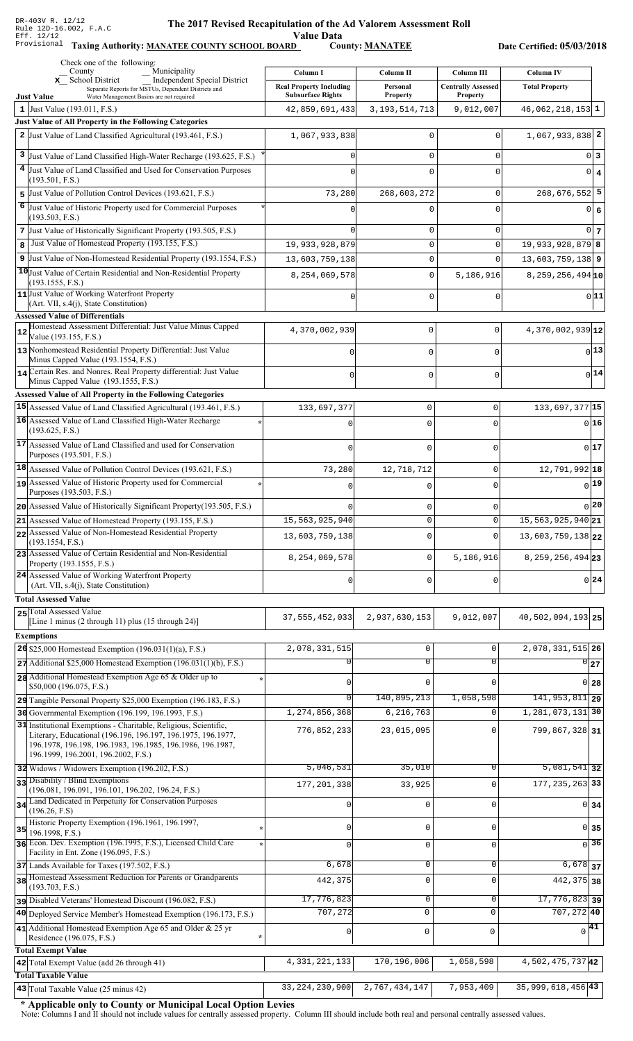Value Data<br>D County: <u>MANATEE</u>

Taxing Authority: MANATEE COUNTY SCHOOL BOARD County: MANATEE

Date Certified: 05/03/2018

|    | Check one of the following:<br>Municipality<br>County                                                                      | Column I                       | Column II           | Column III                | <b>Column IV</b>            |
|----|----------------------------------------------------------------------------------------------------------------------------|--------------------------------|---------------------|---------------------------|-----------------------------|
|    | <b>Independent Special District</b><br>x School District                                                                   | <b>Real Property Including</b> | Personal            | <b>Centrally Assessed</b> | <b>Total Property</b>       |
|    | Separate Reports for MSTUs, Dependent Districts and<br><b>Just Value</b><br>Water Management Basins are not required       | <b>Subsurface Rights</b>       | <b>Property</b>     | <b>Property</b>           |                             |
|    | 1 Just Value $(193.011, F.S.)$                                                                                             | 42,859,691,433                 | 3, 193, 514, 713    | 9,012,007                 | $46,062,218,153$ 1          |
|    | Just Value of All Property in the Following Categories<br>2 Just Value of Land Classified Agricultural (193.461, F.S.)     |                                |                     |                           | $1,067,933,838$ 2           |
|    |                                                                                                                            | 1,067,933,838                  | $\Omega$            |                           |                             |
| 3  | Just Value of Land Classified High-Water Recharge (193.625, F.S.)                                                          |                                | $\mathbf 0$         | 0                         | $0\vert 3$                  |
|    | 4 Just Value of Land Classified and Used for Conservation Purposes<br>(193.501, F.S.)                                      |                                | $\Omega$            | U                         | $0 \mid 4$                  |
|    | 5 Just Value of Pollution Control Devices (193.621, F.S.)                                                                  | 73,280                         | 268,603,272         | 0                         | $268,676,552$ 5             |
|    | 6 Just Value of Historic Property used for Commercial Purposes                                                             |                                | $\Omega$            | $\Omega$                  | 0 6                         |
|    | (193.503, F.S.)                                                                                                            |                                |                     |                           |                             |
|    | 7 Just Value of Historically Significant Property (193.505, F.S.)                                                          |                                | 0                   | 0                         | $0\vert 7$                  |
| 8  | Just Value of Homestead Property (193.155, F.S.)                                                                           | 19,933,928,879                 | $\mathsf 0$         | $\Omega$                  | $19,933,928,879$ 8          |
|    | 9 Just Value of Non-Homestead Residential Property (193.1554, F.S.)                                                        | 13,603,759,138                 | $\mathbf 0$         | $\Omega$                  | $13,603,759,138$ 9          |
|    | 10 Just Value of Certain Residential and Non-Residential Property<br>(193.1555, F.S.)                                      | 8, 254, 069, 578               | $\mathbf 0$         | 5,186,916                 | $8, 259, 256, 494$ 10       |
|    | 11 Just Value of Working Waterfront Property                                                                               |                                | $\mathbf 0$         | $\Omega$                  | 0 11                        |
|    | (Art. VII, s.4(j), State Constitution)                                                                                     |                                |                     |                           |                             |
|    | <b>Assessed Value of Differentials</b><br>Homestead Assessment Differential: Just Value Minus Capped                       | 4,370,002,939                  | 0                   | 0                         | 4,370,002,939 12            |
| 12 | Value (193.155, F.S.)                                                                                                      |                                |                     |                           |                             |
|    | 13 Nonhomestead Residential Property Differential: Just Value<br>Minus Capped Value (193.1554, F.S.)                       |                                | 0                   | $\Omega$                  | 13                          |
|    | 14 Certain Res. and Nonres. Real Property differential: Just Value                                                         |                                |                     |                           | $0$ <sup>14</sup>           |
|    | Minus Capped Value (193.1555, F.S.)                                                                                        |                                | 0                   | 0                         |                             |
|    | Assessed Value of All Property in the Following Categories                                                                 |                                |                     |                           |                             |
|    | 15 Assessed Value of Land Classified Agricultural (193.461, F.S.)                                                          | 133,697,377                    | $\mathbf 0$         | $\mathbf 0$               | 133, 697, 377 15            |
|    | 16 Assessed Value of Land Classified High-Water Recharge<br>(193.625, F.S.)                                                |                                | $\Omega$            | $\Omega$                  | 0 16                        |
|    | 17 Assessed Value of Land Classified and used for Conservation                                                             |                                | $\mathbf 0$         | $\mathbf 0$               | 0 17                        |
|    | Purposes (193.501, F.S.)                                                                                                   |                                |                     |                           |                             |
|    | 18 Assessed Value of Pollution Control Devices (193.621, F.S.)                                                             | 73,280                         | 12,718,712          | $\mathbf 0$               | 12,791,992 18               |
|    | 19 Assessed Value of Historic Property used for Commercial<br>Purposes (193.503, F.S.)                                     |                                | O                   | $\mathbf 0$               | $0$ 19                      |
|    | 20 Assessed Value of Historically Significant Property (193.505, F.S.)                                                     |                                | 0                   | $\mathbf 0$               | 0 20                        |
|    | $21$ Assessed Value of Homestead Property (193.155, F.S.)                                                                  | 15,563,925,940                 | $\Omega$            | $\Omega$                  | 15, 563, 925, 940 21        |
|    | 22 Assessed Value of Non-Homestead Residential Property                                                                    | 13,603,759,138                 | 0                   | $\Omega$                  | 13,603,759,138 22           |
|    | (193.1554, F.S.)<br>23 Assessed Value of Certain Residential and Non-Residential                                           |                                |                     |                           |                             |
|    | Property (193.1555, F.S.)                                                                                                  | 8, 254, 069, 578               | 0                   | 5,186,916                 | 8, 259, 256, 494 23         |
|    | 24 Assessed Value of Working Waterfront Property                                                                           | $\Omega$                       | $\mathbf 0$         | $\Omega$                  | 0 24                        |
|    | (Art. VII, s.4(j), State Constitution)                                                                                     |                                |                     |                           |                             |
|    | <b>Total Assessed Value</b><br>25 Total Assessed Value                                                                     |                                |                     |                           |                             |
|    | [Line 1 minus (2 through 11) plus (15 through 24)]                                                                         | 37, 555, 452, 033              | 2,937,630,153       | 9,012,007                 | 40,502,094,193 25           |
|    | <b>Exemptions</b>                                                                                                          |                                |                     |                           |                             |
|    | 26 \$25,000 Homestead Exemption (196.031(1)(a), F.S.)                                                                      | 2,078,331,515                  | 0                   | $\mathbf 0$               | 2,078,331,515 26            |
|    | $27$ Additional \$25,000 Homestead Exemption (196.031(1)(b), F.S.)                                                         |                                | $\overline{0}$      | $\overline{0}$            | 0 27                        |
|    | 28 Additional Homestead Exemption Age 65 & Older up to<br>\$50,000 (196.075, F.S.)                                         | $\Omega$                       | $\Omega$            | $\cap$                    | 0 28                        |
|    | 29 Tangible Personal Property \$25,000 Exemption (196.183, F.S.)                                                           | $\Omega$                       | 140,895,213         | 1,058,598                 | $\overline{141,953,811}$ 29 |
|    | 30 Governmental Exemption (196.199, 196.1993, F.S.)                                                                        | 1,274,856,368                  | 6,216,763           |                           | 1, 281, 073, 131 30         |
|    | 31 Institutional Exemptions - Charitable, Religious, Scientific,                                                           | 776,852,233                    | 23,015,095          | $\Omega$                  | 799,867,328 31              |
|    | Literary, Educational (196.196, 196.197, 196.1975, 196.1977,<br>196.1978, 196.198, 196.1983, 196.1985, 196.1986, 196.1987, |                                |                     |                           |                             |
|    | 196.1999, 196.2001, 196.2002, F.S.)                                                                                        |                                |                     |                           |                             |
|    | 32 Widows / Widowers Exemption (196.202, F.S.)                                                                             | 5,046,531                      | 35,010              | 0                         | $\overline{5,081,541}$ 32   |
|    | 33 Disability / Blind Exemptions<br>(196.081, 196.091, 196.101, 196.202, 196.24, F.S.)                                     | 177, 201, 338                  | 33,925              | $\Omega$                  | 177, 235, 263 33            |
|    | 34 Land Dedicated in Perpetuity for Conservation Purposes                                                                  | $\mathbf 0$                    | $\mathbf 0$         | $\Omega$                  | $0 \overline{\smash{34}}$   |
|    | (196.26, F.S)                                                                                                              |                                |                     |                           |                             |
| 35 | Historic Property Exemption (196.1961, 196.1997,<br>196.1998, F.S.)                                                        | 0                              | 0                   | $\Omega$                  | $0$ 35                      |
|    | 36 Econ. Dev. Exemption (196.1995, F.S.), Licensed Child Care                                                              |                                | 0                   | $\Omega$                  | 36<br>$\Omega$              |
|    | Facility in Ent. Zone (196.095, F.S.)                                                                                      | 6,678                          | 0                   | 0                         | $6,678$ 37                  |
|    | 37 Lands Available for Taxes (197.502, F.S.)<br>38 Homestead Assessment Reduction for Parents or Grandparents              |                                |                     |                           |                             |
|    | (193.703, F.S.)                                                                                                            | 442,375                        | $\mathbf 0$         | $\Omega$                  | 442, 375 38                 |
|    | pisabled Veterans' Homestead Discount (196.082, F.S.)                                                                      | 17,776,823                     | 0                   | 0                         | $\overline{17,776,823}$ 39  |
|    | 40 Deployed Service Member's Homestead Exemption (196.173, F.S.)                                                           | 707,272                        | $\mathbf 0$         | $\mathbf{0}$              | $707, 272$ 40               |
|    | 41 Additional Homestead Exemption Age 65 and Older & 25 yr<br>Residence (196.075, F.S.)                                    | $\mathbf{0}$                   | $\mathsf{O}\xspace$ | $\mathbf 0$               | $\sqrt{41}$                 |
|    | <b>Total Exempt Value</b>                                                                                                  |                                |                     |                           |                             |
|    | 42 Total Exempt Value (add 26 through 41)                                                                                  | 4, 331, 221, 133               | 170, 196, 006       | 1,058,598                 | 4,502,475,73742             |
|    | <b>Total Taxable Value</b>                                                                                                 |                                |                     |                           |                             |
|    | 43 Total Taxable Value (25 minus 42)                                                                                       | 33, 224, 230, 900              | 2,767,434,147       | 7,953,409                 | 35,999,618,456 43           |

\* Applicable only to County or Municipal Local Option Levies